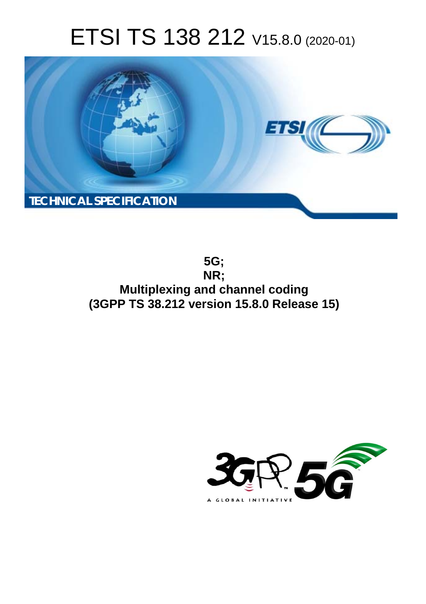# ETSI TS 138 212 V15.8.0 (2020-01)



**5G; NR; Multiplexing and channel coding (3GPP TS 38.212 version 15.8.0 Release 15)** 

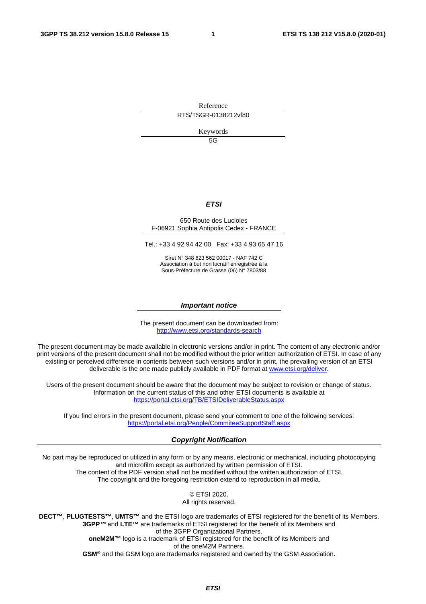Reference

RTS/TSGR-0138212vf80

Keywords

5G

### *ETSI*

### 650 Route des Lucioles F-06921 Sophia Antipolis Cedex - FRANCE

Tel.: +33 4 92 94 42 00 Fax: +33 4 93 65 47 16

Siret N° 348 623 562 00017 - NAF 742 C Association à but non lucratif enregistrée à la Sous-Préfecture de Grasse (06) N° 7803/88

### *Important notice*

The present document can be downloaded from: <http://www.etsi.org/standards-search>

The present document may be made available in electronic versions and/or in print. The content of any electronic and/or print versions of the present document shall not be modified without the prior written authorization of ETSI. In case of any existing or perceived difference in contents between such versions and/or in print, the prevailing version of an ETSI deliverable is the one made publicly available in PDF format at [www.etsi.org/deliver.](http://www.etsi.org/deliver)

Users of the present document should be aware that the document may be subject to revision or change of status. Information on the current status of this and other ETSI documents is available at <https://portal.etsi.org/TB/ETSIDeliverableStatus.aspx>

If you find errors in the present document, please send your comment to one of the following services: <https://portal.etsi.org/People/CommiteeSupportStaff.aspx>

### *Copyright Notification*

No part may be reproduced or utilized in any form or by any means, electronic or mechanical, including photocopying and microfilm except as authorized by written permission of ETSI. The content of the PDF version shall not be modified without the written authorization of ETSI. The copyright and the foregoing restriction extend to reproduction in all media.

> © ETSI 2020. All rights reserved.

**DECT™**, **PLUGTESTS™**, **UMTS™** and the ETSI logo are trademarks of ETSI registered for the benefit of its Members. **3GPP™** and **LTE™** are trademarks of ETSI registered for the benefit of its Members and of the 3GPP Organizational Partners. **oneM2M™** logo is a trademark of ETSI registered for the benefit of its Members and of the oneM2M Partners. **GSM®** and the GSM logo are trademarks registered and owned by the GSM Association.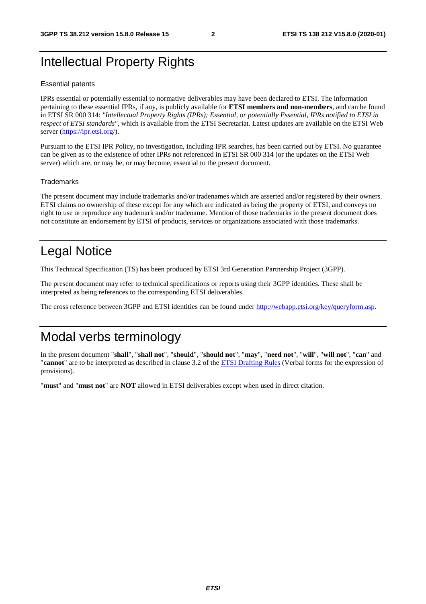## Intellectual Property Rights

### Essential patents

IPRs essential or potentially essential to normative deliverables may have been declared to ETSI. The information pertaining to these essential IPRs, if any, is publicly available for **ETSI members and non-members**, and can be found in ETSI SR 000 314: *"Intellectual Property Rights (IPRs); Essential, or potentially Essential, IPRs notified to ETSI in respect of ETSI standards"*, which is available from the ETSI Secretariat. Latest updates are available on the ETSI Web server [\(https://ipr.etsi.org/](https://ipr.etsi.org/)).

Pursuant to the ETSI IPR Policy, no investigation, including IPR searches, has been carried out by ETSI. No guarantee can be given as to the existence of other IPRs not referenced in ETSI SR 000 314 (or the updates on the ETSI Web server) which are, or may be, or may become, essential to the present document.

### **Trademarks**

The present document may include trademarks and/or tradenames which are asserted and/or registered by their owners. ETSI claims no ownership of these except for any which are indicated as being the property of ETSI, and conveys no right to use or reproduce any trademark and/or tradename. Mention of those trademarks in the present document does not constitute an endorsement by ETSI of products, services or organizations associated with those trademarks.

## Legal Notice

This Technical Specification (TS) has been produced by ETSI 3rd Generation Partnership Project (3GPP).

The present document may refer to technical specifications or reports using their 3GPP identities. These shall be interpreted as being references to the corresponding ETSI deliverables.

The cross reference between 3GPP and ETSI identities can be found under<http://webapp.etsi.org/key/queryform.asp>.

## Modal verbs terminology

In the present document "**shall**", "**shall not**", "**should**", "**should not**", "**may**", "**need not**", "**will**", "**will not**", "**can**" and "**cannot**" are to be interpreted as described in clause 3.2 of the [ETSI Drafting Rules](https://portal.etsi.org/Services/editHelp!/Howtostart/ETSIDraftingRules.aspx) (Verbal forms for the expression of provisions).

"**must**" and "**must not**" are **NOT** allowed in ETSI deliverables except when used in direct citation.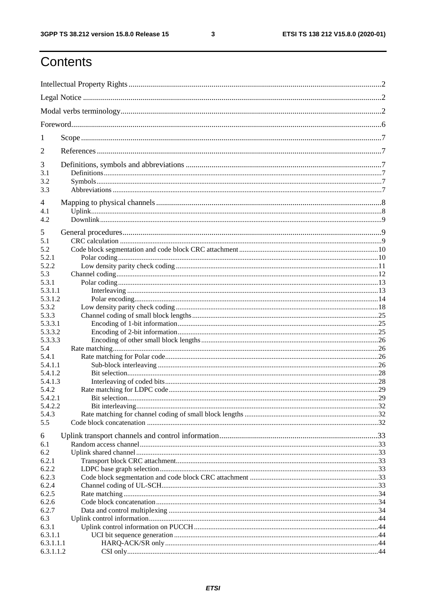$\mathbf{3}$ 

## Contents

| 1         |                      |    |
|-----------|----------------------|----|
| 2         |                      |    |
| 3         |                      |    |
| 3.1       |                      |    |
| 3.2       |                      |    |
| 3.3       |                      |    |
| 4         |                      |    |
| 4.1       |                      |    |
| 4.2       |                      |    |
|           |                      |    |
| 5         |                      |    |
| 5.1       |                      |    |
| 5.2       |                      |    |
| 5.2.1     |                      |    |
| 5.2.2     |                      |    |
| 5.3       |                      |    |
| 5.3.1     |                      |    |
| 5.3.1.1   |                      |    |
| 5.3.1.2   |                      |    |
| 5.3.2     |                      |    |
| 5.3.3     |                      |    |
| 5.3.3.1   |                      |    |
| 5.3.3.2   |                      |    |
| 5.3.3.3   |                      |    |
| 5.4       |                      |    |
| 5.4.1     |                      |    |
| 5.4.1.1   |                      |    |
| 5.4.1.2   |                      |    |
| 5.4.1.3   |                      |    |
| 5.4.2     |                      |    |
| 5.4.2.1   | <b>Bit selection</b> | 29 |
| 5.4.2.2   |                      |    |
| 5.4.3     |                      |    |
| 5.5       |                      |    |
| 6         |                      |    |
| 6.1       |                      |    |
| 6.2       |                      |    |
| 6.2.1     |                      |    |
| 6.2.2     |                      |    |
| 6.2.3     |                      |    |
| 6.2.4     |                      |    |
| 6.2.5     |                      |    |
| 6.2.6     |                      |    |
| 6.2.7     |                      |    |
| 6.3       |                      |    |
| 6.3.1     |                      |    |
| 6.3.1.1   |                      |    |
| 6.3.1.1.1 |                      |    |
| 6.3.1.1.2 |                      |    |
|           |                      |    |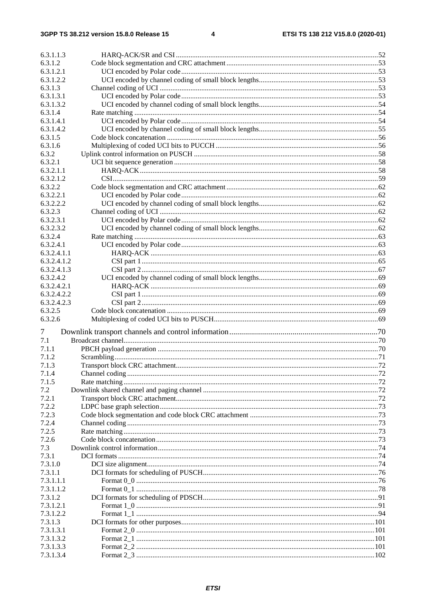| 6.3.1.1.3   |  |
|-------------|--|
|             |  |
| 6.3.1.2     |  |
| 6.3.1.2.1   |  |
| 6.3.1.2.2   |  |
| 6.3.1.3     |  |
| 6.3.1.3.1   |  |
| 6.3.1.3.2   |  |
| 6.3.1.4     |  |
| 6.3.1.4.1   |  |
| 6.3.1.4.2   |  |
| 6.3.1.5     |  |
| 6.3.1.6     |  |
| 6.3.2       |  |
| 6.3.2.1     |  |
| 6.3.2.1.1   |  |
| 6.3.2.1.2   |  |
| 6.3.2.2     |  |
| 6.3.2.2.1   |  |
|             |  |
| 6.3.2.2.2   |  |
| 6.3.2.3     |  |
| 6.3.2.3.1   |  |
| 6.3.2.3.2   |  |
| 6.3.2.4     |  |
| 6.3.2.4.1   |  |
| 6.3.2.4.1.1 |  |
| 6.3.2.4.1.2 |  |
| 6.3.2.4.1.3 |  |
| 6.3.2.4.2   |  |
| 6.3.2.4.2.1 |  |
| 6.3.2.4.2.2 |  |
| 6.3.2.4.2.3 |  |
| 6.3.2.5     |  |
| 6.3.2.6     |  |
|             |  |
| 7           |  |
| 7.1         |  |
| 7.1.1       |  |
| 7.1.2       |  |
| 7.1.3       |  |
| 7.1.4       |  |
| 7.1.5       |  |
| 7.2         |  |
| 7.2.1       |  |
| 7.2.2       |  |
|             |  |
| 7.2.3       |  |
| 7.2.4       |  |
| 7.2.5       |  |
| 7.2.6       |  |
| 7.3         |  |
| 7.3.1       |  |
| 7.3.1.0     |  |
| 7.3.1.1     |  |
| 7.3.1.1.1   |  |
| 7.3.1.1.2   |  |
| 7.3.1.2     |  |
| 7.3.1.2.1   |  |
| 7.3.1.2.2   |  |
| 7.3.1.3     |  |
| 7.3.1.3.1   |  |
| 7.3.1.3.2   |  |
| 7.3.1.3.3   |  |
|             |  |
| 7.3.1.3.4   |  |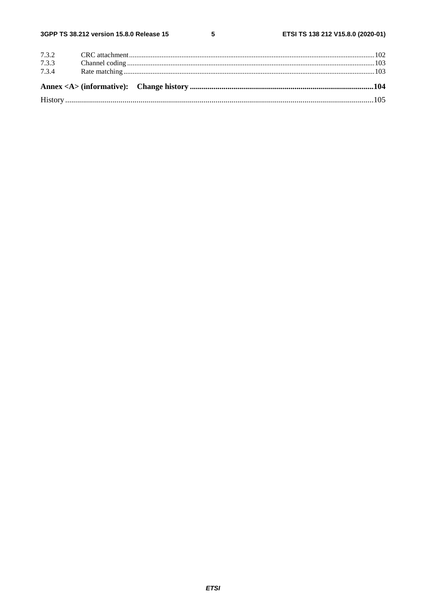| 7.3.4 |  |  |
|-------|--|--|
| 7.3.3 |  |  |
|       |  |  |
|       |  |  |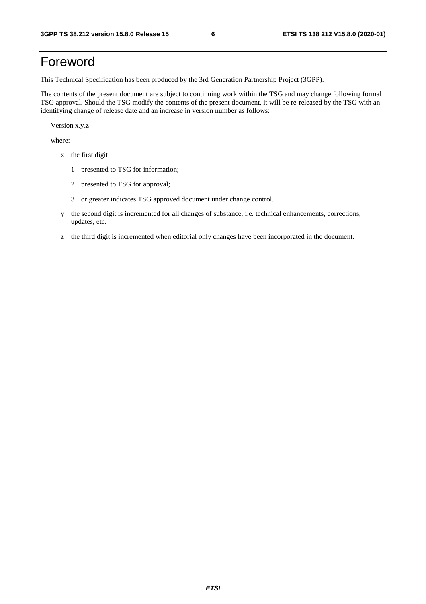## Foreword

This Technical Specification has been produced by the 3rd Generation Partnership Project (3GPP).

The contents of the present document are subject to continuing work within the TSG and may change following formal TSG approval. Should the TSG modify the contents of the present document, it will be re-released by the TSG with an identifying change of release date and an increase in version number as follows:

Version x.y.z

where:

- x the first digit:
	- 1 presented to TSG for information;
	- 2 presented to TSG for approval;
	- 3 or greater indicates TSG approved document under change control.
- y the second digit is incremented for all changes of substance, i.e. technical enhancements, corrections, updates, etc.
- z the third digit is incremented when editorial only changes have been incorporated in the document.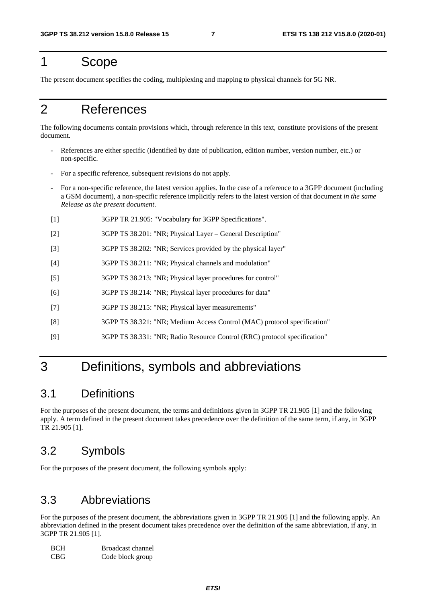## 1 Scope

The present document specifies the coding, multiplexing and mapping to physical channels for 5G NR.

## 2 References

The following documents contain provisions which, through reference in this text, constitute provisions of the present document.

- References are either specific (identified by date of publication, edition number, version number, etc.) or non-specific.
- For a specific reference, subsequent revisions do not apply.
- For a non-specific reference, the latest version applies. In the case of a reference to a 3GPP document (including a GSM document), a non-specific reference implicitly refers to the latest version of that document *in the same Release as the present document*.
- [1] 3GPP TR 21.905: "Vocabulary for 3GPP Specifications".
- [2] 3GPP TS 38.201: "NR; Physical Layer General Description"
- [3] 3GPP TS 38.202: "NR; Services provided by the physical layer"
- [4] 3GPP TS 38.211: "NR; Physical channels and modulation"
- [5] 3GPP TS 38.213: "NR; Physical layer procedures for control"
- [6] 3GPP TS 38.214: "NR; Physical layer procedures for data"
- [7] 3GPP TS 38.215: "NR; Physical layer measurements"
- [8] 3GPP TS 38.321: "NR; Medium Access Control (MAC) protocol specification"
- [9] 3GPP TS 38.331: "NR; Radio Resource Control (RRC) protocol specification"

## 3 Definitions, symbols and abbreviations

### 3.1 Definitions

For the purposes of the present document, the terms and definitions given in 3GPP TR 21.905 [1] and the following apply. A term defined in the present document takes precedence over the definition of the same term, if any, in 3GPP TR 21.905 [1].

## 3.2 Symbols

For the purposes of the present document, the following symbols apply:

### 3.3 Abbreviations

For the purposes of the present document, the abbreviations given in 3GPP TR 21.905 [1] and the following apply. An abbreviation defined in the present document takes precedence over the definition of the same abbreviation, if any, in 3GPP TR 21.905 [1].

| <b>BCH</b>       | Broadcast channel |
|------------------|-------------------|
| CBG <sup>-</sup> | Code block group  |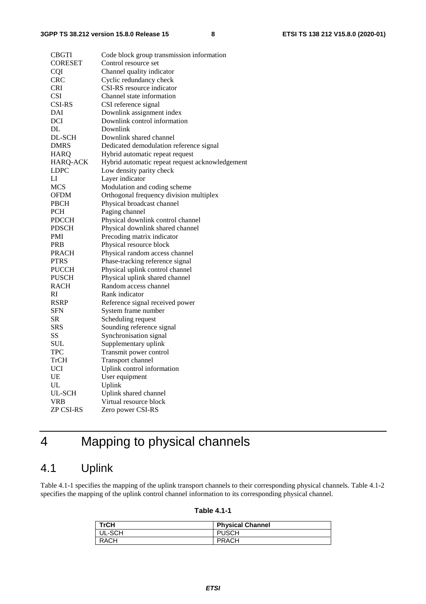| <b>CBGTI</b>   | Code block group transmission information       |
|----------------|-------------------------------------------------|
| <b>CORESET</b> | Control resource set                            |
| <b>CQI</b>     | Channel quality indicator                       |
| <b>CRC</b>     | Cyclic redundancy check                         |
| <b>CRI</b>     | CSI-RS resource indicator                       |
| <b>CSI</b>     | Channel state information                       |
| <b>CSI-RS</b>  | CSI reference signal                            |
| DAI            | Downlink assignment index                       |
| DCI            | Downlink control information                    |
| DL             | Downlink                                        |
| DL-SCH         | Downlink shared channel                         |
| DMRS           | Dedicated demodulation reference signal         |
| <b>HARQ</b>    | Hybrid automatic repeat request                 |
| HARQ-ACK       | Hybrid automatic repeat request acknowledgement |
| LDPC           | Low density parity check                        |
| LI             | Layer indicator                                 |
| <b>MCS</b>     | Modulation and coding scheme                    |
| OFDM           | Orthogonal frequency division multiplex         |
| <b>PBCH</b>    | Physical broadcast channel                      |
| <b>PCH</b>     | Paging channel                                  |
| <b>PDCCH</b>   | Physical downlink control channel               |
| PDSCH          | Physical downlink shared channel                |
| PMI            | Precoding matrix indicator                      |
| <b>PRB</b>     | Physical resource block                         |
| <b>PRACH</b>   | Physical random access channel                  |
| <b>PTRS</b>    | Phase-tracking reference signal                 |
| <b>PUCCH</b>   | Physical uplink control channel                 |
| <b>PUSCH</b>   | Physical uplink shared channel                  |
| <b>RACH</b>    | Random access channel                           |
| RI             | Rank indicator                                  |
| RSRP           | Reference signal received power                 |
| <b>SFN</b>     | System frame number                             |
| SR             | Scheduling request                              |
| SRS            | Sounding reference signal                       |
| SS             | Synchronisation signal                          |
| <b>SUL</b>     | Supplementary uplink                            |
| TPC            | Transmit power control                          |
| TrCH           | Transport channel                               |
| <b>UCI</b>     | Uplink control information                      |
| UE             | User equipment                                  |
| UL             | Uplink                                          |
| UL-SCH         | Uplink shared channel                           |
| <b>VRB</b>     | Virtual resource block                          |
| ZP CSI-RS      | Zero power CSI-RS                               |

## 4 Mapping to physical channels

## 4.1 Uplink

Table 4.1-1 specifies the mapping of the uplink transport channels to their corresponding physical channels. Table 4.1-2 specifies the mapping of the uplink control channel information to its corresponding physical channel.

### **Table 4.1-1**

| <b>TrCH</b> | <b>Physical Channel</b> |
|-------------|-------------------------|
| UL-SCH      | <b>PUSCH</b>            |
| <b>RACH</b> | <b>PRACH</b>            |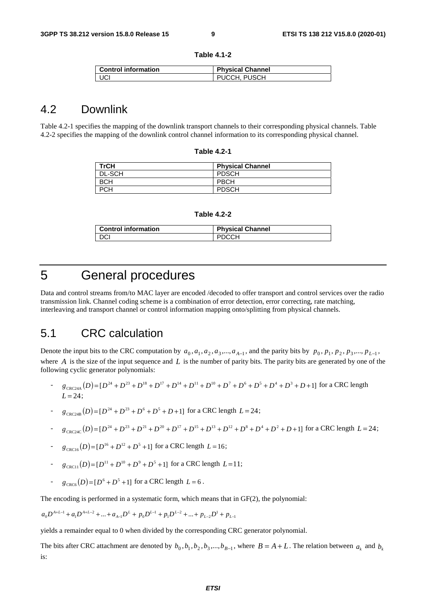| Table 4.1-2 |  |  |
|-------------|--|--|
|-------------|--|--|

| <b>Control information</b> | <b>Physical Channel</b> |
|----------------------------|-------------------------|
| UCI                        | PUCCH, PUSCH            |

### 4.2 Downlink

Table 4.2-1 specifies the mapping of the downlink transport channels to their corresponding physical channels. Table 4.2-2 specifies the mapping of the downlink control channel information to its corresponding physical channel.

| <b>Table 4.2-1</b> |  |
|--------------------|--|
|--------------------|--|

| TrCH          | <b>Physical Channel</b> |
|---------------|-------------------------|
| <b>DL-SCH</b> | <b>PDSCH</b>            |
| всн           | <b>PBCH</b>             |
| ח∩ס<br>ר -    | <b>PDSCH</b>            |

| <b>Control information</b> | <b>Physical Channel</b> |
|----------------------------|-------------------------|
| I DCI                      | <b>DDCCU</b>            |

## 5 General procedures

Data and control streams from/to MAC layer are encoded /decoded to offer transport and control services over the radio transmission link. Channel coding scheme is a combination of error detection, error correcting, rate matching, interleaving and transport channel or control information mapping onto/splitting from physical channels.

### 5.1 CRC calculation

Denote the input bits to the CRC computation by  $a_0$ ,  $a_1$ ,  $a_2$ ,  $a_3$ ,...,  $a_{A-1}$ , and the parity bits by  $p_0$ ,  $p_1$ ,  $p_2$ ,  $p_3$ ,...,  $p_{L-1}$ , where *A* is the size of the input sequence and *L* is the number of parity bits. The parity bits are generated by one of the following cyclic generator polynomials:

- $g_{\text{CRC24A}}(D) = [D^{24} + D^{23} + D^{18} + D^{17} + D^{14} + D^{11} + D^{10} + D^7 + D^6 + D^5 + D^4 + D^3 + D + 1]$  for a CRC length  $L = 24;$
- $g_{\text{CRC24B}}(D) = [D^{24} + D^{23} + D^6 + D^5 + D + 1]$  for a CRC length  $L = 24$ ;
- $g_{\text{CRC24C}}(D) = [D^{24} + D^{23} + D^{21} + D^{20} + D^{17} + D^{15} + D^{13} + D^{12} + D^8 + D^4 + D^2 + D + 1]$  for a CRC length  $L = 24$ ;
- $g_{\text{CRC16}}(D) = [D^{16} + D^{12} + D^5 + 1]$  for a CRC length  $L = 16$ ;
- $g_{\text{CRC11}}(D) = [D^{11} + D^{10} + D^9 + D^5 + 1]$  for a CRC length  $L=11$ ;
- $g_{\text{CRC6}}(D) = [D^6 + D^5 + 1]$  for a CRC length  $L = 6$ .

The encoding is performed in a systematic form, which means that in GF(2), the polynomial:

$$
a_0 D^{A+L-1} + a_1 D^{A+L-2} + \dots + a_{A-1} D^L + p_0 D^{L-1} + p_1 D^{L-2} + \dots + p_{L-2} D^1 + p_{L-1}
$$

yields a remainder equal to 0 when divided by the corresponding CRC generator polynomial.

The bits after CRC attachment are denoted by  $b_0$ ,  $b_1$ ,  $b_2$ ,  $b_3$ ,...,  $b_{B-1}$ , where  $B = A + L$ . The relation between  $a_k$  and  $b_k$ is: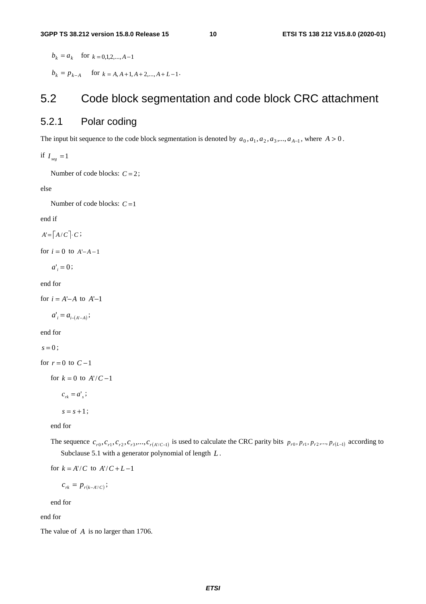$b_k = a_k$  for  $k = 0,1,2,..., A-1$ 

 $b_k = p_{k-A}$  for  $k = A, A+1, A+2,..., A+L-1$ .

### 5.2 Code block segmentation and code block CRC attachment

### 5.2.1 Polar coding

The input bit sequence to the code block segmentation is denoted by  $a_0, a_1, a_2, a_3, \ldots, a_{A-1}$ , where  $A > 0$ .

if  $I_{seg} = 1$ 

Number of code blocks:  $C = 2$ ;

else

Number of code blocks: *C* =1

end if

 $A' = \left[ A/C \right] \cdot C;$ 

for  $i = 0$  to  $A'-A-1$ 

 $a'_{i} = 0$ ;

end for

for  $i = A'-A$  to  $A'-1$ 

 $a'_{i} = a_{i-(A'-A)};$ 

end for

 $s = 0$ ;

for  $r = 0$  to  $C - 1$ 

for  $k = 0$  to  $A'/C-1$ 

 $c_{ik} = a'$ ;

```
s = s + 1;
```
end for

The sequence  $c_{r0}, c_{r1}, c_{r2}, c_{r3}, \ldots, c_{r(A'/C-1)}$  is used to calculate the CRC parity bits  $p_{r0}, p_{r1}, p_{r2}, \ldots, p_{r(L-1)}$  according to Subclause 5.1 with a generator polynomial of length *L* .

for  $k = A'/C$  to  $A'/C + L - 1$ 

$$
c_{rk} = p_{r(k-A'/C)};
$$

end for

end for

The value of *A* is no larger than 1706.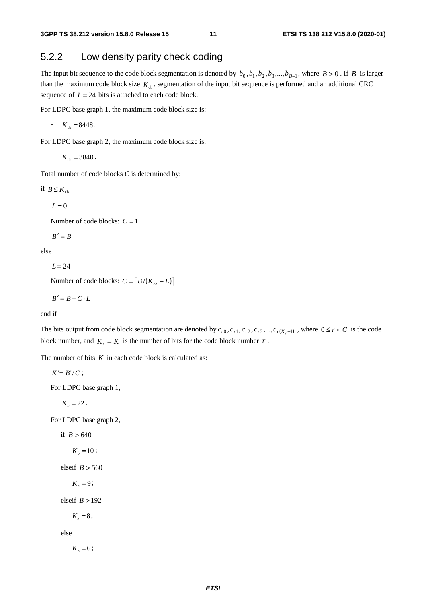### 5.2.2 Low density parity check coding

The input bit sequence to the code block segmentation is denoted by  $b_0, b_1, b_2, b_3, ..., b_{B-1}$ , where  $B > 0$ . If *B* is larger than the maximum code block size  $K<sub>cb</sub>$ , segmentation of the input bit sequence is performed and an additional CRC sequence of  $L = 24$  bits is attached to each code block.

For LDPC base graph 1, the maximum code block size is:

- 
$$
K_{cb} = 8448
$$
.

For LDPC base graph 2, the maximum code block size is:

 $K_{\text{cb}} = 3840.$ 

Total number of code blocks *C* is determined by:

if  $B \leq K_{ch}$ 

 $L = 0$ 

Number of code blocks:  $C = 1$ 

$$
B'=B
$$

else

 $L = 24$ 

Number of code blocks:  $C = \left[ B/(K_{ch} - L) \right]$ .

$$
B'=B+C\cdot L
$$

end if

The bits output from code block segmentation are denoted by  $c_{r0}, c_{r1}, c_{r2}, c_{r3},..., c_{r(K_r-1)}$ , where  $0 \le r < C$  is the code block number, and  $K_r = K$  is the number of bits for the code block number *r*.

The number of bits *K* in each code block is calculated as:

 $K' = B'/C$ ;

For LDPC base graph 1,

 $K_b = 22$ .

For LDPC base graph 2,

if  $B > 640$ 

$$
K_b = 10;
$$

elseif *B* > 560

 $K_b = 9$ ;

elseif  $B > 192$ 

 $K_b = 8$ ;

else

 $K_b = 6$ ;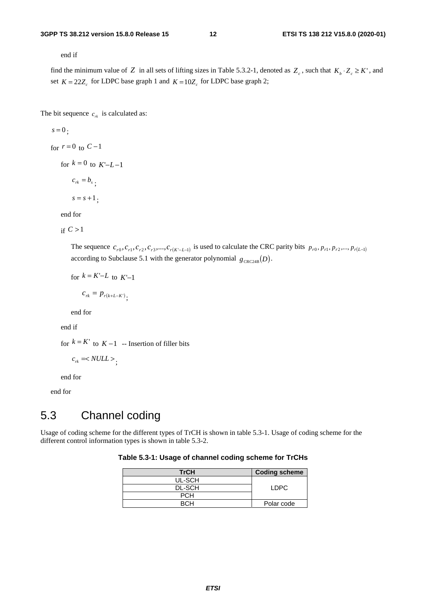end if

find the minimum value of *Z* in all sets of lifting sizes in Table 5.3.2-1, denoted as  $Z_c$ , such that  $K_b \cdot Z_c \geq K'$ , and set  $K = 22Z_c$  for LDPC base graph 1 and  $K = 10Z_c$  for LDPC base graph 2;

The bit sequence  $c_{rk}$  is calculated as:

$$
s = 0;
$$
  
for  $r = 0$  to  $C-1$   
for  $k = 0$  to  $K'-L-1$   
 $c_{rk} = b_s$ ,  
 $s = s+1$ ;

end for

if  $C > 1$ 

The sequence  $c_{r0}, c_{r1}, c_{r2}, c_{r3},..., c_{r(K-L-1)}$  is used to calculate the CRC parity bits  $p_{r0}, p_{r1}, p_{r2},..., p_{r(L-1)}$ according to Subclause 5.1 with the generator polynomial  $g_{CRC24B}(D)$ .

for 
$$
k = K'-L
$$
 to  $K'-1$   

$$
c_{rk} = p_{r(k+L-K')};
$$

end for

end if

for  $k = K'$  to  $K - 1$  -- Insertion of filler bits

$$
c_{rk} = ;
$$

end for

end for

## 5.3 Channel coding

Usage of coding scheme for the different types of TrCH is shown in table 5.3-1. Usage of coding scheme for the different control information types is shown in table 5.3-2.

### **Table 5.3-1: Usage of channel coding scheme for TrCHs**

| <b>TrCH</b>   | <b>Coding scheme</b> |
|---------------|----------------------|
| UL-SCH        |                      |
| <b>DL-SCH</b> | LDPC.                |
| <b>PCH</b>    |                      |
|               | Polar code           |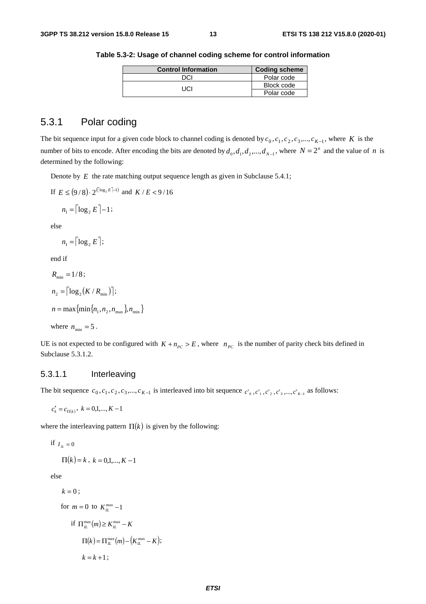| <b>Control Information</b> | <b>Coding scheme</b> |
|----------------------------|----------------------|
| ירוח                       | Polar code           |
| TICI                       | Block code           |
|                            | Polar code           |

**Table 5.3-2: Usage of channel coding scheme for control information** 

### 5.3.1 Polar coding

The bit sequence input for a given code block to channel coding is denoted by  $c_0, c_1, c_2, c_3, ..., c_{K-1}$ , where *K* is the number of bits to encode. After encoding the bits are denoted by  $d_0, d_1, d_2, ..., d_{N-1}$ , where  $N = 2^n$  and the value of *n* is determined by the following:

Denote by *E* the rate matching output sequence length as given in Subclause 5.4.1;

If  $E \leq (9/8) \cdot 2^{(\lceil \log_2 E \rceil - 1)}$  and  $K/E < 9/16$ 

$$
n_1 = \lceil \log_2 E \rceil - 1;
$$

else

$$
n_1 = \lceil \log_2 E \rceil;
$$

end if

$$
R_{\min} = 1/8;
$$
  
\n
$$
n_2 = \lceil \log_2(K/R_{\min}) \rceil;
$$
  
\n
$$
n = \max \{ \min \{ n_1, n_2, n_{\max} \}, n_{\min} \}
$$
  
\nwhere  $n_{\min} = 5$ .

UE is not expected to be configured with  $K + n_{PC} > E$ , where  $n_{PC}$  is the number of parity check bits defined in Subclause 5.3.1.2.

### 5.3.1.1 Interleaving

The bit sequence  $c_0, c_1, c_2, c_3, ..., c_{K-1}$  is interleaved into bit sequence  $c'_{0}, c'_{1}, c'_{2}, c'_{3}, ..., c'_{K-1}$  as follows:

$$
c'_{k} = c_{\Pi(k)}, \ k = 0, 1, \dots, K - 1
$$

where the interleaving pattern  $\Pi(k)$  is given by the following:

$$
\text{if } I_{\mu} = 0
$$

$$
\Pi(k) = k, \ k = 0, 1, \dots, K - 1
$$

else

$$
k = 0;
$$
  
for  $m = 0$  to  $K_L^{\max} - 1$   
if  $\Pi_L^{\max}(m) \ge K_L^{\max} - K$   

$$
\Pi(k) = \Pi_L^{\max}(m) - (K_L^{\max} - K);
$$
  

$$
k = k + 1;
$$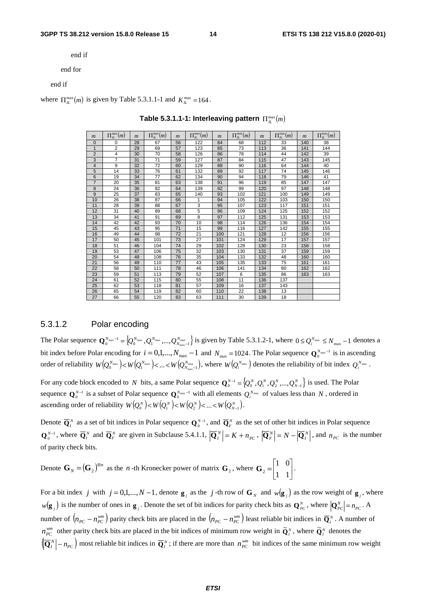end if

end for

end if

where  $\prod_{\mu}^{\text{max}}(m)$  is given by Table 5.3.1.1-1 and  $K_{\mu}^{\text{max}} = 164$ .

| $\boldsymbol{m}$ | $\Pi_{\scriptscriptstyle H}^{\scriptscriptstyle\rm max}(m)$ | $\boldsymbol{m}$ | $\Pi_{IL}^{\max}(m)$ | $\boldsymbol{m}$ | $\Pi_{IL}^{\max}(m)$ | $\boldsymbol{m}$ | $\Pi^{\max}_{IL}(m)$ | $\boldsymbol{m}$ | $\Pi_{IL}^{\max}(m)$ | $\boldsymbol{m}$ | $\Pi^{\max}_{IL}(m)$ |
|------------------|-------------------------------------------------------------|------------------|----------------------|------------------|----------------------|------------------|----------------------|------------------|----------------------|------------------|----------------------|
| $\mathbf{0}$     | 0                                                           | 28               | 67                   | 56               | 122                  | 84               | 68                   | 112              | 33                   | 140              | 38                   |
| $\mathbf{1}$     | 2                                                           | 29               | 69                   | 57               | 123                  | 85               | 73                   | 113              | 36                   | 141              | 144                  |
| $\overline{2}$   | $\overline{4}$                                              | 30               | 70                   | 58               | 126                  | 86               | 78                   | 114              | 44                   | 142              | 39                   |
| 3                | 7                                                           | 31               | 71                   | 59               | 127                  | 87               | 84                   | 115              | 47                   | 143              | 145                  |
| 4                | 9                                                           | 32               | 72                   | 60               | 129                  | 88               | 90                   | 116              | 64                   | 144              | 40                   |
| 5                | 14                                                          | 33               | 76                   | 61               | 132                  | 89               | 92                   | 117              | 74                   | 145              | 146                  |
| 6                | 19                                                          | 34               | 77                   | 62               | 134                  | 90               | 94                   | 118              | 79                   | 146              | 41                   |
| $\overline{7}$   | 20                                                          | 35               | 81                   | 63               | 138                  | 91               | 96                   | 119              | 85                   | 147              | 147                  |
| 8                | 24                                                          | 36               | 82                   | 64               | 139                  | 92               | 99                   | 120              | 97                   | 148              | 148                  |
| 9                | 25                                                          | 37               | 83                   | 65               | 140                  | 93               | 102                  | 121              | 100                  | 149              | 149                  |
| 10               | 26                                                          | 38               | 87                   | 66               | 1                    | 94               | 105                  | 122              | 103                  | 150              | 150                  |
| 11               | 28                                                          | 39               | 88                   | 67               | 3                    | 95               | 107                  | 123              | 117                  | 151              | 151                  |
| 12               | 31                                                          | 40               | 89                   | 68               | 5                    | 96               | 109                  | 124              | 125                  | 152              | 152                  |
| 13               | 34                                                          | 41               | 91                   | 69               | 8                    | 97               | 112                  | 125              | 131                  | 153              | 153                  |
| 14               | 42                                                          | 42               | 93                   | 70               | 10                   | 98               | 114                  | 126              | 136                  | 154              | 154                  |
| 15               | 45                                                          | 43               | 95                   | 71               | 15                   | 99               | 116                  | 127              | 142                  | 155              | 155                  |
| 16               | 49                                                          | 44               | 98                   | 72               | 21                   | 100              | 121                  | 128              | 12                   | 156              | 156                  |
| 17               | 50                                                          | 45               | 101                  | 73               | 27                   | 101              | 124                  | 129              | 17                   | 157              | 157                  |
| 18               | 51                                                          | 46               | 104                  | 74               | 29                   | 102              | 128                  | 130              | 23                   | 158              | 158                  |
| 19               | 53                                                          | 47               | 106                  | 75               | 32                   | 103              | 130                  | 131              | 37                   | 159              | 159                  |
| 20               | 54                                                          | 48               | 108                  | 76               | 35                   | 104              | 133                  | 132              | 48                   | 160              | 160                  |
| 21               | 56                                                          | 49               | 110                  | 77               | 43                   | 105              | 135                  | 133              | 75                   | 161              | 161                  |
| 22               | 58                                                          | 50               | 111                  | 78               | 46                   | 106              | 141                  | 134              | 80                   | 162              | 162                  |
| 23               | 59                                                          | 51               | 113                  | 79               | 52                   | 107              | 6                    | 135              | 86                   | 163              | 163                  |
| 24               | 61                                                          | 52               | 115                  | 80               | 55                   | 108              | 11                   | 136              | 137                  |                  |                      |
| 25               | 62                                                          | 53               | 118                  | 81               | 57                   | 109              | 16                   | 137              | 143                  |                  |                      |
| 26               | 65                                                          | 54               | 119                  | 82               | 60                   | 110              | 22                   | 138              | 13                   |                  |                      |
| 27               | 66                                                          | 55               | 120                  | 83               | 63                   | 111              | 30                   | 139              | 18                   |                  |                      |

**Table 5.3.1.1-1: Interleaving pattern**  $\prod_{\mu}^{\max}(m)$ 

### 5.3.1.2 Polar encoding

The Polar sequence  $\mathbf{Q}_0^{N_{\text{max}}-1} = \{Q_0^{N_{\text{max}}}, Q_1^{N_{\text{max}}}, \dots, Q_{N_{\text{max}}-1}^{N_{\text{max}}} \}$  is given by Table 5.3.1.2-1, where  $0 \le Q_i^{N_{\text{max}}} \le N_{\text{max}} - 1$  denotes a bit index before Polar encoding for  $i = 0, 1, ..., N_{max} - 1$  and  $N_{max} = 1024$ . The Polar sequence  $\mathbf{Q}_0^{N_{max}-1}$  is in ascending order of reliability  $W(Q_0^{N_{\max}})$  <  $W(Q_1^{N_{\max}})$  < ... <  $W(Q_{N_{\max}-1}^{N_{\max}})$ , where  $W(Q_i^{N_{\max}})$  denotes the reliability of bit index  $Q_i^{N_{\max}}$ .

For any code block encoded to *N* bits, a same Polar sequence  $\mathbf{Q}_0^{N-1} = \{Q_0^N, Q_1^N, Q_2^N, ..., Q_{N-1}^N\}$  is used. The Polar sequence  $Q_0^{N-1}$  is a subset of Polar sequence  $Q_0^{N_{\max}-1}$  with all elements  $Q_i^{N_{\max}}$  of values less than *N*, ordered in ascending order of reliability  $W(Q_0^N) < W(Q_1^N) < W(Q_2^N) < ... < W(Q_{N-1}^N)$ .

Denote  $\overline{\mathbf{Q}}_I^N$  as a set of bit indices in Polar sequence  $\mathbf{Q}_0^{N-1}$ , and  $\overline{\mathbf{Q}}_F^N$  as the set of other bit indices in Polar sequence  $\mathbf{Q}_0^{N-1}$ , where  $\overline{\mathbf{Q}}_l^N$  and  $\overline{\mathbf{Q}}_F^N$  are given in Subclause 5.4.1.1,  $\left|\overline{\mathbf{Q}}_l^N\right| = K + n_{PC}$ ,  $\left|\overline{\mathbf{Q}}_F^N\right| = N - \left|\overline{\mathbf{Q}}_l^N\right|$ , and  $n_{PC}$  is the number of parity check bits.

Denote  $\mathbf{G}_N = (\mathbf{G}_2)^{\otimes n}$  $\mathbf{G}_N = (\mathbf{G}_2)^{\otimes n}$  as the *n*-th Kronecker power of matrix  $\mathbf{G}_2$ , where  $\mathbf{G}_2 = \begin{bmatrix} 1 & 0 \\ 1 & 1 \end{bmatrix}$ . ب<br>ا └<br>│

For a bit index *j* with  $j = 0,1,...,N-1$ , denote  $g_j$  as the *j*-th row of  $G_N$  and  $w(g_j)$  as the row weight of  $g_j$ , where  $w(\mathbf{g}_j)$  is the number of ones in  $\mathbf{g}_j$ . Denote the set of bit indices for parity check bits as  $\mathbf{Q}_{PC}^N$ , where  $|\mathbf{Q}_{PC}^N| = n_{PC}$ . A number of  $(n_{PC} - n_{PC}^{wm})$  parity check bits are placed in the  $(n_{PC} - n_{PC}^{wm})$  least reliable bit indices in  $\overline{Q}^N_i$ . A number of *n*<sup>*wm*</sup></sup> other parity check bits are placed in the bit indices of minimum row weight in  $\tilde{Q}_I^N$ , where  $\tilde{Q}_I^N$  denotes the  $\left(\overline{\mathbf{Q}}_I^N\right) - n_{PC}$  most reliable bit indices in  $\overline{\mathbf{Q}}_I^N$ ; if there are more than  $n_{PC}^{wm}$  bit indices of the same minimum row weight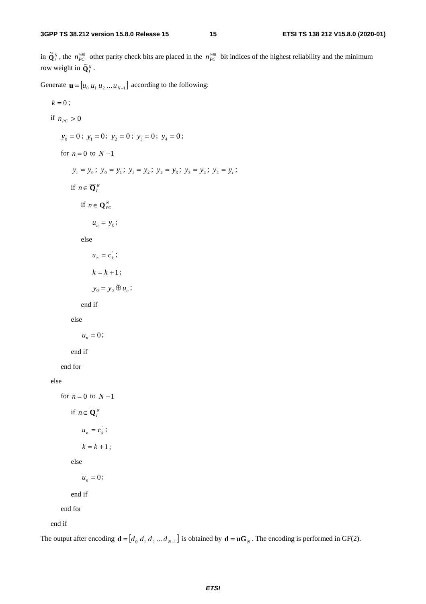in  $\tilde{Q}^N_i$ , the  $n_{PC}^{wm}$  other parity check bits are placed in the  $n_{PC}^{wm}$  bit indices of the highest reliability and the minimum row weight in  $\tilde{\mathbf{Q}}_I^N$ .

Generate  $\mathbf{u} = [u_0 u_1 u_2 ... u_{N-1}]$  according to the following:

 $k = 0;$ if  $n_{PC} > 0$  $y_0 = 0$ ;  $y_1 = 0$ ;  $y_2 = 0$ ;  $y_3 = 0$ ;  $y_4 = 0$ ; for  $n = 0$  to  $N-1$  $y_t = y_0$ ;  $y_0 = y_1$ ;  $y_1 = y_2$ ;  $y_2 = y_3$ ;  $y_3 = y_4$ ;  $y_4 = y_t$ ; if  $n \in \overline{\mathbf{Q}}_I^N$ if  $n \in \mathbf{Q}_{PC}^N$  $u_n = y_0;$ else  $u_n = c_k$ ;  $k = k + 1$ ;  $y_0 = y_0 \oplus u_n$ ; end if else  $u_n = 0$ ; end if end for else for  $n = 0$  to  $N-1$ if  $n \in \overline{\mathbf{Q}}_I^N$  $u_n = c_k$ ;  $k = k + 1$ ; else  $u_n = 0$ ; end if end for end if

The output after encoding  $\mathbf{d} = [d_0 \, d_1 \, d_2 \dots d_{N-1}]$  is obtained by  $\mathbf{d} = \mathbf{u} \mathbf{G}_N$ . The encoding is performed in GF(2).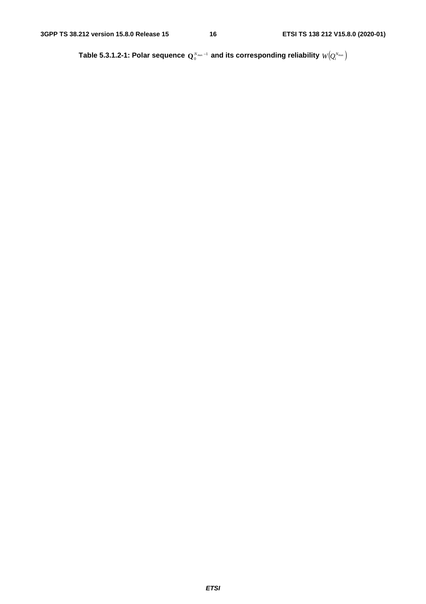Table 5.3.1.2-1: Polar sequence  $\mathbf{Q}_0^{N_\text{max}-1}$  and its corresponding reliability  $W\!\!\left(\!\mathcal{Q}_i^{N_\text{max}}\right)$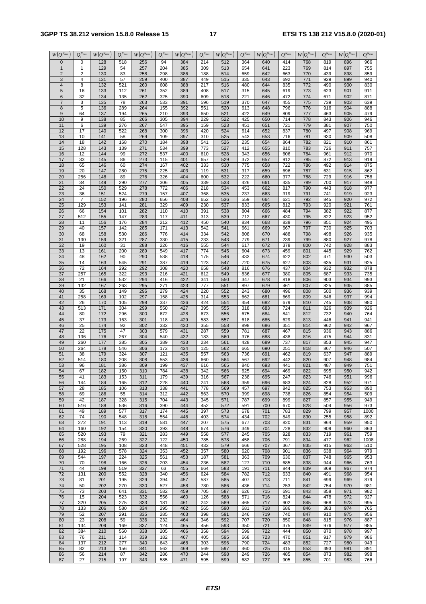### **3GPP TS 38.212 version 15.8.0 Release 15 17 ETSI TS 138 212 V15.8.0 (2020-01)**

| $W\left(Q_i^{N_{\max}}\right)$    | $Q_i^{N_{\max}}$ | $W\big(Q_i^{N_{\max}}$ | $Q_i^{N_{\max}}$ | $W\big(Q_i^{N_{\max}}$ | $Q_i^{N_{\max}}$ | $W\left(Q_i^{\overline{N_{\max}}}\right)$ | $Q_i^{N_{\max}}$ | $W\overline{\left( \mathcal{Q}_{i}^{N_{\max}}\right) }$ | $Q_i^{N_{\max}}$ | $W\big(Q_i^{N_{\max}}$ | $Q_i^{N_{\max}}$ | $W\left(Q_i^{N_{\max}}\right)$ | $Q_i^{N_{\max}}$ | $W\overline{\left( \mathcal{Q}_{i}^{N_{\max }}\right) }$ | $Q_i^{N_{\max}}$ |
|-----------------------------------|------------------|------------------------|------------------|------------------------|------------------|-------------------------------------------|------------------|---------------------------------------------------------|------------------|------------------------|------------------|--------------------------------|------------------|----------------------------------------------------------|------------------|
| $\mathbf{0}$                      | 0                | 128                    | 518              | 256                    | 94               | 384                                       | 214              | 512                                                     | 364              | 640                    | 414              | 768                            | 819              | 896                                                      | 966              |
| $\overline{1}$                    | 1                | 129                    | 54               | 257                    | 204              | 385                                       | 309              | 513                                                     | 654              | 641                    | 223              | 769                            | 814              | 897                                                      | 755              |
| $\overline{2}$                    | $\overline{2}$   | 130                    | 83               | 258                    | 298              | 386                                       | 188              | 514                                                     | 659              | 642                    | 663              | 770                            | 439              | 898                                                      | 859              |
| 3                                 | 4                | 131                    | 57               | 259                    | 400              | 387                                       | 449              | 515                                                     | 335              | 643                    | 692              | 771                            | 929              | 899                                                      | 940              |
| $\overline{4}$                    | 8                | 132                    | 521              | 260                    | 608              | 388                                       | 217              | 516                                                     | 480              | 644                    | 835              | 772                            | 490              | 900                                                      | 830              |
| 5                                 | 16               | 133                    | 112              | 261                    | 352              | 389                                       | 408              | 517                                                     | 315              | 645                    | 619              | 773                            | 623              | 901                                                      | 911              |
| $6\phantom{1}6$<br>$\overline{7}$ | 32               | 134                    | 135              | 262                    | 325              | 390                                       | 609              | 518                                                     | 221              | 646                    | 472              | 774                            | 671              | 902                                                      | 871              |
| 8                                 | 3<br>5           | 135<br>136             | 78<br>289        | 263<br>264             | 533<br>155       | 391<br>392                                | 596<br>551       | 519<br>520                                              | 370<br>613       | 647<br>648             | 455<br>796       | 775<br>776                     | 739<br>916       | 903<br>904                                               | 639<br>888       |
| 9                                 | 64               | 137                    | 194              | 265                    | 210              | 393                                       | 650              | 521                                                     | 422              | 649                    | 809              | 777                            | 463              | 905                                                      | 479              |
| 10                                | 9                | 138                    | 85               | 266                    | 305              | 394                                       | 229              | 522                                                     | 425              | 650                    | 714              | 778                            | 843              | 906                                                      | 946              |
| 11                                | 6                | 139                    | 276              | 267                    | 547              | 395                                       | 159              | 523                                                     | 451              | 651                    | 721              | 779                            | 381              | 907                                                      | 750              |
| 12                                | 17               | 140                    | 522              | 268                    | 300              | 396                                       | 420              | 524                                                     | 614              | 652                    | 837              | 780                            | 497              | 908                                                      | 969              |
| 13                                | 10               | 141                    | 58               | 269                    | 109              | 397                                       | $\overline{310}$ | 525                                                     | 543              | 653                    | 716              | 781                            | 930              | 909                                                      | 508              |
| 14                                | 18               | 142                    | 168              | 270                    | 184              | 398                                       | 541              | 526                                                     | 235              | 654                    | 864              | 782                            | 821              | 910                                                      | 861              |
| 15                                | 128              | 143                    | 139              | 271                    | 534              | 399                                       | 773              | 527                                                     | 412              | 655                    | 810              | 783                            | 726              | 911                                                      | 757              |
| 16                                | 12               | 144                    | 99               | 272                    | 537              | 400                                       | 610              | 528                                                     | 343              | 656                    | 606              | 784                            | 961              | 912                                                      | 970              |
| 17<br>18                          | 33<br>65         | 145<br>146             | 86<br>60         | 273<br>274             | 115<br>167       | 401<br>402                                | 657<br>333       | 529<br>530                                              | 372<br>775       | 657<br>658             | 912<br>722       | 785<br>786                     | 872<br>492       | 913<br>914                                               | 919<br>875       |
| 19                                | 20               | 147                    | 280              | 275                    | 225              | 403                                       | 119              | 531                                                     | 317              | 659                    | 696              | 787                            | 631              | 915                                                      | 862              |
| 20                                | 256              | 148                    | 89               | 276                    | 326              | 404                                       | 600              | 532                                                     | 222              | 660                    | 377              | 788                            | 729              | 916                                                      | 758              |
| 21                                | 34               | 149                    | 290              | 277                    | 306              | 405                                       | 339              | 533                                                     | 426              | 661                    | 435              | 789                            | 700              | 917                                                      | 948              |
| 22                                | 24               | 150                    | 529              | 278                    | 772              | 406                                       | 218              | 534                                                     | 453              | 662                    | 817              | 790                            | 443              | 918                                                      | 977              |
| 23                                | 36               | 151                    | 524              | 279                    | 157              | 407                                       | 368              | 535                                                     | 237              | 663                    | 319              | 791                            | 741              | 919                                                      | 923              |
| 24                                | $\overline{7}$   | 152                    | 196              | 280                    | 656              | 408                                       | 652              | 536                                                     | 559              | 664                    | 621              | 792                            | 845              | 920                                                      | 972              |
| 25                                | 129              | 153                    | 141              | 281                    | 329              | 409                                       | 230              | 537                                                     | 833              | 665                    | 812              | 793                            | 920              | 921                                                      | 761              |
| 26<br>27                          | 66<br>512        | 154<br>155             | 101<br>147       | 282<br>283             | 110<br>117       | 410<br>411                                | 391<br>313       | 538<br>539                                              | 804<br>712       | 666<br>667             | 484<br>430       | 794<br>795                     | 382<br>822       | 922<br>923                                               | 877<br>952       |
| 28                                | 11               | 156                    | 176              | 284                    | 212              | 412                                       | 450              | 540                                                     | 834              | 668                    | 838              | 796                            | 851              | 924                                                      | 495              |
| 29                                | 40               | 157                    | 142              | 285                    | 171              | 413                                       | 542              | 541                                                     | 661              | 669                    | 667              | 797                            | 730              | 925                                                      | 703              |
| 30                                | 68               | 158                    | 530              | 286                    | 776              | 414                                       | 334              | 542                                                     | 808              | 670                    | 488              | 798                            | 498              | 926                                                      | 935              |
| 31                                | 130              | 159                    | 321              | 287                    | 330              | 415                                       | 233              | 543                                                     | 779              | 671                    | 239              | 799                            | 880              | 927                                                      | 978              |
| 32                                | 19               | 160                    | 31               | 288                    | 226              | 416                                       | 555              | 544                                                     | 617              | 672                    | 378              | 800                            | 742              | 928                                                      | 883              |
| 33                                | 13               | 161                    | 200              | 289                    | 549              | 417                                       | 774              | 545                                                     | 604              | 673                    | 459              | 801                            | 445              | 929                                                      | 762              |
| 34                                | 48               | 162                    | 90               | 290                    | 538              | 418                                       | 175              | 546                                                     | 433              | 674                    | 622              | 802                            | 471              | 930                                                      | 503              |
| 35<br>36                          | 14<br>72         | 163<br>164             | 545<br>292       | 291<br>292             | 387<br>308       | 419<br>420                                | 123<br>658       | 547<br>548                                              | 720<br>816       | 675<br>676             | 627<br>437       | 803<br>804                     | 635<br>932       | 931<br>932                                               | 925<br>878       |
| 37                                | 257              | 165                    | 322              | 293                    | 216              | 421                                       | 612              | 549                                                     | 836              | 677                    | 380              | 805                            | 687              | 933                                                      | 735              |
| 38                                | $\overline{21}$  | 166                    | 532              | 294                    | 416              | 422                                       | 341              | 550                                                     | 347              | 678                    | 818              | 806                            | 903              | 934                                                      | 993              |
| 39                                | 132              | 167                    | 263              | 295                    | 271              | 423                                       | 777              | 551                                                     | 897              | 679                    | 461              | 807                            | 825              | 935                                                      | 885              |
| 40                                | 35               | 168                    | 149              | 296                    | 279              | 424                                       | 220              | 552                                                     | 243              | 680                    | 496              | 808                            | 500              | 936                                                      | 939              |
| 41                                | 258              | 169                    | 102              | 297                    | 158              | 425                                       | 314              | 553                                                     | 662              | 681                    | 669              | 809                            | 846              | 937                                                      | 994              |
| 42                                | 26               | 170                    | 105              | 298                    | 337              | 426                                       | 424              | 554                                                     | 454              | 682                    | 679              | 810                            | 745              | 938                                                      | 980              |
| 43                                | 513              | $171$                  | 304              | 299                    | 550              | 427                                       | 395              | 555                                                     | 318              | 683                    | 724              | 811                            | 826              | 939                                                      | 926              |
| 44<br>45                          | 80<br>37         | 172<br>173             | 296<br>163       | 300<br>301             | 672<br>118       | 428<br>429                                | 673<br>583       | 556<br>557                                              | 675<br>618       | 684<br>685             | 841<br>629       | 812<br>813                     | 732<br>446       | 940<br>941                                               | 764<br>941       |
| 46                                | 25               | 174                    | 92               | 302                    | 332              | 430                                       | 355              | 558                                                     | 898              | 686                    | 351              | 814                            | 962              | 942                                                      | 967              |
| 47                                | 22               | 175                    | 47               | 303                    | 579              | 431                                       | 287              | 559                                                     | 781              | 687                    | 467              | 815                            | 936              | 943                                                      | 886              |
| 48                                | 136              | 176                    | 267              | 304                    | 540              | 432                                       | 183              | 560                                                     | 376              | 688                    | 438              | 816                            | 475              | 944                                                      | 831              |
| 49                                | 260              | 177                    | 385              | 305                    | 389              | 433                                       | 234              | 561                                                     | 428              | 689                    | 737              | 817                            | 853              | 945                                                      | 947              |
| 50                                | 264              | 178                    | 546              | 306                    | 173              | 434                                       | 125              | 562                                                     | 665              | 690                    | 251              | 818                            | 867              | 946                                                      | 507              |
| 51                                | 38               | 179                    | 324              | 307                    | 121              | 435                                       | 557              | 563                                                     | 736              | 691                    | 462              | 819                            | 637              | 947                                                      | 889              |
| 52                                | 514<br>96        | 180                    | 208              | 308<br>309             | 553<br>199       | 436                                       | 660              | 564                                                     | 567<br>840       | 692                    | 442<br>441       | 820                            | 907<br>487       | 948<br>949                                               | 984<br>751       |
| 53<br>54                          | 67               | 181<br>182             | 386<br>150       | 310                    | 784              | 437<br>438                                | 616<br>342       | 565<br>566                                              | 625              | 693<br>694             | 469              | 821<br>822                     | 695              | 950                                                      | 942              |
| 55                                | 41               | 183                    | 153              | 311                    | 179              | 439                                       | 316              | 567                                                     | 238              | 695                    | 247              | 823                            | 746              | 951                                                      | 996              |
| 56                                | 144              | 184                    | 165              | 312                    | 228              | 440                                       | 241              | 568                                                     | 359              | 696                    | 683              | 824                            | 828              | 952                                                      | 971              |
| 57                                | 28               | 185                    | 106              | 313                    | 338              | 441                                       | 778              | 569                                                     | 457              | 697                    | 842              | 825                            | 753              | 953                                                      | 890              |
| 58                                | 69               | 186                    | 55               | 314                    | 312              | 442                                       | 563              | 570                                                     | 399              | 698                    | 738              | 826                            | 854              | 954                                                      | 509              |
| 59                                | 42               | 187                    | 328              | 315                    | 704              | 443                                       | 345              | 571                                                     | 787              | 699                    | 899              | 827                            | 857              | 955                                                      | 949              |
| 60                                | 516              | 188                    | 536              | 316                    | 390              | 444                                       | 452              | 572                                                     | 591              | 700                    | 670              | 828                            | 504              | 956                                                      | 973              |
| 61<br>62                          | 49<br>74         | 189<br>190             | 577<br>548       | 317<br>318             | 174<br>554       | 445<br>446                                | 397<br>403       | 573<br>574                                              | 678<br>434       | 701<br>702             | 783<br>849       | 829<br>830                     | 799<br>255       | 957<br>958                                               | 1000<br>892      |
| 63                                | 272              | 191                    | 113              | 319                    | 581              | 447                                       | 207              | 575                                                     | 677              | 703                    | 820              | 831                            | 964              | 959                                                      | 950              |
| 64                                | 160              | 192                    | 154              | 320                    | 393              | 448                                       | 674              | 576                                                     | 349              | 704                    | 728              | 832                            | 909              | 960                                                      | 863              |
| 65                                | 520              | 193                    | 79               | 321                    | 283              | 449                                       | 558              | 577                                                     | 245              | 705                    | 928              | 833                            | 719              | 961                                                      | 759              |
| 66                                | 288              | 194                    | 269              | 322                    | 122              | 450                                       | 785              | 578                                                     | 458              | 706                    | 791              | 834                            | 477              | 962                                                      | 1008             |
| 67                                | 528              | 195                    | 108              | 323                    | 448              | 451                                       | 432              | 579                                                     | 666              | 707                    | 367              | 835                            | 915              | 963                                                      | 510              |
| 68                                | 192              | 196                    | 578              | 324                    | 353              | 452                                       | 357              | 580                                                     | 620              | 708                    | 901              | 836                            | 638              | 964                                                      | 979              |
| 69<br>70                          | 544<br>70        | 197<br>198             | 224<br>166       | 325<br>326             | 561<br>203       | 453<br>454                                | 187<br>236       | 581<br>582                                              | 363<br>127       | 709<br>710             | 630<br>685       | 837<br>838                     | 748<br>944       | 965<br>966                                               | 953<br>763       |
| 71                                | 44               | 199                    | 519              | 327                    | 63               | 455                                       | 664              | 583                                                     | 191              | 711                    | 844              | 839                            | 869              | 967                                                      | 974              |
| 72                                | 131              | 200                    | 552              | 328                    | 340              | 456                                       | 624              | 584                                                     | 782              | 712                    | 633              | 840                            | 491              | 968                                                      | 954              |
| 73                                | 81               | 201                    | 195              | 329                    | 394              | 457                                       | 587              | 585                                                     | 407              | 713                    | 711              | 841                            | 699              | 969                                                      | 879              |
| 74                                | 50               | 202                    | 270              | 330                    | 527              | 458                                       | 780              | 586                                                     | 436              | 714                    | 253              | 842                            | 754              | 970                                                      | 981              |
| 75                                | 73               | 203                    | 641              | 331                    | 582              | 459                                       | 705              | 587                                                     | 626              | 715                    | 691              | 843                            | 858              | 971                                                      | 982              |
| 76                                | 15               | 204                    | 523              | 332                    | 556              | 460                                       | 126              | 588                                                     | 571              | 716                    | 824              | 844                            | 478              | 972                                                      | 927              |
| 77<br>78                          | 320              | 205<br>206             | 275              | 333<br>334             | 181<br>295       | 461<br>462                                | 242<br>565       | 589<br>590                                              | 465<br>681       | 717<br>718             | 902<br>686       | 845                            | 968<br>383       | 973<br>974                                               | 995              |
| 79                                | 133<br>52        | 207                    | 580<br>291       | 335                    | 285              | 463                                       | 398              | 591                                                     | 246              | 719                    | 740              | 846<br>847                     | 910              | 975                                                      | 765<br>956       |
| 80                                | 23               | 208                    | 59               | 336                    | 232              | 464                                       | 346              | 592                                                     | 707              | 720                    | 850              | 848                            | 815              | 976                                                      | 887              |
| 81                                | 134              | 209                    | 169              | 337                    | 124              | 465                                       | 456              | 593                                                     | 350              | 721                    | 375              | 849                            | 976              | 977                                                      | 985              |
| 82                                | 384              | 210                    | 560              | 338                    | 205              | 466                                       | 358              | 594                                                     | 599              | 722                    | 444              | 850                            | 870              | 978                                                      | 997              |
| 83                                | 76               | 211                    | 114              | 339                    | 182              | 467                                       | 405              | 595                                                     | 668              | 723                    | 470              | 851                            | 917              | 979                                                      | 986              |
| 84                                | 137              | 212                    | 277              | 340                    | 643              | 468                                       | 303              | 596                                                     | 790              | 724                    | 483              | 852                            | 727              | 980                                                      | 943              |
| 85                                | 82               | 213                    | 156              | 341                    | 562              | 469                                       | 569              | 597                                                     | 460              | 725                    | 415              | 853                            | 493              | 981                                                      | 891              |
| 86<br>87                          | 56<br>27         | 214<br>215             | 87<br>197        | 342<br>343             | 286<br>585       | 470<br>471                                | 244<br>595       | 598<br>599                                              | 249<br>682       | 726<br>727             | 485<br>905       | 854<br>855                     | 873<br>701       | 982<br>983                                               | 998<br>766       |
|                                   |                  |                        |                  |                        |                  |                                           |                  |                                                         |                  |                        |                  |                                |                  |                                                          |                  |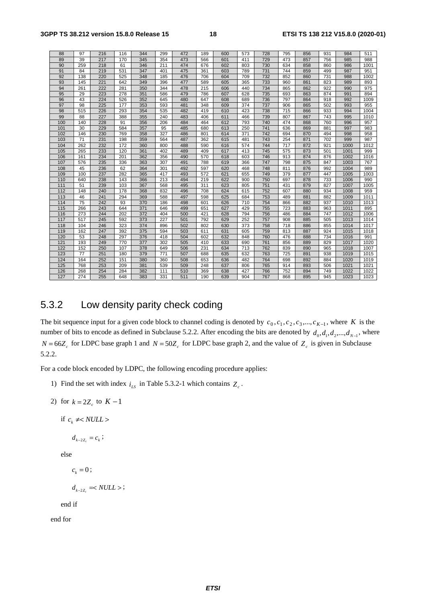| 88  | 97  | 216 | 116 | 344 | 299 | 472 | 189 | 600 | 573 | 728 | 795 | 856 | 931 | 984  | 511  |
|-----|-----|-----|-----|-----|-----|-----|-----|-----|-----|-----|-----|-----|-----|------|------|
| 89  | 39  | 217 | 170 | 345 | 354 | 473 | 566 | 601 | 411 | 729 | 473 | 857 | 756 | 985  | 988  |
| 90  | 259 | 218 | 61  | 346 | 211 | 474 | 676 | 602 | 803 | 730 | 634 | 858 | 860 | 986  | 1001 |
| 91  | 84  | 219 | 531 | 347 | 401 | 475 | 361 | 603 | 789 | 731 | 744 | 859 | 499 | 987  | 951  |
| 92  | 138 | 220 | 525 | 348 | 185 | 476 | 706 | 604 | 709 | 732 | 852 | 860 | 731 | 988  | 1002 |
| 93  | 145 | 221 | 642 | 349 | 396 | 477 | 589 | 605 | 365 | 733 | 960 | 861 | 823 | 989  | 893  |
| 94  | 261 | 222 | 281 | 350 | 344 | 478 | 215 | 606 | 440 | 734 | 865 | 862 | 922 | 990  | 975  |
| 95  | 29  | 223 | 278 | 351 | 586 | 479 | 786 | 607 | 628 | 735 | 693 | 863 | 874 | 991  | 894  |
| 96  | 43  | 224 | 526 | 352 | 645 | 480 | 647 | 608 | 689 | 736 | 797 | 864 | 918 | 992  | 1009 |
| 97  | 98  | 225 | 177 | 353 | 593 | 481 | 348 | 609 | 374 | 737 | 906 | 865 | 502 | 993  | 955  |
| 98  | 515 | 226 | 293 | 354 | 535 | 482 | 419 | 610 | 423 | 738 | 715 | 866 | 933 | 994  | 1004 |
| 99  | 88  | 227 | 388 | 355 | 240 | 483 | 406 | 611 | 466 | 739 | 807 | 867 | 743 | 995  | 1010 |
| 100 | 140 | 228 | 91  | 356 | 206 | 484 | 464 | 612 | 793 | 740 | 474 | 868 | 760 | 996  | 957  |
| 101 | 30  | 229 | 584 | 357 | 95  | 485 | 680 | 613 | 250 | 741 | 636 | 869 | 881 | 997  | 983  |
| 102 | 146 | 230 | 769 | 358 | 327 | 486 | 801 | 614 | 371 | 742 | 694 | 870 | 494 | 998  | 958  |
| 103 | 71  | 231 | 198 | 359 | 564 | 487 | 362 | 615 | 481 | 743 | 254 | 871 | 702 | 999  | 987  |
| 104 | 262 | 232 | 172 | 360 | 800 | 488 | 590 | 616 | 574 | 744 | 717 | 872 | 921 | 1000 | 1012 |
| 105 | 265 | 233 | 120 | 361 | 402 | 489 | 409 | 617 | 413 | 745 | 575 | 873 | 501 | 1001 | 999  |
| 106 | 161 | 234 | 201 | 362 | 356 | 490 | 570 | 618 | 603 | 746 | 913 | 874 | 876 | 1002 | 1016 |
| 107 | 576 | 235 | 336 | 363 | 307 | 491 | 788 | 619 | 366 | 747 | 798 | 875 | 847 | 1003 | 767  |
| 108 | 45  | 236 | 62  | 364 | 301 | 492 | 597 | 620 | 468 | 748 | 811 | 876 | 992 | 1004 | 989  |
| 109 | 100 | 237 | 282 | 365 | 417 | 493 | 572 | 621 | 655 | 749 | 379 | 877 | 447 | 1005 | 1003 |
| 110 | 640 | 238 | 143 | 366 | 213 | 494 | 219 | 622 | 900 | 750 | 697 | 878 | 733 | 1006 | 990  |
| 111 | 51  | 239 | 103 | 367 | 568 | 495 | 311 | 623 | 805 | 751 | 431 | 879 | 827 | 1007 | 1005 |
| 112 | 148 | 240 | 178 | 368 | 832 | 496 | 708 | 624 | 615 | 752 | 607 | 880 | 934 | 1008 | 959  |
| 113 | 46  | 241 | 294 | 369 | 588 | 497 | 598 | 625 | 684 | 753 | 489 | 881 | 882 | 1009 | 1011 |
| 114 | 75  | 242 | 93  | 370 | 186 | 498 | 601 | 626 | 710 | 754 | 866 | 882 | 937 | 1010 | 1013 |
| 115 | 266 | 243 | 644 | 371 | 646 | 499 | 651 | 627 | 429 | 755 | 723 | 883 | 963 | 1011 | 895  |
| 116 | 273 | 244 | 202 | 372 | 404 | 500 | 421 | 628 | 794 | 756 | 486 | 884 | 747 | 1012 | 1006 |
| 117 | 517 | 245 | 592 | 373 | 227 | 501 | 792 | 629 | 252 | 757 | 908 | 885 | 505 | 1013 | 1014 |
| 118 | 104 | 246 | 323 | 374 | 896 | 502 | 802 | 630 | 373 | 758 | 718 | 886 | 855 | 1014 | 1017 |
| 119 | 162 | 247 | 392 | 375 | 594 | 503 | 611 | 631 | 605 | 759 | 813 | 887 | 924 | 1015 | 1018 |
| 120 | 53  | 248 | 297 | 376 | 418 | 504 | 602 | 632 | 848 | 760 | 476 | 888 | 734 | 1016 | 991  |
| 121 | 193 | 249 | 770 | 377 | 302 | 505 | 410 | 633 | 690 | 761 | 856 | 889 | 829 | 1017 | 1020 |
| 122 | 152 | 250 | 107 | 378 | 649 | 506 | 231 | 634 | 713 | 762 | 839 | 890 | 965 | 1018 | 1007 |
| 123 | 77  | 251 | 180 | 379 | 771 | 507 | 688 | 635 | 632 | 763 | 725 | 891 | 938 | 1019 | 1015 |
| 124 | 164 | 252 | 151 | 380 | 360 | 508 | 653 | 636 | 482 | 764 | 698 | 892 | 884 | 1020 | 1019 |
| 125 | 768 | 253 | 209 | 381 | 539 | 509 | 248 | 637 | 806 | 765 | 914 | 893 | 506 | 1021 | 1021 |
| 126 | 268 | 254 | 284 | 382 | 111 | 510 | 369 | 638 | 427 | 766 | 752 | 894 | 749 | 1022 | 1022 |
| 127 | 274 | 255 | 648 | 383 | 331 | 511 | 190 | 639 | 904 | 767 | 868 | 895 | 945 | 1023 | 1023 |

### 5.3.2 Low density parity check coding

The bit sequence input for a given code block to channel coding is denoted by  $c_0$ ,  $c_1$ ,  $c_2$ ,  $c_3$ ,...,  $c_{K-1}$ , where *K* is the number of bits to encode as defined in Subclause 5.2.2. After encoding the bits are denoted by  $d_0, d_1, d_2, ..., d_{N-1}$ , where  $N = 66 Z_c$  for LDPC base graph 1 and  $N = 50 Z_c$  for LDPC base graph 2, and the value of  $Z_c$  is given in Subclause 5.2.2.

For a code block encoded by LDPC, the following encoding procedure applies:

- 1) Find the set with index  $i_{LS}$  in Table 5.3.2-1 which contains  $Z_c$ .
- 2) for  $k = 2Z_c$  to  $K 1$

if  $c_k \neq NULL$ 

 $d_{k-2z} = c_k$ ;

else

 $c_k = 0$ ;

$$
d_{\scriptscriptstyle k-2Z_c}=<\mathit{NULL}>;
$$

end if

end for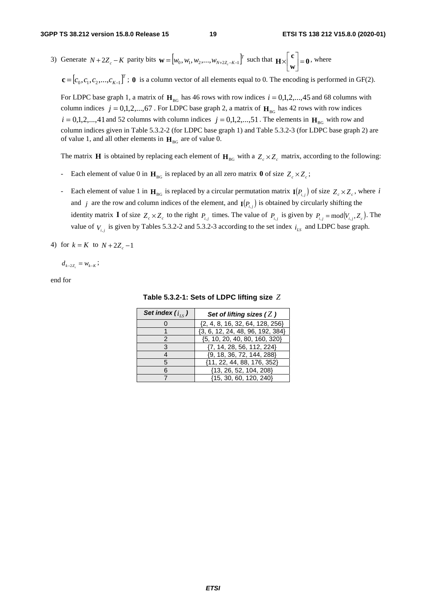3) Generate  $N + 2Z_c - K$  parity bits  $\mathbf{w} = [w_0, w_1, w_2, ..., w_{N+2Z_c - K-1}]^T$  such that  $\mathbf{H} \times \begin{bmatrix} \mathbf{c} \\ \mathbf{w} \end{bmatrix} = \mathbf{0}$  $\mathbf{H} \times \begin{bmatrix} \mathbf{c} \\ \mathbf{w} \end{bmatrix} = \mathbf{0}$ , where

 $\mathbf{c} = [c_0, c_1, c_2, ..., c_{K-1}]^T$ ; **0** is a column vector of all elements equal to 0. The encoding is performed in GF(2).

For LDPC base graph 1, a matrix of  $H_{BG}$  has 46 rows with row indices  $i = 0,1,2,...,45$  and 68 columns with column indices  $j = 0,1,2,...,67$ . For LDPC base graph 2, a matrix of  $H_{BG}$  has 42 rows with row indices  $i = 0,1,2,...,41$  and 52 columns with column indices  $j = 0,1,2,...,51$ . The elements in  $\mathbf{H}_{BG}$  with row and column indices given in Table 5.3.2-2 (for LDPC base graph 1) and Table 5.3.2-3 (for LDPC base graph 2) are of value 1, and all other elements in  $H_{BG}$  are of value 0.

The matrix **H** is obtained by replacing each element of  $H_{BG}$  with a  $Z_c \times Z_c$  matrix, according to the following:

- Each element of value 0 in  $H_{BG}$  is replaced by an all zero matrix **0** of size  $Z_c \times Z_c$ ;
- Each element of value 1 in  $H_{BG}$  is replaced by a circular permutation matrix  $I(P_i)$  of size  $Z_c \times Z_c$ , where *i* and *j* are the row and column indices of the element, and  $I(P_{i,j})$  is obtained by circularly shifting the identity matrix **I** of size  $Z_c \times Z_c$  to the right  $P_{i,j}$  times. The value of  $P_{i,j}$  is given by  $P_{i,j} = \text{mod}(V_{i,j}, Z_c)$ . The value of  $V_{i,j}$  is given by Tables 5.3.2-2 and 5.3.2-3 according to the set index  $i_{LS}$  and LDPC base graph.
- 4) for  $k = K$  to  $N + 2Z_c 1$

 $d_{k-2z} = w_{k-k}$ ;

end for

| Set index $(i_{LS})$ | Set of lifting sizes $(Z)$           |
|----------------------|--------------------------------------|
|                      | $\{2, 4, 8, 16, 32, 64, 128, 256\}$  |
|                      | $\{3, 6, 12, 24, 48, 96, 192, 384\}$ |
|                      | {5, 10, 20, 40, 80, 160, 320}        |
|                      | $\{7, 14, 28, 56, 112, 224\}$        |
|                      | $\{9, 18, 36, 72, 144, 288\}$        |
|                      | $\{11, 22, 44, 88, 176, 352\}$       |
| 6                    | {13, 26, 52, 104, 208}               |
|                      | {15, 30, 60, 120, 240}               |

**Table 5.3.2-1: Sets of LDPC lifting size** *Z*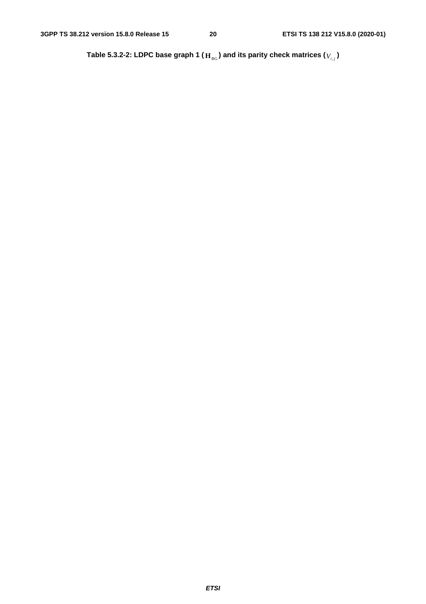Table 5.3.2-2: LDPC base graph 1 (  $\mathbf{H}_{\text{BG}}$  ) and its parity check matrices (  $V_{i,j}$  )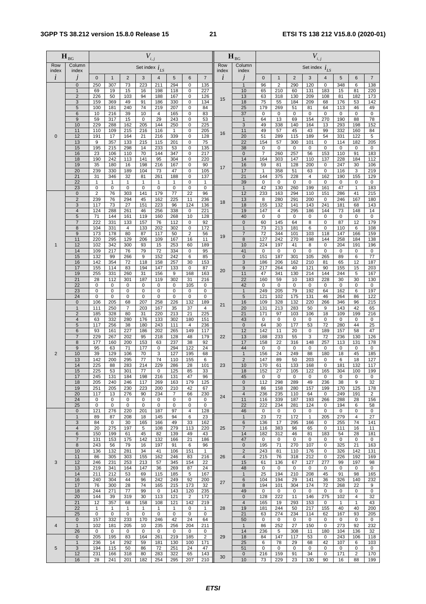|                | $\mathbf{H}_{\scriptscriptstyle{\text{BG}}}$ |                  |                     |                        | $V_{i,j}$          |                         |                     |                              |                  |              | $\mathbf{H}_{\scriptscriptstyle{\text{BG}}}$ |                     |                         |                    | $V_{i,j}$           |                    |                    |                    |                   |
|----------------|----------------------------------------------|------------------|---------------------|------------------------|--------------------|-------------------------|---------------------|------------------------------|------------------|--------------|----------------------------------------------|---------------------|-------------------------|--------------------|---------------------|--------------------|--------------------|--------------------|-------------------|
| Row<br>index   | Column<br>index                              |                  |                     |                        | Set index $i_{LS}$ |                         |                     |                              |                  | Row<br>index | Column<br>index                              |                     |                         |                    | Set index $i_{LS}$  |                    |                    |                    |                   |
| i              |                                              | $\mathbf{0}$     | $\overline{1}$      | $\overline{2}$         | 3                  | $\overline{\mathbf{4}}$ | 5                   | 6                            | $\overline{7}$   | $\dot{l}$    |                                              | $\mathbf{0}$        | $\mathbf{1}$            | $\overline{2}$     | 3                   | 4                  | 5                  | $6\phantom{1}6$    | $\overline{7}$    |
|                | $\mathbf{0}$                                 | 250              | 307                 | 73                     | 223                | 211                     | 294                 | 0                            | 135              |              | $\mathbf{1}$                                 | 96                  | $\overline{\mathbf{c}}$ | 290                | 120                 | 0                  | 348                | 6                  | 138               |
|                | $\mathbf{1}$<br>$\overline{2}$               | 69<br>226        | 19<br>50            | 15<br>103              | 16<br>94           | 198<br>188              | 118<br>167          | 0<br>0                       | 227<br>126       |              | 10<br>13                                     | 65<br>63            | 210<br>318              | 60<br>130          | 131<br>209          | 183<br>108         | 15<br>81           | 81<br>182          | 220<br>173        |
|                | 3                                            | 159              | 369                 | 49                     | 91                 | 186                     | 330                 | 0                            | 134              | 15           | 18                                           | 75                  | 55                      | 184                | 209                 | 68                 | 176                | 53                 | 142               |
|                | 5                                            | 100              | 181                 | 240                    | 74<br>10           | 219                     | 207                 | 0<br>0                       | 84               |              | 25                                           | 179                 | 269                     | 51                 | 81                  | 64                 | 113                | 46                 | 49                |
|                | 6<br>9                                       | 10<br>59         | 216<br>317          | 39<br>15               | $\mathbf 0$        | $\overline{4}$<br>29    | 165<br>243          | 0                            | 83<br>53         |              | 37<br>$\mathbf{1}$                           | 0<br>64             | 0<br>13                 | 0<br>69            | 0<br>154            | 0<br>270           | 0<br>190           | 0<br>88            | 0<br>78           |
|                | 10                                           | 229              | 288                 | 162                    | 205                | 144                     | 250                 | 0                            | 225              |              | $\overline{3}$                               | 49                  | 338                     | 140                | 164                 | 13                 | 293                | 198                | 152               |
| 0              | 11<br>12                                     | 110<br>191       | 109<br>17           | 215<br>164             | 216<br>21          | 116<br>216              | $\mathbf{1}$<br>339 | 0<br>0                       | 205<br>128       | 16           | 11<br>20                                     | 49<br>51            | 57<br>289               | 45<br>115          | 43<br>189           | 99<br>54           | 332<br>331         | 160<br>122         | 84<br>5           |
|                | 13                                           | 9                | 357                 | 133                    | 215                | 115                     | 201                 | 0                            | 75               |              | 22                                           | 154                 | 57                      | 300                | 101                 | 0                  | 114                | 182                | 205               |
|                | 15<br>16                                     | 195<br>23        | 215<br>106          | 298<br>110             | 14<br>70           | 233<br>144              | 53<br>347           | 0<br>0                       | 135<br>217       |              | 38<br>$\mathbf 0$                            | 0<br>$\overline{7}$ | 0<br>260                | 0<br>257           | 0<br>56             | 0<br>153           | 0<br>110           | 0<br>91            | 0<br>183          |
|                | 18                                           | 190              | 242                 | 113                    | 141                | 95                      | 304                 | 0                            | 220              |              | 14                                           | 164                 | 303                     | 147                | 110                 | 137                | 228                | 184                | 112               |
|                | 19                                           | 35               | 180                 | 16                     | 198                | 216                     | 167                 | 0                            | 90               | 17           | 16                                           | 59                  | 81                      | 128                | 200                 | 0                  | 247                | 30                 | 106               |
|                | 20<br>21                                     | 239<br>31        | 330<br>346          | 189<br>32              | 104<br>81          | 73<br>261               | 47<br>188           | 0<br>$\overline{0}$          | 105<br>137       |              | 17<br>21                                     | $\mathbf{1}$<br>144 | 358<br>375              | 51<br>228          | 63<br>4             | 0<br>162           | 116<br>190         | 3<br>155           | 219<br>129        |
|                | 22                                           | $\mathbf{1}$     | $\mathbf{1}$        | $\mathbf{1}$           | 1                  | 1                       | 1                   | 0                            | 1                |              | 39                                           | $\mathbf 0$         | 0                       | 0                  | 0                   | 0                  | 0                  | $\mathbf 0$        | $\mathbf 0$       |
|                | 23<br>$\pmb{0}$                              | $\mathbf 0$<br>2 | 0<br>76             | $\mathbf 0$<br>303     | 0<br>141           | $\mathbf 0$<br>179      | 0<br>77             | 0<br>22                      | $\pmb{0}$<br>96  |              | $\mathbf{1}$<br>12                           | 42<br>233           | 130<br>163              | 260<br>294         | 199<br>110          | 161<br>151         | 47<br>286          | $\mathbf{1}$<br>41 | 183<br>215        |
|                | $\overline{2}$                               | 239              | 76                  | 294                    | 45                 | 162                     | 225                 | 11                           | 236              | 18           | 13                                           | 8                   | 280                     | 291                | 200                 | 0                  | 246                | 167                | 180               |
|                | 3<br>$\overline{\mathbf{4}}$                 | 117              | 73                  | 27                     | 151                | 223                     | 96                  | 124                          | 136              |              | 18                                           | 155                 | 132                     | 141                | 143                 | 241                | 181                | 68                 | 143               |
|                | 5                                            | 124<br>71        | 288<br>144          | 261<br>161             | 46<br>119          | 256<br>160              | 338<br>268          | 0<br>10                      | 221<br>128       |              | 19<br>40                                     | 147<br>$\mathbf 0$  | 4<br>0                  | 295<br>0           | 186<br>0            | 144<br>0           | 73<br>0            | 148<br>0           | 14<br>$\mathbf 0$ |
|                | $\overline{7}$                               | 222              | 331                 | 133                    | 157                | 76                      | 112                 | 0                            | 92               |              | $\pmb{0}$                                    | 60                  | 145                     | 64                 | 8                   | $\mathbf 0$        | 87                 | 12                 | 179               |
|                | $\bf 8$<br>9                                 | 104<br>173       | 331<br>178          | 4<br>80                | 133<br>87          | 202<br>117              | 302<br>50           | 0<br>$\overline{\mathbf{c}}$ | 172<br>56        |              | $\mathbf{1}$<br>$\overline{7}$               | 73<br>72            | 213<br>344              | 181<br>101         | 6<br>103            | 0<br>118           | 110<br>147         | 6<br>166           | 108<br>159        |
|                | 11                                           | 220              | 295                 | 129                    | 206                | 109                     | 167                 | 16                           | 11               | 19           | 8                                            | 127                 | 242                     | 270                | 198                 | 144                | 258                | 184                | 138               |
| 1              | 12<br>14                                     | 102<br>109       | 342<br>217          | 300<br>76              | 93<br>79           | 15<br>72                | 253<br>334          | 60<br>0                      | 189<br>95        |              | 10<br>41                                     | 224<br>0            | 197<br>0                | 41<br>0            | 8<br>0              | 0<br>0             | 204<br>0           | 191<br>0           | 196<br>0          |
|                | 15                                           | 132              | 99                  | 266                    | 9                  | 152                     | 242                 | 6                            | 85               |              | $\pmb{0}$                                    | 151                 | 187                     | 301                | 105                 | 265                | 89                 | 6                  | 77                |
|                | 16                                           | 142              | 354                 | 72                     | 118                | 158                     | 257                 | 30                           | 153              |              | $\overline{3}$                               | 186                 | 206                     | 162                | 210                 | 81                 | 65                 | 12                 | 187               |
|                | 17<br>19                                     | 155<br>255       | 114<br>331          | 83<br>260              | 194<br>31          | 147<br>156              | 133<br>9            | 0<br>168                     | 87<br>163        | 20           | 9<br>11                                      | 217<br>47           | 264<br>341              | 40<br>130          | 121<br>214          | 90<br>144          | 155<br>244         | 15<br>5            | 203<br>167        |
|                | 21                                           | 28               | 112                 | 301                    | 187                | 119                     | 302                 | 31                           | 216              |              | $\overline{22}$                              | 160                 | 59                      | 10                 | 183                 | 228                | 30                 | 30                 | 130               |
|                | 22<br>23                                     | 0<br>$\mathbf 0$ | 0<br>$\mathsf 0$    | $\pmb{0}$<br>$\pmb{0}$ | 0<br>0             | 0<br>$\mathbf 0$        | 0<br>0              | 105<br>0                     | 0<br>0           |              | 42<br>$\mathbf{1}$                           | 0<br>249            | 0<br>205                | 0<br>79            | 0<br>192            | 0<br>64            | 0<br>162           | 0<br>6             | 0<br>197          |
|                | 24                                           | $\mathbf 0$      | 0                   | $\pmb{0}$              | $\mathbf 0$        | $\mathsf 0$             | 0                   | 0                            | 0                |              | 5                                            | 121                 | 102                     | 175                | 131                 | 46                 | 264                | 86                 | 122               |
|                | $\overline{0}$                               | 106              | 205                 | 68                     | 207                | 258                     | 226                 | 132                          | 189              | 21           | 16                                           | 109                 | 328                     | 132                | 220                 | 266                | 346                | 96                 | 215               |
|                | $\mathbf{1}$<br>$\overline{2}$               | 111<br>185       | 250<br>328          | $\overline{7}$<br>80   | 203<br>31          | 167<br>220              | 35<br>213           | 37<br>21                     | 4<br>225         |              | 20<br>21                                     | 131<br>171          | 213<br>97               | 283<br>103         | 50<br>106           | 9<br>18            | 143<br>109         | 42<br>199          | 65<br>216         |
|                | $\overline{4}$                               | 63               | 332                 | 280                    | 176                | 133                     | 302                 | 180                          | 151              |              | 43                                           | 0                   | 0                       | 0                  | 0                   | 0                  | 0                  | 0                  | 0                 |
|                | 5<br>6                                       | 117<br>93        | 256<br>161          | 38<br>227              | 180<br>186         | 243<br>202              | 111<br>265          | $\overline{4}$<br>149        | 236<br>117       |              | $\pmb{0}$<br>12                              | 64<br>142           | 30<br>11                | 177<br>20          | 53<br>0             | 72<br>189          | 280<br>157         | 44<br>58           | 25<br>47          |
|                | $\overline{7}$                               | 229              | 267                 | 202                    | 95                 | 218                     | 128                 | 48                           | 179              | 22           | 13                                           | 188                 | 233                     | 55                 | 3                   | 72                 | 236                | 130                | 126               |
|                | 8<br>9                                       | 177<br>95        | 160<br>63           | 200<br>71              | 153<br>177         | 63<br>0                 | 237<br>294          | 38<br>122                    | 92<br>24         |              | 17<br>44                                     | 158<br>0            | 22<br>0                 | 316<br>$\mathbf 0$ | 148<br>0            | 257<br>0           | 113<br>$\mathbf 0$ | 131<br>$\mathbf 0$ | 178<br>$\pmb{0}$  |
| $\overline{2}$ | 10                                           | 39               | 129                 | 106                    | 70                 | 3                       | 127                 | 195                          | 68               |              | $\overline{1}$                               | 156                 | 24                      | 249                | 88                  | 180                | 18                 | 45                 | 185               |
|                | 13                                           | 142              | 200                 | 295                    | 77                 | 74                      | 110                 | 155                          | 6                |              | $\overline{2}$                               | 147                 | 89                      | 50                 | 203                 | $\mathbf 0$        | 6                  | 18                 | 127               |
|                | 14<br>15                                     | 225<br>225       | 88<br>53            | 283<br>301             | 214<br>77          | 229<br>$\pmb{0}$        | 286<br>125          | 28<br>85                     | 101<br>33        | 23           | 10<br>18                                     | 170<br>152          | 61<br>27                | 133<br>105         | 168<br>122          | 0<br>165           | 181<br>304         | 132<br>100         | 117<br>199        |
|                | 17                                           | 245              | 131                 | 184                    | 198                | 216                     | 131                 | 47                           | 96               |              | 45                                           | 0                   | 0                       | 0                  | 0                   | 0                  | 0                  | 0                  | 0                 |
|                | 18<br>19                                     | 205<br>251       | 240<br>205          | 246<br>230             | 117<br>223         | 269<br>200              | 163<br>210          | 179<br>42                    | 125<br>67        |              | $\mathbf 0$<br>3                             | 112<br>86           | 298<br>158              | 289<br>280         | 49<br>157           | 236<br>199         | 38<br>170          | 9<br>125           | 32<br>178         |
|                | 20                                           | 117              | 13                  | 276                    | 90                 | 234                     | 7                   | 66                           | 230              | 24           | $\overline{4}$                               | 236                 | 235                     | 110                | 64                  | 0                  | 249                | 191                | $\overline{c}$    |
|                | 24<br>25                                     | 0<br>$\mathbf 0$ | 0<br>0              | 0<br>0                 | 0<br>$\mathbf 0$   | 0<br>0                  | 0<br>0              | 0<br>0                       | 0<br>$\mathbf 0$ |              | 11<br>22                                     | 116<br>222          | 339<br>234              | 187<br>281         | 193<br>124          | 266<br>0           | 288<br>194         | 28<br>6            | 156<br>58         |
|                | $\mathbf 0$                                  | 121              | 276                 | 220                    | 201                | 187                     | 97                  | 4                            | 128              |              | 46                                           | 0                   | 0                       | 0                  | 0                   | 0                  | 0                  | 0                  | 0                 |
|                | $\mathbf{1}$<br>3                            | 89<br>84         | 87<br>$\mathbf 0$   | 208<br>30              | 18<br>165          | 145<br>166              | 94<br>49            | 6<br>33                      | 23<br>162        |              | $\mathbf{1}$<br>6                            | 23<br>136           | 72<br>17                | 172<br>295         | $\mathbf{1}$<br>166 | 205<br>0           | 279<br>255         | 4<br>74            | 27<br>141         |
|                | $\overline{\mathbf{4}}$                      | 20               | 275                 | 197                    | 5                  | 108                     | 279                 | 113                          | 220              | 25           | $\overline{7}$                               | 116                 | 383                     | 96                 | 65                  | 0                  | 111                | 16                 | 11                |
|                | 6<br>$\overline{7}$                          | 150              | 199                 | 61                     | 45                 | 82                      | 139                 | 49                           | 43               |              | 14<br>47                                     | 182<br>$\mathbf 0$  | 312                     | 46<br>$\mathbf 0$  | 81                  | 183<br>$\mathbf 0$ | 54<br>$\mathbf 0$  | 28                 | 181               |
|                | 8                                            | 131<br>243       | 153<br>56           | 175<br>79              | 142<br>16          | 132<br>197              | 166<br>91           | 21<br>6                      | 186<br>96        |              | $\pmb{0}$                                    | 195                 | 0<br>71                 | 270                | 0<br>107            | 0                  | 325                | 0<br>21            | 0<br>163          |
|                | 10                                           | 136              | 132                 | 281                    | 34                 | 41                      | 106                 | 151                          | 1                |              | $\overline{c}$                               | 243                 | 81                      | 110                | 176                 | 0                  | 326                | 142                | 131               |
| 3              | 11<br>12                                     | 86<br>246        | 305<br>231          | 303<br>253             | 155<br>213         | 162<br>57               | 246<br>345          | 83<br>154                    | 216<br>22        | 26           | $\overline{4}$<br>15                         | 215<br>61           | 76<br>136               | 318<br>67          | 212<br>127          | $\mathbf 0$<br>277 | 226<br>99          | 192<br>197         | 169<br>98         |
|                | 13                                           | 219              | 341                 | 164                    | 147                | 36                      | 269                 | 87                           | 24               |              | 48                                           | 0                   | 0                       | 0                  | 0                   | 0                  | 0                  | 0                  | 0                 |
|                | 14<br>16                                     | 211<br>240       | 212<br>304          | 53<br>44               | 69<br>96           | 115<br>242              | 185<br>249          | 5<br>92                      | 167<br>200       |              | $\mathbf{1}$<br>$\,6$                        | 25<br>104           | 194<br>194              | 210<br>29          | 208<br>141          | 45<br>36           | 91<br>326          | 98<br>140          | 165<br>232        |
|                | 17                                           | 76               | 300                 | 28                     | 74                 | 165                     | 215                 | 173                          | 32               | 27           | 8                                            | 194                 | 101                     | 304                | 174                 | 72                 | 268                | 22                 | 9                 |
|                | 18<br>20                                     | 244              | 271                 | 77                     | 99                 | 0                       | 143                 | 120                          | 235              |              | 49<br>$\mathbf 0$                            | 0<br>128            | 0<br>222                | 0                  | 0                   | 0<br>275           | 0                  | 0<br>4             | 0<br>32           |
|                | 21                                           | 144<br>12        | 39<br>357           | 319<br>68              | 30<br>158          | 113<br>108              | 121<br>121          | 2<br>142                     | 172<br>219       |              | $\overline{4}$                               | 165                 | 19                      | 11<br>293          | 146<br>153          | 0                  | 102<br>1           | 1                  | 43                |
|                | 22                                           | $\mathbf{1}$     | $\mathbf{1}$        | 1                      | 1                  | $\mathbf{1}$            | 1                   | 0                            | $\mathbf{1}$     | 28           | 19                                           | 181                 | 244                     | 50                 | 217                 | 155                | 40                 | 40                 | 200               |
|                | 25<br>$\mathbf 0$                            | 0<br>157         | $\mathbf{0}$<br>332 | 0<br>233               | 0<br>170           | 0<br>246                | 0<br>42             | 0<br>24                      | 0<br>64          |              | 21<br>50                                     | 63<br>0             | 274<br>0                | 234<br>0           | 114<br>0            | 62<br>0            | 167<br>0           | 93<br>0            | 205<br>0          |
| 4              | $\mathbf{1}$                                 | 102              | 181                 | 205                    | 10                 | 235                     | 256                 | 204                          | 211              |              | $\mathbf{1}$                                 | 86                  | 252                     | 27                 | 150                 | 0                  | 273                | 92                 | 232               |
|                | 26<br>$\mathbf 0$                            | 0<br>205         | 0<br>195            | 0<br>83                | 0<br>164           | 0<br>261                | 0<br>219            | 0<br>185                     | 0<br>2           | 29           | 14<br>18                                     | 236<br>84           | 5<br>147                | 308<br>117         | 11<br>53            | 180<br>0           | 104<br>243         | 136<br>106         | 32<br>118         |
|                | $\mathbf{1}$                                 | 236              | 14                  | 292                    | 59                 | 181                     | 130                 | 100                          | 171              |              | 25                                           | 6                   | 78                      | 29                 | 68                  | 42                 | 107                | 6                  | 103               |
| 5              | 3                                            | 194              | 115                 | 50                     | 86                 | 72                      | 251                 | 24                           | 47               |              | 51                                           | $\mathbf 0$         | 0                       | 0                  | 0                   | 0                  | $\mathbf 0$        | 0                  | 0                 |
|                | 12<br>16                                     | 231<br>28        | 166<br>241          | 318<br>201             | 80<br>182          | 283<br>254              | 322<br>295          | 65<br>207                    | 143<br>210       | 30           | $\mathbf 0$<br>10                            | 216<br>73           | 159<br>229              | 91<br>23           | 34<br>130           | 0<br>90            | 171<br>16          | 2<br>88            | 170<br>199        |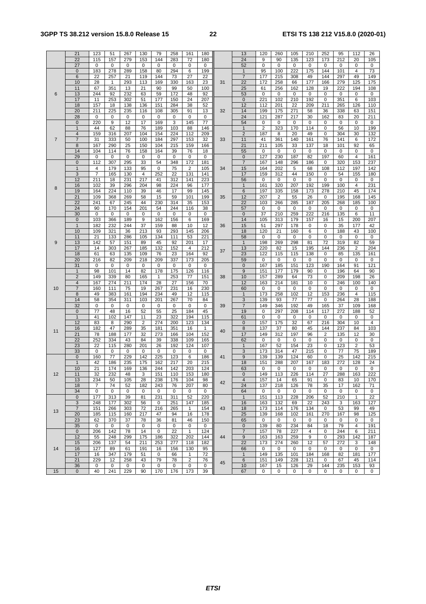### **3GPP TS 38.212 version 15.8.0 Release 15 22 ETSI TS 138 212 V15.8.0 (2020-01)**

|                | 21                      | 123            | 51           | 267        | 130            | 79           | 258         | 161          | 180         |    | 13                | 120         | 260       | 105         | 210         | 252         | 95          | 112                 | 26          |
|----------------|-------------------------|----------------|--------------|------------|----------------|--------------|-------------|--------------|-------------|----|-------------------|-------------|-----------|-------------|-------------|-------------|-------------|---------------------|-------------|
|                | 22                      | 115            | 157          | 279        | 153            | 144          | 283         | 72           | 180         |    | 24                | 9           | 90        | 135         | 123         | 173         | 212         | 20                  | 105         |
|                | 27                      | 0              | 0            | 0          | $\mathbf 0$    | 0            | $\mathbf 0$ | 0            | $\mathbf 0$ |    | 52                | 0           | 0         | 0           | 0           | 0           | 0           | 0                   | 0           |
|                | 0                       | 183            | 278          | 289        | 158            | 80           | 294         | 6            | 199         |    | $\mathbf{1}$      | 95          | 100       | 222         | 175         | 144         | 101         | $\overline{4}$      | 73          |
|                | 6                       | 22             | 257          | 21         | 119            | 144          | 73          | 27           | 22          |    | $\overline{7}$    | 177         | 215       | 308         | 49          | 144         | 297         | 49                  | 149         |
|                | 10                      | 28             | $\mathbf{1}$ | 293        | 113            | 169          | 330         | 163          | 23          | 31 | 22                | 172         | 258       | 66          | 177         | 166         | 279         | 125                 | 175         |
|                | 11                      | 67             | 351          | 13         | 21             | 90           | 99          | 50           | 100         |    | 25                | 61          | 256       | 162         | 128         | 19          | 222         | 194                 | 108         |
| 6              | 13                      | 244            | 92           | 232        | 63             | 59           | 172         | 48           | 92          |    | 53                | 0           | 0         | $\mathbf 0$ | 0           | 0           | 0           | 0                   | $\pmb{0}$   |
|                | 17                      | 11             | 253          | 302        | 51             | 177          | 150         | 24           | 207         |    | $\mathbf 0$       | 221         | 102       | 210         | 192         | 0           | 351         | 6                   | 103         |
|                | 18                      | 157            | 18           | 138        | 136            | 151          | 284         | 38           | 52          |    | 12                | 112         | 201       | 22          | 209         | 211         | 265         | 126                 | 110         |
|                | 20                      | 211            | 225          | 235        | 116            | 108          | 305         | 91           | 13          | 32 | 14                | 199         | 175       | 271         | 58          | 36          | 338         | 63                  | 151         |
|                | 28                      | 0              | 0            | 0          | 0              | 0            | 0           | 0            | 0           |    | 24                | 121         | 287       | 217         | 30          | 162         | 83          | 20                  | 211         |
|                | 0                       | 220            | 9            | 12         | 17             | 169          | 3           | 145          | 77          |    | 54                | 0           | 0         | 0           | 0           | 0           | 0           | $\mathbf 0$         | $\mathbf 0$ |
|                | $\mathbf{1}$            | 44             | 62           | 88         | 76             | 189          | 103         | 88           | 146         |    | $\mathbf{1}$      | 2           | 323       | 170         | 114         | 0           | 56          | 10                  | 199         |
|                | 4                       | 159            | 316          | 207        | 104            | 154          | 224         | 112          | 209         |    | $\overline{2}$    | 187         | 8         | 20          | 49          | 0           | 304         | 30                  | 132         |
| $\overline{7}$ | $\overline{7}$          | 31             | 333          | 50         | 100            | 184          | 297         | 153          | 32          | 33 | 11                | 41          | 361       | 140         | 161         | 76          | 141         | 6                   | 172         |
|                | 8                       | 167            | 290          | 25         | 150            | 104          | 215         | 159          | 166         |    | 21                | 211         | 105       | 33          | 137         | 18          | 101         | 92                  | 65          |
|                | 14                      | 104            | 114          | 76         | 158            | 164          | 39          | 76           | 18          |    | 55                | 0           | 0         | 0           | 0           | 0           | 0           | 0                   | 0           |
|                | 29                      | 0              | 0            | 0          | 0              | $\mathbf 0$  | 0           | 0            | 0           |    | 0                 | 127         | 230       | 187         | 82          | 197         | 60          | $\overline{4}$      | 161         |
|                | 0                       | 112            | 307          | 295        | 33             | 54           | 348         | 172          | 181         |    | $\overline{7}$    | 167         | 148       | 296         | 186         | 0           | 320         | 153                 | 237         |
|                | $\mathbf{1}$            | 4              | 179          | 133        | 95             | 0            | 75          | 2            | 105         | 34 | 15                | 164         | 202       | 5           | 68          | 108         | 112         | 197                 | 142         |
|                | 3                       | $\overline{7}$ | 165          | 130        | 4              | 252          | 22          | 131          | 141         |    | 17                | 159         | 312       | 44          | 150         | 0           | 54          | 155                 | 180         |
|                | 12                      | 211            | 18           | 231        | 217            | 41           | 312         | 141          | 223         |    | 56                | 0           | 0         | 0           | 0           | 0           | 0           | $\mathbf 0$         | 0           |
| 8              | 16                      | 102            | 39           | 296        | 204            | 98           | 224         | 96           | 177         |    | $\mathbf{1}$      | 161         | 320       | 207         | 192         | 199         | 100         | 4                   | 231         |
|                | 19                      | 164            | 224          | 110        | 39             | 46           | 17          | 99           | 145         |    | 6                 | 197         | 335       | 158         | 173         | 278         | 210         | 45                  | 174         |
|                | 21                      | 109            | 368          | 269        | 58             | 15           | 59          | 101          | 199         | 35 | 12                | 207         | 2         | 55          | 26          | 0           | 195         | 168                 | 145         |
|                | 22                      | 241            | 67           | 245        | 44             | 230          | 314         | 35           | 153         |    | 22                | 103         | 266       | 285         | 187         | 205         | 268         | 185                 | 100         |
|                | 24                      | 90             | 170          | 154        | 201            | 54           | 244         | 116          | 38          |    | 57                | $\mathbf 0$ | 0         | $\mathbf 0$ | $\mathbf 0$ | $\mathbf 0$ | 0           | 0                   | $\mathsf 0$ |
|                | 30                      | 0              | 0            | 0          | 0              | 0            | 0           | 0            | 0           |    | 0                 | 37          | 210       | 259         | 222         | 216         | 135         | 6                   | 11          |
|                | 0                       | 103            | 366          | 189        | 9              | 162          | 156         | 6            | 169         |    | 14                | 105         | 313       | 179         | 157         | 16          | 15          | 200                 | 207         |
|                | $\mathbf{1}$            | 182            | 232          | 244        | 37             | 159          | 88          | 10           | 12          | 36 | 15                | 51          | 297       | 178         | 0           | 0           | 35          | 177                 | 42          |
|                | 10                      | 109            | 321          | 36         | 213            | 93           | 293         | 145          | 206         |    | 18                | 120         | 21        | 160         | 6           | 0           | 188         | 43                  | 100         |
|                | 11                      | 21             | 133          | 286        | 105            | 134          | 111         | 53           | 221         |    | 58                | 0           | 0         | 0           | 0           | $\mathbf 0$ | 0           | $\mathbf 0$         | 0           |
| 9              | 13                      | 142            | 57           | 151        | 89             | 45           | 92          | 201          | 17          |    | $\mathbf{1}$      | 198         | 269       | 298         | 81          | 72          | 319         | 82                  | 59          |
|                | 17                      | 14             | 303          | 267        | 185            | 132          | 152         | 4            | 212         | 37 | 13                | 220         | 82        | 15          | 195         | 144         | 236         | 2                   | 204         |
|                | 18                      | 61             | 63           | 135        | 109            | 76           | 23          | 164          | 92          |    | 23                | 122         | 115       | 115         | 138         | $\mathbf 0$ | 85          | 135                 | 161         |
|                | 20                      | 216            | 82           | 209        | 218            | 209          | 337         | 173          | 205         |    | 59                | 0           | 0         | 0           | 0           | 0           | 0           | 0                   | 0           |
|                | 31                      | 0              | 0            | 0          | 0              | 0            | 0           | 0            | 0           |    | 0                 | 167         | 185       | 151         | 123         | 190         | 164         | 91                  | 121         |
|                | $\mathbf{1}$            | 98             | 101          | 14         | 82             | 178          | 175         | 126          | 116         |    | 9                 | 151         | 177       | 179         | 90          | $\mathbf 0$ | 196         | 64                  | 90          |
|                | $\overline{\mathbf{c}}$ | 149            | 339          | 80         | 165            | $\mathbf{1}$ | 253         | 77           | 151         | 38 | 10                | 157         | 289       | 64          | 73          | 0           | 209         | 198                 | 26          |
|                | 4                       | 167            | 274          | 211        | 174            | 28           | 27          | 156          | 70          |    | 12                | 163         | 214       | 181         | 10          | 0           | 246         | 100                 | 140         |
| 10             | 7<br>8                  | 160            | 111          | 75         | 19             | 267          | 231         | 16           | 230         |    | 60                | 0           | $\pmb{0}$ | $\mathbf 0$ | 0           | $\mathbf 0$ | $\mathbf 0$ | 0<br>$\overline{4}$ | 0           |
|                | 14                      | 49<br>58       | 383<br>354   | 161<br>311 | 194<br>103     | 234<br>201   | 49<br>267   | 12<br>70     | 115<br>84   |    | $\mathbf{1}$<br>3 | 173<br>139  | 258<br>93 | 102<br>77   | 12<br>77    | 153<br>0    | 236<br>264  | 28                  | 115<br>188  |
|                | 32                      | 0              | 0            | 0          | $\mathbf 0$    | 0            | $\pmb{0}$   | 0            | 0           | 39 | $\overline{7}$    | 149         | 346       | 192         | 49          | 165         | 37          | 109                 | 168         |
|                | 0                       | 77             | 48           | 16         | 52             | 55           | 25          | 184          | 45          |    | 19                | 0           | 297       | 208         | 114         | 117         | 272         | 188                 | 52          |
|                | $\mathbf{1}$            | 41             | 102          | 147        | 11             | 23           | 322         | 194          | 115         |    | 61                | 0           | 0         | 0           | 0           | 0           | 0           | 0                   | 0           |
|                | 12                      | 83             | 8            | 290        | $\overline{2}$ | 274          | 200         | 123          | 134         |    | $\pmb{0}$         | 157         | 175       | 32          | 67          | 216         | 304         | 10                  | 4           |
|                | 16                      | 182            | 47           | 289        | 35             | 181          | 351         | 16           | 1           |    | 8                 | 137         | 37        | 80          | 45          | 144         | 237         | 84                  | 103         |
| 11             | 21                      | 78             | 188          | 177        | 32             | 273          | 166         | 104          | 152         | 40 | 17                | 149         | 312       | 197         | 96          | 2           | 135         | 12                  | 30          |
|                | 22                      | 252            | 334          | 43         | 84             | 39           | 338         | 109          | 165         |    | 62                | $\mathbf 0$ | 0         | 0           | $\mathsf 0$ | 0           | 0           | 0                   | 0           |
|                | 23                      | 22             | 115          | 280        | 201            | 26           | 192         | 124          | 107         |    | $\mathbf{1}$      | 167         | 52        | 154         | 23          | 0           | 123         | 2                   | 53          |
|                | 33                      | 0              | 0            | 0          | 0              | 0            | 0           | 0            | 0           |    | 3                 | 173         | 314       | 47          | 215         | 0           | 77          | 75                  | 189         |
|                | $\mathbf 0$             | 160            | 77           | 229        | 142            | 225          | 123         | 6            | 186         | 41 | 9                 | 139         | 139       | 124         | 60          | $\mathbf 0$ | 25          | 142                 | 215         |
|                | $\mathbf{1}$            | 42             | 186          | 235        | 175            | 162          | 217         | 20           | 215         |    | 18                | 151         | 288       | 207         | 167         | 183         | 272         | 128                 | 24          |
|                | 10                      | 21             | 174          | 169        | 136            | 244          | 142         | 203          | 124         |    | 63                | 0           | 0         | 0           | 0           | 0           | 0           | 0                   | 0           |
| 12             | 11                      | 32             | 232          | 48         | 3              | 151          | 110         | 153          | 180         |    | 0                 | 149         | 113       | 226         | 114         | 27          | 288         | 163                 | 222         |
|                | 13                      | 234            | 50           | 105        | 28             | 238          | 176         | 104          | 98          |    | 4                 | 157         | 14        | 65          | 91          | 0           | 83          | 10                  | 170         |
|                | 18                      | 7              | 74           | 52         | 182            | 243          | 76          | 207          | 80          | 42 | 24                | 137         | 218       | 126         | 78          | 35          | 17          | 162                 | 71          |
|                | 34                      | 0              | 0            | 0          | 0              | 0            | 0           | 0            | 0           |    | 64                | 0           | 0         | 0           | 0           | 0           | 0           | 0                   | 0           |
|                | $\pmb{0}$               | 177            | 313          | 39         | 81             | 231          | 311         | 52           | 220         |    | $\mathbf{1}$      | 151         | 113       | 228         | 206         | 52          | 210         | $\mathbf{1}$        | 22          |
|                | 3                       | 248            | 177          | 302        | 56             | 0            | 251         | 147          | 185         |    | 16                | 163         | 132       | 69          | 22          | 243         | 3           | 163                 | 127         |
|                | $\overline{7}$          | 151            | 266          | 303        | 72             | 216          | 265         | $\mathbf{1}$ | 154         | 43 | 18                | 173         | 114       | 176         | 134         | 0           | 53          | 99                  | 49          |
| 13             | 20                      | 185            | 115          | 160        | 217            | 47           | 94          | 16           | 178         |    | 25                | 139         | 168       | 102         | 161         | 270         | 167         | 98                  | 125         |
|                | 23                      | 62             | 370          | 37         | 78             | 36           | 81          | 46           | 150         |    | 65                | 0           | 0         | 0           | 0           | 0           | 0           | 0                   | 0           |
|                | 35                      | 0              | 0            | 0          | 0              | 0            | 0           | 0            | 0           |    | $\mathbf 0$       | 139         | 80        | 234         | 84          | 18          | 79          | 4                   | 191         |
|                | $\mathbf 0$             | 206            | 142          | 78         | 14             | 0            | 22          | $\mathbf{1}$ | 124         |    | $\overline{7}$    | 157         | 78        | 227         | 4           | 0           | 244         | 6                   | 211         |
|                | 12                      | 55             | 248          | 299        | 175            | 186          | 322         | 202          | 144         | 44 | 9                 | 163         | 163       | 259         | 9           | 0           | 293         | 142                 | 187         |
|                | 15                      | 206            | 137          | 54         | 211            | 253          | 277         | 118          | 182         |    | 22                | 173         | 274       | 260         | 12          | 57          | 272         | 3                   | 148         |
| 14             | 16                      | 127            | 89           | 61         | 191            | 16           | 156         | 130          | 95          |    | 66                | $\mathbf 0$ | 0         | 0           | 0           | 0           | 0           | 0                   | 0           |
|                | 17                      | 16             | 347          | 179        | 51             | 0            | 66          | $\mathbf{1}$ | 72          |    | $\mathbf{1}$      | 149         | 135       | 101         | 184         | 168         | 82          | 181                 | 177         |
|                | 21                      | 229            | 12           | 258        | 43             | 79           | 78          | 2            | 76          |    | 6                 | 151         | 149       | 228         | 121         | 0           | 67          | 45                  | 114         |
|                |                         |                |              |            |                |              | 0           | 0            | 0           | 45 | 10                | 167         | 15        | 126         | 29          | 144         | 235         | 153                 | 93          |
|                | 36                      | 0              | 0            | 0          | 0              | 0            |             |              |             |    |                   |             |           |             |             |             |             |                     |             |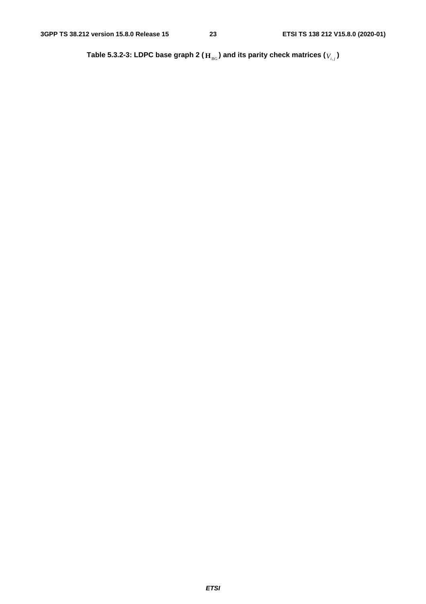Table 5.3.2-3: LDPC base graph 2 (  $\mathbf{H}_{\text{BG}}$  ) and its parity check matrices (  $V_{i,j}$  )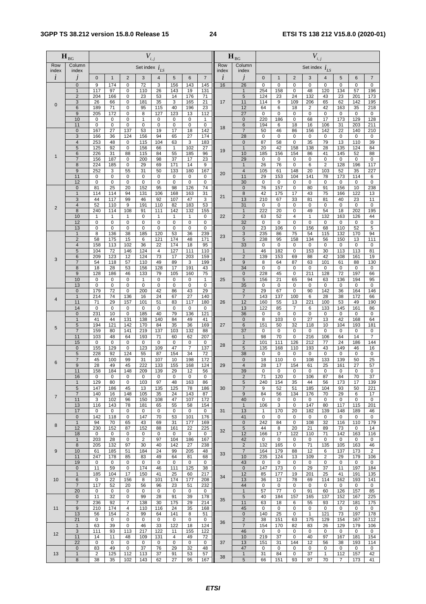|             | $\mathbf{H}_{\text{BG}}$                |                             |                             |                                  | $V_{i,j}$           |                   |                             |                              |                            |            | $\mathbf{H}_{\scriptscriptstyle{\text{BG}}}$ |                    |                  |                               | $V_{i,j}$          |                     |                        |                    |                        |
|-------------|-----------------------------------------|-----------------------------|-----------------------------|----------------------------------|---------------------|-------------------|-----------------------------|------------------------------|----------------------------|------------|----------------------------------------------|--------------------|------------------|-------------------------------|--------------------|---------------------|------------------------|--------------------|------------------------|
| Row         | Column                                  |                             |                             |                                  | Set index $i_{LS}$  |                   |                             |                              |                            | Row        | Column                                       |                    |                  |                               | Set index $i_{LS}$ |                     |                        |                    |                        |
| index<br>i  | index<br>J                              | $\overline{0}$              | $\mathbf{1}$                | $\overline{2}$                   | 3                   | 4                 | 5                           | 6                            | $\overline{7}$             | index<br>i | index<br>Ĵ                                   | $\overline{0}$     | $\mathbf{1}$     | $\overline{2}$                | 3                  | 4                   | 5                      | 6                  | $\overline{7}$         |
|             | $\mathbf{0}$                            | 9                           | 174                         | $\pmb{0}$                        | $\overline{72}$     | 3                 | 156                         | 143                          | 145                        | 16         | 26                                           | $\mathbf 0$        | $\pmb{0}$        | $\mathbf 0$                   | $\pmb{0}$          | 0                   | $\mathbf 0$            | $\mathbf 0$        | $\mathbf 0$            |
|             | $\mathbf{1}$<br>$\overline{2}$          | 117<br>204                  | 97<br>166                   | $\pmb{0}$<br>$\pmb{0}$           | 110<br>23           | 26<br>53          | 143<br>14                   | 19<br>176                    | 131<br>71                  |            | $\overline{1}$<br>5                          | 254<br>124         | 158<br>23        | $\mathbf 0$<br>24             | 48<br>132          | 120<br>43           | 134<br>23              | 57<br>201          | 196<br>173             |
| 0           | 3                                       | 26                          | 66                          | $\pmb{0}$                        | 181                 | 35                | 3                           | 165                          | 21                         | 17         | 11                                           | 114                | 9                | 109                           | 206                | 65                  | 62                     | 142                | 195                    |
|             | 6<br>9                                  | 189<br>205                  | 71<br>172                   | $\overline{0}$<br>$\pmb{0}$      | 95<br>8             | 115<br>127        | 40<br>123                   | 196<br>13                    | 23<br>112                  |            | 12<br>27                                     | 64<br>$\mathbf 0$  | 6<br>0           | 18<br>$\mathbf 0$             | 2<br>$\mathbf 0$   | 42<br>$\mathbf 0$   | 163<br>$\mathbf 0$     | 35<br>0            | 218<br>$\mathbf 0$     |
|             | 10                                      | $\mathbf 0$                 | $\pmb{0}$                   | $\pmb{0}$                        | 1                   | 0                 | $\pmb{0}$                   | $\pmb{0}$                    | $\mathbf{1}$               |            | $\pmb{0}$                                    | 220                | 186              | 0                             | 68                 | 17                  | 173                    | 129                | 128                    |
|             | 11<br>$\pmb{0}$                         | $\mathbf 0$<br>167          | $\mathsf 0$<br>27           | $\pmb{0}$<br>137                 | $\pmb{0}$<br>53     | 0<br>19           | $\pmb{0}$<br>17             | 0<br>18                      | $\mathbf 0$<br>142         | 18         | 6<br>$\overline{7}$                          | 194<br>50          | 6<br>46          | 18<br>86                      | 16<br>156          | 106<br>142          | 31<br>22               | 203<br>140         | 211<br>210             |
|             | $\mathbf{3}$                            | 166                         | 36                          | 124                              | 156                 | 94                | 65                          | 27                           | 174                        |            | 28                                           | $\pmb{0}$          | $\pmb{0}$        | 0                             | 0                  | 0                   | $\pmb{0}$              | $\mathbf 0$        | 0                      |
|             | $\overline{\mathbf{4}}$<br>5            | 253<br>125                  | 48<br>92                    | $\pmb{0}$<br>$\mathbf 0$         | 115<br>156          | 104<br>66         | 63<br>$\mathbf{1}$          | 3<br>102                     | 183<br>27                  |            | 0<br>$\mathbf{1}$                            | 87<br>20           | 58<br>42         | $\mathbf 0$<br>158            | 35<br>138          | 79<br>28            | 13<br>135              | 110<br>124         | 39<br>84               |
| $\mathbf 1$ | 6                                       | 226                         | 31                          | 88                               | 115                 | 84                | 55                          | 185                          | 96                         | 19         | 10                                           | 185                | 156              | 154                           | 86                 | 41                  | 145                    | 52                 | 88                     |
|             | $\overline{7}$<br>8                     | 156<br>224                  | 187<br>185                  | $\pmb{0}$<br>$\mathbf 0$         | 200<br>29           | 98<br>69          | 37<br>171                   | 17<br>14                     | 23<br>9                    |            | 29<br>$\mathbf{1}$                           | $\mathbf 0$<br>26  | 0<br>76          | $\mathbf 0$<br>$\mathbf 0$    | 0<br>6             | 0<br>$\overline{2}$ | 0<br>128               | $\mathbf 0$<br>196 | 0<br>117               |
|             | 9                                       | 252                         | 3                           | 55                               | 31                  | 50                | 133                         | 180                          | 167                        | 20         | 4                                            | 105                | 61               | 148                           | 20                 | 103                 | 52                     | 35                 | 227                    |
|             | 11<br>12                                | $\mathbf 0$<br>$\mathbf 0$  | $\overline{0}$<br>$\pmb{0}$ | $\overline{0}$<br>$\mathbf 0$    | $\mathbf 0$<br>0    | 0<br>0            | $\pmb{0}$<br>$\mathbf 0$    | 0<br>$\pmb{0}$               | $\mathbf 0$<br>$\mathbf 0$ |            | 11<br>30                                     | 29<br>$\mathbf 0$  | 153<br>$\pmb{0}$ | 104<br>$\mathbf 0$            | 141<br>0           | 78<br>$\mathbf 0$   | 173<br>$\mathbf 0$     | 114<br>$\mathbf 0$ | 6<br>$\mathsf 0$       |
|             | $\mathbf 0$                             | 81                          | 25                          | 20                               | 152                 | 95                | 98                          | 126                          | 74                         |            | 0                                            | 76                 | 157              | 0                             | 80                 | 91                  | 156                    | 10                 | 238                    |
|             | $\mathbf{1}$                            | 114                         | 114                         | 94                               | 131                 | 106               | 168                         | 163                          | 31                         | 21         | 8                                            | 42                 | 175              | 17                            | 43                 | 75                  | 166                    | 122                | 13                     |
|             | 3<br>4                                  | 44<br>52                    | 117<br>110                  | 99<br>9                          | 46<br>191           | 92<br>110         | 107<br>82                   | 47<br>183                    | 3<br>53                    |            | 13<br>31                                     | 210<br>0           | 67<br>$\pmb{0}$  | 33<br>0                       | 81<br>0            | 81<br>0             | 40<br>0                | 23<br>0            | 11<br>$\mathbf 0$      |
| 2           | 8                                       | 240                         | 114                         | 108                              | 91                  | 111               | 142                         | 132                          | 155                        |            | $\mathbf{1}$                                 | 222                | 20               | $\mathbf 0$                   | 49                 | 54                  | 18                     | 202                | 195                    |
|             | 10<br>12                                | $\mathbf{1}$<br>$\mathbf 0$ | $\mathbf{1}$<br>$\mathsf 0$ | $\mathbf{1}$<br>$\mathbf 0$      | 0<br>0              | $\mathbf{1}$<br>0 | $\mathbf{1}$<br>$\mathbf 0$ | 1<br>0                       | $\mathbf 0$<br>0           | 22         | $\overline{2}$<br>32                         | 63<br>0            | 52<br>0          | $\overline{4}$<br>$\mathbf 0$ | $\mathbf{1}$<br>0  | 132<br>0            | 163<br>0               | 126<br>0           | 44<br>0                |
|             | 13                                      | $\mathbf 0$                 | $\pmb{0}$                   | $\pmb{0}$                        | $\mathbf 0$         | 0                 | $\mathbf 0$                 | 0                            | $\pmb{0}$                  |            | 0                                            | 23                 | 106              | $\mathbf 0$                   | 156                | 68                  | 110                    | 52                 | 5                      |
|             | $\mathbf{1}$<br>$\overline{\mathbf{c}}$ | 8<br>58                     | 136<br>175                  | 38<br>15                         | 185<br>6            | 120<br>121        | 53<br>174                   | 36<br>48                     | 239<br>171                 | 23         | 3<br>5                                       | 235<br>238         | 86<br>95         | 75<br>158                     | 54<br>134          | 115<br>56           | 132<br>150             | 170<br>13          | 94<br>111              |
|             | $\overline{4}$                          | 158                         | 113                         | 102                              | 36                  | 22                | 174                         | 18                           | 95                         |            | 33                                           | $\mathbf 0$        | $\pmb{0}$        | $\mathbf 0$                   | 0                  | 0                   | $\pmb{0}$              | $\mathbf 0$        | $\pmb{0}$              |
|             | 5<br>6                                  | 104<br>209                  | 72<br>123                   | 146<br>12                        | 124<br>124          | 4<br>73           | 127<br>17                   | 111<br>203                   | 110<br>159                 |            | $\mathbf{1}$<br>$\overline{c}$               | 46<br>139          | 182<br>153       | $\mathbf 0$<br>69             | 153<br>88          | 30<br>42            | 113<br>108             | 113<br>161         | 81<br>19               |
| 3           | $\overline{7}$                          | 54                          | 118                         | 57                               | 110                 | 49                | 89                          | 3                            | 199                        | 24         | 9                                            | 8                  | 64               | 87                            | 63                 | 101                 | 61                     | 88                 | 130                    |
|             | 8                                       | 18                          | 28                          | 53                               | 156                 | 128               | 17                          | 191                          | 43                         |            | 34                                           | $\pmb{0}$          | $\pmb{0}$        | 0                             | 0                  | 0                   | $\pmb{0}$              | 0                  | 0                      |
|             | 9<br>10                                 | 128<br>$\mathbf 0$          | 186<br>$\mathsf 0$          | 46<br>$\pmb{0}$                  | 133<br>$\mathbf{1}$ | 79<br>0           | 105<br>$\mathbf 0$          | 160<br>0                     | 75<br>$\mathbf{1}$         | 25         | $\mathbf 0$<br>5                             | 228<br>156         | 45<br>21         | 0<br>65                       | 211<br>94          | 128<br>63           | 72<br>136              | 197<br>194         | 66<br>95               |
|             | 13                                      | $\pmb{0}$                   | $\mathsf 0$                 | $\pmb{0}$                        | $\pmb{0}$           | 0                 | $\overline{0}$              | $\overline{0}$               | $\pmb{0}$                  |            | 35                                           | 0                  | $\pmb{0}$        | $\mathbf 0$                   | $\mathbf 0$        | 0                   | 0                      | $\mathbf 0$        | $\pmb{0}$              |
|             | $\mathbf 0$<br>$\mathbf{1}$             | 179<br>214                  | 72<br>74                    | $\pmb{0}$<br>136                 | 200<br>16           | 42<br>24          | 86<br>67                    | 43<br>27                     | 29<br>140                  |            | $\overline{c}$<br>$\overline{7}$             | 29<br>143          | 67<br>137        | 0<br>100                      | 90<br>6            | 142<br>28           | 36<br>38               | 164<br>172         | 146<br>66              |
| 4           | 11                                      | 71                          | 29                          | 157                              | 101                 | 51                | 83                          | 117                          | 180                        | 26         | 12                                           | 160                | 55               | 13                            | 221                | 100                 | 53                     | 49                 | 190                    |
|             | 14<br>$\mathbf 0$                       | $\mathsf 0$<br>231          | 0<br>10                     | $\pmb{0}$<br>$\pmb{0}$           | 0<br>185            | 0<br>40           | $\pmb{0}$<br>79             | 0<br>136                     | 0<br>121                   |            | 13<br>36                                     | 122<br>0           | 85<br>0          | 7<br>0                        | 6<br>0             | 133<br>$\mathbf 0$  | 145<br>$\mathbf 0$     | 161<br>$\mathbf 0$ | 86<br>$\mathsf 0$      |
|             | $\mathbf{1}$                            | 41                          | 44                          | 131                              | 138                 | 140               | 84                          | 49                           | 41                         |            | $\pmb{0}$                                    | 8                  | 103              | $\mathbf 0$                   | 27                 | 13                  | 42                     | 168                | 64                     |
| 5           | 5<br>$\overline{7}$                     | 194<br>159                  | 121<br>80                   | 142<br>141                       | 170<br>219          | 84<br>137         | 35<br>103                   | 36<br>132                    | 169<br>88                  | 27         | 6<br>37                                      | 151<br>0           | 50<br>$\pmb{0}$  | 32<br>$\mathbf 0$             | 118<br>$\mathsf 0$ | 10<br>$\mathbf 0$   | 104<br>$\mathbf 0$     | 193<br>$\mathbf 0$ | 181<br>$\mathbf 0$     |
|             | 11                                      | 103                         | 48                          | 64                               | 193                 | 71                | 60                          | 62                           | 207                        |            | $\mathbf{1}$                                 | 98                 | 70               | $\mathbf 0$                   | 216                | 106                 | 64                     | 14                 | $\overline{7}$         |
|             | 15<br>$\mathbf 0$                       | 0<br>155                    | 0<br>129                    | $\pmb{0}$<br>$\pmb{0}$           | 0<br>123            | 0<br>109          | 0<br>47                     | 0<br>$\overline{\mathbf{7}}$ | 0<br>137                   | 28         | $\overline{2}$<br>5                          | 101<br>135         | 111<br>168       | 126<br>110                    | 212<br>193         | 77<br>43            | $\overline{24}$<br>149 | 186<br>46          | $\overline{144}$<br>16 |
|             | 5                                       | 228                         | 92                          | 124                              | 55                  | 87                | 154                         | 34                           | 72                         |            | 38                                           | 0                  | 0                | $\mathbf 0$                   | 0                  | 0                   | 0                      | 0                  | 0                      |
| 6           | $\overline{7}$<br>9                     | 45<br>28                    | 100                         | 99                               | 31<br>222           | 107               | 10                          | 198                          | 172<br>124                 | 29         | 0                                            | 18<br>28           | 110<br>17        | 0                             | 108<br>61          | 133                 | 139                    | 50                 | $\overline{25}$        |
|             | 11                                      | 158                         | 49<br>184                   | 45<br>148                        | 209                 | 133<br>139        | 155<br>29                   | 168<br>12                    | 56                         |            | 4<br>39                                      | $\Omega$           | $\Omega$         | 154<br>$\Omega$               | $\Omega$           | 25<br>$\Omega$      | 161<br>$\Omega$        | 27<br>$\Omega$     | 57<br>$\Omega$         |
|             | 16                                      | 0                           | 0                           | 0                                | 0                   | 0                 | 0                           | 0                            | 0                          |            | 2                                            | 71                 | 120              | 0                             | 106                | 87                  | 84                     | 70                 | 37                     |
|             | $\mathbf{1}$<br>5                       | 129<br>147                  | 80<br>186                   | 0<br>45                          | 103<br>13           | 97<br>135         | 48<br>125                   | 163<br>78                    | 86<br>186                  | 30         | 5<br>7                                       | 240<br>9           | 154<br>52        | 35<br>51                      | 44<br>185          | 56<br>104           | 173<br>93              | 17<br>50           | 139<br>221             |
| 7           | $\overline{7}$                          | 140                         | 16                          | 148                              | 105                 | 35                | 24                          | 143                          | 87                         |            | 9                                            | 84                 | 56               | 134                           | 176                | 70                  | 29                     | 6                  | 17                     |
|             | 11<br>13                                | 3<br>116                    | 102<br>143                  | 96<br>78                         | 150<br>181          | 108<br>65         | 47<br>55                    | 107<br>58                    | 172<br>154                 |            | 40<br>$\mathbf{1}$                           | 0<br>106           | 0<br>3           | 0<br>0                        | 0<br>147           | 0<br>80             | 0<br>117               | 0<br>115           | $\mathbf 0$<br>201     |
|             | 17                                      | 0                           | 0                           | 0                                | 0                   | 0                 | 0                           | 0                            | 0                          | 31         | 13                                           | $\mathbf{1}$       | 170              | 20                            | 182                | 139                 | 148                    | 189                | 46                     |
|             | $\mathbf 0$<br>$\mathbf{1}$             | 142<br>94                   | 118<br>70                   | $\mathbf 0$<br>65                | 147<br>43           | 70<br>69          | 53<br>31                    | 101<br>177                   | 176<br>169                 |            | 41<br>$\pmb{0}$                              | $\mathbf 0$<br>242 | 0<br>84          | 0<br>0                        | 0<br>108           | 0<br>32             | 0<br>116               | 0<br>110           | 0<br>179               |
| 8           | 12                                      | 230                         | 152                         | 87                               | 152                 | 88                | 161                         | 22                           | 225                        | 32         | 5                                            | 44                 | 8                | 20                            | 21                 | 89                  | 73                     | 0                  | 14                     |
|             | 18<br>$\mathbf{1}$                      | 0<br>203                    | 0<br>28                     | 0<br>$\pmb{0}$                   | 0<br>$\overline{2}$ | 0<br>97           | 0<br>104                    | 0<br>186                     | 0<br>167                   |            | 12<br>42                                     | 166<br>0           | 17<br>0          | 122<br>0                      | 110<br>0           | 71<br>0             | 142<br>0               | 163<br>0           | 116<br>0               |
|             | 8                                       | 205                         | 132                         | 97                               | 30                  | 40                | 142                         | 27                           | 238                        |            | $\overline{c}$                               | 132                | 165              | 0                             | 71                 | 135                 | 105                    | 163                | 46                     |
| 9           | 10<br>11                                | 61<br>247                   | 185<br>178                  | 51<br>85                         | 184<br>83           | 24<br>49          | 99<br>64                    | 205<br>81                    | 48<br>68                   | 33         | $\overline{7}$<br>10                         | 164<br>235         | 179<br>124       | 88<br>13                      | 12<br>109          | 6<br>$\overline{c}$ | 137<br>29              | 173<br>179         | $\overline{2}$<br>106  |
|             | 19                                      | 0                           | 0                           | 0                                | 0                   | 0                 | 0                           | 0                            | 0                          |            | 43                                           | 0                  | 0                | 0                             | 0                  | 0                   | 0                      | 0                  | 0                      |
|             | $\pmb{0}$<br>$\mathbf{1}$               | 11<br>185                   | 59                          | $\pmb{0}$<br>17                  | 174<br>150          | 46                | 111<br>25                   | 125                          | 38                         |            | $\overline{0}$<br>12                         | 147                | 173              | 0                             | 29                 | 37<br>25            | 11<br>41               | 197                | 184                    |
| 10          | 6                                       | 0                           | 104<br>22                   | 156                              | 8                   | 41<br>101         | 174                         | 60<br>177                    | 217<br>208                 | 34         | 13                                           | 85<br>36           | 177<br>12        | 19<br>78                      | 201<br>69          | 114                 | 162                    | 191<br>193         | 135<br>141             |
|             | $\overline{\mathfrak{c}}$               | 117                         | 52                          | 20                               | 56                  | 96                | 23                          | 51                           | 232                        |            | 44                                           | 0                  | 0                | 0                             | 0                  | 0                   | 0                      | 0                  | 0                      |
|             | 20<br>$\mathbf 0$                       | 0<br>11                     | 0<br>32                     | 0<br>$\pmb{0}$                   | 0<br>99             | 0<br>28           | $\mathbf 0$<br>91           | 0<br>39                      | 0<br>178                   |            | $\mathbf{1}$<br>5                            | 57<br>40           | 77<br>184        | 0<br>157                      | 91<br>165          | 60<br>137           | 126<br>152             | 157<br>167         | 85<br>225              |
|             | $\overline{7}$                          | 236                         | 92                          | 7                                | 138                 | 30                | 175                         | 29                           | 214                        | 35         | 11                                           | 63                 | 18               | 6                             | 55                 | 93                  | 172                    | 181                | 175                    |
| 11          | 9<br>13                                 | 210<br>56                   | 174<br>154                  | $\overline{4}$<br>$\overline{2}$ | 110<br>99           | 116<br>64         | 24<br>141                   | 35<br>8                      | 168<br>51                  |            | 45<br>$\pmb{0}$                              | 0<br>140           | 0<br>25          | 0<br>0                        | 0<br>$\mathbf{1}$  | 0<br>121            | 0<br>73                | 0<br>197           | 0<br>178               |
|             | 21                                      | 0                           | 0                           | 0                                | 0                   | 0                 | $\mathbf 0$                 | 0                            | 0                          | 36         | $\overline{c}$                               | 38                 | 151              | 63                            | 175                | 129                 | 154                    | 167                | 112                    |
|             | $\mathbf{1}$<br>3                       | 63<br>111                   | 39<br>93                    | $\pmb{0}$<br>113                 | 46<br>217           | 33<br>122         | 122<br>11                   | 18<br>155                    | 124<br>122                 |            | $\overline{7}$<br>46                         | 154<br>0           | 170<br>0         | 82<br>0                       | 83<br>0            | 26<br>0             | 129<br>0               | 179<br>0           | 106<br>0               |
| 12          | 11                                      | 14                          | 11                          | 48                               | 109                 | 131               | $\overline{4}$              | 49                           | 72                         |            | 10                                           | 219                | 37               | 0                             | 40                 | 97                  | 167                    | 181                | 154                    |
|             | 22<br>$\mathbf 0$                       | 0<br>83                     | 0<br>49                     | $\pmb{0}$<br>0                   | 0<br>37             | 0<br>76           | $\pmb{0}$<br>29             | 0<br>32                      | 0<br>48                    | 37         | 13<br>47                                     | 151<br>0           | 31<br>0          | 144<br>0                      | 12<br>0            | 56<br>0             | 38<br>0                | 193<br>0           | 114<br>0               |
| 13          | $\mathbf{1}$                            | 2                           | 125                         | 112                              | 113                 | 37                | 91                          | 53                           | 57                         |            | $\mathbf{1}$                                 | 31                 | 84               | 0                             | 37                 | $\mathbf{1}$        | 112                    | 157                | 42                     |
|             | 8                                       | 38                          | 35                          | 102                              | 143                 | 62                | 27                          | 95                           | 167                        | 38         | 5                                            | 66                 | 151              | 93                            | 97                 | 70                  | 7                      | 173                | 41                     |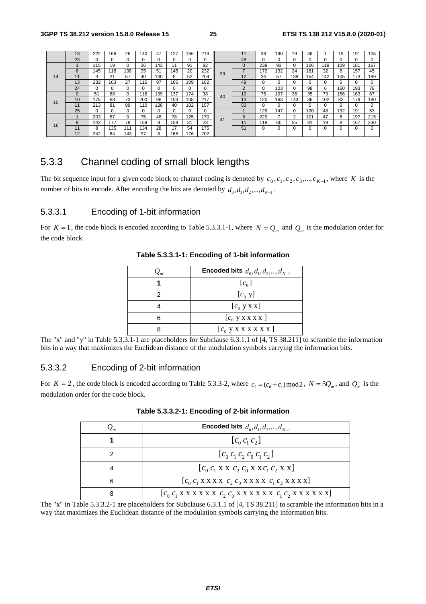|    | 13 | 222      | 166      | 26  | 140 | 47       | 127      | 186 | 219      |    | 11              | 38       | 190 | 19       | 46  |     | 19  | 191 | 105      |
|----|----|----------|----------|-----|-----|----------|----------|-----|----------|----|-----------------|----------|-----|----------|-----|-----|-----|-----|----------|
|    | 23 |          | $\Omega$ | 0   | 0   | $\Omega$ | $\Omega$ |     | 0        |    | 48              | 0        | 0   |          |     |     |     |     | 0        |
|    |    | 115      | 19       | 0   | 36  | 143      | 11       | 91  | 82       |    | $\mathbf 0$     | 239      | 93  | $\Omega$ | 106 | 119 | 109 | 181 | 167      |
|    | 6  | 145      | 118      | 138 | 95  | 51       | 145      | 20  | 232      | 39 |                 | 172      | 132 | 24       | 181 | 32  | 6   | 157 | 45       |
| 14 | 11 | 3        | 21       | 57  | 40  | 130      | 8        | 52  | 204      |    | 12              | 34       | 57  | 138      | 154 | 142 | 105 | 173 | 189      |
|    | 13 | 232      | 163      | 27  | 116 | 97       | 166      | 109 | 162      |    | 49              | $\Omega$ | 0   |          |     |     |     |     | $\Omega$ |
|    | 24 |          | 0        | 0   |     | $\Omega$ |          |     | $\Omega$ |    | $\Omega$        | $\Omega$ | 103 |          | 98  | 6   | 160 | 193 | 78       |
|    |    | 51       | 68       | 0   | 116 | 139      | 137      | 74  | 38       | 40 | 10 <sup>°</sup> | 75       | 107 | 36       | 35  | 73  | 156 | 163 | 67       |
| 15 | 10 | 175      | 63       | 73  | 200 | 96       | 103      | 108 | 217      |    | 13              | 120      | 163 | 143      | 36  | 102 | 82  | 179 | 180      |
|    | 11 | 213      | 81       | 99  | 110 | 128      | 40       | 102 | 157      | Ш  | 50              | 0        | 0   |          |     | 0   |     |     | $\Omega$ |
|    | 25 | $\Omega$ | $\Omega$ | 0   | 0   | 0        | $\Omega$ |     | $\Omega$ |    |                 | 129      | 147 |          | 120 | 48  | 132 | 191 | 53       |
|    |    | 203      | 87       | 0   | 75  | 48       | 78       | 125 | 170      | 41 | 5               | 229      |     | 2        | 101 | 47  | 6   | 197 | 215      |
| 16 | 9  | 142      | 177      | 79  | 158 | 9        | 158      | 31  | 23       |    | 11              | 118      | 60  | 55       | 81  | 19  | 8   | 167 | 230      |
|    | 11 | 8        | 135      | 111 | 134 | 28       | 17       | 54  | 175      |    | 51              | $\Omega$ | 0   |          |     |     |     |     | $\Omega$ |
|    | 12 | 242      | 64       | 143 | 97  | 8        | 165      | 76  | 202      | Ш  |                 |          |     |          |     |     |     |     |          |

### 5.3.3 Channel coding of small block lengths

The bit sequence input for a given code block to channel coding is denoted by  $c_0$ ,  $c_1$ ,  $c_2$ ,  $c_3$ ,...,  $c_{K-1}$ , where *K* is the number of bits to encode. After encoding the bits are denoted by  $d_0, d_1, d_2, ..., d_{N-1}$ .

### 5.3.3.1 Encoding of 1-bit information

For  $K = 1$ , the code block is encoded according to Table 5.3.3.1-1, where  $N = Q_m$  and  $Q_m$  is the modulation order for the code block.

| $Q_{m}$ | <b>Encoded bits</b> $d_0, d_1, d_2, , d_{N-1}$ |
|---------|------------------------------------------------|
|         | $[c_0]$                                        |
| 2       | $[c_0 y]$                                      |
|         | $[c_0 y x x]$                                  |
| հ       | $[c_0$ y x x x x $]$                           |
|         | $[c_0 y x x x x x x]$                          |

### **Table 5.3.3.1-1: Encoding of 1-bit information**

The "x" and "y" in Table 5.3.3.1-1 are placeholders for Subclause 6.3.1.1 of [4, TS 38.211] to scramble the information bits in a way that maximizes the Euclidean distance of the modulation symbols carrying the information bits.

### 5.3.3.2 Encoding of 2-bit information

For  $K = 2$ , the code block is encoded according to Table 5.3.3-2, where  $c_2 = (c_0 + c_1) \mod 2$ ,  $N = 3Q_m$ , and  $Q_m$  is the modulation order for the code block.

|   | <b>Encoded bits</b> $d_0, d_1, d_2, , d_{N-1}$ |
|---|------------------------------------------------|
|   | $[c_0 c_1 c_2]$                                |
|   | $[c_0 c_1 c_2 c_0 c_1 c_2]$                    |
|   | $[c_0 c_1 X X C_2 c_0 X X C_1 c_2 X X]$        |
| 6 |                                                |
| 8 |                                                |

### **Table 5.3.3.2-1: Encoding of 2-bit information**

The "x" in Table 5.3.3.2-1 are placeholders for Subclause 6.3.1.1 of [4, TS 38.211] to scramble the information bits in a way that maximizes the Euclidean distance of the modulation symbols carrying the information bits.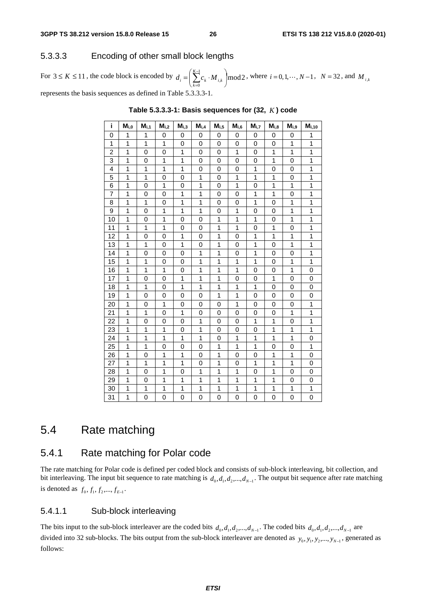### 5.3.3.3 Encoding of other small block lengths

For  $3 \leq K \leq 11$ , the code block is encoded by  $d_i = \left(\sum_{k=1}^{K-1} c_k \cdot M_{ik}\right) \mod 2$  $= \left( \sum_{k=0}^{K-1} c_k \cdot M_{i,k} \right)$  $\overline{a}$ represents the basis sequences as defined in Table 5.3.3.3-1. = *K*  $d_i = \left(\sum_{k=0}^{n} c_k \cdot M_{i,k}\right) \text{mod} 2$ , where  $i = 0, 1, \dots, N-1$ ,  $N = 32$ , and  $M_{i,k}$ <br>ble 5.3.3.3-1.

| i              | $\mathsf{M}_{\mathsf{i},\mathsf{0}}$ | $\mathsf{M}_{\mathsf{i},\mathsf{1}}$ | $M_{i,2}$ | $M_{i,3}$      | $\mathsf{M}_{\mathsf{i},4}$ | $M_{i,5}$ | $M_{i,6}$      | $M_{i,7}$      | $M_{i,8}$ | $M_{i,9}$    | $\mathsf{M}_{\mathsf{i},\mathsf{1}\mathsf{0}}$ |
|----------------|--------------------------------------|--------------------------------------|-----------|----------------|-----------------------------|-----------|----------------|----------------|-----------|--------------|------------------------------------------------|
| 0              | 1                                    | 1                                    | 0         | 0              | 0                           | 0         | 0              | 0              | 0         | 0            | 1                                              |
| 1              | 1                                    | 1                                    | 1         | 0              | 0                           | 0         | 0              | 0              | 0         | 1            | 1                                              |
| $\overline{2}$ | 1                                    | 0                                    | 0         | 1              | 0                           | 0         | 1              | 0              | 1         | 1            | 1                                              |
| 3              | 1                                    | 0                                    | 1         | 1              | 0                           | 0         | 0              | 0              | 1         | 0            | 1                                              |
| 4              | 1                                    | 1                                    | 1         | 1              | 0                           | 0         | 0              | 1              | 0         | 0            | $\mathbf 1$                                    |
| 5              | 1                                    | $\overline{1}$                       | 0         | $\overline{0}$ | 1                           | 0         | $\mathbf{1}$   | 1              | 1         | 0            | $\overline{1}$                                 |
| 6              | 1                                    | 0                                    | 1         | 0              | 1                           | 0         | 1              | 0              | 1         | 1            | 1                                              |
| $\overline{7}$ | 1                                    | 0                                    | 0         | 1              | 1                           | 0         | 0              | 1              | 1         | 0            | 1                                              |
| 8              | 1                                    | 1                                    | 0         | 1              | 1                           | 0         | 0              | 1              | 0         | 1            | 1                                              |
| 9              | 1                                    | 0                                    | 1         | $\mathbf{1}$   | $\mathbf{1}$                | 0         | 1              | 0              | 0         | $\mathbf{1}$ | $\mathbf{1}$                                   |
| 10             | 1                                    | 0                                    | 1         | 0              | 0                           | 1         | 1              | 1              | 0         | 1            | 1                                              |
| 11             | 1                                    | 1                                    | 1         | 0              | 0                           | 1         | 1              | 0              | 1         | 0            | 1                                              |
| 12             | 1                                    | 0                                    | $\Omega$  | 1              | 0                           | 1         | $\overline{0}$ | 1              | 1         | 1            | 1                                              |
| 13             | 1                                    | 1                                    | 0         | $\mathbf{1}$   | 0                           | 1         | 0              | 1              | 0         | 1            | $\mathbf{1}$                                   |
| 14             | 1                                    | 0                                    | 0         | 0              | 1                           | 1         | 0              | 1              | 0         | 0            | 1                                              |
| 15             | 1                                    | 1                                    | 0         | 0              | 1                           | 1         | 1              | 1              | 0         | 1            | 1                                              |
| 16             | 1                                    | 1                                    | 1         | 0              | 1                           | 1         | 1              | 0              | 0         | 1            | 0                                              |
| 17             | 1                                    | 0                                    | 0         | 1              | $\mathbf{1}$                | 1         | 0              | 0              | 1         | 0            | 0                                              |
| 18             | 1                                    | 1                                    | 0         | 1              | 1                           | 1         | 1              | 1              | 0         | 0            | 0                                              |
| 19             | 1                                    | 0                                    | 0         | 0              | 0                           | 1         | 1              | 0              | 0         | 0            | 0                                              |
| 20             | 1                                    | 0                                    | 1         | 0              | 0                           | 0         | 1              | 0              | 0         | 0            | $\mathbf{1}$                                   |
| 21             | 1                                    | 1                                    | 0         | 1              | 0                           | 0         | 0              | 0              | 0         | 1            | 1                                              |
| 22             | 1                                    | 0                                    | 0         | 0              | 1                           | 0         | 0              | 1              | 1         | 0            | 1                                              |
| 23             | 1                                    | 1                                    | 1         | 0              | 1                           | $\Omega$  | 0              | 0              | 1         | 1            | 1                                              |
| 24             | 1                                    | 1                                    | 1         | 1              | 1                           | 0         | 1              | 1              | 1         | 1            | 0                                              |
| 25             | 1                                    | 1                                    | 0         | 0              | 0                           | 1         | 1              | 1              | 0         | 0            | 1                                              |
| 26             | 1                                    | 0                                    | 1         | 1              | 0                           | 1         | 0              | 0              | 1         | 1            | 0                                              |
| 27             | 1                                    | 1                                    | 1         | 1              | 0                           | 1         | 0              | 1              | 1         | 1            | 0                                              |
| 28             | 1                                    | 0                                    | 1         | 0              | 1                           | 1         | 1              | 0              | 1         | 0            | 0                                              |
| 29             | 1                                    | 0                                    | 1         | 1              | 1                           | 1         | 1              | 1              | 1         | 0            | 0                                              |
| 30             | 1                                    | 1                                    | 1         | 1              | 1                           | 1         | 1              | 1              | 1         | 1            | 1                                              |
| 31             | 1                                    | $\overline{0}$                       | $\Omega$  | $\overline{0}$ | 0                           | 0         | $\overline{0}$ | $\overline{0}$ | $\Omega$  | 0            | $\overline{0}$                                 |

**Table 5.3.3.3-1: Basis sequences for (32,** *K* **) code** 

## 5.4 Rate matching

### 5.4.1 Rate matching for Polar code

The rate matching for Polar code is defined per coded block and consists of sub-block interleaving, bit collection, and bit interleaving. The input bit sequence to rate matching is  $d_0, d_1, d_2, ..., d_{N-1}$ . The output bit sequence after rate matching is denoted as  $f_0, f_1, f_2, ..., f_{E-1}$ .

### 5.4.1.1 Sub-block interleaving

The bits input to the sub-block interleaver are the coded bits  $d_0, d_1, d_2, ..., d_{N-1}$ . The coded bits  $d_0, d_1, d_2, ..., d_{N-1}$  are divided into 32 sub-blocks. The bits output from the sub-block interleaver are denoted as  $y_0, y_1, y_2, ..., y_{N-1}$ , generated as follows: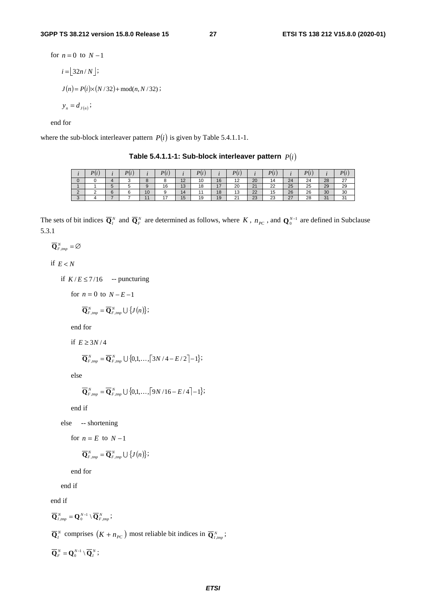for  $n = 0$  to  $N - 1$  $i = | 32n/N |;$  $J(n) = P(i) \times (N/32) + \text{mod}(n, N/32)$ ;  $y_n = d_{J(n)};$ 

end for

where the sub-block interleaver pattern  $P(i)$  is given by Table 5.4.1.1-1.

|  |            | $\mathbf{r}$ |                | DI                       |                                |                      |                      |                                |                |                      |               |    |               |                      |
|--|------------|--------------|----------------|--------------------------|--------------------------------|----------------------|----------------------|--------------------------------|----------------|----------------------|---------------|----|---------------|----------------------|
|  |            |              |                |                          | 10<br>$\overline{\phantom{a}}$ | $\overline{A}$<br>ιu | AC<br>10             | 12<br>$\overline{\phantom{a}}$ | 20             | 14                   | 24            | 24 | 28            | $\sim$<br><u> 41</u> |
|  |            |              |                | 16                       | 13                             | 18                   | $\rightarrow$<br>. . | 20                             | 21             | $\sim$<br><u>__</u>  | 25            | 25 | 29            | 29                   |
|  | $\epsilon$ | $\sim$       | 10             |                          | 14                             |                      | 40<br>10             | 12<br>د١                       | $\Omega$<br>22 | $\overline{ }$<br>15 | 26            | 26 | 30            | 30                   |
|  |            |              | $\overline{A}$ | $\overline{\phantom{a}}$ | 15                             | 19                   | 19                   | $\sim$<br>. I                  | 23             | $\sim$<br>دے         | $\sim$<br>ا ک | 28 | $\Omega$<br>ັ | $\sim$               |

Table 5.4.1.1-1: Sub-block interleaver pattern  $P(i)$ 

The sets of bit indices  $\overline{Q}^N$  and  $\overline{Q}^N$  are determined as follows, where *K*,  $n_{PC}$ , and  $Q_0^{N-1}$  are defined in Subclause 5.3.1

 $\overline{\mathbf{Q}}_{F, \text{tmp}}^{N} = \emptyset$ 

if  $E < N$ 

if  $K/E \le 7/16$  -- puncturing

for  $n = 0$  to  $N - E - 1$ 

 ${\bf \overline{Q}}_{F,\,tmp}^{N} = {\bf \overline{Q}}_{F,\,tmp}^{N} \bigcup \{J(n)\};$ 

end for

if  $E \geq 3N/4$ 

$$
\overline{\mathbf{Q}}_{F,tmp}^{N} = \overline{\mathbf{Q}}_{F,tmp}^{N} \cup \{0,1,\ldots,\lceil 3N/4 - E/2 \rceil - 1\};
$$

else

$$
\overline{\mathbf{Q}}_{F,tmp}^{N} = \overline{\mathbf{Q}}_{F,tmp}^{N} \cup \{0,1,\ldots,\left\lceil 9N/16 - E/4 \right\rceil - 1\};
$$

end if

else -- shortening

for  $n = E$  to  $N - 1$ 

$$
\overline{\mathbf{Q}}_{F, \text{tmp}}^{N} = \overline{\mathbf{Q}}_{F, \text{tmp}}^{N} \cup \{J(n)\};
$$

end for

end if

end if

$$
\overline{\mathbf{Q}}_{I,tmp}^{N} = \mathbf{Q}_{0}^{N-1} \setminus \overline{\mathbf{Q}}_{F,tmp}^{N};
$$

 $\overline{\mathbf{Q}}_I^N$  comprises  $(K + n_{PC})$  most reliable bit indices in  $\overline{\mathbf{Q}}_{I,imp}^N$ ;

 $\overline{\mathbf{Q}}_F^N = \mathbf{Q}_0^{N-1} \setminus \overline{\mathbf{Q}}_I^N$ ;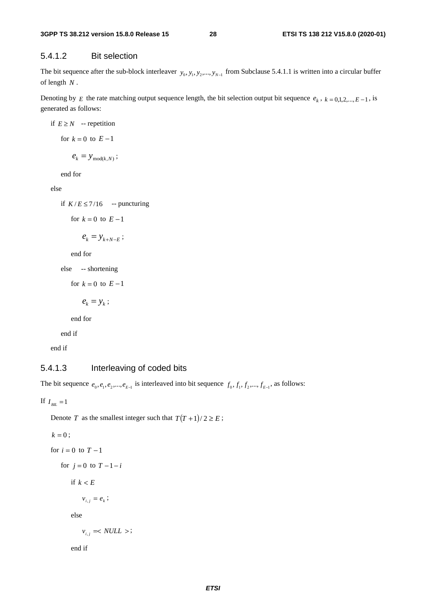### 5.4.1.2 Bit selection

The bit sequence after the sub-block interleaver  $y_0, y_1, y_2, ..., y_{N-1}$  from Subclause 5.4.1.1 is written into a circular buffer of length *N* .

Denoting by *E* the rate matching output sequence length, the bit selection output bit sequence  $e_k$ ,  $k = 0,1,2,...,E-1$ , is generated as follows:

if 
$$
E \ge N
$$
 -- repetition  
for  $k = 0$  to  $E - 1$   
 $e_k = y_{\text{mod}(k,N)}$ ;  
end for

else

if  $K/E \le 7/16$  -- puncturing

for 
$$
k = 0
$$
 to  $E-1$ 

$$
e_k = y_{k+N-E} ;
$$

end for

```
else -- shortening
```
for  $k = 0$  to  $E-1$ 

 $e_k = y_k$ ;

end for

end if

end if

### 5.4.1.3 Interleaving of coded bits

The bit sequence  $e_0, e_1, e_2, \dots, e_{E-1}$  is interleaved into bit sequence  $f_0, f_1, f_2, \dots, f_{E-1}$ , as follows:

If  $I_{BL} = 1$ 

Denote *T* as the smallest integer such that  $T(T+1)/2 \geq E$ ;

```
k = 0;for i = 0 to T-1for j = 0 to T - 1 - iif k < Ev_{i,i} = e_k;else 
v_{ij} =< NULL >;
```
end if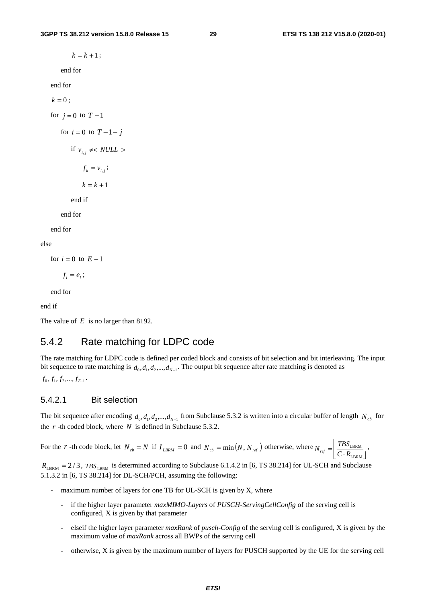$k = k + 1$ ; end for end for  $k = 0$  ; for  $j = 0$  to  $T - 1$ for  $i = 0$  to  $T - 1 - j$ if  $v_{i,i} \neq NULL$  $f_k = v_{i,i}$ ;  $k = k + 1$ end if end for

end for

### else

for  $i = 0$  to  $E - 1$ 

 $f_i = e_i;$ 

end for

end if

The value of *E* is no larger than 8192.

### 5.4.2 Rate matching for LDPC code

The rate matching for LDPC code is defined per coded block and consists of bit selection and bit interleaving. The input bit sequence to rate matching is  $d_0, d_1, d_2, ..., d_{N-1}$ . The output bit sequence after rate matching is denoted as

 $f_0, f_1, f_2, \ldots, f_{E-1}$ .

### 5.4.2.1 Bit selection

The bit sequence after encoding  $d_0, d_1, d_2, ..., d_{N-1}$  from Subclause 5.3.2 is written into a circular buffer of length  $N_{cb}$  for the *r* -th coded block, where *N* is defined in Subclause 5.3.2.

For the *r* -th code block, let  $N_{cb} = N$  if  $I_{LBRM} = 0$  and  $N_{cb} = \min(N, N_{ref})$  otherwise, where  $N_{ref} = \frac{I_{B3LBRM}}{C \cdot R_{LBRM}}$ LBRM  $N_{\text{ref}} = \left| \frac{TBS_{\text{LBRM}}}{C \cdot R_{\text{LRRM}}} \right|,$ 

 $R_{\text{LBRM}} = 2/3$ ,  $TBS_{\text{LBRM}}$  is determined according to Subclause 6.1.4.2 in [6, TS 38.214] for UL-SCH and Subclause 5.1.3.2 in [6, TS 38.214] for DL-SCH/PCH, assuming the following:

- maximum number of layers for one TB for UL-SCH is given by  $X$ , where
	- if the higher layer parameter *maxMIMO-Layers* of *PUSCH-ServingCellConfig* of the serving cell is configured, X is given by that parameter
	- elseif the higher layer parameter *maxRank* of *pusch-Config* of the serving cell is configured, X is given by the maximum value of *maxRank* across all BWPs of the serving cell
	- otherwise, X is given by the maximum number of layers for PUSCH supported by the UE for the serving cell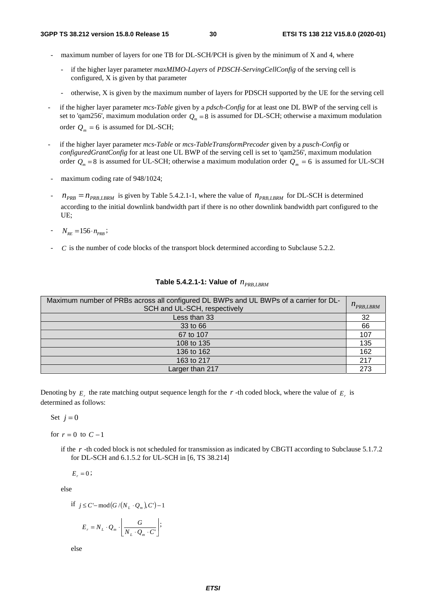- maximum number of layers for one TB for DL-SCH/PCH is given by the minimum of  $X$  and  $4$ , where
	- if the higher layer parameter *maxMIMO-Layers* of *PDSCH-ServingCellConfig* of the serving cell is configured, X is given by that parameter
	- otherwise, X is given by the maximum number of layers for PDSCH supported by the UE for the serving cell
- if the higher layer parameter *mcs-Table* given by a *pdsch-Config* for at least one DL BWP of the serving cell is set to 'qam256', maximum modulation order  $Q_m = 8$  is assumed for DL-SCH; otherwise a maximum modulation order  $Q_m = 6$  is assumed for DL-SCH;
- if the higher layer parameter *mcs-Table* or *mcs-TableTransformPrecoder* given by a *pusch-Config* or *configuredGrantConfig* for at least one UL BWP of the serving cell is set to 'qam256', maximum modulation order  $Q_m = 8$  is assumed for UL-SCH; otherwise a maximum modulation order  $Q_m = 6$  is assumed for UL-SCH
- maximum coding rate of 948/1024;
- $n_{PRB} = n_{PRB, LBRM}$  is given by Table 5.4.2.1-1, where the value of  $n_{PRB, LBRM}$  for DL-SCH is determined according to the initial downlink bandwidth part if there is no other downlink bandwidth part configured to the UE;
- $N_{RF} = 156 \cdot n_{PRB}$
- *C* is the number of code blocks of the transport block determined according to Subclause 5.2.2.

| Maximum number of PRBs across all configured DL BWPs and UL BWPs of a carrier for DL-<br>SCH and UL-SCH, respectively |     |  |  |  |
|-----------------------------------------------------------------------------------------------------------------------|-----|--|--|--|
| Less than 33                                                                                                          | 32  |  |  |  |
| 33 to 66                                                                                                              | 66  |  |  |  |
| 67 to 107                                                                                                             | 107 |  |  |  |
| 108 to 135                                                                                                            | 135 |  |  |  |
| 136 to 162                                                                                                            | 162 |  |  |  |
| 163 to 217                                                                                                            | 217 |  |  |  |
| Larger than 217                                                                                                       | 273 |  |  |  |

|  |  |  |  |  | Table 5.4.2.1-1: Value of $n_{PRB, LBRM}$ |
|--|--|--|--|--|-------------------------------------------|
|--|--|--|--|--|-------------------------------------------|

Denoting by  $E_r$  the rate matching output sequence length for the *r* -th coded block, where the value of  $E_r$  is determined as follows:

Set  $j=0$ 

for  $r = 0$  to  $C - 1$ 

if the *r* -th coded block is not scheduled for transmission as indicated by CBGTI according to Subclause 5.1.7.2 for DL-SCH and 6.1.5.2 for UL-SCH in [6, TS 38.214]

$$
E_{r}=0\;;
$$

else

if 
$$
j \le C'
$$
-mod $(G/(N_L \cdot Q_m), C')$ -1  

$$
E_r = N_L \cdot Q_m \cdot \left( \frac{G}{N_L \cdot Q_m \cdot C'} \right);
$$

else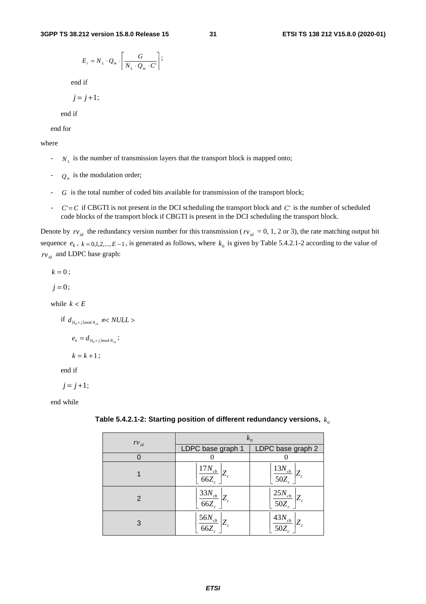$$
E_r = N_L \cdot Q_m \cdot \left[ \frac{G}{N_L \cdot Q_m \cdot C'} \right];
$$

end if

$$
j=j+1;
$$

end if

end for

### where

- $N_L$  is the number of transmission layers that the transport block is mapped onto;
- $Q_m$  is the modulation order;
- *G* is the total number of coded bits available for transmission of the transport block;
- $C = C$  if CBGTI is not present in the DCI scheduling the transport block and  $C'$  is the number of scheduled code blocks of the transport block if CBGTI is present in the DCI scheduling the transport block.

Denote by  $rv_{id}$  the redundancy version number for this transmission ( $rv_{id} = 0, 1, 2$  or 3), the rate matching output bit sequence  $e_k$ ,  $k = 0,1,2,...,E-1$ , is generated as follows, where  $k_0$  is given by Table 5.4.2.1-2 according to the value of  $rv_{id}$  and LDPC base graph:

 $k = 0$  :

 $j = 0$ ;

while  $k < E$ 

if  $d_{(k_0+j) \text{mod } N_{ck}} \neq NULL$ 

$$
e_{\scriptscriptstyle k}=d_{(\scriptscriptstyle k_0+j)\text{mod}\,N_{\scriptscriptstyle cb}}\,;
$$

$$
k = k + 1;
$$

end if

 $j = j + 1;$ 

end while

| $rv_{id}$ | $k_0$                                     |                                |  |  |  |  |
|-----------|-------------------------------------------|--------------------------------|--|--|--|--|
|           | LDPC base graph 1                         | LDPC base graph 2              |  |  |  |  |
|           |                                           |                                |  |  |  |  |
|           | $17N_{cb}$<br>$Z_c$<br>$\overline{66Z_c}$ | $13N_{cb}$<br>$50Z_c$          |  |  |  |  |
| 2         | $\frac{33N_{cb}}{66Z_c}\Bigg  Z_c$        | $25N_{cb}$<br>$Z_c$<br>$50Z_c$ |  |  |  |  |
| 3         | $56N_{cb}$<br>$ Z_c $<br>$\overline{66Z}$ | $43N_{cb}$<br>50Z              |  |  |  |  |

**Table 5.4.2.1-2: Starting position of different redundancy versions,**  $k_0$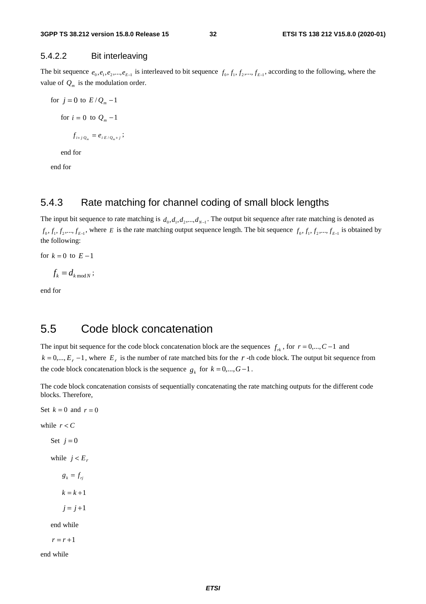### 5.4.2.2 Bit interleaving

The bit sequence  $e_0, e_1, e_2, \dots, e_{E-1}$  is interleaved to bit sequence  $f_0, f_1, f_2, \dots, f_{E-1}$ , according to the following, where the value of  $Q_m$  is the modulation order.

for  $j = 0$  to  $E/Q_m - 1$ for  $i = 0$  to  $Q_m - 1$  $f_{i+j \cdot Q_m} = e_{i \cdot E/Q_m + j}$ ; end for

end for

### 5.4.3 Rate matching for channel coding of small block lengths

The input bit sequence to rate matching is  $d_0, d_1, d_2, ..., d_{N-1}$ . The output bit sequence after rate matching is denoted as  $f_0, f_1, f_2, \ldots, f_{E-1}$ , where *E* is the rate matching output sequence length. The bit sequence  $f_0, f_1, f_2, \ldots, f_{E-1}$  is obtained by the following:

for  $k = 0$  to  $E - 1$ 

$$
f_k = d_{k \bmod N};
$$

end for

## 5.5 Code block concatenation

The input bit sequence for the code block concatenation block are the sequences  $f_{rk}$ , for  $r = 0, ..., C-1$  and  $k = 0,..., E_r - 1$ , where  $E_r$  is the number of rate matched bits for the r -th code block. The output bit sequence from the code block concatenation block is the sequence  $g_k$  for  $k = 0,...,G-1$ .

The code block concatenation consists of sequentially concatenating the rate matching outputs for the different code blocks. Therefore,

Set  $k = 0$  and  $r = 0$ while  $r < C$ Set  $j = 0$ while  $j < E_r$  $g_k = f_{ri}$  $k = k + 1$  $j = j + 1$ end while  $r = r + 1$ end while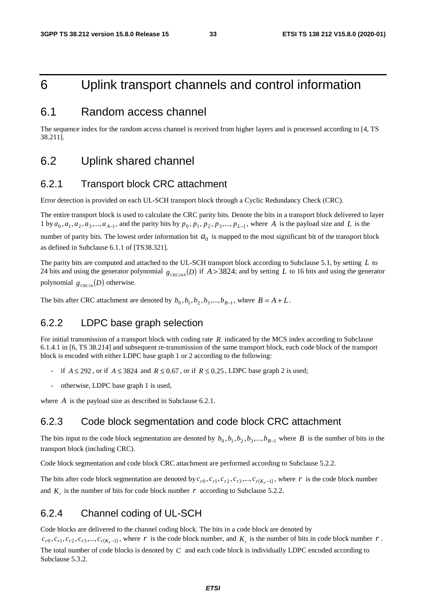## 6 Uplink transport channels and control information

### 6.1 Random access channel

The sequence index for the random access channel is received from higher layers and is processed according to [4, TS 38.211].

### 6.2 Uplink shared channel

### 6.2.1 Transport block CRC attachment

Error detection is provided on each UL-SCH transport block through a Cyclic Redundancy Check (CRC).

The entire transport block is used to calculate the CRC parity bits. Denote the bits in a transport block delivered to layer 1 by  $a_0, a_1, a_2, a_3, \ldots, a_{A-1}$ , and the parity bits by  $p_0, p_1, p_2, p_3, \ldots, p_{L-1}$ , where *A* is the payload size and *L* is the number of parity bits. The lowest order information bit  $a_0$  is mapped to the most significant bit of the transport block as defined in Subclause 6.1.1 of [TS38.321].

The parity bits are computed and attached to the UL-SCH transport block according to Subclause 5.1, by setting *L* to 24 bits and using the generator polynomial  $g_{CRC24A}(D)$  if  $A > 3824$ ; and by setting *L* to 16 bits and using the generator polynomial  $g_{\text{CRC16}}(D)$  otherwise.

The bits after CRC attachment are denoted by  $b_0$ ,  $b_1$ ,  $b_2$ ,  $b_3$ ,...,  $b_{B-1}$ , where  $B = A + L$ .

### 6.2.2 LDPC base graph selection

For initial transmission of a transport block with coding rate *R* indicated by the MCS index according to Subclause 6.1.4.1 in [6, TS 38.214] and subsequent re-transmission of the same transport block, each code block of the transport block is encoded with either LDPC base graph 1 or 2 according to the following:

- if  $A \le 292$ , or if  $A \le 3824$  and  $R \le 0.67$ , or if  $R \le 0.25$ , LDPC base graph 2 is used;
- otherwise, LDPC base graph 1 is used,

where *A* is the payload size as described in Subclause 6.2.1.

### 6.2.3 Code block segmentation and code block CRC attachment

The bits input to the code block segmentation are denoted by  $b_0, b_1, b_2, b_3, ..., b_{B-1}$  where *B* is the number of bits in the transport block (including CRC).

Code block segmentation and code block CRC attachment are performed according to Subclause 5.2.2.

The bits after code block segmentation are denoted by  $c_{r0}, c_{r1}, c_{r2}, c_{r3},..., c_{r(K_r-1)}$ , where *r* is the code block number and  $K<sub>r</sub>$  is the number of bits for code block number  $r$  according to Subclause 5.2.2.

### 6.2.4 Channel coding of UL-SCH

Code blocks are delivered to the channel coding block. The bits in a code block are denoted by

 $c_{r0}, c_{r1}, c_{r2}, c_{r3},..., c_{r(K_r-1)}$ , where *r* is the code block number, and  $K_r$  is the number of bits in code block number *r*. The total number of code blocks is denoted by *C* and each code block is individually LDPC encoded according to Subclause 5.3.2.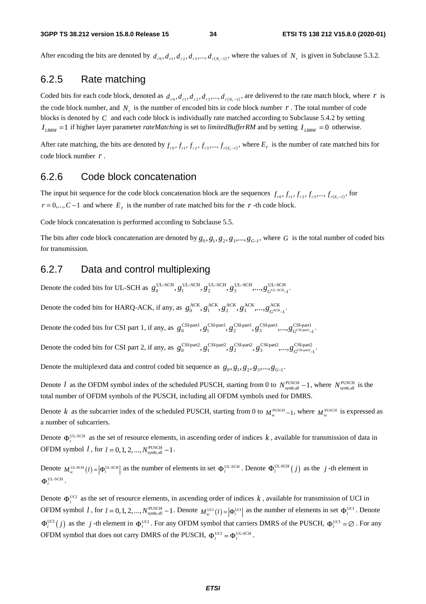After encoding the bits are denoted by  $d_{r0}, d_{r1}, d_{r2}, d_{r3},..., d_{r(N-1)}$ , where the values of  $N_r$  is given in Subclause 5.3.2.

### 6.2.5 Rate matching

Coded bits for each code block, denoted as  $d_{r0}, d_{r1}, d_{r2}, d_{r3},..., d_{r(N-1)}$ , are delivered to the rate match block, where *r* is the code block number, and  $N<sub>r</sub>$  is the number of encoded bits in code block number  $r$ . The total number of code blocks is denoted by *C* and each code block is individually rate matched according to Subclause 5.4.2 by setting  $I_{LBRM}$  =1 if higher layer parameter *rateMatching* is set to *limitedBufferRM* and by setting  $I_{LBRM}$  =0 otherwise.

After rate matching, the bits are denoted by  $f_{r0}, f_{r1}, f_{r2}, f_{r3},..., f_{r(E-1)}$ , where  $E_r$  is the number of rate matched bits for code block number *r* .

### 6.2.6 Code block concatenation

The input bit sequence for the code block concatenation block are the sequences  $f_{r0}, f_{r1}, f_{r2}, f_{r3},..., f_{r(E,-1)}$ , for  $r = 0,..., C-1$  and where  $E_r$  is the number of rate matched bits for the  $r$ -th code block.

Code block concatenation is performed according to Subclause 5.5.

The bits after code block concatenation are denoted by  $g_0, g_1, g_2, g_3, \ldots, g_{G-1}$ , where *G* is the total number of coded bits for transmission.

### 6.2.7 Data and control multiplexing

Denote the coded bits for UL-SCH as  $g_0^{\text{UL-SCH}}, g_1^{\text{UL-SCH}}, g_2^{\text{UL-SCH}}, g_3^{\text{UL-SCH}}, \ldots, g_G^{\text{UL-SCH}}$ UL-SCH  $, g_1^{\text{UL-SCH}}, g_2^{\text{UL-SCH}}, g_3^{\text{UL-SCH}},..., g_{G^{\text{UL-SCH}}}^{\text{UL-SCH}}$ −  $g_0^{\text{UL-SCH}}, g_1^{\text{UL-SCH}}, g_2^{\text{UL-SCH}}, g_3^{\text{UL-SCH}},..., g_{G^{\text{UL-SCH}}-1}^{\text{UL-SCH}}.$ 

Denote the coded bits for HARQ-ACK, if any, as  $g_0^{ACK}$ ,  $g_1^{ACK}$ ,  $g_2^{ACK}$ ,  $g_3^{ACK}$ ,  $g_3^{ACK}$ ,  $g_4^{ACK}$  $g_0^{\text{ACK}}, g_1^{\text{ACK}}, g_2^{\text{ACK}}, g_3^{\text{ACK}}, ..., g_{G^{\text{ACK}}-1}^{\text{ACK}}.$ 

Denote the coded bits for CSI part 1, if any, as  $g_0^{\text{CSI-part1}}, g_1^{\text{CSI-part1}}, g_2^{\text{CSI-part1}}, g_3^{\text{CSI-part1}},..., g_G^{\text{CSI-part1}}$  $g_0^{\text{CSI-part1}}, g_1^{\text{CSI-part1}}, g_2^{\text{CSI-part1}}, g_3^{\text{CSI-part1}},..., g_{G^{\text{CSI-part1}}-1}^{\text{CSI-part1}}$ 

Denote the coded bits for CSI part 2, if any, as  $g_0^{\text{CSI-part2}}$ ,  $g_1^{\text{CSI-part2}}$ ,  $g_2^{\text{CSI-part2}}$ ,  $g_3^{\text{CSI-part2}}$ ,  $\ldots, g_G^{\text{CSI-part2}}$  $g_0^{\text{CSI-part2}}, g_1^{\text{CSI-part2}}, g_2^{\text{CSI-part2}}, g_3^{\text{CSI-part2}},..., g_{G^{\text{CSI-part2}}-1}^{\text{CSI-part2}}.$ 

Denote the multiplexed data and control coded bit sequence as  $g_0, g_1, g_2, g_3, ..., g_{G-1}$ .

Denote *l* as the OFDM symbol index of the scheduled PUSCH, starting from 0 to  $N_{\text{symbol,all}}^{\text{PUSCH}}-1$ , where  $N_{\text{symbol,all}}^{\text{PUSCH}}$  is the total number of OFDM symbols of the PUSCH, including all OFDM symbols used for DMRS.

Denote *k* as the subcarrier index of the scheduled PUSCH, starting from 0 to  $M_{\text{eq}}^{\text{PUSCH}} - 1$ , where  $M_{\text{eq}}^{\text{PUSCH}}$  is expressed as a number of subcarriers.

Denote  $\Phi_l^{\text{UL-SCH}}$  as the set of resource elements, in ascending order of indices k, available for transmission of data in OFDM symbol  $l$ , for  $l = 0, 1, 2, ..., N_{\text{symbol,all}}^{\text{PUSCH}} - 1$ .

Denote  $M_{\text{sc}}^{\text{UL-SCH}}(l) = |\Phi_l^{\text{UL-SCH}}|$  as the number of elements in set  $\Phi_l^{\text{UL-SCH}}$ . Denote  $\Phi_l^{\text{UL-SCH}}(j)$  as the *j*-th element in  $\Phi_l^{\text{UL-SCH}}$ .

Denote  $\Phi_l^{\text{UCI}}$  as the set of resource elements, in ascending order of indices k, available for transmission of UCI in OFDM symbol *l*, for  $l = 0, 1, 2, ..., N_{\text{symbol all}}^{\text{PUSCH}} - 1$ . Denote  $M_{\text{sc}}^{\text{UCI}}(l) = |\Phi_l^{\text{UCI}}|$  as the number of elements in set  $\Phi_l^{\text{UCI}}$ . Denote  $\Phi_l^{\text{UCI}}(j)$  as the *j*-th element in  $\Phi_l^{\text{UCI}}$ . For any OFDM symbol that carriers DMRS of the PUSCH,  $\Phi_l^{\text{UCI}} = \emptyset$ . For any OFDM symbol that does not carry DMRS of the PUSCH,  $\Phi_l^{\text{UCI}} = \Phi_l^{\text{UL-SCH}}$ .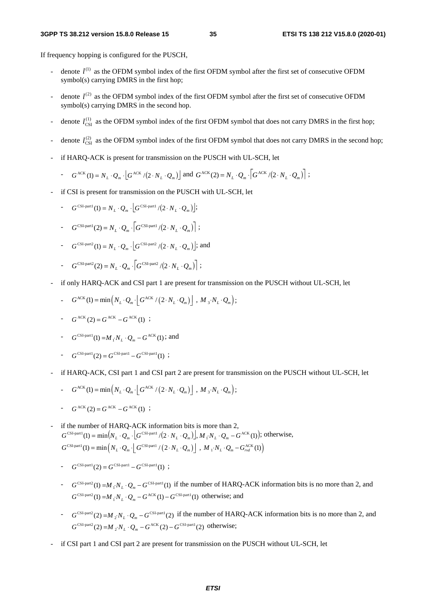If frequency hopping is configured for the PUSCH,

- denote  $l^{(1)}$  as the OFDM symbol index of the first OFDM symbol after the first set of consecutive OFDM symbol(s) carrying DMRS in the first hop;
- denote  $l^{(2)}$  as the OFDM symbol index of the first OFDM symbol after the first set of consecutive OFDM symbol(s) carrying DMRS in the second hop.
- denote  $l_{\text{CSI}}^{(1)}$  as the OFDM symbol index of the first OFDM symbol that does not carry DMRS in the first hop;
- denote  $l_{\text{CSI}}^{(2)}$  as the OFDM symbol index of the first OFDM symbol that does not carry DMRS in the second hop;
- if HARQ-ACK is present for transmission on the PUSCH with UL-SCH, let

$$
- G^{\text{ACK}}(1) = N_L \cdot Q_m \cdot \left[ G^{\text{ACK}} / (2 \cdot N_L \cdot Q_m) \right] \text{ and } G^{\text{ACK}}(2) = N_L \cdot Q_m \cdot \left[ G^{\text{ACK}} / (2 \cdot N_L \cdot Q_m) \right];
$$

- if CSI is present for transmission on the PUSCH with UL-SCH, let
	- $-G^{\text{CSI-part1}}(1) = N_L \cdot Q_m \cdot \left| G^{\text{CSI-part1}} / (2 \cdot N_L \cdot Q_m) \right|;$
	- $-G^{\text{CSL-part1}}(2) = N_r \cdot Q_r \cdot \left[ G^{\text{CSL-part1}} / (2 \cdot N_r \cdot Q_r) \right]$ ;
	- $-G^{\text{CSI-part2}}(1) = N_{I} \cdot Q_{m} \cdot |G^{\text{CSI-part2}}/(2 \cdot N_{I} \cdot Q_{m})|$ ; and
	- $-G^{\text{CSL-part2}}(2) = N_r \cdot Q_r \cdot \left[ G^{\text{CSL-part2}} / (2 \cdot N_r \cdot Q_r) \right]$ ;
- if only HARQ-ACK and CSI part 1 are present for transmission on the PUSCH without UL-SCH, let
	- $-G^{ACK}(1) = min(N_L \cdot Q_m \cdot \left[ G^{ACK} / (2 \cdot N_L \cdot Q_m) \right], M_{3} \cdot N_L \cdot Q_m);$
	- $G^{ACK}(2) = G^{ACK} G^{ACK}(1)$ ;
	- $-G^{\text{CSI-part1}}(1) = M_i N_L \cdot Q_m G^{\text{ACK}}(1)$ ; and
	- $-C^{CSI-part1}(2) = G^{CSI-part1} G^{CSI-part1}$  ;
- if HARQ-ACK, CSI part 1 and CSI part 2 are present for transmission on the PUSCH without UL-SCH, let
	- $-G^{ACK}(1) = min(N_L \cdot Q_m \cdot \left[ G^{ACK} / (2 \cdot N_L \cdot Q_m) \right], M_{3} \cdot N_L \cdot Q_m);$
	- $-G^{ACK}(2) = G^{ACK} G^{ACK}$  (1) ;
- if the number of HARQ-ACK information bits is more than 2,  $G^{\text{CSI-part1}}(1) = \min(N_L \cdot Q_m \cdot \left[ G^{\text{CSI-part1}} / (2 \cdot N_L \cdot Q_m) \right], M_i N_L \cdot Q_m - G^{\text{ACK}}(1)); \text{ otherwise,}$  $G^{\text{CSL-part1}}(1) = \min \left( N_L \cdot Q_m \cdot \left[ G^{\text{CSL-part1}} / \left( 2 \cdot N_L \cdot Q_m \right) \right] , M_1 \cdot N_L \cdot Q_m - G_{\text{rad}}^{\text{ACK}}(1) \right)$ 
	- $-G^{\text{CSI-part1}}(2) = G^{\text{CSI-part1}} G^{\text{CSI-part1}}(1)$ ;
	- $-G^{CSI-part2}(1) = M_i N_L \cdot Q_m G^{CSI-part1}(1)$  if the number of HARQ-ACK information bits is no more than 2, and  $G^{\text{CSI-part2}}(1) = M_i N_L \cdot Q_m - G^{\text{ACK}}(1) - G^{\text{CSI-part1}}(1)$  otherwise; and
	- $-C^{CSI-part2}(2) = M_{2}N_{L} \cdot Q_{m} G^{CSI-part1}(2)$  if the number of HARQ-ACK information bits is no more than 2, and  $G^{\text{CSI-part2}}(2) = M_{2}N_{L} \cdot Q_{m} - G^{\text{ACK}}(2) - G^{\text{CSI-part1}}(2)$  otherwise;
- if CSI part 1 and CSI part 2 are present for transmission on the PUSCH without UL-SCH, let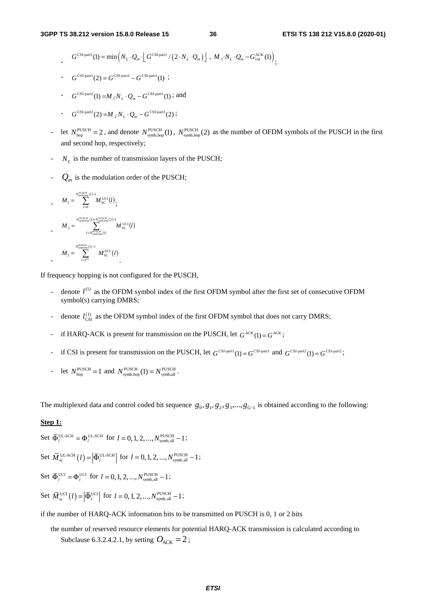$G^{\text{CSL-part1}}(1) = \min \left( N_L \cdot Q_m \cdot \left[ G^{\text{CSL-part1}} / \left( 2 \cdot N_L \cdot Q_m \right) \right] \right), M_1 \cdot N_L \cdot Q_m - G_{\text{rad}}^{\text{ACK}}(1) \right)$ 

$$
G^{\text{CSI-part1}}(2) = G^{\text{CSI-part1}} - G^{\text{CSI-part1}}(1) ;
$$

$$
- G^{\text{CSI-part2}}(1) = M_{i} N_{L} \cdot Q_{m} - G^{\text{CSI-part1}}(1)
$$
; and

$$
\qquad \qquad - \qquad G^{\text{CSI-part2}}(2) = M_{2} N_{L} \cdot Q_{m} - G^{\text{CSI-part1}}(2) \; ;
$$

- let  $N_{\text{hop}}^{\text{PUSCH}} = 2$ , and denote  $N_{\text{symbol,p}}^{\text{PUSCH}}(1)$ ,  $N_{\text{symbol,p}}^{\text{PUSCH}}(2)$  as the number of OFDM symbols of the PUSCH in the first and second hop, respectively;
- $N_L$  is the number of transmission layers of the PUSCH;
- $Q_m$  is the modulation order of the PUSCH;

$$
M_{1} = \sum_{l=0}^{N_{\text{symbol}}^{\text{PUSCH}}(l)-1} M_{\text{SC}}^{\text{UCI}}(l),
$$
  
\n
$$
M_{2} = \sum_{l=N_{\text{symbol}}^{\text{PUSCH}}(l)+N_{\text{symbol}}^{\text{PUSCH}}(2)-1}^{N_{\text{CUT}}(l)} M_{\text{SC}}^{\text{UCI}}(l)
$$
  
\n
$$
M_{3} = \sum_{l=l_{\text{symbol}}^{\text{PUSCH}}(l)}^{N_{\text{symbol}}^{\text{PUSCH}}(l)+N_{\text{symbol}}^{\text{PUSCH}}(l)} M_{\text{SC}}^{\text{UCI}}(l)
$$

If frequency hopping is not configured for the PUSCH,

- denote  $l^{(1)}$  as the OFDM symbol index of the first OFDM symbol after the first set of consecutive OFDM symbol(s) carrying DMRS;
- denote  $l_{\text{CSI}}^{(1)}$  as the OFDM symbol index of the first OFDM symbol that does not carry DMRS;
- if HARQ-ACK is present for transmission on the PUSCH, let  $G^{ACK}(1) = G^{ACK}$ ;
- if CSI is present for transmission on the PUSCH, let  $G^{\text{CSI-part1}}(1) = G^{\text{CSI-part2}}$  and  $G^{\text{CSI-part2}}(1) = G^{\text{CSI-part2}}$ ;

- let 
$$
N_{\text{hop}}^{\text{PUSCH}} = 1
$$
 and  $N_{\text{symbol, hop}}^{\text{PUSCH}}(1) = N_{\text{symbol,all}}^{\text{PUSCH}}$ .

The multiplexed data and control coded bit sequence  $g_0, g_1, g_2, g_3, \ldots, g_{G-1}$  is obtained according to the following:

#### **Step 1:**

Set 
$$
\overline{\Phi}_l^{\text{UL-SCH}} = \Phi_l^{\text{UL-SCH}}
$$
 for  $l = 0, 1, 2, ..., N_{\text{symbol,all}}^{\text{PUSCH}} - 1$ ;  
\nSet  $\overline{M}_{\text{sc}}^{\text{UL-SCH}}(l) = \left| \overline{\Phi}_l^{\text{UL-SCH}} \right|$  for  $l = 0, 1, 2, ..., N_{\text{symbol,all}}^{\text{PUSCH}} - 1$ ;  
\nSet  $\overline{\Phi}_l^{\text{UCI}} = \Phi_l^{\text{UCI}}$  for  $l = 0, 1, 2, ..., N_{\text{symbol,all}}^{\text{PUSCH}} - 1$ ;  
\nSet  $\overline{M}_{\text{sc}}^{\text{UCI}}(l) = \left| \overline{\Phi}_l^{\text{UCI}} \right|$  for  $l = 0, 1, 2, ..., N_{\text{symbol,all}}^{\text{PUSCH}} - 1$ ;

if the number of HARQ-ACK information bits to be transmitted on PUSCH is 0, 1 or 2 bits

the number of reserved resource elements for potential HARQ-ACK transmission is calculated according to Subclause 6.3.2.4.2.1, by setting  $O_{ACK} = 2$ ;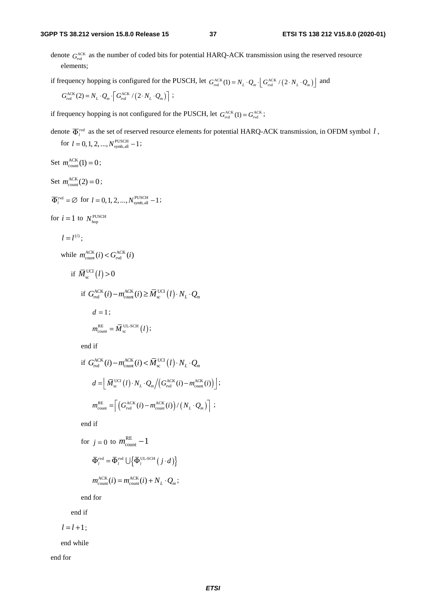denote  $G_{\text{rod}}^{\text{ACK}}$  as the number of coded bits for potential HARQ-ACK transmission using the reserved resource elements;

if frequency hopping is configured for the PUSCH, let  $G_{\text{rvd}}^{\text{ACK}}(1) = N_L \cdot Q_m \cdot \left[ G_{\text{rvd}}^{\text{ACK}} / (2 \cdot N_L \cdot Q_m) \right]$  and

$$
G_{\text{rvd}}^{\text{ACK}}(2) = N_L \cdot Q_m \cdot \left[ G_{\text{rvd}}^{\text{ACK}} / \left( 2 \cdot N_L \cdot Q_m \right) \right] ;
$$

if frequency hopping is not configured for the PUSCH, let  $G_{\text{rvd}}^{\text{ACK}}(1) = G_{\text{rvd}}^{\text{ACK}}$ ;

denote  $\overline{\Phi}_l^{\text{red}}$  as the set of reserved resource elements for potential HARQ-ACK transmission, in OFDM symbol *l*, for  $l = 0, 1, 2, ..., N^{\text{PUSCH}}_{\text{symbol, all}} - 1$ ;

Set  $m_{\text{count}}^{\text{ACK}}(1) = 0$ ; Set  $m_{\text{count}}^{\text{ACK}}(2) = 0$ ;  $\overline{\Phi}_l^{\text{rvd}} = \emptyset$  for  $l = 0, 1, 2, ..., N_{\text{symb, all}}^{\text{PUSCH}} - 1$ ; for  $i = 1$  to  $N_{\text{hop}}^{\text{PUSCH}}$  $l = l^{(i)}$ ; while  $m_{\text{count}}^{\text{ACK}}(i) < G_{\text{rvd}}^{\text{ACK}}(i)$ if  $\overline{M}_{\rm sc}^{\rm UCI}(l)$  > 0 if  $G_{\text{rvd}}^{\text{ACK}}(i) - m_{\text{count}}^{\text{ACK}}(i) \ge \overline{M}_{\text{sc}}^{\text{UCI}}(l) \cdot N_L \cdot Q_m$  $d = 1$ ;  $m_{\text{count}}^{\text{RE}} = \overline{M}_{\text{sc}}^{\text{UL-SCH}}(l);$ 

end if

$$
\begin{aligned} \text{if } G_{\text{rvd}}^{\text{ACK}}(i) - m_{\text{count}}^{\text{ACK}}(i) < \overline{M}_{\text{sc}}^{\text{UCI}}(l) \cdot N_L \cdot Q_m \\ d &= \left[ \overline{M}_{\text{sc}}^{\text{UCI}}(l) \cdot N_L \cdot Q_m / \left( G_{\text{rvd}}^{\text{ACK}}(i) - m_{\text{count}}^{\text{ACK}}(i) \right) \right]; \\ m_{\text{count}}^{\text{RE}} &= \left[ \left( G_{\text{rvd}}^{\text{ACK}}(i) - m_{\text{count}}^{\text{ACK}}(i) \right) / \left( N_L \cdot Q_m \right) \right]; \end{aligned}
$$

end if

for 
$$
j = 0
$$
 to  $m_{\text{count}}^{\text{RE}} - 1$   
\n
$$
\overline{\Phi}_{l}^{\text{red}} = \overline{\Phi}_{l}^{\text{red}} \cup \left\{ \overline{\Phi}_{l}^{\text{UL-SCH}}(j \cdot d) \right\}
$$
\n
$$
m_{\text{count}}^{\text{ACK}}(i) = m_{\text{count}}^{\text{ACK}}(i) + N_{L} \cdot Q_{m};
$$

end for

end if

 $l = l + 1;$ 

end while

end for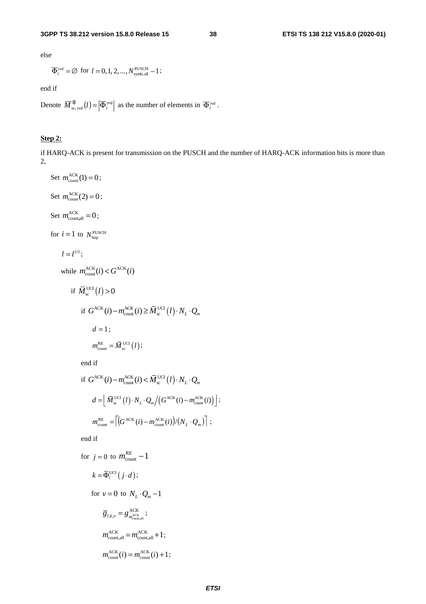else

$$
\overline{\Phi}_l^{\text{rvd}} = \emptyset
$$
 for  $l = 0, 1, 2, ..., N_{\text{symbol, all}}^{\text{PUSCH}} - 1$ ;

end if

Denote  $\overline{M}^{\overline{\Phi}}_{\text{sc,red}}(l) = \left| \overline{\Phi}_{l}^{\text{rvd}} \right|$  as the number of elements in  $\overline{\Phi}_{l}^{\text{rvd}}$ .

## **Step 2:**

if HARQ-ACK is present for transmission on the PUSCH and the number of HARQ-ACK information bits is more than 2,

Set 
$$
m_{\text{count}}^{\text{ACK}}(1) = 0
$$
;  
\nSet  $m_{\text{countall}}^{\text{ACK}} = 0$ ;  
\nSet  $m_{\text{countall}}^{\text{ACK}} = 0$ ;  
\nfor  $i = 1$  to  $N_{\text{hop}}^{\text{PUSCH}}$   
\n $l = l^{(i)}$ ;  
\nwhile  $m_{\text{count}}^{\text{ACK}}(i) < G^{\text{ACK}}(i)$   
\nif  $\overline{M}_{\text{sc}}^{\text{UCI}}(l) > 0$   
\nif  $G^{\text{ACK}}(i) - m_{\text{count}}^{\text{ACK}}(i) \geq \overline{M}_{\text{sc}}^{\text{UCI}}(l) \cdot N_L \cdot Q_m$   
\n $d = 1$ ;  
\n $m_{\text{count}}^{\text{RE}} = \overline{M}_{\text{sc}}^{\text{UCI}}(l)$ ;  
\nend if  
\nif  $G^{\text{ACK}}(i) - m_{\text{count}}^{\text{ACK}}(i) < \overline{M}_{\text{sc}}^{\text{UCI}}(l) \cdot N_L \cdot Q_m$   
\n $d = \left[ \overline{M}_{\text{sc}}^{\text{UCI}}(l) \cdot N_L \cdot Q_m / (G^{\text{ACK}}(i) - m_{\text{count}}^{\text{ACK}}(i)) \right]$ ;  
\n $m_{\text{count}}^{\text{RE}} = \left[ (G^{\text{ACK}}(i) - m_{\text{count}}^{\text{ACK}}(i)) / (N_L \cdot Q_m) \right]$ ;  
\nend if  
\nfor  $j = 0$  to  $m_{\text{count}}^{\text{RE}} - 1$   
\n $k = \overline{\Phi}_i^{\text{UCI}}(j \cdot d)$ ;  
\nfor  $v = 0$  to  $N_L \cdot Q_m - 1$   
\n $\overline{g}_{l,k,v} = g_{m_{\text{countall}}^{\text{ACK}}}^{\text{ACK}} + 1$ ;  
\n $m_{\text{count,all}}^{\text{ACK}} = m_{\text{countall}}^{\text{ACK}} + 1$ ;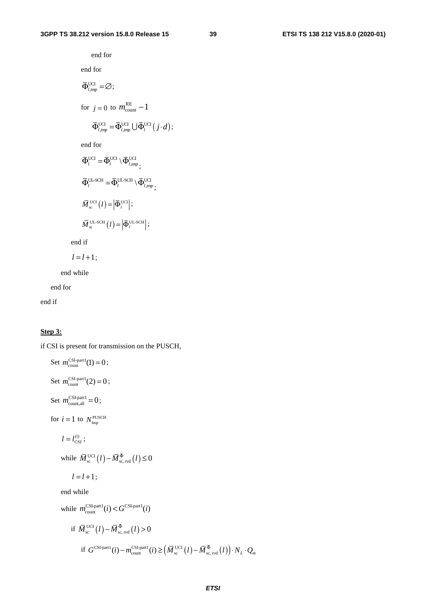end for end for  $\overline{\Phi}_{l, \text{tmp}}^{\text{UCI}} = \emptyset;$ for  $j = 0$  to  $m_{\text{count}}^{\text{RE}} - 1$  $\overline{\Phi}_{l, \text{tmp}}^{\text{UCI}} = \overline{\Phi}_{l, \text{tmp}}^{\text{UCI}} \bigcup \overline{\Phi}_{l}^{\text{UCI}}(j \cdot d);$ end for  $\boldsymbol{\bar \Phi}_l^\mathrm{UCI} \hspace*{-0.05cm} = \hspace*{-0.05cm} \boldsymbol{\bar \Phi}_l^\mathrm{UCI} \hspace*{-0.05cm} \setminus \hspace*{-0.05cm} \boldsymbol{\bar \Phi}_{l, \mathit{tmp}}^\mathrm{UCI} \hspace*{-0.05cm} ;$  $\bar{\Phi}_l^{\text{UL-SCH}} = \bar{\Phi}_l^{\text{UL-SCH}} \setminus \bar{\Phi}_{l, \text{tmp}}^{\text{UCI}}$ ;  $\overline{M}_{\rm sc}^{\rm UCI} (l) = \left| \overline{\Phi}_{l}^{\rm UCI} \right|;$  $\overline{M}_{\text{sc}}^{\text{UL-SCH}}(l) = \left| \overline{\Phi}_{l}^{\text{UL-SCH}} \right|;$ 

end if

$$
l=l+1\,;
$$

end while

end for

end if

#### **Step 3:**

if CSI is present for transmission on the PUSCH,

Set  $m_{\text{count}}^{\text{CSI-part1}}(1) = 0$ ; Set  $m_{\text{count}}^{\text{CSI-part1}}(2) = 0$ ; Set  $m_{\text{count,all}}^{\text{CSI-part1}} = 0$ ; for  $i = 1$  to  $N_{\text{hop}}^{\text{PUSCH}}$  $l = l_{\text{CSI}}^{(i)}$ ; while  $\overline{M}_{\rm sc}^{\rm UCI} (l) - \overline{M}_{\rm sc, \, rvd}^{\,\overline{\Phi}}(l) \leq 0$  $l = l + 1$ ; end while while  $m_{\text{count}}^{\text{CSI-part1}}(i) < G^{\text{CSI-part1}}(i)$ if  $\bar{M}_{\rm sc}^{\rm UCI} (l) - \bar{M}_{\rm sc, \, rvd}^{\,\Phi} (l)$  > 0 if  $G^{\text{CSI-part1}}(i) - m_{\text{count}}^{\text{CSI-part1}}(i) \geq (\overline{M}_{\text{sc}}^{\text{UCI}}(l) - \overline{M}_{\text{sc, rvd}}^{\overline{\Phi}}(l)) \cdot N_L \cdot Q_m$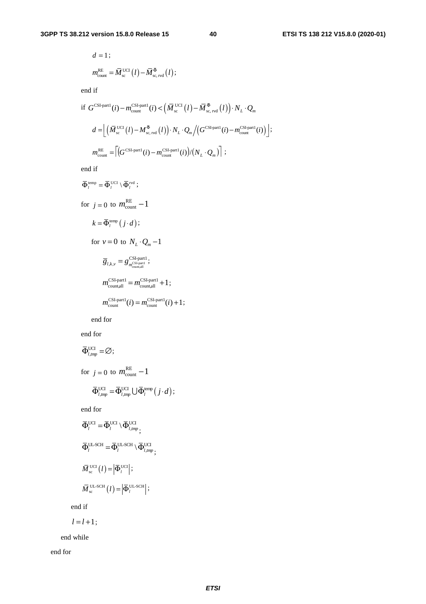$$
d = 1 ;
$$
  

$$
m_{\text{count}}^{\text{RE}} = \overline{M}_{\text{sc}}^{\text{UCI}}(l) - \overline{M}_{\text{sc, red}}^{\overline{\Phi}}(l) ;
$$

end if

$$
\begin{split} \text{if } G^{\text{CSI-part1}}(i) - m_{\text{count}}^{\text{CSI-part1}}(i) < \left(\bar{M}_{\text{sc}}^{\text{UC1}}(l) - \bar{M}_{\text{sc},\text{rvd}}^{\bar{\Phi}}(l)\right) \cdot N_{L} \cdot Q_{m} \\ d &= \left[ \left(\bar{M}_{\text{sc}}^{\text{UC1}}(l) - M_{\text{sc},\text{rvd}}^{\bar{\Phi}}(l)\right) \cdot N_{L} \cdot Q_{m} / \left(G^{\text{CSI-part1}}(i) - m_{\text{count}}^{\text{CSI-part1}}(i)\right) \right]; \\ m_{\text{count}}^{\text{RE}} &= \left[ \left(G^{\text{CSI-part1}}(i) - m_{\text{count}}^{\text{CSI-part1}}(i)\right) / \left(N_{L} \cdot Q_{m}\right) \right]; \end{split}
$$

end if

$$
\overline{\Phi}_{i}^{\text{temp}} = \overline{\Phi}_{i}^{\text{UCI}} \setminus \overline{\Phi}_{i}^{\text{red}};
$$
\n
$$
\text{for } j = 0 \text{ to } m_{\text{count}}^{\text{RE}} - 1
$$
\n
$$
k = \overline{\Phi}_{i}^{\text{temp}}(j \cdot d);
$$
\n
$$
\text{for } \nu = 0 \text{ to } N_{L} \cdot Q_{m} - 1
$$
\n
$$
\overline{g}_{i,k,\nu} = g_{m_{\text{constant}}^{\text{CSL-part}}}^{\text{CSL-part1}};
$$
\n
$$
m_{\text{countall}}^{\text{CSL-part1}} = m_{\text{countall}}^{\text{CSL-part1}} + 1;
$$
\n
$$
m_{\text{count}}^{\text{CSL-part1}}(i) = m_{\text{count}}^{\text{CSL-part1}}(i) + 1;
$$

end for

end for

$$
\begin{aligned}\n\overline{\Phi}_{l,mp}^{\text{UC}} &= \emptyset; \\
\text{for } j = 0 \text{ to } m_{\text{count}}^{\text{RE}} - 1 \\
\overline{\Phi}_{l,mp}^{\text{UC}} &= \overline{\Phi}_{l,mp}^{\text{UC}} \cup \overline{\Phi}_{l}^{\text{temp}}(j \cdot d); \n\end{aligned}
$$

end for

$$
\begin{aligned}\n\overline{\Phi}_{l}^{\text{UCI}} &= \overline{\Phi}_{l}^{\text{UCI}} \setminus \overline{\Phi}_{l, \text{tmp}}^{\text{UCI}}; \\
\overline{\Phi}_{l}^{\text{UL-SCH}} &= \overline{\Phi}_{l}^{\text{UL-SCH}} \setminus \overline{\Phi}_{l, \text{tmp}}^{\text{UCI}}; \\
\overline{M}_{\text{sc}}^{\text{UCI}}(l) &= \left| \overline{\Phi}_{l}^{\text{UCI}} \right|; \\
\overline{M}_{\text{sc}}^{\text{UL-SCH}}(l) &= \left| \overline{\Phi}_{l}^{\text{UL-SCH}} \right|; \\
\end{aligned}
$$

end if

$$
l=l+1;
$$

end while

end for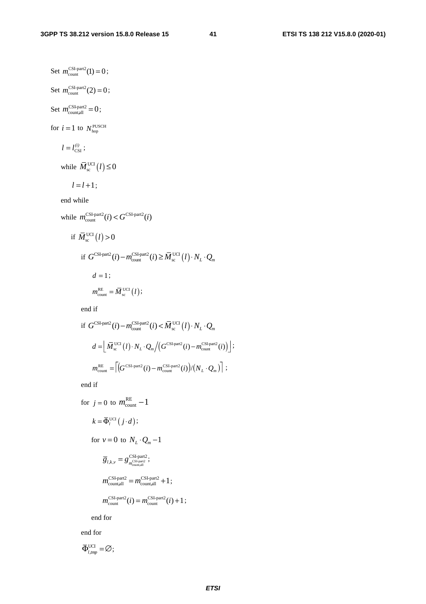Set  $m_{\text{count}}^{\text{CSI-part2}}(1) = 0$ ; Set  $m_{\text{count}}^{\text{CSI-part2}}(2) = 0$ ; Set  $m_{\text{countall}}^{\text{CSI-part2}} = 0$ ; for  $i = 1$  to  $N_{\text{hop}}^{\text{PUSCH}}$  $l = l_{\text{CSI}}^{(i)}$ ; while  $\bar{M}_{\rm sc}^{\rm UCI}(l) \leq 0$  $l = l + 1$ ; end while while  $m_{\text{count}}^{\text{CSI-part2}}(i) < G^{\text{CSI-part2}}(i)$ if  $\overline{M}_{\rm sc}^{\rm UCI}(l)$  > 0 if  $G^{\text{CSI-part2}}(i) - m_{\text{count}}^{\text{CSI-part2}}(i) \geq \overline{M}_{\text{sc}}^{\text{UCI}}(l) \cdot N_{L} \cdot Q_{m}$  $d = 1;$  $m_{\text{count}}^{\text{RE}} = \overline{M}_{\text{sc}}^{\text{UCI}}(l);$ end if

if 
$$
G^{\text{CSI-part2}}(i) - m_{\text{count}}^{\text{CSI-part2}}(i) < \overline{M}_{\text{sc}}^{\text{UCI}}(l) \cdot N_L \cdot Q_m
$$
  
\n
$$
d = \left[ \overline{M}_{\text{sc}}^{\text{UCI}}(l) \cdot N_L \cdot Q_m / \left( G^{\text{CSI-part2}}(i) - m_{\text{count}}^{\text{CSI-part2}}(i) \right) \right];
$$
\n
$$
m_{\text{count}}^{\text{RE}} = \left[ \left( G^{\text{CSI-part2}}(i) - m_{\text{count}}^{\text{CSI-part2}}(i) \right) / \left( N_L \cdot Q_m \right) \right];
$$

end if

for 
$$
j = 0
$$
 to  $m_{\text{count}}^{\text{RE}} - 1$   
\n $k = \overline{\Phi}_l^{\text{UC}}(j \cdot d);$   
\nfor  $v = 0$  to  $N_L \cdot Q_m - 1$   
\n $\overline{g}_{l,k,v} = g_{\text{measured}}^{\text{CS1-part2}};$   
\n $m_{\text{countall}}^{\text{CS1-part2}} = m_{\text{countall}}^{\text{CS1-part2}} + 1;$   
\n $m_{\text{count}}^{\text{CS1-part2}}(i) = m_{\text{count}}^{\text{CS1-part2}}(i) + 1;$ 

end for

end for

$$
\mathbf{\bar{\Phi}}_{l, \text{tmp}}^{\text{UCI}} = \varnothing;
$$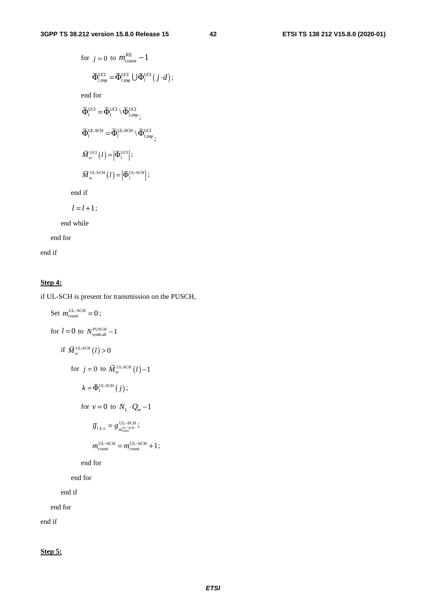for 
$$
j = 0
$$
 to  $m_{\text{count}}^{\text{RE}} - 1$   
\n
$$
\overline{\Phi}_{l, \text{imp}}^{\text{UCI}} = \overline{\Phi}_{l, \text{imp}}^{\text{UCI}} \cup \overline{\Phi}_{l}^{\text{UCI}} (j \cdot d);
$$
\nend for\n
$$
\overline{\Phi}_{l}^{\text{UCI}} = \overline{\Phi}_{l}^{\text{UCI}} \setminus \overline{\Phi}_{l, \text{imp}}^{\text{UCI}},
$$
\n
$$
\overline{\Phi}_{l}^{\text{UC}} = \overline{\Phi}_{l}^{\text{UL-SCH}} \setminus \overline{\Phi}_{l, \text{imp}}^{\text{UCI}},
$$
\n
$$
\overline{M}_{\text{sc}}^{\text{UCI}} (l) = \left| \overline{\Phi}_{l}^{\text{UL-SCH}} \right|;
$$
\n
$$
\overline{M}_{\text{sc}}^{\text{UL-SCH}} (l) = \left| \overline{\Phi}_{l}^{\text{UL-SCH}} \right|;
$$

end if

 $l = l + 1;$ 

end while

end for

end if

## **Step 4:**

if UL-SCH is present for transmission on the PUSCH,

Set 
$$
m_{\text{count}}^{\text{UL-SCH}} = 0
$$
;  
\nfor  $l = 0$  to  $N_{\text{symbol,all}}^{\text{PUSCH}} - 1$   
\nif  $\overline{M}_{\text{sc}}^{\text{UL-SCH}}(l) > 0$   
\nfor  $j = 0$  to  $\overline{M}_{\text{sc}}^{\text{UL-SCH}}(l) - 1$   
\n $k = \overline{\Phi}_{l}^{\text{UL-SCH}}(j)$ ;  
\nfor  $v = 0$  to  $N_{L} \cdot Q_{m} - 1$   
\n $\overline{g}_{l,k,v} = g_{m_{\text{count}}^{\text{UL-SCH}}}^{\text{UL-SCH}};$   
\n $m_{\text{count}}^{\text{UL-SCH}} = m_{\text{count}}^{\text{UL-SCH}} + 1$ ;  
\nend for  
\nend for  
\nend if  
\nend for

end if

**Step 5:**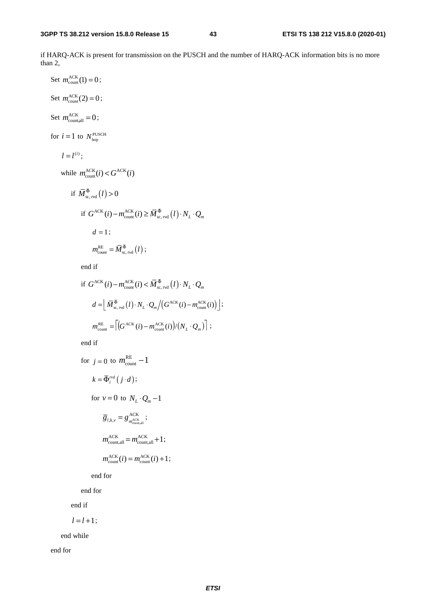if HARQ-ACK is present for transmission on the PUSCH and the number of HARQ-ACK information bits is no more than 2,

Set 
$$
m_{\text{count}}^{\text{ACK}}(1) = 0
$$
;  
\nSet  $m_{\text{countall}}^{\text{ACK}} = 0$ ;  
\nSet  $m_{\text{countall}}^{\text{ACK}} = 0$ ;  
\nfor  $i = 1$  to  $N_{\text{hop}}^{\text{PUSCH}}$   
\n $l = l^{(i)}$ ;  
\nwhile  $m_{\text{count}}^{\text{ACK}}(i) < G^{\text{ACK}}(i)$   
\nif  $\overline{M}_{\text{sc, red}}^{\overline{\Phi}}(l) > 0$   
\nif  $G^{\text{ACK}}(i) - m_{\text{count}}^{\text{ACK}}(i) \geq \overline{M}_{\text{sc, red}}^{\overline{\Phi}}(l) \cdot N_L \cdot Q_m$   
\n $d = 1$ ;  
\n $m_{\text{count}}^{\text{RE}} = \overline{M}_{\text{sc, red}}^{\overline{\Phi}}(l)$ ;  
\nend if

if 
$$
G^{\text{ACK}}(i) - m_{\text{count}}^{\text{ACK}}(i) < \overline{M}_{\text{sc, red}}^{\Phi}(l) \cdot N_L \cdot Q_m
$$
  
\n
$$
d = \left[ \overline{M}_{\text{sc, red}}^{\Phi}(l) \cdot N_L \cdot Q_m / \left( G^{\text{ACK}}(i) - m_{\text{count}}^{\text{ACK}}(i) \right) \right];
$$
\n
$$
m_{\text{count}}^{\text{RE}} = \left[ \left( G^{\text{ACK}}(i) - m_{\text{count}}^{\text{ACK}}(i) \right) / \left( N_L \cdot Q_m \right) \right];
$$

end if

for 
$$
j = 0
$$
 to  $m_{\text{count}}^{\text{RE}} - 1$   
\n $k = \overline{\Phi}_l^{\text{rvd}}(j \cdot d);$   
\nfor  $v = 0$  to  $N_L \cdot Q_m - 1$   
\n $\overline{g}_{l,k,v} = g_{m_{\text{count,all}}}^{\text{ACK}};$   
\n $m_{\text{count,all}}^{\text{ACK}} = m_{\text{count,all}}^{\text{ACK}} + 1;$   
\n $m_{\text{count}}^{\text{ACK}}(i) = m_{\text{count}}^{\text{ACK}}(i) + 1;$ 

end for

end for

end if

$$
l=l+1;
$$

end while

end for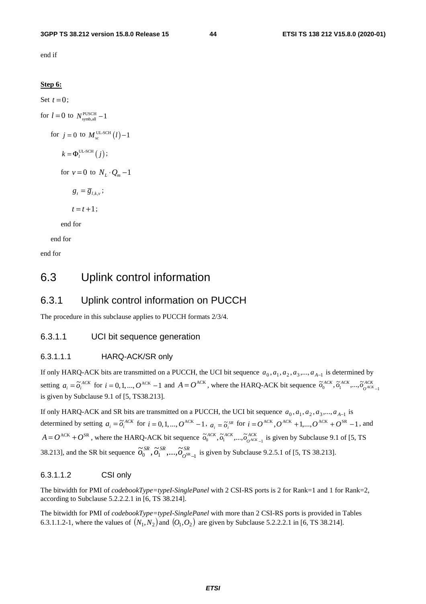end if

#### **Step 6:**

Set  $t = 0$ ; for  $l = 0$  to  $N_{\text{swmball}}^{\text{PUSCH}} - 1$ for  $j = 0$  to  $M_{\text{sc}}^{\text{UL-SCH}}(l) - 1$  $k = \Phi_l^{\text{UL-SCH}}(j);$ for  $v = 0$  to  $N_t \cdot Q_m - 1$  $g_t = \overline{g}_{l,k,y}$ ;  $t = t + 1$ ; end for

end for

end for

# 6.3 Uplink control information

## 6.3.1 Uplink control information on PUCCH

The procedure in this subclause applies to PUCCH formats 2/3/4.

## 6.3.1.1 UCI bit sequence generation

#### 6.3.1.1.1 HARQ-ACK/SR only

If only HARQ-ACK bits are transmitted on a PUCCH, the UCI bit sequence  $a_0, a_1, a_2, a_3, \ldots, a_{A-1}$  is determined by setting  $a_i = \tilde{o}_i^{ACK}$  for  $i = 0, 1, ..., O^{ACK} - 1$  and  $A = O^{ACK}$ , where the HARQ-ACK bit sequence  $\tilde{o}_0^{ACK}, \tilde{o}_1^{ACK}, ..., \tilde{o}_{O^{ACK}-1}^{ACK}$ is given by Subclause 9.1 of [5, TS38.213].

If only HARQ-ACK and SR bits are transmitted on a PUCCH, the UCI bit sequence  $a_0, a_1, a_2, a_3, \ldots, a_{A-1}$  is determined by setting  $a_i = \tilde{o}_i^{ACK}$  for  $i = 0, 1, ..., O^{ACK} - 1$ ,  $a_i = \tilde{o}_i^{SR}$  for  $i = O^{ACK}, O^{ACK} + 1, ..., O^{ACK} + O^{SR} - 1$ , and  $A = O^{ACK} + O^{SR}$ , where the HARQ-ACK bit sequence  $\tilde{\sigma}_0^{ACK}, \tilde{\sigma}_1^{ACK}, ..., \tilde{\sigma}_{O^{ACK}-1}^{ACK}$  is given by Subclause 9.1 of [5, TS 38.213], and the SR bit sequence  $\tilde{\sigma}_0^{SR}, \tilde{\sigma}_1^{SR}, ..., \tilde{\sigma}_{O^{SR}-1}^{SR}$  is given by Subclause 9.2.5.1 of [5, TS 38.213].

## 6.3.1.1.2 CSI only

The bitwidth for PMI of *codebookType=typeI-SinglePanel* with 2 CSI-RS ports is 2 for Rank=1 and 1 for Rank=2, according to Subclause 5.2.2.2.1 in [6, TS 38.214].

The bitwidth for PMI of *codebookType=typeI-SinglePanel* with more than 2 CSI-RS ports is provided in Tables 6.3.1.1.2-1, where the values of  $(N_1,N_2)$  and  $(O_1,O_2)$  are given by Subclause 5.2.2.2.1 in [6, TS 38.214].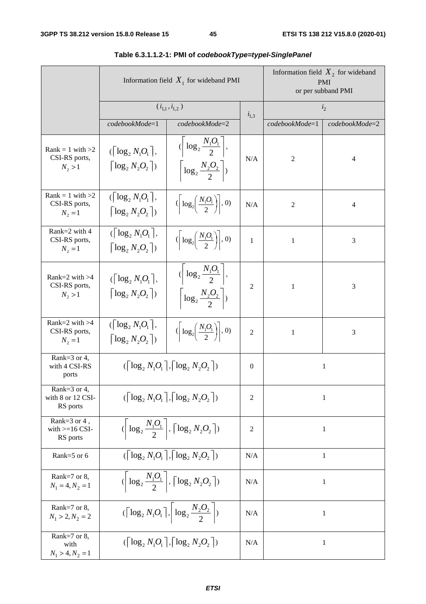|                                                    | Information field $X_1$ for wideband PMI                                                                                |                                                                                               | Information field $X_2$ for wideband<br><b>PMI</b><br>or per subband PMI |                |                |  |
|----------------------------------------------------|-------------------------------------------------------------------------------------------------------------------------|-----------------------------------------------------------------------------------------------|--------------------------------------------------------------------------|----------------|----------------|--|
|                                                    | $(i_{1,1}, i_{1,2})$                                                                                                    |                                                                                               | $i_{1,3}$                                                                | i <sub>2</sub> |                |  |
|                                                    | codebookMode=1                                                                                                          | codebookMode=2                                                                                |                                                                          | codebookMode=1 | codebookMode=2 |  |
| $Rank = 1$ with $>2$<br>CSI-RS ports,<br>$N_2 > 1$ | $(\lceil \log_2 N_1 O_1 \rceil,$<br>$\lceil \log_2 N_2 O_2 \rceil$                                                      | $\left\langle \left  \log_2 \frac{N_1 O_1}{2} \right , \right.$<br>$\log_2 \frac{N_2 O_2}{2}$ | N/A                                                                      | 2              | 4              |  |
| $Rank = 1$ with $>2$<br>CSI-RS ports,<br>$N_2 = 1$ | $(\lceil \log_2 N_1 O_1 \rceil,$<br>$\lceil \log_2 N_2 O_2 \rceil$                                                      | $\left(\left \log_2\left(\frac{N_1O_1}{2}\right)\right ,0\right)$                             | N/A                                                                      | $\overline{c}$ | 4              |  |
| Rank=2 with 4<br>CSI-RS ports,<br>$N_2 = 1$        | $(\lceil \log_2 N_1 O_1 \rceil)$ ,<br>$\lceil \log_2 N, O_2 \rceil$                                                     | $\left(\left \log_2\left(\frac{N_1O_1}{2}\right)\right ,0\right)$                             | $\mathbf{1}$                                                             | $\mathbf{1}$   | 3              |  |
| Rank= $2$ with $>4$<br>CSI-RS ports,<br>$N_2 > 1$  | $(\lceil \log_2 N_1 O_1 \rceil,$<br>$\lceil \log_2 N_2 O_2 \rceil$                                                      | $\left\langle \left  \log_2 \frac{N_1 O_1}{2} \right , \right.$<br>$\log_2 \frac{N_2O_2}{2}$  | $\overline{c}$                                                           | 1              | 3              |  |
| Rank= $2$ with $>4$<br>CSI-RS ports,<br>$N_2 = 1$  | $(\lceil \log_2 N_1 O_1 \rceil,$<br>$\lceil \log_2 N_2 O_2 \rceil$                                                      | $\left(\left \log_2\left(\frac{N_1O_1}{2}\right)\right ,0\right)$                             | $\overline{2}$                                                           | $\mathbf{1}$   | 3              |  |
| Rank= $3$ or 4,<br>with 4 CSI-RS<br>ports          |                                                                                                                         | $(\lceil \log_2 N_1 O_1 \rceil, \lceil \log_2 N_2 O_2 \rceil)$                                | $\mathbf{0}$                                                             |                | $\mathbf{1}$   |  |
| Rank=3 or 4,<br>with 8 or 12 CSI-<br>RS ports      | $(\lceil \log_2 N_1 O_1 \rceil, \lceil \log_2 N_2 O_2 \rceil)$                                                          |                                                                                               | $\overline{2}$                                                           | $\mathbf{1}$   |                |  |
| Rank=3 or 4,<br>with $>=16$ CSI-<br>RS ports       | $\left\langle \left\lceil \log_2 \frac{N_1 O_1}{2} \right\rceil, \left\lceil \log_2 N_2 O_2 \right\rceil \right\rangle$ |                                                                                               | $\overline{2}$                                                           | $\mathbf{1}$   |                |  |
| Rank=5 or 6                                        |                                                                                                                         | $(\lceil \log_2 N_1 O_1 \rceil, \lceil \log_2 N_2 O_2 \rceil)$                                | N/A                                                                      |                | $\mathbf{1}$   |  |
| Rank= $7$ or 8,<br>$N_1 = 4, N_2 = 1$              | $\left\langle \left  \log_2 \frac{N_1 O_1}{2} \right , \left\lceil \log_2 N_2 O_2 \right\rceil \right\rangle$           |                                                                                               | N/A                                                                      | 1              |                |  |
| Rank= $7$ or 8,<br>$N_1 > 2, N_2 = 2$              | $(\lceil \log_2 N_1 O_1 \rceil, \left  \log_2 \frac{N_2 O_2}{2} \right )$                                               |                                                                                               | N/A                                                                      |                | $\mathbf{1}$   |  |
| Rank= $7$ or 8,<br>with<br>$N_1 > 4, N_2 = 1$      |                                                                                                                         | $(\lceil \log_2 N_1 O_1 \rceil, \lceil \log_2 N_2 O_2 \rceil)$                                | N/A                                                                      |                | $\mathbf{1}$   |  |

# **Table 6.3.1.1.2-1: PMI of** *codebookType=typeI-SinglePanel*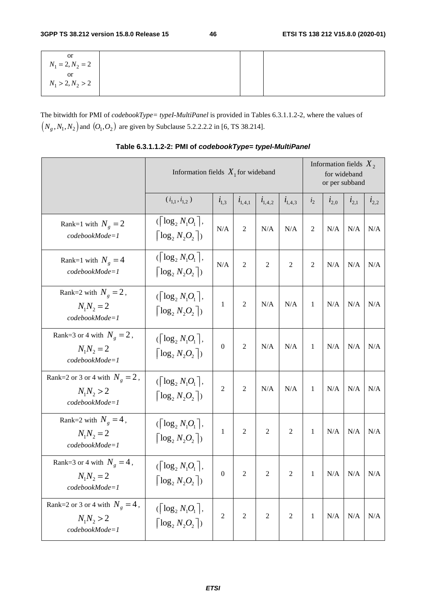| or  <br>$N_1 = 2, N_2 = 2$ |  |  |
|----------------------------|--|--|
|                            |  |  |
| or<br>$N_1 > 2, N_2 > 2$   |  |  |
|                            |  |  |

The bitwidth for PMI of *codebookType= typeI-MultiPanel* is provided in Tables 6.3.1.1.2-2, where the values of  $(N_g, N_1, N_2)$  and  $(O_1, O_2)$  are given by Subclause 5.2.2.2.2 in [6, TS 38.214].

|                                                                       | Information fields $X_1$ for wideband                                             |                  | Information fields $X_2$<br>for wideband<br>or per subband |                |                  |                |           |           |           |
|-----------------------------------------------------------------------|-----------------------------------------------------------------------------------|------------------|------------------------------------------------------------|----------------|------------------|----------------|-----------|-----------|-----------|
|                                                                       | $(i_{1,1}, i_{1,2})$                                                              | $i_{1,3}$        | $i_{1,4,1}$                                                | $l_{1,4,2}$    | $i_{1,4,3}$      | i <sub>2</sub> | $i_{2,0}$ | $i_{2,1}$ | $l_{2,2}$ |
| Rank=1 with $N_g = 2$<br>$codebookMode=1$                             | $(\lceil \log_2 N_1 O_1 \rceil,$<br>$\lceil \log_2 N_2 O_2 \rceil$                | N/A              | $\overline{2}$                                             | N/A            | N/A              | 2              | N/A       | N/A       | N/A       |
| Rank=1 with $N_{\rm g} = 4$<br>$codebookMode=1$                       | $(\lceil \log_2 N_1 O_1 \rceil,$<br>$\lceil \log_2 N_2 O_2 \rceil$                | $\rm N/A$        | $\overline{2}$                                             | $\overline{2}$ | $\boldsymbol{2}$ | 2              | N/A       | N/A       | N/A       |
| Rank=2 with $N_g = 2$ ,<br>$N_1N_2 = 2$<br>$codebookMode=1$           | $(\lceil \log_2 N_1 O_1 \rceil,$<br>$\lceil \log_2 N_2 O_2 \rceil$                | $\mathbf{1}$     | $\overline{2}$                                             | N/A            | N/A              | 1              | N/A       | N/A       | N/A       |
| Rank=3 or 4 with $N_g = 2$ ,<br>$N_1N_2 = 2$<br>$codebookMode=1$      | $(\lceil \log_2 N_1 O_1 \rceil)$ ,<br>$\lceil \log_2 N_2 O_2 \rceil$              | $\boldsymbol{0}$ | $\mathfrak{2}$                                             | N/A            | N/A              | 1              | N/A       | N/A       | N/A       |
| Rank=2 or 3 or 4 with $N_g = 2$ ,<br>$N_1N_2 > 2$<br>$codebookMode=1$ | $(\lceil \log_2 N_1 O_1 \rceil)$ ,<br>$\lceil \log_2 N_2 O_2 \rceil$              | $\overline{2}$   | $\overline{2}$                                             | N/A            | N/A              | 1              | N/A       | N/A       | N/A       |
| Rank=2 with $N_g = 4$ ,<br>$N_1N_2 = 2$<br>$codebookMode=1$           | $(\lceil \log_2 N_1 O_1 \rceil,$<br>$\lceil \log_2 N_2 O_2 \rceil$                | $\mathbf{1}$     | $\sqrt{2}$                                                 | $\sqrt{2}$     | $\boldsymbol{2}$ | $\mathbf{1}$   | N/A       | N/A       | N/A       |
| Rank=3 or 4 with $N_g = 4$ ,<br>$N_1N_2 = 2$<br>$codebookMode=1$      | $(\lceil \log_2 N_1 O_1 \rceil)$ ,<br>$\left\lceil \log_2 N_2 O_2 \,\right\rceil$ | $\boldsymbol{0}$ | $\mathfrak{2}$                                             | $\overline{2}$ | $\boldsymbol{2}$ | 1              | N/A       | N/A       | N/A       |
| Rank=2 or 3 or 4 with $N_g = 4$ ,<br>$N_1N_2 > 2$<br>$codebookMode=1$ | $(\lceil \log_2 N_1 O_1 \rceil,$<br>$\lceil \log_2 N_2 O_2 \rceil$                | $\boldsymbol{2}$ | $\overline{2}$                                             | $\sqrt{2}$     | $\boldsymbol{2}$ | 1              | N/A       | N/A       | N/A       |

**Table 6.3.1.1.2-2: PMI of** *codebookType= typeI-MultiPanel*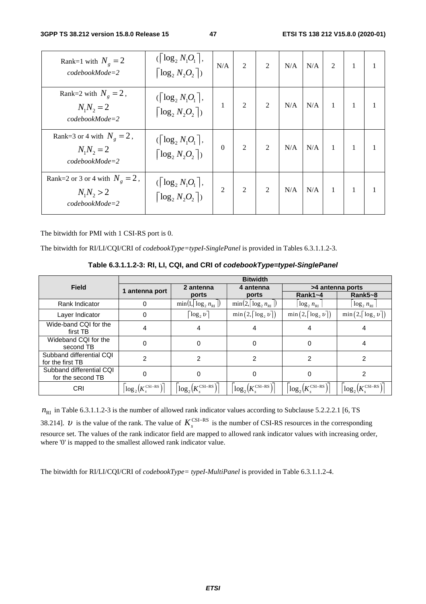**3GPP TS 38.212 version 15.8.0 Release 15 47 ETSI TS 138 212 V15.8.0 (2020-01)**

| Rank=1 with $N_e = 2$<br>$codebookMode=2$                             | $(\lceil \log_2 N_1 O_1 \rceil,$<br>$\lceil \log_2 N_2 O_2 \rceil$                         | N/A            | $\overline{2}$ | $\overline{2}$ | N/A | N/A | 2            | 1 |  |
|-----------------------------------------------------------------------|--------------------------------------------------------------------------------------------|----------------|----------------|----------------|-----|-----|--------------|---|--|
| Rank=2 with $N_g = 2$ ,<br>$N_1N_2 = 2$<br>$codebookMode = 2$         | $\left(\left\lceil \log_2 N_1 O_1 \right\rceil\right)$ ,<br>$\lceil \log_2 N_2 O_2 \rceil$ | 1              | $\overline{2}$ | $\overline{2}$ | N/A | N/A | $\mathbf{1}$ | 1 |  |
| Rank=3 or 4 with $N_e = 2$ ,<br>$N_1N_2 = 2$<br>$codebookMode=2$      | $\left(\left\lceil \log_2 N_1 O_1 \right\rceil\right)$<br>$\lceil \log_2 N_2 O_2 \rceil$   | $\Omega$       | $\overline{2}$ | $\overline{2}$ | N/A | N/A | $\mathbf{1}$ |   |  |
| Rank=2 or 3 or 4 with $N_e = 2$ ,<br>$N_1N_2 > 2$<br>$codebookMode=2$ | $\left(\left\lceil \log_2 N_1 O_1 \right\rceil\right)$<br>$\lceil \log_2 N_2 O_2 \rceil$   | $\overline{2}$ | $\overline{2}$ | $\overline{2}$ | N/A | N/A | $\mathbf{1}$ |   |  |

The bitwidth for PMI with 1 CSI-RS port is 0.

The bitwidth for RI/LI/CQI/CRI of *codebookType=typeI-SinglePanel* is provided in Tables 6.3.1.1.2-3.

**Table 6.3.1.1.2-3: RI, LI, CQI, and CRI of** *codebookType=typeI-SinglePanel*

|                                               | <b>Bitwidth</b>                 |                                    |                                   |                                   |                                                      |  |  |  |
|-----------------------------------------------|---------------------------------|------------------------------------|-----------------------------------|-----------------------------------|------------------------------------------------------|--|--|--|
| <b>Field</b>                                  | 1 antenna port                  | 2 antenna                          | 4 antenna                         | >4 antenna ports                  |                                                      |  |  |  |
|                                               |                                 | ports                              | ports                             | Rank $1 - 4$                      | $Rank5 - 8$                                          |  |  |  |
| Rank Indicator                                | 0                               | $min(1,   \log_2 n_{RI}   )$       | $\min(2,  \log_2 n_{\text{RI}} )$ | $\log_2 n_{\text{RI}}$            | $\log_2 n_{\text{RI}}$                               |  |  |  |
| Layer Indicator                               | 0                               | $\log_2 v$                         | $\min(2, \lceil \log_2 v \rceil)$ | $\min(2, \lceil \log_2 v \rceil)$ | $\min\left(2,\left\lceil\log_2 v\right\rceil\right)$ |  |  |  |
| Wide-band CQI for the<br>first TB             | 4                               | 4                                  |                                   | 4                                 | 4                                                    |  |  |  |
| Wideband CQI for the<br>second TB             | 0                               | 0                                  | 0                                 | $\Omega$                          | 4                                                    |  |  |  |
| Subband differential CQI<br>for the first TB  | 2                               | 2                                  | 2                                 | 2                                 | 2                                                    |  |  |  |
| Subband differential CQI<br>for the second TB | 0                               | 0                                  | 0                                 | 0                                 | 2                                                    |  |  |  |
| <b>CRI</b>                                    | $log_2(K_{\rm c}^{\rm CSI-RS})$ | $log_2(K_{\cdot}^{\text{CSI-RS}})$ | $log_2(K_{\rm c}^{\rm CSI-RS})$   | $log_2(K_c^{\text{CSI-RS}})$      | $log_2(K_{\rm s}^{\rm CSI-RS})$                      |  |  |  |

 $n_{\text{RI}}$  in Table 6.3.1.1.2-3 is the number of allowed rank indicator values according to Subclause 5.2.2.2.1 [6, TS 38.214]. *U* is the value of the rank. The value of  $K_s^{\text{CSI-RS}}$  is the number of CSI-RS resources in the corresponding resource set. The values of the rank indicator field are mapped to allowed rank indicator values with increasing order, where '0' is mapped to the smallest allowed rank indicator value.

The bitwidth for RI/LI/CQI/CRI of *codebookType= typeI-MultiPanel* is provided in Table 6.3.1.1.2-4.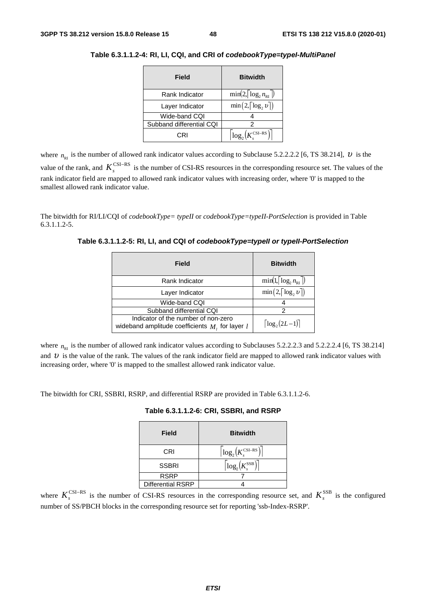| Field                    | <b>Bitwidth</b>                     |
|--------------------------|-------------------------------------|
| Rank Indicator           | $\min(2,  \log_2 n_{\text{RI}} )$   |
| Layer Indicator          | $\min(2, \lceil \log_2 v \rceil)$   |
| Wide-band CQI            |                                     |
| Subband differential CQI |                                     |
| CRI                      | $\log_2(K_{\cdot}^{\text{CSI-RS}})$ |

**Table 6.3.1.1.2-4: RI, LI, CQI, and CRI of** *codebookType=typeI-MultiPanel*

where  $n_{\text{p}_1}$  is the number of allowed rank indicator values according to Subclause 5.2.2.2.2 [6, TS 38.214],  $\upsilon$  is the value of the rank, and  $K_s^{\text{CSI-RS}}$  is the number of CSI-RS resources in the corresponding resource set. The values of the rank indicator field are mapped to allowed rank indicator values with increasing order, where '0' is mapped to the smallest allowed rank indicator value.

The bitwidth for RI/LI/CQI of *codebookType= typeII* or *codebookType=typeII-PortSelection* is provided in Table 6.3.1.1.2-5.

**Table 6.3.1.1.2-5: RI, LI, and CQI of** *codebookType=typeII or typeII-PortSelection*

| Field                                                                                      | <b>Bitwidth</b>                   |
|--------------------------------------------------------------------------------------------|-----------------------------------|
| Rank Indicator                                                                             | $\min(1,  \log n_{\text{RI}} )$   |
| Layer Indicator                                                                            | $\min(2, \lceil \log_2 v \rceil)$ |
| Wide-band CQI                                                                              |                                   |
| Subband differential CQI                                                                   | 2                                 |
| Indicator of the number of non-zero<br>wideband amplitude coefficients $M_i$ , for layer l | $\lceil \log_2(2L-1) \rceil$      |

where  $n<sub>RI</sub>$  is the number of allowed rank indicator values according to Subclauses 5.2.2.2.3 and 5.2.2.2.4 [6, TS 38.214] and  $\nu$  is the value of the rank. The values of the rank indicator field are mapped to allowed rank indicator values with increasing order, where '0' is mapped to the smallest allowed rank indicator value.

The bitwidth for CRI, SSBRI, RSRP, and differential RSRP are provided in Table 6.3.1.1.2-6.

| <b>Field</b>             | <b>Bitwidth</b>                                        |
|--------------------------|--------------------------------------------------------|
| CRI                      | $\left\lceil \log_2(K_s^{\text{CSI-RS}}) \right\rceil$ |
| <b>SSBRI</b>             | $\left\lceil \log_2(K^{\text{SSB}}_s) \right\rceil$    |
| <b>RSRP</b>              |                                                        |
| <b>Differential RSRP</b> |                                                        |

where  $K_s^{\text{CSI-RS}}$  is the number of CSI-RS resources in the corresponding resource set, and  $K_s^{\text{SSB}}$  is the configured number of SS/PBCH blocks in the corresponding resource set for reporting 'ssb-Index-RSRP'.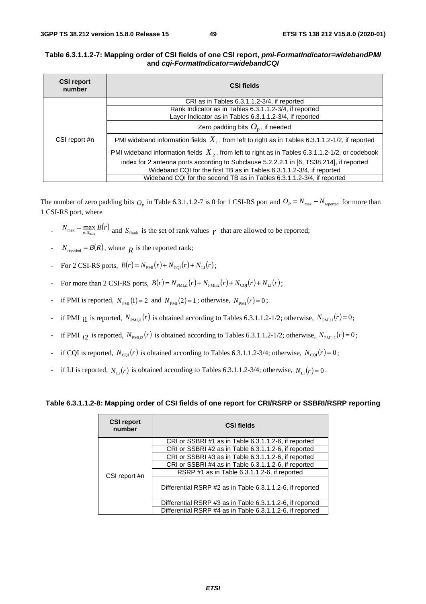#### **Table 6.3.1.1.2-7: Mapping order of CSI fields of one CSI report,** *pmi-FormatIndicator=widebandPMI* **and** *cqi-FormatIndicator=widebandCQI*

| <b>CSI report</b><br>number | <b>CSI fields</b>                                                                                  |  |  |  |  |
|-----------------------------|----------------------------------------------------------------------------------------------------|--|--|--|--|
|                             | CRI as in Tables 6.3.1.1.2-3/4, if reported                                                        |  |  |  |  |
|                             | Rank Indicator as in Tables 6.3.1.1.2-3/4, if reported                                             |  |  |  |  |
|                             | Layer Indicator as in Tables 6.3.1.1.2-3/4, if reported                                            |  |  |  |  |
|                             | Zero padding bits $O_p$ , if needed                                                                |  |  |  |  |
| CSI report #n               | PMI wideband information fields $X_1$ , from left to right as in Tables 6.3.1.1.2-1/2, if reported |  |  |  |  |
|                             | PMI wideband information fields $X_2$ , from left to right as in Tables 6.3.1.1.2-1/2, or codebook |  |  |  |  |
|                             | index for 2 antenna ports according to Subclause 5.2.2.2.1 in [6, TS38.214], if reported           |  |  |  |  |
|                             | Wideband CQI for the first TB as in Tables 6.3.1.1.2-3/4, if reported                              |  |  |  |  |
|                             | Wideband CQI for the second TB as in Tables 6.3.1.1.2-3/4, if reported                             |  |  |  |  |

The number of zero padding bits  $O_p$  in Table 6.3.1.1.2-7 is 0 for 1 CSI-RS port and  $O_p = N_{\text{max}} - N_{\text{reported}}$  for more than 1 CSI-RS port, where

- $N_{\text{max}} = \max_{r \in S_{\text{Rank}}} B(r)$  and  $S_{\text{Rank}}$  is the set of rank values  $r$  that are allowed to be reported;
- $N_{\text{reordered}} = B(R)$ , where  $R$  is the reported rank;
- For 2 CSI-RS ports,  $B(r) = N_{PMI}(r) + N_{CPI}(r) + N_{II}(r)$ ;
- For more than 2 CSI-RS ports,  $B(r) = N_{\text{PMLi1}}(r) + N_{\text{PMLi2}}(r) + N_{\text{COI}}(r) + N_{\text{LI}}(r)$ ;
- if PMI is reported,  $N_{PMI} (1) = 2$  and  $N_{PMI} (2) = 1$ ; otherwise,  $N_{PMI} (r) = 0$ ;
- if PMI  $_{i1}$  is reported,  $N_{\text{PMLi}}(r)$  is obtained according to Tables 6.3.1.1.2-1/2; otherwise,  $N_{\text{PMLi}}(r) = 0$ ;
- <sup>1</sup> if PMI  $_{i2}$  is reported,  $N_{\text{PMI,2}}(r)$  is obtained according to Tables 6.3.1.1.2-1/2; otherwise,  $N_{\text{PMI,2}}(r) = 0$ ;
- if CQI is reported,  $N_{\text{COI}}(r)$  is obtained according to Tables 6.3.1.1.2-3/4; otherwise,  $N_{\text{COI}}(r) = 0$ ;
- if LI is reported,  $N_{\text{LI}}(r)$  is obtained according to Tables 6.3.1.1.2-3/4; otherwise,  $N_{\text{LI}}(r) = 0$ .

#### **Table 6.3.1.1.2-8: Mapping order of CSI fields of one report for CRI/RSRP or SSBRI/RSRP reporting**

| <b>CSI report</b><br>number | <b>CSI fields</b>                                         |  |  |  |
|-----------------------------|-----------------------------------------------------------|--|--|--|
|                             | CRI or SSBRI#1 as in Table 6.3.1.1.2-6, if reported       |  |  |  |
|                             | CRI or SSBRI#2 as in Table 6.3.1.1.2-6, if reported       |  |  |  |
|                             | CRI or SSBRI#3 as in Table 6.3.1.1.2-6, if reported       |  |  |  |
|                             | CRI or SSBRI #4 as in Table 6.3.1.1.2-6, if reported      |  |  |  |
| CSI report #n               | RSRP #1 as in Table 6.3.1.1.2-6, if reported              |  |  |  |
|                             | Differential RSRP #2 as in Table 6.3.1.1.2-6, if reported |  |  |  |
|                             | Differential RSRP #3 as in Table 6.3.1.1.2-6, if reported |  |  |  |
|                             | Differential RSRP #4 as in Table 6.3.1.1.2-6, if reported |  |  |  |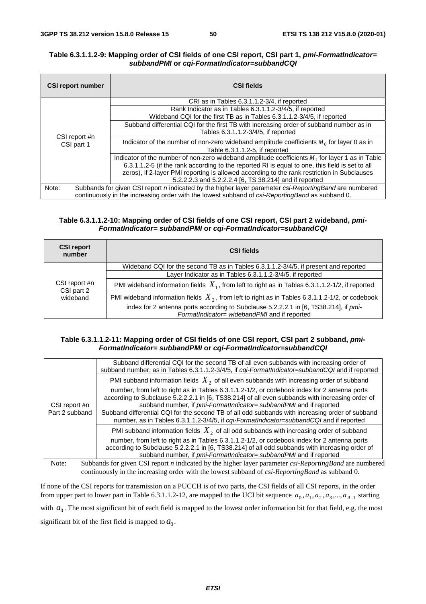#### **Table 6.3.1.1.2-9: Mapping order of CSI fields of one CSI report, CSI part 1,** *pmi-FormatIndicator= subbandPMI* **or** *cqi-FormatIndicator=subbandCQI*

| <b>CSI report number</b>                                                                        | <b>CSI fields</b>                                                                                       |  |  |  |  |  |  |
|-------------------------------------------------------------------------------------------------|---------------------------------------------------------------------------------------------------------|--|--|--|--|--|--|
|                                                                                                 | CRI as in Tables 6.3.1.1.2-3/4, if reported                                                             |  |  |  |  |  |  |
|                                                                                                 | Rank Indicator as in Tables 6.3.1.1.2-3/4/5, if reported                                                |  |  |  |  |  |  |
|                                                                                                 | Wideband CQI for the first TB as in Tables 6.3.1.1.2-3/4/5, if reported                                 |  |  |  |  |  |  |
|                                                                                                 | Subband differential CQI for the first TB with increasing order of subband number as in                 |  |  |  |  |  |  |
|                                                                                                 | Tables 6.3.1.1.2-3/4/5, if reported                                                                     |  |  |  |  |  |  |
| CSI report #n<br>CSI part 1                                                                     | Indicator of the number of non-zero wideband amplitude coefficients $M_0$ for layer 0 as in             |  |  |  |  |  |  |
|                                                                                                 | Table 6.3.1.1.2-5, if reported                                                                          |  |  |  |  |  |  |
|                                                                                                 | Indicator of the number of non-zero wideband amplitude coefficients $M_1$ for layer 1 as in Table       |  |  |  |  |  |  |
|                                                                                                 | 6.3.1.1.2-5 (if the rank according to the reported RI is equal to one, this field is set to all         |  |  |  |  |  |  |
|                                                                                                 | zeros), if 2-layer PMI reporting is allowed according to the rank restriction in Subclauses             |  |  |  |  |  |  |
|                                                                                                 | 5.2.2.2.3 and 5.2.2.2.4 [6, TS 38.214] and if reported                                                  |  |  |  |  |  |  |
| Note:                                                                                           | Subbands for given CSI report n indicated by the higher layer parameter csi-Reporting Band are numbered |  |  |  |  |  |  |
| continuously in the increasing order with the lowest subband of csi-ReportingBand as subband 0. |                                                                                                         |  |  |  |  |  |  |

#### **Table 6.3.1.1.2-10: Mapping order of CSI fields of one CSI report, CSI part 2 wideband,** *pmi-FormatIndicator= subbandPMI* **or** *cqi-FormatIndicator=subbandCQI*

| <b>CSI report</b><br>number | <b>CSI fields</b>                                                                                                                    |
|-----------------------------|--------------------------------------------------------------------------------------------------------------------------------------|
|                             | Wideband CQI for the second TB as in Tables 6.3.1.1.2-3/4/5, if present and reported                                                 |
|                             | Layer Indicator as in Tables 6.3.1.1.2-3/4/5, if reported                                                                            |
| CSI report #n<br>CSI part 2 | PMI wideband information fields $X_1$ , from left to right as in Tables 6.3.1.1.2-1/2, if reported                                   |
| wideband                    | PMI wideband information fields $X_2$ , from left to right as in Tables 6.3.1.1.2-1/2, or codebook                                   |
|                             | index for 2 antenna ports according to Subclause 5.2.2.2.1 in [6, TS38.214], if pmi-<br>FormatIndicator= widebandPMI and if reported |

#### **Table 6.3.1.1.2-11: Mapping order of CSI fields of one CSI report, CSI part 2 subband,** *pmi-FormatIndicator= subbandPMI* **or** *cqi-FormatIndicator=subbandCQI*

| Subband differential CQI for the second TB of all even subbands with increasing order of<br>subband number, as in Tables 6.3.1.1.2-3/4/5, if cqi-FormatIndicator=subbandCQI and if reported |
|---------------------------------------------------------------------------------------------------------------------------------------------------------------------------------------------|
| PMI subband information fields $X2$ of all even subbands with increasing order of subband                                                                                                   |
| number, from left to right as in Tables 6.3.1.1.2-1/2, or codebook index for 2 antenna ports                                                                                                |
| according to Subclause 5.2.2.2.1 in [6, TS38.214] of all even subbands with increasing order of<br>subband number, if pmi-FormatIndicator= subbandPMI and if reported                       |
| Subband differential CQI for the second TB of all odd subbands with increasing order of subband<br>number, as in Tables 6.3.1.1.2-3/4/5, if cqi-FormatIndicator=subbandCQI and if reported  |
| PMI subband information fields $X_2$ of all odd subbands with increasing order of subband                                                                                                   |
| number, from left to right as in Tables 6.3.1.1.2-1/2, or codebook index for 2 antenna ports                                                                                                |
| according to Subclause 5.2.2.2.1 in [6, TS38.214] of all odd subbands with increasing order of<br>subband number, if pmi-FormatIndicator= subbandPMI and if reported                        |
|                                                                                                                                                                                             |

Note: Subbands for given CSI report *n* indicated by the higher layer parameter *csi-ReportingBand* are numbered continuously in the increasing order with the lowest subband of *csi-ReportingBand* as subband 0.

If none of the CSI reports for transmission on a PUCCH is of two parts, the CSI fields of all CSI reports, in the order from upper part to lower part in Table 6.3.1.1.2-12, are mapped to the UCI bit sequence  $a_0, a_1, a_2, a_3, ..., a_{A-1}$  starting with  $a_0$ . The most significant bit of each field is mapped to the lowest order information bit for that field, e.g. the most significant bit of the first field is mapped to  $a_0$ .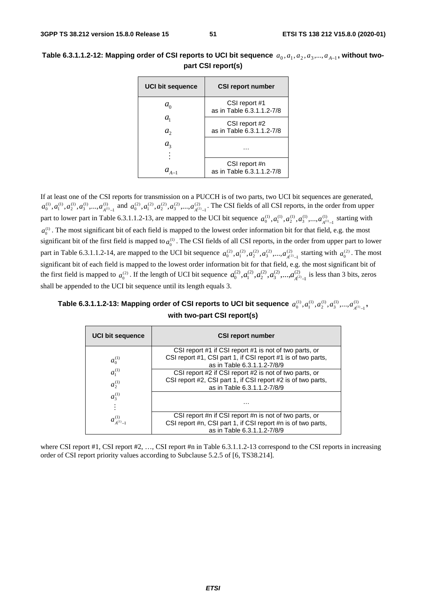| <b>UCI bit sequence</b> | <b>CSI report number</b>                   |  |
|-------------------------|--------------------------------------------|--|
| $a_{\alpha}$            | CSI report #1<br>as in Table 6.3.1.1.2-7/8 |  |
| $a_{1}$<br>$a_{2}$      | CSI report #2<br>as in Table 6.3.1.1.2-7/8 |  |
| $a_{3}$                 |                                            |  |
|                         | CSI report #n<br>as in Table 6.3.1.1.2-7/8 |  |

## Table 6.3.1.1.2-12: Mapping order of CSI reports to UCI bit sequence  $a_0, a_1, a_2, a_3, ..., a_{A-1}$ , without two**part CSI report(s)**

If at least one of the CSI reports for transmission on a PUCCH is of two parts, two UCI bit sequences are generated,  $(1)$ 1  $a_0^{(1)}, a_1^{(1)}, a_2^{(1)}, a_3^{(1)},..., a_{A^{(1)}-1}^{(1)}$  and  $a_0^{(2)}, a_1^{(2)}, a_2^{(2)}, a_3^{(2)},..., a_{A^{(2)}-1}^{(2)}$  $a_0^{(2)}, a_1^{(2)}, a_2^{(2)}, a_3^{(2)}, ..., a_{A^{(2)}-1}^{(2)}$ . The CSI fields of all CSI reports, in the order from upper part to lower part in Table 6.3.1.1.2-13, are mapped to the UCI bit sequence  $a_0^{(1)}, a_1^{(1)}, a_2^{(1)}, a_3^{(1)}, ..., a_{A^{(1)}-1}^{(1)}$  $a_0^{(1)}, a_1^{(1)}, a_2^{(1)}, a_3^{(1)},..., a_{A^{(1)}-1}^{(1)}$  starting with  $a_0^{(1)}$ . The most significant bit of each field is mapped to the lowest order information bit for that field, e.g. the most significant bit of the first field is mapped to  $a_0^{(1)}$ . The CSI fields of all CSI reports, in the order from upper part to lower part in Table 6.3.1.1.2-14, are mapped to the UCI bit sequence  $a_0^{(2)}, a_1^{(2)}, a_2^{(2)}, a_3^{(2)}, ..., a_{A^{(2)}-1}^{(2)}$  $a_0^{(2)}, a_1^{(2)}, a_2^{(2)}, a_3^{(2)}, \dots, a_{A^{(2)}-1}^{(2)}$  starting with  $a_0^{(2)}$ . The most significant bit of each field is mapped to the lowest order information bit for that field, e.g. the most significant bit of the first field is mapped to  $a_0^{(2)}$ . If the length of UCI bit sequence  $a_0^{(2)}, a_1^{(2)}, a_2^{(2)}, a_3^{(2)}, \ldots, a_{A^{(2)}-1}^{(2)}$  $a_0^{(2)}, a_1^{(2)}, a_2^{(2)}, a_3^{(2)}, \ldots, a_{A^{(2)}-1}^{(2)}$  is less than 3 bits, zeros shall be appended to the UCI bit sequence until its length equals 3.

Table 6.3.1.1.2-13: Mapping order of CSI reports to UCI bit sequence  $\,a_0^{(1)},a_1^{(1)},a_2^{(1)},a_3^{(1)},...,a_{A^{(1)}-1}^{(1)}$  $a_0^{(1)}, a_1^{(1)}, a_2^{(1)}, a_3^{(1)},..., a_{A^{(1)}-1}^{(1)}$  , **with two-part CSI report(s)** 

| <b>UCI bit sequence</b> | <b>CSI report number</b>                                     |
|-------------------------|--------------------------------------------------------------|
|                         | CSI report #1 if CSI report #1 is not of two parts, or       |
| $a_0^{(1)}$             | CSI report #1, CSI part 1, if CSI report #1 is of two parts, |
|                         | as in Table 6.3.1.1.2-7/8/9                                  |
| $a_1^{(1)}$             | CSI report #2 if CSI report #2 is not of two parts, or       |
|                         | CSI report #2, CSI part 1, if CSI report #2 is of two parts, |
| $a_2^{(1)}$             | as in Table 6.3.1.1.2-7/8/9                                  |
| $a_3^{(1)}$             |                                                              |
|                         |                                                              |
|                         |                                                              |
| $a_{A^{(1)}-}^{(1)}$    | CSI report #n if CSI report #n is not of two parts, or       |
|                         | CSI report #n, CSI part 1, if CSI report #n is of two parts, |
|                         | as in Table 6.3.1.1.2-7/8/9                                  |

where CSI report #1, CSI report  $#2$ , ..., CSI report  $#n$  in Table 6.3.1.1.2-13 correspond to the CSI reports in increasing order of CSI report priority values according to Subclause 5.2.5 of [6, TS38.214].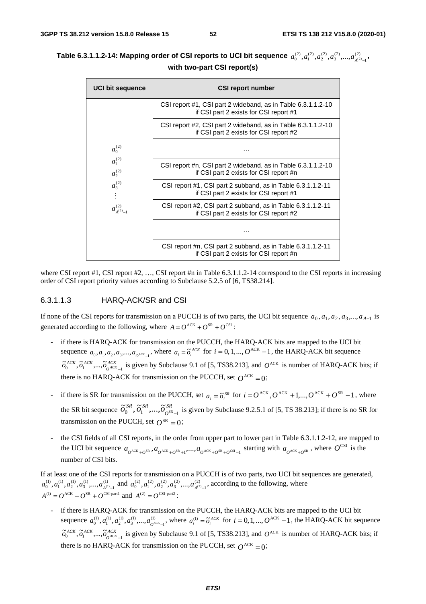| <b>UCI bit sequence</b>                                                        | <b>CSI report number</b>                                                                               |
|--------------------------------------------------------------------------------|--------------------------------------------------------------------------------------------------------|
| $a_0^{(2)}$<br>$a_1^{(2)}$<br>$a_2^{(2)}$<br>$a_3^{(2)}$<br>$a_{4(2)-1}^{(2)}$ | CSI report #1, CSI part 2 wideband, as in Table 6.3.1.1.2-10<br>if CSI part 2 exists for CSI report #1 |
|                                                                                | CSI report #2, CSI part 2 wideband, as in Table 6.3.1.1.2-10<br>if CSI part 2 exists for CSI report #2 |
|                                                                                | .                                                                                                      |
|                                                                                | CSI report #n, CSI part 2 wideband, as in Table 6.3.1.1.2-10<br>if CSI part 2 exists for CSI report #n |
|                                                                                | CSI report #1, CSI part 2 subband, as in Table 6.3.1.1.2-11<br>if CSI part 2 exists for CSI report #1  |
|                                                                                | CSI report #2, CSI part 2 subband, as in Table 6.3.1.1.2-11<br>if CSI part 2 exists for CSI report #2  |
|                                                                                | .                                                                                                      |
|                                                                                | CSI report #n, CSI part 2 subband, as in Table 6.3.1.1.2-11<br>if CSI part 2 exists for CSI report #n  |

#### Table 6.3.1.1.2-14: Mapping order of CSI reports to UCI bit sequence  $\,a_0^{(2)},a_1^{(2)},a_2^{(2)},a_3^{(2)},...,a_{A^{(2)}-1}^{(2)}\,$  $a_0^{(2)}, a_1^{(2)}, a_2^{(2)}, a_3^{(2)}, ..., a_{A^{(2)}-1}^{(2)}$  , **with two-part CSI report(s)**

where CSI report #1, CSI report #2, ..., CSI report #n in Table 6.3.1.1.2-14 correspond to the CSI reports in increasing order of CSI report priority values according to Subclause 5.2.5 of [6, TS38.214].

#### 6.3.1.1.3 HARQ-ACK/SR and CSI

If none of the CSI reports for transmission on a PUCCH is of two parts, the UCI bit sequence  $a_0$ ,  $a_1$ ,  $a_2$ ,  $a_3$ ,...,  $a_{A-1}$  is generated according to the following, where  $A = Q^{ACK} + Q^{SR} + Q^{CSI}$ :

- if there is HARQ-ACK for transmission on the PUCCH, the HARQ-ACK bits are mapped to the UCI bit sequence  $a_0, a_1, a_2, a_3, \dots, a_{0}$ <sup>ACK</sup> <sub>-1</sub>, where  $a_i = \tilde{a}_i^{ACK}$  for  $i = 0, 1, \dots, O^{ACK} - 1$ , the HARQ-ACK bit sequence *ACK*  $\tilde{\sigma}_0^{ACK}$ ,  $\tilde{\sigma}_1^{ACK}$ , ...,  $\tilde{\sigma}_{0^{ACK}-1}^{ACK}$  is given by Subclause 9.1 of [5, TS38.213], and  $O^{ACK}$  is number of HARQ-ACK bits; if there is no HARQ-ACK for transmission on the PUCCH, set  $Q^{ACK} = 0$ ;
- if there is SR for transmission on the PUCCH, set  $a_i = \tilde{o}_i^{SR}$  for  $i = O^{ACK}$ ,  $O^{ACK} + 1$ ,...,  $O^{ACK} + O^{SR} 1$ , where the SR bit sequence  $\tilde{\sigma}_0^{SR}, \tilde{\sigma}_1^{SR}, ..., \tilde{\sigma}_{O^{SR}-1}^{SR}$  is given by Subclause 9.2.5.1 of [5, TS 38.213]; if there is no SR for transmission on the PUCCH, set  $Q^{SR} = 0$ ;
- the CSI fields of all CSI reports, in the order from upper part to lower part in Table 6.3.1.1.2-12, are mapped to the UCI bit sequence  $a_{\theta^{ACK}+0^{SR}}, a_{\theta^{ACK}+0^{SR}+1},..., a_{\theta^{ACK}+0^{SR}+0^{CSI}-1}$  starting with  $a_{\theta^{ACK}+0^{SR}}$ , where  $O^{CSI}$  is the number of CSI bits.

If at least one of the CSI reports for transmission on a PUCCH is of two parts, two UCI bit sequences are generated,  $(1)$ 1  $a_0^{(1)}, a_1^{(1)}, a_2^{(1)}, a_3^{(1)},..., a_{A^{(1)}-1}^{(1)}$  and  $a_0^{(2)}, a_1^{(2)}, a_2^{(2)}, a_3^{(2)},..., a_{A^{(2)}-1}^{(2)}$  $a_0^{(2)}, a_1^{(2)}, a_2^{(2)}, a_3^{(2)}, ..., a_{A^{(2)}-1}^{(2)}$ , according to the following, where  $A^{(1)} = O^{ACK} + O^{SR} + O^{CSI\text{-}part1}$  and  $A^{(2)} = O^{CSI\text{-}part2}$ :

- if there is HARQ-ACK for transmission on the PUCCH, the HARQ-ACK bits are mapped to the UCI bit sequence  $a_0^{(1)}, a_1^{(1)}, a_2^{(1)}, a_3^{(1)},..., a_{O^{ACK}-1}^{(1)}$  $a_0^{(1)}, a_1^{(1)}, a_2^{(1)}, a_3^{(1)}, \dots, a_{Q^{ACK}-1}^{(1)}$ , where  $a_i^{(1)} = \tilde{o}_i^{ACK}$  for  $i = 0, 1, \dots, O^{ACK}-1$ , the HARQ-ACK bit sequence *ACK*  $\tilde{\sigma}_0^{ACK}$ ,  $\tilde{\sigma}_1^{ACK}$ , ...,  $\tilde{\sigma}_{0^{ACK}-1}^{ACK}$  is given by Subclause 9.1 of [5, TS38.213], and  $O^{ACK}$  is number of HARQ-ACK bits; if there is no HARQ-ACK for transmission on the PUCCH, set  $Q^{ACK} = 0$ ;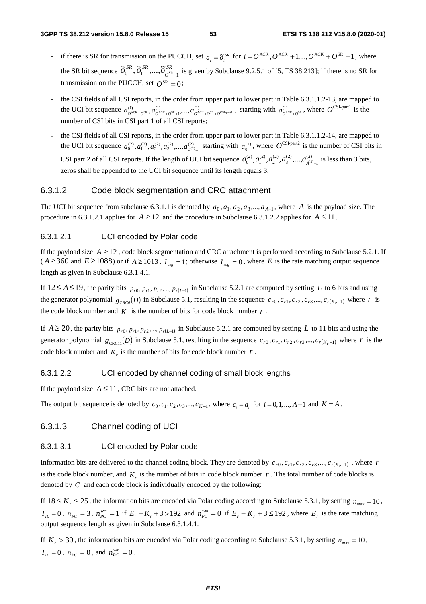- if there is SR for transmission on the PUCCH, set  $a_i = \tilde{o}_i^{SR}$  for  $i = O^{ACK}$ ,  $O^{ACK} + 1$ ,...,  $O^{ACK} + O^{SR} 1$ , where the SR bit sequence  $\tilde{\sigma}_0^{SR}, \tilde{\sigma}_1^{SR}, ..., \tilde{\sigma}_{O^{SR}-1}^{SR}$  is given by Subclause 9.2.5.1 of [5, TS 38.213]; if there is no SR for transmission on the PUCCH, set  $Q^{SR} = 0$ ;
- the CSI fields of all CSI reports, in the order from upper part to lower part in Table 6.3.1.1.2-13, are mapped to the UCI bit sequence  $a_{O^{ACK}+O^{SR}}^{(1)}, a_{O^{ACK}+O^{SR}+1}^{(1)},..., a_{O^{ACK}+O^{SR}+O^{CSI-partl}-1}^{(1)}$  $(1)$ 1  $a_{\mathcal{O}^{ACK}+O^{SR}}^{(1)}, a_{\mathcal{O}^{ACK}+O^{SR}+1}^{(1)},..., a_{\mathcal{O}^{ACK}+O^{SR}+O^{CSI-partl}-1}^{(1)}$  starting with  $a_{\mathcal{O}^{ACK}+O^{SR}}^{(1)}$ , where  $O^{CSI-partl}$  is the number of CSI bits in CSI part 1 of all CSI repo
- the CSI fields of all CSI reports, in the order from upper part to lower part in Table 6.3.1.1.2-14, are mapped to the UCI bit sequence  $a_0^{(2)}, a_1^{(2)}, a_2^{(2)}, a_3^{(2)},..., a_{A^{(2)}-1}^{(2)}$  $a_0^{(2)}, a_1^{(2)}, a_2^{(2)}, a_3^{(2)}, \dots, a_{A^{(2)}-1}^{(2)}$  starting with  $a_0^{(2)}$ , where  $O^{\text{CSI-part2}}$  is the number of CSI bits in CSI part 2 of all CSI reports. If the length of UCI bit sequence  $a_0^{(2)}, a_1^{(2)}, a_2^{(2)}, a_3^{(2)}, \ldots, a_{A^{(2)}-1}^{(2)}$  $a_0^{(2)}, a_1^{(2)}, a_2^{(2)}, a_3^{(2)}, \ldots, a_{A^{(2)}-1}^{(2)}$  is less than 3 bits, zeros shall be appended to the UCI bit sequence until its length equals 3.

## 6.3.1.2 Code block segmentation and CRC attachment

The UCI bit sequence from subclause 6.3.1.1 is denoted by  $a_0, a_1, a_2, a_3, \ldots, a_{A-1}$ , where *A* is the payload size. The procedure in 6.3.1.2.1 applies for  $A \ge 12$  and the procedure in Subclause 6.3.1.2.2 applies for  $A \le 11$ .

## 6.3.1.2.1 UCI encoded by Polar code

If the payload size  $A \ge 12$ , code block segmentation and CRC attachment is performed according to Subclause 5.2.1. If  $(A \geq 360 \text{ and } E \geq 1088)$  or if  $A \geq 1013$ ,  $I_{see} = 1$ ; otherwise  $I_{see} = 0$ , where E is the rate matching output sequence length as given in Subclause 6.3.1.4.1.

If  $12 ≤ A ≤ 19$ , the parity bits  $p_{r0}, p_{r1}, p_{r2},..., p_{r(L-1)}$  in Subclause 5.2.1 are computed by setting *L* to 6 bits and using the generator polynomial  $g_{CRC6}(D)$  in Subclause 5.1, resulting in the sequence  $c_{r0}, c_{r1}, c_{r2}, c_{r3},..., c_{r(K_r-1)}$  where *r* is the code block number and  $K_r$  is the number of bits for code block number  $r$ .

If  $A \ge 20$ , the parity bits  $p_{r0}, p_{r1}, p_{r2},..., p_{r(L-1)}$  in Subclause 5.2.1 are computed by setting *L* to 11 bits and using the generator polynomial  $g_{CRC11}(D)$  in Subclause 5.1, resulting in the sequence  $c_{r0}, c_{r1}, c_{r2}, c_{r3},..., c_{r(K_r-1)}$  where *r* is the code block number and  $K_r$  is the number of bits for code block number  $r$ .

## 6.3.1.2.2 UCI encoded by channel coding of small block lengths

If the payload size  $A \leq 11$ , CRC bits are not attached.

The output bit sequence is denoted by  $c_0, c_1, c_2, c_3, \dots, c_{K-1}$ , where  $c_i = a_i$  for  $i = 0, 1, \dots, A-1$  and  $K = A$ .

## 6.3.1.3 Channel coding of UCI

## 6.3.1.3.1 UCI encoded by Polar code

Information bits are delivered to the channel coding block. They are denoted by  $c_{r0}, c_{r1}, c_{r2}, c_{r3},..., c_{r(K_r-1)}$ , where *r* is the code block number, and  $K<sub>r</sub>$  is the number of bits in code block number  $r$ . The total number of code blocks is denoted by *C* and each code block is individually encoded by the following:

If  $18 \le K_r \le 25$ , the information bits are encoded via Polar coding according to Subclause 5.3.1, by setting  $n_{\text{max}} = 10$ ,  $I_L = 0$ ,  $n_{PC} = 3$ ,  $n_{PC}^{wm} = 1$  if  $E_r - K_r + 3 > 192$  and  $n_{PC}^{wm} = 0$  if  $E_r - K_r + 3 ≤ 192$ , where  $E_r$  is the rate matching output sequence length as given in Subclause 6.3.1.4.1.

If  $K_r > 30$ , the information bits are encoded via Polar coding according to Subclause 5.3.1, by setting  $n_{\text{max}} = 10$ ,  $I_{IL} = 0$ ,  $n_{PC} = 0$ , and  $n_{PC}^{wm} = 0$ .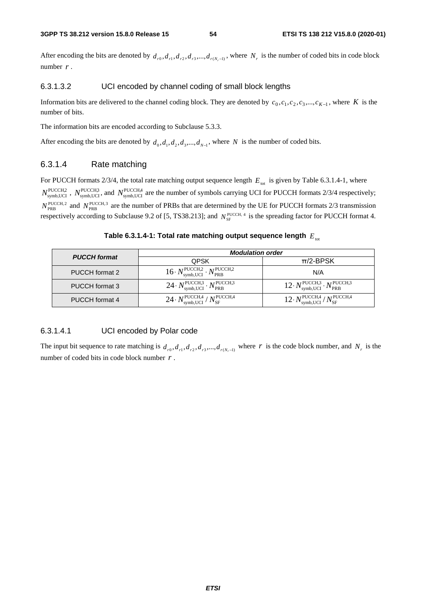After encoding the bits are denoted by  $d_{r0}, d_{r1}, d_{r2}, d_{r3},..., d_{r(N-1)}$ , where  $N_r$  is the number of coded bits in code block number *r* .

#### 6.3.1.3.2 UCI encoded by channel coding of small block lengths

Information bits are delivered to the channel coding block. They are denoted by  $c_0, c_1, c_2, c_3, ..., c_{K-1}$ , where *K* is the number of bits.

The information bits are encoded according to Subclause 5.3.3.

After encoding the bits are denoted by  $d_0, d_1, d_2, d_3, \ldots, d_{N-1}$ , where *N* is the number of coded bits.

#### 6.3.1.4 Rate matching

For PUCCH formats  $2/3/4$ , the total rate matching output sequence length  $E_{tot}$  is given by Table 6.3.1.4-1, where  $N_{\text{symbol,UCI}}^{\text{PUCCH2}}$ ,  $N_{\text{symbol,UCI}}^{\text{PUCCH3}}$ , and  $N_{\text{symbol,UCI}}^{\text{PUCCH4}}$  are the number of symbols carrying UCI for PUCCH formats 2/3/4 respectively;  $N_{\text{PRB}}^{\text{PUCCH,2}}$  and  $N_{\text{PRB}}^{\text{PUCCH,3}}$  are the number of PRBs that are determined by the UE for PUCCH formats 2/3 transmission respectively according to Subclause 9.2 of [5, TS38.213]; and  $N_{\rm SF}^{\rm PUCCH, 4}$  is the spreading factor for PUCCH format 4.

**Table 6.3.1.4-1: Total rate matching output sequence length** *E*tot

|                     | <b>Modulation order</b>                                                                 |                                                                                        |  |  |  |  |
|---------------------|-----------------------------------------------------------------------------------------|----------------------------------------------------------------------------------------|--|--|--|--|
| <b>PUCCH</b> format | <b>QPSK</b>                                                                             | $\pi$ /2-BPSK                                                                          |  |  |  |  |
| PUCCH format 2      | $16 \cdot N_{\text{symbol,UCI}}^{\text{PUCCH},2} \cdot N_{\text{PRB}}^{\text{PUCCH},2}$ | N/A                                                                                    |  |  |  |  |
| PUCCH format 3      | $24 \cdot N_{\text{symb,UCI}}^{\text{PUCCH,3}} \cdot N_{\text{PRB}}^{\text{PUCCH,3}}$   | $12 \cdot N_{\text{symbol,UC}}^{\text{PUCCH,3}} \cdot N_{\text{PRB}}^{\text{PUCCH,3}}$ |  |  |  |  |
| PUCCH format 4      | $24 \cdot N_{\text{symbol,UCI}}^{\text{PUCCH,4}} / N_{\text{SF}}^{\text{PUCCH,4}}$      | $12 \cdot N_{\text{symbol,UCI}}^{\text{PUCCH,4}} / N_{\text{SF}}^{\text{PUCCH,4}}$     |  |  |  |  |

#### 6.3.1.4.1 UCI encoded by Polar code

The input bit sequence to rate matching is  $d_{r0}, d_{r1}, d_{r2}, d_{r3},..., d_{r(N,-1)}$  where *r* is the code block number, and  $N_r$  is the number of coded bits in code block number *r* .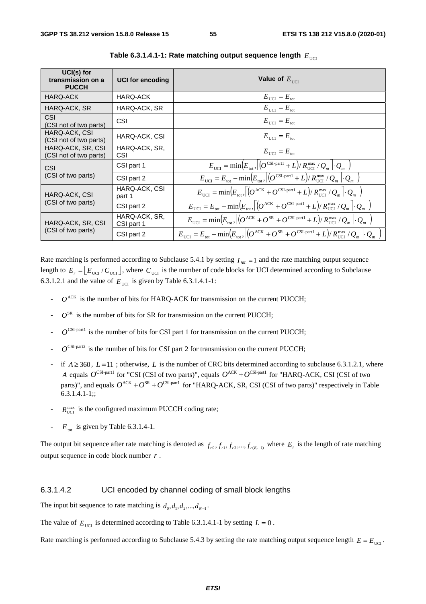| UCI(s) for<br>transmission on a<br><b>PUCCH</b> | <b>UCI for encoding</b>     | Value of $E_{\text{HCT}}$                                                                                                                                                                                 |
|-------------------------------------------------|-----------------------------|-----------------------------------------------------------------------------------------------------------------------------------------------------------------------------------------------------------|
| HARQ-ACK                                        | HARQ-ACK                    | $E_{\text{UCI}} = E_{\text{tot}}$                                                                                                                                                                         |
| HARQ-ACK, SR                                    | HARQ-ACK, SR                | $E_{\text{UCI}} = E_{\text{tot}}$                                                                                                                                                                         |
| CSI<br>(CSI not of two parts)                   | <b>CSI</b>                  | $E_{\text{HCI}} = E_{\text{tot}}$                                                                                                                                                                         |
| HARQ-ACK, CSI<br>(CSI not of two parts)         | HARQ-ACK, CSI               | $E_{\text{UCI}} = E_{\text{tot}}$                                                                                                                                                                         |
| HARQ-ACK, SR, CSI<br>(CSI not of two parts)     | HARQ-ACK, SR,<br>CSI        | $E_{\text{HCI}} = E_{\text{tot}}$                                                                                                                                                                         |
| CSI                                             | CSI part 1                  | $E_{\text{UCI}} = \min(E_{\text{tot}}, (O^{\text{CSI-part1}} + L)/R_{\text{UCI}}^{\text{max}}/Q_m \cdot Q_m)$                                                                                             |
| (CSI of two parts)                              | CSI part 2                  | $E_{\text{tot}} = E_{\text{tot}} - \min \left( E_{\text{tot}} , \left  \left( Q^{\text{CSI-part1}} + L \right) / R_{\text{UCI}}^{\text{max}} / Q_m \right  \cdot Q_m \right)$                             |
| HARQ-ACK, CSI                                   | HARQ-ACK, CSI<br>part 1     | $E_{\text{tot}} = \min \Bigl(E_{\text{tot}}, \left[ \left( Q^{\text{ACK}} + Q^{\text{CSI-part1}} + L \right) / R_{\text{UCI}}^{\text{max}} / Q_m \right] \cdot Q_m \Bigr]$                                |
| (CSI of two parts)                              | CSI part 2                  | $E_{\text{tict}} = E_{\text{tot}} - \min \Bigl(E_{\text{tot}}, \Bigl\vert \Bigl(Q^{\text{ACK}} + Q^{\text{CSI-part1}} + L\Bigr) / R_{\text{UCI}}^{\text{max}} / Q_m \Bigl\vert \Bigl\vert Q_m \Bigr\vert$ |
| HARQ-ACK, SR, CSI                               | HARQ-ACK, SR,<br>CSI part 1 | $E_{\text{tot}} = \min(E_{\text{tot}}) \left[ (O^{\text{ACK}} + O^{\text{SR}} + O^{\text{CSI-part1}} + L) / R_{\text{UG}}^{\text{max}} / Q_m \right] \cdot Q_m$                                           |
| (CSI of two parts)                              | CSI part 2                  | $E_{\text{tot}} = E_{\text{tot}} - \min \Bigl(E_{\text{tot}}\Bigr) \Bigl[ \Bigl( O^{ACK} + O^{SR} + O^{CSI\text{-}part1} + L \Bigr) / R_{\text{UCI}}^{\text{max}} / Q_m \Bigr] \cdot Q_m$                 |

 **Table 6.3.1.4.1-1: Rate matching output sequence length**  $E_{\text{UCT}}$ 

Rate matching is performed according to Subclause 5.4.1 by setting  $I_{BL} = 1$  and the rate matching output sequence length to  $E_r = \left[ E_{\text{UCI}} / C_{\text{UCI}} \right]$ , where  $C_{\text{UCI}}$  is the number of code blocks for UCI determined according to Subclause 6.3.1.2.1 and the value of  $E_{\text{ucu}}$  is given by Table 6.3.1.4.1-1:

- $O^{ACK}$  is the number of bits for HARQ-ACK for transmission on the current PUCCH;
- $O^{SR}$  is the number of bits for SR for transmission on the current PUCCH;
- $O^{\text{CSI-part1}}$  is the number of bits for CSI part 1 for transmission on the current PUCCH;
- $O^{\text{CSI-part2}}$  is the number of bits for CSI part 2 for transmission on the current PUCCH;
- if  $A \ge 360$ ,  $L=11$ ; otherwise, L is the number of CRC bits determined according to subclause 6.3.1.2.1, where *A* equals  $O^{CSI-part1}$  for "CSI (CSI of two parts)", equals  $O^{ACK} + O^{CSI-part1}$  for "HARQ-ACK, CSI (CSI of two parts)", and equals  $O^{ACK} + O^{SR} + O^{CSI\text{-part1}}$  for "HARQ-ACK, SR, CSI (CSI of two parts)" respectively in Table 6.3.1.4.1-1;;
- $R_{\text{UCT}}^{\text{max}}$  is the configured maximum PUCCH coding rate;
- $E_{\text{tot}}$  is given by Table 6.3.1.4-1.

The output bit sequence after rate matching is denoted as  $f_{r0}, f_{r1}, f_{r2},..., f_{r(E,-1)}$  where  $E_r$  is the length of rate matching output sequence in code block number *r* .

#### 6.3.1.4.2 UCI encoded by channel coding of small block lengths

The input bit sequence to rate matching is  $d_0, d_1, d_2, ..., d_{N-1}$ .

The value of  $E_{\text{ref}}$  is determined according to Table 6.3.1.4.1-1 by setting  $L = 0$ .

Rate matching is performed according to Subclause 5.4.3 by setting the rate matching output sequence length  $E = E<sub>terc1</sub>$ .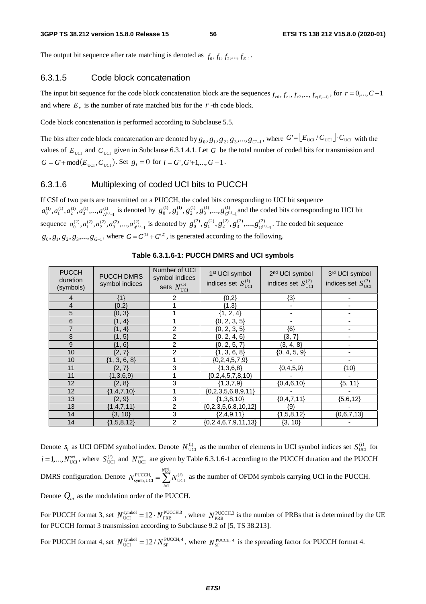The output bit sequence after rate matching is denoted as  $f_0, f_1, f_2, ..., f_{F-1}$ 

#### 6.3.1.5 Code block concatenation

The input bit sequence for the code block concatenation block are the sequences  $f_{r0}, f_{r1}, f_{r2},..., f_{r(F-1)}$ , for  $r = 0,..., C-1$ and where  $E_r$  is the number of rate matched bits for the  $r$ -th code block.

Code block concatenation is performed according to Subclause 5.5.

The bits after code block concatenation are denoted by  $g_0, g_1, g_2, g_3, \dots, g_{G-1}$ , where  $G = \lfloor E_{\text{UCI}} / C_{\text{UCI}} \rfloor \cdot C_{\text{UCI}}$  with the values of  $E_{\text{UCI}}$  and  $C_{\text{UCI}}$  given in Subclause 6.3.1.4.1. Let *G* be the total number of coded bits for transmission and  $G = G' + \text{mod}(E_{\text{UCI}}, C_{\text{UCI}})$ . Set  $g_i = 0$  for  $i = G', G'+1,..., G-1$ .

#### 6.3.1.6 Multiplexing of coded UCI bits to PUCCH

If CSI of two parts are transmitted on a PUCCH, the coded bits corresponding to UCI bit sequence  $(1)$ 1  $a_0^{(1)}, a_1^{(1)}, a_2^{(1)}, a_3^{(1)}, \dots, a_{A^{(1)}-1}^{(1)}$  is denoted by  $g_0^{(1)}, g_1^{(1)}, g_2^{(1)}, g_3^{(1)}, \dots, g_{G^{(1)}-1}^{(1)}$  $g_0^{(1)}, g_1^{(1)}, g_2^{(1)}, g_3^{(1)},..., g_{G^{(1)}-1}^{(1)}$  and the coded bits corresponding to UCI bit sequence  $a_0^{(2)}, a_1^{(2)}, a_2^{(2)}, a_3^{(2)},..., a_{A^{(2)}-1}^{(2)}$  $a_0^{(2)}, a_1^{(2)}, a_2^{(2)}, a_3^{(2)}, \dots, a_{A^{(2)}-1}^{(2)}$  is denoted by  $g_0^{(2)}, g_1^{(2)}, g_2^{(2)}, g_3^{(2)}, \dots, g_{G^{(2)}-1}^{(2)}$  $g_0^{(2)}, g_1^{(2)}, g_2^{(2)}, g_3^{(2)},..., g_{G^{(2)}-1}^{(2)}$ . The coded bit sequence  $g_0, g_1, g_2, g_3, \ldots, g_{G-1}$ , where  $G = G^{(1)} + G^{(2)}$ , is generated according to the following.

| <b>PUCCH</b><br>duration<br>(symbols) | <b>PUCCH DMRS</b><br>symbol indices | Number of UCI<br>symbol indices<br>sets $N_{\text{UCI}}^{\text{set}}$ | 1 <sup>st</sup> UCI symbol<br>indices set $S_{\text{UCI}}^{(1)}$ | 2 <sup>nd</sup> UCI symbol<br>indices set $S_{\text{UCI}}^{(2)}$ | 3rd UCI symbol<br>indices set $S^{(3)}_{\text{UCI}}$ |
|---------------------------------------|-------------------------------------|-----------------------------------------------------------------------|------------------------------------------------------------------|------------------------------------------------------------------|------------------------------------------------------|
| 4                                     | {1}                                 | 2                                                                     | ${0,2}$                                                          | $\{3\}$                                                          |                                                      |
| 4                                     | ${0,2}$                             |                                                                       | ${1,3}$                                                          |                                                                  |                                                      |
| 5                                     | ${0, 3}$                            |                                                                       | ${1, 2, 4}$                                                      | ۰                                                                | ٠                                                    |
| 6                                     | ${1, 4}$                            |                                                                       | ${0, 2, 3, 5}$                                                   |                                                                  |                                                      |
|                                       | ${1, 4}$                            | 2                                                                     | ${0, 2, 3, 5}$                                                   | {6}                                                              |                                                      |
| 8                                     | ${1, 5}$                            | $\overline{2}$                                                        | ${0, 2, 4, 6}$                                                   | ${3, 7}$                                                         |                                                      |
| 9                                     | ${1, 6}$                            | $\overline{2}$                                                        | ${0, 2, 5, 7}$                                                   | ${3, 4, 8}$                                                      |                                                      |
| 10                                    | ${2, 7}$                            | 2                                                                     | ${1, 3, 6, 8}$                                                   | ${0, 4, 5, 9}$                                                   | ٠                                                    |
| 10                                    | ${1, 3, 6, 8}$                      |                                                                       | ${0, 2, 4, 5, 7, 9}$                                             |                                                                  |                                                      |
| 11                                    | ${2, 7}$                            | 3                                                                     | ${1,3,6,8}$                                                      | ${0, 4, 5, 9}$                                                   | ${10}$                                               |
| 11                                    | ${1,3,6,9}$                         |                                                                       | ${0, 2, 4, 5, 7, 8, 10}$                                         |                                                                  |                                                      |
| 12                                    | ${2, 8}$                            | 3                                                                     | ${1,3,7,9}$                                                      | ${0, 4, 6, 10}$                                                  | ${5, 11}$                                            |
| 12                                    | ${1,4,7,10}$                        |                                                                       | ${0, 2, 3, 5, 6, 8, 9, 11}$                                      |                                                                  |                                                      |
| 13                                    | ${2, 9}$                            | 3                                                                     | ${1,3,8,10}$                                                     | ${0, 4, 7, 11}$                                                  | ${5,6,12}$                                           |
| 13                                    | ${1,4,7,11}$                        | $\overline{2}$                                                        | ${0, 2, 3, 5, 6, 8, 10, 12}$                                     | {9}                                                              |                                                      |
| 14                                    | ${3, 10}$                           | 3                                                                     | ${2,4,9,11}$                                                     | ${1, 5, 8, 12}$                                                  | ${0,6,7,13}$                                         |
| 14                                    | ${1,5,8,12}$                        | $\overline{2}$                                                        | ${0, 2, 4, 6, 7, 9, 11, 13}$                                     | ${3, 10}$                                                        |                                                      |

**Table 6.3.1.6-1: PUCCH DMRS and UCI symbols** 

Denote  $s_l$  as UCI OFDM symbol index. Denote  $N_{\text{UCI}}^{(i)}$  as the number of elements in UCI symbol indices set  $S_{\text{UCI}}^{(i)}$  for  $i = 1,...,N_{\text{UCI}}^{\text{set}}$ , where  $S_{\text{UCI}}^{(i)}$  and  $N_{\text{UCI}}^{\text{set}}$  are given by Table 6.3.1.6-1 according to the PUCCH duration and the PUCCH DMRS configuration. Denote  $N_{\text{symbol,UC}}^{\text{PUCCH}} = \sum_{i=1}^{\infty}$ = set UCI 1  $\sum_{\text{symbol, UCI}} N_{\text{UCI}}^{(i)}$ *N i*  $N_{\text{swnh IICI}}^{\text{PUCCH}} = \sum N_{\text{IICI}}^{(i)}$  as the number of OFDM symbols carrying UCI in the PUCCH. Denote  $Q_m$  as the modulation order of the PUCCH.

For PUCCH format 3, set  $N_{\text{UCI}}^{\text{symbol}} = 12 \cdot N_{\text{PRB}}^{\text{PUCCH,3}}$ , where  $N_{\text{PRB}}^{\text{PUCCH,3}}$  is the number of PRBs that is determined by the UE for PUCCH format 3 transmission according to Subclause 9.2 of [5, TS 38.213].

For PUCCH format 4, set  $N_{\text{UCI}}^{\text{symbol}} = 12/N_{\text{SF}}^{\text{PUCCH, 4}}$ , where  $N_{\text{SF}}^{\text{PUCCH, 4}}$  is the spreading factor for PUCCH format 4.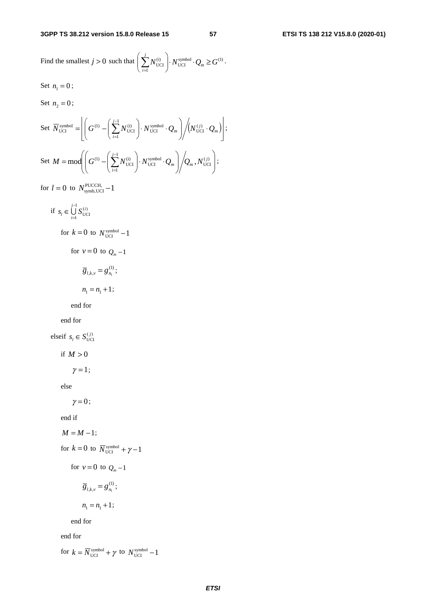Find the smallest  $j > 0$  such that  $\left( \sum_{i=1} N_{\text{UCI}}^{(i)} \right) \cdot N_{\text{UCI}}^{\text{symbol}} \cdot Q_m \ge G^{(1)}$  $\left\{N_{\text{UCI}}^{(i)}\right\} \cdot N_{\text{UCI}}^{\text{symbol}} \cdot Q_m \geq G$ *i*  $\cdot N_{\text{UCI}}^{\text{symbol}} \cdot Q_m \geq$  $\int$  $\overline{\phantom{a}}$  $\overline{\phantom{a}}$  $\setminus$ Ĵ  $\sum_{i=1}^{\infty}$ .

Set  $n_1 = 0$ ;

Set  $n_2 = 0$ ;

Set 
$$
\overline{N}_{\text{UCI}}^{\text{symbol}} = \left[ \left( G^{(1)} - \left( \sum_{i=1}^{j-1} N_{\text{UCI}}^{(i)} \right) \cdot N_{\text{UCI}}^{\text{symbol}} \cdot Q_m \right) / \left( N_{\text{UCI}}^{(j)} \cdot Q_m \right) \right];
$$
  
\nSet  $M = \text{mod} \left( \left( G^{(1)} - \left( \sum_{i=1}^{j-1} N_{\text{UCI}}^{(i)} \right) \cdot N_{\text{UCI}}^{\text{symbol}} \cdot Q_m \right) / Q_m, N_{\text{UCI}}^{(j)} \right);$ 

for  $l = 0$  to  $N_{\text{symbol,UCI}}^{\text{PUCCH},} -1$ 

if  $s_i \in \bigcup_{U \subset I} S_{U \subset I}^{(i)}$ 1 1  $s_i \in \bigcup_{i=1}^{j-1} S_{\text{U}}^{(i)}$  $\in \bigcup_{i=1}^{i} S_{\text{UCI}}^{(i)}$ for  $k = 0$  to  $N_{\text{UCI}}^{\text{symbol}} - 1$ for  $v = 0$  to  $Q_m - 1$  $\overline{g}_{l,k,v} = g_{n_1}^{(1)};$  $n_1 = n_1 + 1;$ 

end for

end for

elseif  $s_i \in S_{\text{UCI}}^{(j)}$ 

if  $M > 0$ 

 $\gamma = 1$ ;

else

 $\gamma = 0$ ;

end if

$$
M=M-1;
$$

for  $k = 0$  to  $\overline{N}_{\text{UCI}}^{\text{symbol}} + \gamma - 1$ 

for  $v = 0$  to  $Q_m - 1$ 

$$
\overline{g}_{l,k,v}=g_{n_1}^{(1)};
$$

$$
n_1=n_1+1;
$$

end for

end for

for  $k = \overline{N}_{UCI}^{symbol} + \gamma$  to  $N_{UCI}^{symbol} - 1$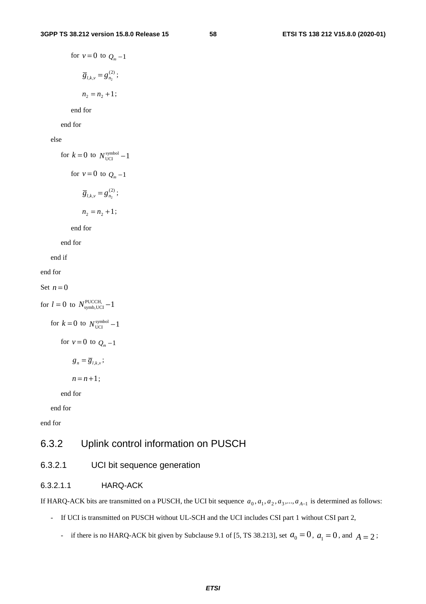for 
$$
v = 0
$$
 to  $Q_m - 1$   
\n
$$
\overline{g}_{l,k,v} = g_{n_2}^{(2)};
$$
\n
$$
n_2 = n_2 + 1;
$$

end for

end for

else

for  $k = 0$  to  $N_{\text{UCI}}^{\text{symbol}} - 1$ for  $v = 0$  to  $Q_m - 1$  $\overline{g}_{l,k,v} = g_{n_2}^{(2)}$ ;  $n_2 = n_2 + 1;$ 

end for

end for

end if

end for

Set  $n = 0$ 

for  $l = 0$  to  $N_{\text{symb, UCI}}^{\text{PUCCH}} - 1$ for  $k = 0$  to  $N_{\text{UCI}}^{\text{symbol}} - 1$ for  $v = 0$  to  $Q_m - 1$  $g_n = \overline{g}_{l,k,\nu}$ ;  $n = n + 1$ ;

end for

end for

end for

# 6.3.2 Uplink control information on PUSCH

## 6.3.2.1 UCI bit sequence generation

#### 6.3.2.1.1 HARQ-ACK

If HARQ-ACK bits are transmitted on a PUSCH, the UCI bit sequence  $a_0, a_1, a_2, a_3, \ldots, a_{A-1}$  is determined as follows:

- If UCI is transmitted on PUSCH without UL-SCH and the UCI includes CSI part 1 without CSI part 2,
	- if there is no HARQ-ACK bit given by Subclause 9.1 of [5, TS 38.213], set  $a_0 = 0$ ,  $a_1 = 0$ , and  $A = 2$ ;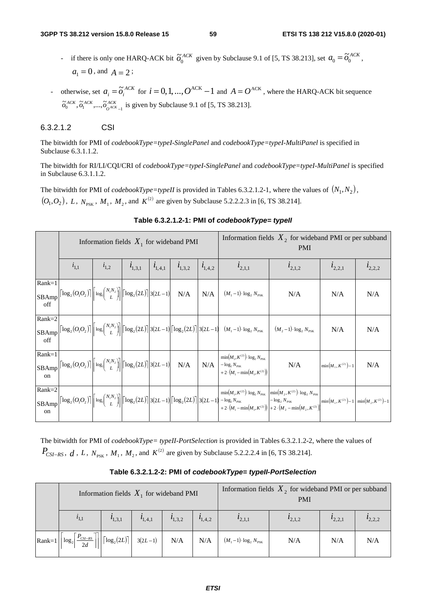- if there is only one HARQ-ACK bit  $\tilde{\sigma}_0^{ACK}$  given by Subclause 9.1 of [5, TS 38.213], set  $a_0 = \tilde{\sigma}_0^{ACK}$ ,  $a_1 = 0$ , and  $A = 2$ ;
- otherwise, set  $a_i = \tilde{o}_i^{ACK}$  for  $i = 0, 1, ..., O^{ACK} 1$  and  $A = O^{ACK}$ , where the HARQ-ACK bit sequence *ACK*  $\tilde{\sigma}_0^{ACK}$ ,  $\tilde{\sigma}_1^{ACK}$ , ...,  $\tilde{\sigma}_{0^{ACK}-1}^{ACK}$  is given by Subclause 9.1 of [5, TS 38.213].

## 6.3.2.1.2 CSI

The bitwidth for PMI of *codebookType=typeI-SinglePanel* and *codebookType=typeI-MultiPanel* is specified in Subclause 6.3.1.1.2.

The bitwidth for RI/LI/CQI/CRI of *codebookType=typeI-SinglePanel* and *codebookType=typeI-MultiPanel* is specified in Subclause 6.3.1.1.2.

The bitwidth for PMI of *codebookType=typeII* is provided in Tables 6.3.2.1.2-1, where the values of  $(N_1, N_2)$ ,  $(O_1,O_2)$ , *L*,  $N_{\text{p}_{\text{SK}}}$ ,  $M_1$ ,  $M_2$ , and  $K^{(2)}$  are given by Subclause 5.2.2.2.3 in [6, TS 38.214].

|                          |                                                                                                                                                                                                                                                       | Information fields $X_1$ for wideband PMI |             |             |             |             | Information fields $X_2$ for wideband PMI or per subband<br><b>PMI</b>                                                                                                                                                                                                                                                                                                                                   |                                                                                     |                        |             |
|--------------------------|-------------------------------------------------------------------------------------------------------------------------------------------------------------------------------------------------------------------------------------------------------|-------------------------------------------|-------------|-------------|-------------|-------------|----------------------------------------------------------------------------------------------------------------------------------------------------------------------------------------------------------------------------------------------------------------------------------------------------------------------------------------------------------------------------------------------------------|-------------------------------------------------------------------------------------|------------------------|-------------|
|                          | $i_{1,1}$                                                                                                                                                                                                                                             | $i_{1,2}$                                 | $l_{1,3,1}$ | $l_{1,4,1}$ | $l_{1,3,2}$ | $i_{1,4,2}$ | $l_{2,1,1}$                                                                                                                                                                                                                                                                                                                                                                                              | $l_{2,1,2}$                                                                         | $l_{2,2,1}$            | $l_{2,2,2}$ |
| $Rank=1$<br>SBAmp<br>off | $\left\lceil \log_2(O_1 O_2) \right\rceil \left\lceil \log_2 {N_1 N_2 \choose L} \right\rceil \left\lceil \log_2(2L) \right\rceil 3(2L-1) \quad \text{N/A}$                                                                                           |                                           |             |             |             |             | $\big  N/A \big  (M_1-1) \cdot \log_2 N_{PSK}$                                                                                                                                                                                                                                                                                                                                                           | N/A                                                                                 | N/A                    | N/A         |
| $Rank=2$<br>SBAmp<br>off |                                                                                                                                                                                                                                                       |                                           |             |             |             |             | $\left \left\lceil\log_2\left(O_1O_2\right)\right\rceil\right \left \log_2\left(\begin{matrix} N_1N_2 \\ L\end{matrix}\right)\right \left \left\lceil\log_2\left(2L\right)\right\rceil\right 3(2L-1)\left \left\lceil\log_2\left(2L\right)\right\rceil\right 3(2L-1)\right  \ \ (M_1-1)\cdot\log_2N_{\mathrm{PSK}}\ \ \left \ \ (M_2-1)\cdot\log_2N_{\mathrm{PSK}}\right $                               |                                                                                     | N/A                    | N/A         |
| $Rank=1$<br>$_{\rm on}$  | $\begin{array}{c}\n\text{SBAmp}\n\end{array}\n\begin{bmatrix}\n\log_2(O_1O_2)\n\end{bmatrix}\n\begin{bmatrix}\n\log_2(N_1N_2)\n\end{bmatrix}\n\begin{bmatrix}\n\log_2(2L)\n\end{bmatrix}\n\begin{bmatrix}\n3(2L-1)\n\end{bmatrix} = N/A\n\end{array}$ |                                           |             |             |             |             | $\min(M_1, K^{(2)}) \cdot \log_2 N_{\text{PSK}}$<br>$\left\{ \begin{array}{c} \textbf{N/A} \\ +2\cdot(M_1-\min(M_1,K^{(2)}) \end{array} \right\}$                                                                                                                                                                                                                                                        | N/A                                                                                 | $\min(M_1, K^{(2)})-1$ | N/A         |
| $Rank=2$<br>on           |                                                                                                                                                                                                                                                       |                                           |             |             |             |             | $\begin{vmatrix} \text{R} & \text{R} & \text{R} \\ \text{SBAmp} & \text{R} & \text{R} \end{vmatrix} \begin{vmatrix} \log_2(O_1 O_2) \\ \text{R} & \text{R} \end{vmatrix} \begin{vmatrix} \log_2(N_1 N_2) \\ L \end{vmatrix} \begin{vmatrix} \log_2(2L) \\ \text{R} & \text{R} \end{vmatrix} = \log_2(N_1 N_2 N_1 N_2 N_1 N_2 N_1 N_2 N_2 N_1 N_2 N_2 N_1 N_2 N_2 N_2 N_1 N_2 N_2 N_2 N_1 N_2 N_2 N_2 N_$ | $\min(M_1, K^{(2)}) \cdot \log_2 N_{PSK}$ $\min(M_2, K^{(2)}) \cdot \log_2 N_{PSK}$ |                        |             |

## **Table 6.3.2.1.2-1: PMI of** *codebookType= typeII*

The bitwidth for PMI of *codebookType= typeII-PortSelection* is provided in Tables 6.3.2.1.2-2, where the values of *P<sub>CSI−RS</sub>* , *d* , *L* ,  $N_{\text{PSK}}$  , *M*<sub>1</sub>, *M*<sub>2</sub>, and  $K^{(2)}$  are given by Subclause 5.2.2.2.4 in [6, TS 38.214].

| Table 6.3.2.1.2-2: PMI of codebookType= typeII-PortSelection |  |  |
|--------------------------------------------------------------|--|--|
|--------------------------------------------------------------|--|--|

|           | Information fields $X_1$ for wideband PMI |                                                 |  |  | Information fields $X_2$ for wideband PMI or per subband<br><b>PMI</b>                                                                                                  |             |             |             |
|-----------|-------------------------------------------|-------------------------------------------------|--|--|-------------------------------------------------------------------------------------------------------------------------------------------------------------------------|-------------|-------------|-------------|
| $i_{1,1}$ |                                           | $i_{1,3,1}$ $i_{1,4,1}$ $i_{1,3,2}$ $i_{1,4,2}$ |  |  | $l_{2,1,1}$                                                                                                                                                             | $l_{2,1,2}$ | $l_{2,2,1}$ | $t_{2,2,2}$ |
|           |                                           |                                                 |  |  | $\left \text{Rank=1}\left \left[\log_2\left(\frac{P_{CSI-RS}}{2d}\right]\right]\right \left[\log_2(2L)\right]\right $ 3(2L-1) $N/A$ $N/A$ $(M_1-1)\cdot \log_2 N_{PSK}$ | N/A         | N/A         | N/A         |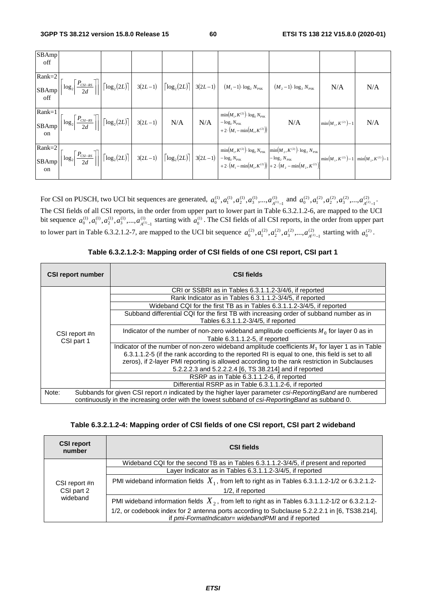| SBAmp<br>off    |  |  |                                                                                                                                                                                                                                                                                                                                                            |     |                        |     |
|-----------------|--|--|------------------------------------------------------------------------------------------------------------------------------------------------------------------------------------------------------------------------------------------------------------------------------------------------------------------------------------------------------------|-----|------------------------|-----|
| $Rank=2$<br>off |  |  |                                                                                                                                                                                                                                                                                                                                                            |     | N/A                    | N/A |
| $Rank=1$<br>on  |  |  | $min(M_1, K^{(2)}) \cdot log_2 N_{PSK}$<br>$\begin{array}{c c c c c} \hline \text{Kann-1} & \text{min}[M_1, K^{(2)}] & \text{log}_2[P_{CS-RS}] \\ \hline \text{SBAmp} & 2d & \text{max}[I_1, K^{(2)}] & 3(2L-1) & \text{N/A} & \text{N/A} & \text{min}[M_1, K^{(2)}] & \text{log}_2 N_{\text{RK}} \\ \hline \end{array}$<br>+ 2 $(M_1 - min(M_1, K^{(2)})$ | N/A | $\min(M_1, K^{(2)})-1$ | N/A |
| on              |  |  |                                                                                                                                                                                                                                                                                                                                                            |     |                        |     |

For CSI on PUSCH, two UCI bit sequences are generated,  $a_0^{(1)}, a_1^{(1)}, a_2^{(1)}, a_3^{(1)}, \dots, a_{A^{(1)}-1}^{(1)}$  $a_0^{(1)}, a_1^{(1)}, a_2^{(1)}, a_3^{(1)},..., a_{A^{(1)}-1}^{(1)}$  and  $a_0^{(2)}, a_1^{(2)}, a_2^{(2)}, a_3^{(2)},..., a_{A^{(2)}-1}^{(2)}$  $a_0^{(2)}, a_1^{(2)}, a_2^{(2)}, a_3^{(2)},..., a_{A^{(2)}-1}^{(2)}.$ The CSI fields of all CSI reports, in the order from upper part to lower part in Table 6.3.2.1.2-6, are mapped to the UCI bit sequence  $a_0^{(1)}, a_1^{(1)}, a_2^{(1)}, a_3^{(1)},..., a_{A^{(1)}-1}^{(1)}$  $a_0^{(1)}, a_1^{(1)}, a_2^{(1)}, a_3^{(1)}, \ldots, a_{A^{(1)}-1}^{(1)}$  starting with  $a_0^{(1)}$ . The CSI fields of all CSI reports, in the order from upper part to lower part in Table 6.3.2.1.2-7, are mapped to the UCI bit sequence  $a_0^{(2)}, a_1^{(2)}, a_2^{(2)}, a_3^{(2)}, ..., a_{A^{(2)}-1}^{(2)}$  $a_0^{(2)}, a_1^{(2)}, a_2^{(2)}, a_3^{(2)}, \dots, a_{A^{(2)}-1}^{(2)}$  starting with  $a_0^{(2)}$ .

| <b>CSI report number</b> | <b>CSI fields</b>                                                                                      |  |  |  |  |  |  |  |
|--------------------------|--------------------------------------------------------------------------------------------------------|--|--|--|--|--|--|--|
|                          | CRI or SSBRI as in Tables 6.3.1.1.2-3/4/6, if reported                                                 |  |  |  |  |  |  |  |
|                          | Rank Indicator as in Tables 6.3.1.1.2-3/4/5, if reported                                               |  |  |  |  |  |  |  |
|                          | Wideband CQI for the first TB as in Tables 6.3.1.1.2-3/4/5, if reported                                |  |  |  |  |  |  |  |
|                          | Subband differential CQI for the first TB with increasing order of subband number as in                |  |  |  |  |  |  |  |
|                          | Tables 6.3.1.1.2-3/4/5, if reported                                                                    |  |  |  |  |  |  |  |
| CSI report #n            | Indicator of the number of non-zero wideband amplitude coefficients $M_0$ for layer 0 as in            |  |  |  |  |  |  |  |
| CSI part 1               | Table 6.3.1.1.2-5, if reported                                                                         |  |  |  |  |  |  |  |
|                          | Indicator of the number of non-zero wideband amplitude coefficients $M_1$ for layer 1 as in Table      |  |  |  |  |  |  |  |
|                          | 6.3.1.1.2-5 (if the rank according to the reported RI is equal to one, this field is set to all        |  |  |  |  |  |  |  |
|                          | zeros), if 2-layer PMI reporting is allowed according to the rank restriction in Subclauses            |  |  |  |  |  |  |  |
|                          | 5.2.2.2.3 and 5.2.2.2.4 [6, TS 38.214] and if reported                                                 |  |  |  |  |  |  |  |
|                          | RSRP as in Table 6.3.1.1.2-6, if reported                                                              |  |  |  |  |  |  |  |
|                          | Differential RSRP as in Table 6.3.1.1.2-6, if reported                                                 |  |  |  |  |  |  |  |
| Note:                    | Subbands for given CSI report n indicated by the higher layer parameter csi-ReportingBand are numbered |  |  |  |  |  |  |  |
|                          | continuously in the increasing order with the lowest subband of csi-ReportingBand as subband 0.        |  |  |  |  |  |  |  |

## **Table 6.3.2.1.2-4: Mapping order of CSI fields of one CSI report, CSI part 2 wideband**

| <b>CSI report</b><br>number             | <b>CSI fields</b>                                                                                                                                    |
|-----------------------------------------|------------------------------------------------------------------------------------------------------------------------------------------------------|
|                                         | Wideband CQI for the second TB as in Tables 6.3.1.1.2-3/4/5, if present and reported                                                                 |
|                                         | Layer Indicator as in Tables 6.3.1.1.2-3/4/5, if reported                                                                                            |
| CSI report #n<br>CSI part 2<br>wideband | PMI wideband information fields $X_1$ , from left to right as in Tables 6.3.1.1.2-1/2 or 6.3.2.1.2-<br>1/2, if reported                              |
|                                         | PMI wideband information fields $X_2$ , from left to right as in Tables 6.3.1.1.2-1/2 or 6.3.2.1.2-                                                  |
|                                         | 1/2, or codebook index for 2 antenna ports according to Subclause 5.2.2.2.1 in [6, TS38.214],<br>if pmi-FormatIndicator= widebandPMI and if reported |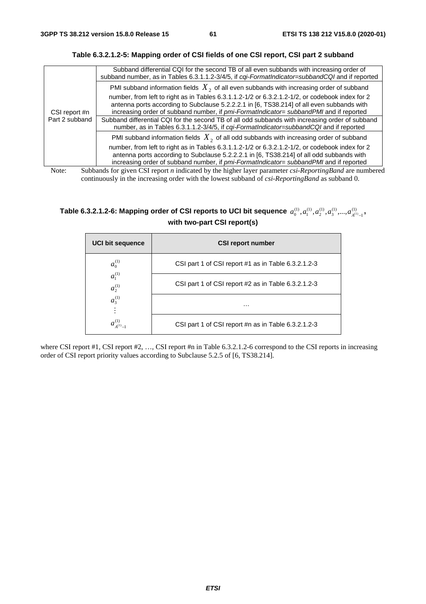| CSI report #n<br>Part 2 subband | Subband differential CQI for the second TB of all even subbands with increasing order of<br>subband number, as in Tables 6.3.1.1.2-3/4/5, if cqi-FormatIndicator=subbandCQI and if reported                                                                                                                                                                                                                                                                                          |
|---------------------------------|--------------------------------------------------------------------------------------------------------------------------------------------------------------------------------------------------------------------------------------------------------------------------------------------------------------------------------------------------------------------------------------------------------------------------------------------------------------------------------------|
|                                 | PMI subband information fields $X_2$ of all even subbands with increasing order of subband                                                                                                                                                                                                                                                                                                                                                                                           |
|                                 | number, from left to right as in Tables 6.3.1.1.2-1/2 or 6.3.2.1.2-1/2, or codebook index for 2<br>antenna ports according to Subclause 5.2.2.2.1 in [6, TS38.214] of all even subbands with<br>increasing order of subband number, if pmi-FormatIndicator= subbandPMI and if reported<br>Subband differential CQI for the second TB of all odd subbands with increasing order of subband<br>number, as in Tables 6.3.1.1.2-3/4/5, if cqi-FormatIndicator=subbandCQI and if reported |
|                                 | PMI subband information fields $X_2$ of all odd subbands with increasing order of subband                                                                                                                                                                                                                                                                                                                                                                                            |
|                                 | number, from left to right as in Tables 6.3.1.1.2-1/2 or 6.3.2.1.2-1/2, or codebook index for 2<br>antenna ports according to Subclause 5.2.2.2.1 in [6, TS38.214] of all odd subbands with<br>increasing order of subband number, if pmi-FormatIndicator= subbandPMI and if reported                                                                                                                                                                                                |
| Note:                           | Subbands for given CSI report <i>n</i> indicated by the higher layer parameter <i>csi-ReportingBand</i> are numbered                                                                                                                                                                                                                                                                                                                                                                 |

**Table 6.3.2.1.2-5: Mapping order of CSI fields of one CSI report, CSI part 2 subband** 

continuously in the increasing order with the lowest subband of *csi-ReportingBand* as subband 0.

#### Table 6.3.2.1.2-6: Mapping order of CSI reports to UCI bit sequence  $\,a_0^{(1)},a_1^{(1)},a_2^{(1)},a_3^{(1)},...,a_{A^{(1)}-1}^{(1)}\,$  $a_0^{(1)}, a_1^{(1)}, a_2^{(1)}, a_3^{(1)},..., a_{A^{(1)}-1}^{(1)}$  , **with two-part CSI report(s)**

| <b>UCI bit sequence</b>    | <b>CSI report number</b>                            |
|----------------------------|-----------------------------------------------------|
| $a_0^{(1)}$                | CSI part 1 of CSI report #1 as in Table 6.3.2.1.2-3 |
| $a_1^{(1)}$<br>$a_2^{(1)}$ | CSI part 1 of CSI report #2 as in Table 6.3.2.1.2-3 |
| $a_3^{(1)}$                | $\cdots$                                            |
| $a_{A^{(1)}-1}^{(1)}$      | CSI part 1 of CSI report #n as in Table 6.3.2.1.2-3 |

where CSI report #1, CSI report #2, ..., CSI report #n in Table 6.3.2.1.2-6 correspond to the CSI reports in increasing order of CSI report priority values according to Subclause 5.2.5 of [6, TS38.214].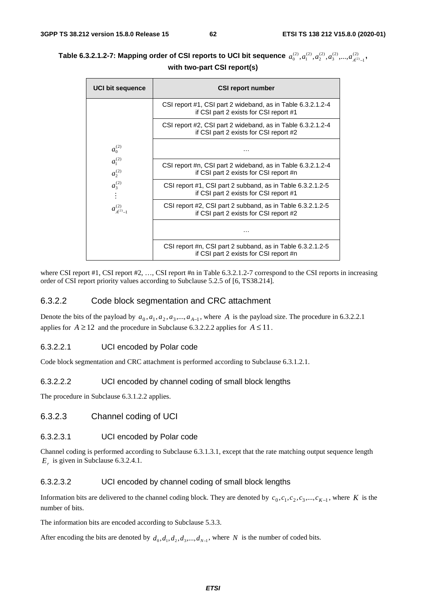| Table 6.3.2.1.2-7: Mapping order of CSI reports to UCI bit sequence $\,a_0^{(2)},a_1^{(2)},a_2^{(2)},a_3^{(2)},,a_{A^{(2)}-1}^{(2)},$ |  |  |  |
|---------------------------------------------------------------------------------------------------------------------------------------|--|--|--|
| with two-part CSI report(s)                                                                                                           |  |  |  |

| <b>UCI bit sequence</b>    | <b>CSI report number</b>                                                                              |
|----------------------------|-------------------------------------------------------------------------------------------------------|
|                            | CSI report #1, CSI part 2 wideband, as in Table 6.3.2.1.2-4<br>if CSI part 2 exists for CSI report #1 |
|                            | CSI report #2, CSI part 2 wideband, as in Table 6.3.2.1.2-4<br>if CSI part 2 exists for CSI report #2 |
| $a_0^{(2)}$                | .                                                                                                     |
| $a_1^{(2)}$<br>$a_2^{(2)}$ | CSI report #n, CSI part 2 wideband, as in Table 6.3.2.1.2-4<br>if CSI part 2 exists for CSI report #n |
| $a_3^{(2)}$                | CSI report #1, CSI part 2 subband, as in Table 6.3.2.1.2-5<br>if CSI part 2 exists for CSI report #1  |
| $a^{(2)}_{A^{(2)}-1}$      | CSI report #2, CSI part 2 subband, as in Table 6.3.2.1.2-5<br>if CSI part 2 exists for CSI report #2  |
|                            |                                                                                                       |
|                            | CSI report #n, CSI part 2 subband, as in Table 6.3.2.1.2-5<br>if CSI part 2 exists for CSI report #n  |

where CSI report #1, CSI report #2, ..., CSI report #n in Table 6.3.2.1.2-7 correspond to the CSI reports in increasing order of CSI report priority values according to Subclause 5.2.5 of [6, TS38.214].

#### 6.3.2.2 Code block segmentation and CRC attachment

Denote the bits of the payload by  $a_0, a_1, a_2, a_3, \dots, a_{A-1}$ , where *A* is the payload size. The procedure in 6.3.2.2.1 applies for  $A \ge 12$  and the procedure in Subclause 6.3.2.2.2 applies for  $A \le 11$ .

#### 6.3.2.2.1 UCI encoded by Polar code

Code block segmentation and CRC attachment is performed according to Subclause 6.3.1.2.1.

#### 6.3.2.2.2 UCI encoded by channel coding of small block lengths

The procedure in Subclause 6.3.1.2.2 applies.

## 6.3.2.3 Channel coding of UCI

#### 6.3.2.3.1 UCI encoded by Polar code

Channel coding is performed according to Subclause 6.3.1.3.1, except that the rate matching output sequence length  $E<sub>r</sub>$  is given in Subclause 6.3.2.4.1.

#### 6.3.2.3.2 UCI encoded by channel coding of small block lengths

Information bits are delivered to the channel coding block. They are denoted by  $c_0$ ,  $c_1$ ,  $c_2$ ,  $c_3$ ,...,  $c_{K-1}$ , where *K* is the number of bits.

The information bits are encoded according to Subclause 5.3.3.

After encoding the bits are denoted by  $d_0, d_1, d_2, d_3, \ldots, d_{N-1}$ , where *N* is the number of coded bits.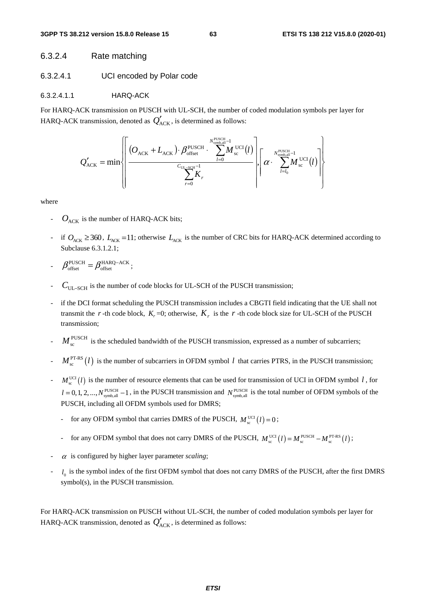#### 6.3.2.4 Rate matching

#### 6.3.2.4.1 UCI encoded by Polar code

#### 6.3.2.4.1.1 HARQ-ACK

For HARQ-ACK transmission on PUSCH with UL-SCH, the number of coded modulation symbols per layer for HARQ-ACK transmission, denoted as  $Q'_{ACK}$ , is determined as follows:

$$
Q'_{\text{ACK}} = \min \left\{\n\left[\n\frac{\left(O_{\text{ACK}} + L_{\text{ACK}}\right) \cdot \beta_{\text{offset}}^{\text{PUSCH}} \cdot \sum_{l=0}^{N_{\text{symbol}}^{\text{PUSCH}}-1} M_{\text{sc}}^{\text{UCI}}(l)}{\sum_{r=0}^{C_{\text{UL}-\text{SCH}}-1} K_r}\n\right], \left[\n\alpha \cdot \sum_{l=l_0}^{N_{\text{symbol}}^{\text{PUSCH}}-1} M_{\text{sc}}^{\text{UCI}}(l)\n\right]\n\right\}
$$

where

- $O_{ACK}$  is the number of HARQ-ACK bits;
- if  $O_{\text{ACK}} \geq 360$ ,  $L_{\text{ACK}} = 11$ ; otherwise  $L_{\text{ACK}}$  is the number of CRC bits for HARQ-ACK determined according to Subclause 6.3.1.2.1;
- $\beta_{\text{offset}}^{\text{PUSCH}} = \beta_{\text{offset}}^{\text{HARQ-ACK}}$ PUSCH  $\beta_{\text{offset}}^{\text{PUSCH}} = \beta_{\text{offset}}^{\text{HARQ-ACK}}$ ;
- *C*UL−SCH is the number of code blocks for UL-SCH of the PUSCH transmission;
- if the DCI format scheduling the PUSCH transmission includes a CBGTI field indicating that the UE shall not transmit the *r* -th code block,  $K_r = 0$ ; otherwise,  $K_r$  is the *r* -th code block size for UL-SCH of the PUSCH transmission;
- $M_{\rm sc}^{\rm PUSCH}$  is the scheduled bandwidth of the PUSCH transmission, expressed as a number of subcarriers;
- $M_{\rm c}^{\rm PT-RS}(l)$  is the number of subcarriers in OFDM symbol *l* that carries PTRS, in the PUSCH transmission;
- $M_{\rm sc}^{\rm UCI}$  (*l*) is the number of resource elements that can be used for transmission of UCI in OFDM symbol *l*, for  $l = 0, 1, 2, ..., N_{synb, all}^{PUSCH} - 1$ , in the PUSCH transmission and  $N_{synb, all}^{PUSCH}$  is the total number of OFDM symbols of the PUSCH, including all OFDM symbols used for DMRS;
	- for any OFDM symbol that carries DMRS of the PUSCH,  $M_{\text{sc}}^{\text{UCI}}(l) = 0$ ;
	- for any OFDM symbol that does not carry DMRS of the PUSCH,  $M_{\text{sc}}^{\text{UCI}}(l) = M_{\text{sc}}^{\text{PUSCH}} M_{\text{sc}}^{\text{PTSK}}(l)$ ;
- $\alpha$  is configured by higher layer parameter *scaling*;
- $l_0$  is the symbol index of the first OFDM symbol that does not carry DMRS of the PUSCH, after the first DMRS symbol(s), in the PUSCH transmission.

For HARQ-ACK transmission on PUSCH without UL-SCH, the number of coded modulation symbols per layer for HARQ-ACK transmission, denoted as  $Q'_{ACK}$ , is determined as follows: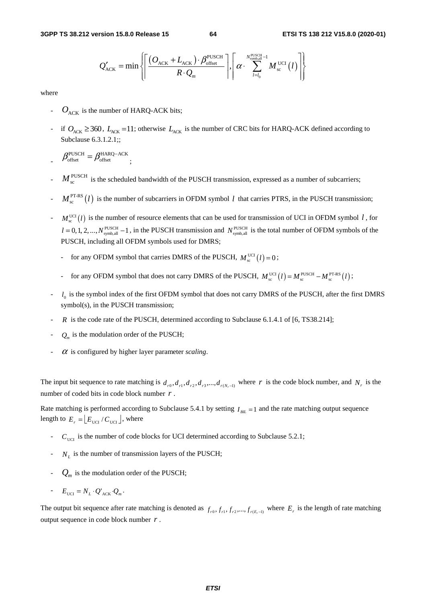$$
Q'_{\text{ACK}} = \min \left\{ \left\lceil \frac{(O_{\text{ACK}} + L_{\text{ACK}}) \cdot \beta_{\text{offset}}^{\text{PUSCH}}}{R \cdot Q_m} \right\rceil, \left\lceil \alpha \cdot \sum_{l=l_0}^{N_{\text{synball}}^{\text{PUSCH}}-1} M_{\text{sc}}^{\text{UCI}}(l) \right\rceil \right\}
$$

where

- $O_{\text{ACK}}$  is the number of HARQ-ACK bits;
- if  $O_{\text{ACK}} \geq 360$ ,  $L_{\text{ACK}} = 11$ ; otherwise  $L_{\text{ACK}}$  is the number of CRC bits for HARQ-ACK defined according to Subclause 6.3.1.2.1;;
- $\beta_{\text{offset}}^{\text{PUSCH}} = \beta_{\text{offset}}^{\text{HARQ-ACK}}$ ;
- $M_{\rm sc}^{\rm PUSCH}$  is the scheduled bandwidth of the PUSCH transmission, expressed as a number of subcarriers;
- $M_{\rm sc}^{\rm PT-RS}(l)$  is the number of subcarriers in OFDM symbol *l* that carries PTRS, in the PUSCH transmission;
- $M_{\rm sc}^{\rm UCI}$  *(1)* is the number of resource elements that can be used for transmission of UCI in OFDM symbol *l*, for  $l = 0, 1, 2, ..., N_{\text{symbol},all}}^{\text{PUSCH}} - 1$ , in the PUSCH transmission and  $N_{\text{symbol},all}}^{\text{PUSCH}}$  is the total number of OFDM symbols of the PUSCH, including all OFDM symbols used for DMRS;
	- for any OFDM symbol that carries DMRS of the PUSCH,  $M_{\text{sc}}^{\text{UCI}}(l) = 0$ ;
	- for any OFDM symbol that does not carry DMRS of the PUSCH,  $M_{\text{sc}}^{\text{UCI}}(l) = M_{\text{sc}}^{\text{PUSCH}} M_{\text{sc}}^{\text{PT-RS}}(l)$ ;
- $l_0$  is the symbol index of the first OFDM symbol that does not carry DMRS of the PUSCH, after the first DMRS symbol(s), in the PUSCH transmission;
- R is the code rate of the PUSCH, determined according to Subclause 6.1.4.1 of [6, TS38.214];
- $Q_m$  is the modulation order of the PUSCH;
- $\alpha$  is configured by higher layer parameter *scaling*.

The input bit sequence to rate matching is  $d_{r0}, d_{r1}, d_{r2}, d_{r3},..., d_{r(N-1)}$  where *r* is the code block number, and  $N_r$  is the number of coded bits in code block number *r* .

Rate matching is performed according to Subclause 5.4.1 by setting  $I_{BL} = 1$  and the rate matching output sequence length to  $E_r = \left[ E_{\text{UCI}} / C_{\text{UCI}} \right]$ , where

- $C<sub>UCI</sub>$  is the number of code blocks for UCI determined according to Subclause 5.2.1;
- $N_L$  is the number of transmission layers of the PUSCH;
- $Q_m$  is the modulation order of the PUSCH;
- $E_{\text{UCI}} = N_L \cdot Q_{\text{ACK}} \cdot Q_m$ .

The output bit sequence after rate matching is denoted as  $f_{r0}, f_{r1}, f_{r2},..., f_{r(E,-1)}$  where  $E_r$  is the length of rate matching output sequence in code block number *r* .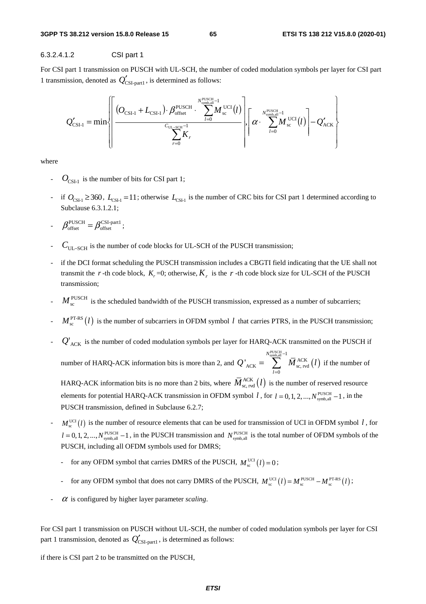#### 6.3.2.4.1.2 CSI part 1

For CSI part 1 transmission on PUSCH with UL-SCH, the number of coded modulation symbols per layer for CSI part 1 transmission, denoted as  $Q'_{\text{CSI-part}}$ , is determined as follows:

$$
Q'_{\text{CSI-1}} = \min \left\{\n\left[\n\frac{(O_{\text{CSI-1}} + L_{\text{CSI-1}}) \cdot \beta_{\text{offset}}^{\text{PUSCH}} \cdot \sum_{l=0}^{N_{\text{synb,all}}^{PUSCH}-1} M_{\text{sc}}^{\text{UCI}}(l)}{\sum_{r=0}^{C_{\text{UL-SCI}}-1} K_r}\n\right], \left[\n\alpha \cdot \sum_{l=0}^{N_{\text{synb,all}}^{PUSCH}-1} M_{\text{sc}}^{\text{UCI}}(l)\n\right] - Q'_{\text{ACK}}\n\right\}
$$

where

- $O_{\text{CSL-1}}$  is the number of bits for CSI part 1;
- $-$  if  $O_{\text{CSL1}}$  ≥ 360,  $L_{\text{CSL1}}$  = 11; otherwise  $L_{\text{CSL1}}$  is the number of CRC bits for CSI part 1 determined according to Subclause 6.3.1.2.1;
- $\beta_{\text{offset}}^{\text{PUSCH}} = \beta_{\text{offset}}^{\text{CSI-part1}}$  $\beta_{\text{offset}}^{\text{PUSCH}} = \beta_{\text{offset}}^{\text{CSI-part1}};$
- *C*UL−SCH is the number of code blocks for UL-SCH of the PUSCH transmission;
- if the DCI format scheduling the PUSCH transmission includes a CBGTI field indicating that the UE shall not transmit the *r* -th code block,  $K_r = 0$ ; otherwise,  $K_r$  is the *r* -th code block size for UL-SCH of the PUSCH transmission;
- $M_{\rm sc}^{\rm PUSCH}$  is the scheduled bandwidth of the PUSCH transmission, expressed as a number of subcarriers;
- $M_{\rm sc}^{\rm PT-RS}(l)$  is the number of subcarriers in OFDM symbol *l* that carries PTRS, in the PUSCH transmission;
- $Q'_{\text{ACK}}$  is the number of coded modulation symbols per layer for HARQ-ACK transmitted on the PUSCH if number of HARQ-ACK information bits is more than 2, and  $Q'_{\text{ACK}} = \sum_{\alpha} M_{\text{SC, red}}^{\text{ACK}}(l)$ PUSCH  $-1$ <br>symb,all  $-1$ <br> $\overline{M}$  ACK  $\sum_{\text{ACK}} = \sum_{\text{ACK}} M_{\text{sc, rvd}}^{\text{ACK}}$  $\mathbf{0}$ *N l*  $Q'_{\text{ACK}} = \sum_{\text{M}} M_{\text{sc, red}}^{\text{ACK}}$  $=\sum_{\text{symball}}^{N_{\text{synchall}}-1} \overline{M}_{\text{sc, rvd}}^{\text{ACK}}(l)$  if the number of = HARQ-ACK information bits is no more than 2 bits, where  $\overline{M}_{\text{sc, rot}}^{\text{ACK}}(l)$  is the number of reserved resource elements for potential HARQ-ACK transmission in OFDM symbol *l*, for  $l = 0, 1, 2, ..., N_{\text{swnh},all}^{\text{PUSCH}} - 1$ , in the PUSCH transmission, defined in Subclause 6.2.7;
- $M_{\rm sc}^{\rm UCI}(l)$  is the number of resource elements that can be used for transmission of UCI in OFDM symbol *l*, for  $l = 0, 1, 2, ..., N_{synb, all}^{PUSCH} - 1$ , in the PUSCH transmission and  $N_{synb, all}^{PUSCH}$  is the total number of OFDM symbols of the PUSCH, including all OFDM symbols used for DMRS;
	- for any OFDM symbol that carries DMRS of the PUSCH,  $M_{\rm sc}^{\rm UCI}(l) = 0$ ;
	- for any OFDM symbol that does not carry DMRS of the PUSCH,  $M_{\text{sc}}^{\text{UCI}}(l) = M_{\text{sc}}^{\text{PUSCH}} M_{\text{sc}}^{\text{PTSR}}(l)$ ;
- $\alpha$  is configured by higher layer parameter *scaling*.

For CSI part 1 transmission on PUSCH without UL-SCH, the number of coded modulation symbols per layer for CSI part 1 transmission, denoted as  $Q'_{\text{CSI-part}}$ , is determined as follows:

if there is CSI part 2 to be transmitted on the PUSCH,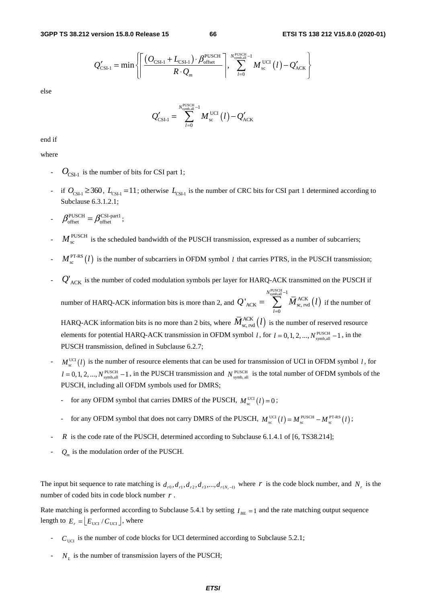$$
Q'_{\text{CSI-1}} = \min \left\{ \left\lceil \frac{(O_{\text{CSI-1}} + L_{\text{CSI-1}}) \cdot \beta_{\text{offset}}^{\text{PUSCH}}}{R \cdot Q_m} \right\rceil, \sum_{l=0}^{N_{\text{synb,all}}^{\text{PUSCH}}-1} M_{\text{sc}}^{\text{UCI}}(l) - Q'_{\text{ACK}} \right\}
$$

else

$$
Q'_{\text{CSI-1}} = \sum_{l=0}^{N_{\text{synball}}^{\text{PUSCH}}-1} M_{\text{sc}}^{\text{UCI}}(l) - Q'_{\text{ACK}}
$$

end if

where

- $O_{\text{CSL1}}$  is the number of bits for CSI part 1;
- $-$  if  $O_{\text{CSL1}}$  ≥ 360,  $L_{\text{CSL1}}$  = 11; otherwise  $L_{\text{CSL1}}$  is the number of CRC bits for CSI part 1 determined according to Subclause 6.3.1.2.1;
- $\beta_{\text{offset}}^{\text{PUSCH}} = \beta_{\text{offset}}^{\text{CSI-part1}}$  $\beta_{\text{offset}}^{\text{PUSCH}} = \beta_{\text{offset}}^{\text{CSI-part1}};$
- $M_{\rm sc}^{\rm PUSCH}$  is the scheduled bandwidth of the PUSCH transmission, expressed as a number of subcarriers;
- $M_{\rm sc}^{\rm PT-RS}(l)$  is the number of subcarriers in OFDM symbol *l* that carries PTRS, in the PUSCH transmission;
- $Q'_{\text{ACK}}$  is the number of coded modulation symbols per layer for HARQ-ACK transmitted on the PUSCH if PUSCH  $-1$ <br>symb,all  $-1$ <br> $\overline{M}$  ACK *N* −

number of HARQ-ACK information bits is more than 2, and  $Q'_{ACK} = \sum_{\alpha \in \mathcal{N}} M_{SC, \text{red}}^{ACK}(l)$  $ACK = \sum_{x} M_{sc, rvd}$ 0 ' *l*  $Q'_{\text{ACK}} = \sum_{\text{M}} M_{\text{sc, red}}^{\text{ACK}}$ =  $= \sum_{\text{sc, red}} \overline{M}_{\text{sc, red}}^{\text{ACK}}(l)$  if the number of HARQ-ACK information bits is no more than 2 bits, where  $\overline{M}_{\text{sc, rot}}^{\text{ACK}}(l)$  is the number of reserved resource

elements for potential HARQ-ACK transmission in OFDM symbol *l*, for  $l = 0, 1, 2, ..., N$ <sup>PUSCH</sup>  $-1$ , in the PUSCH transmission, defined in Subclause 6.2.7;

- $M_{\rm sc}^{\rm UCI}$  (*l*) is the number of resource elements that can be used for transmission of UCI in OFDM symbol *l*, for  $l = 0, 1, 2, ..., N_{\text{symbol,all}}^{\text{PUSCH}} - 1$ , in the PUSCH transmission and  $N_{\text{symbol,all}}^{\text{PUSCH}}$  is the total number of OFDM symbols of the PUSCH, including all OFDM symbols used for DMRS;
	- for any OFDM symbol that carries DMRS of the PUSCH,  $M_{\text{sc}}^{\text{UCI}}(l) = 0$ ;
	- for any OFDM symbol that does not carry DMRS of the PUSCH,  $M_{\text{sc}}^{\text{UCI}}(l) = M_{\text{sc}}^{\text{PUSCH}} M_{\text{sc}}^{\text{PT-RS}}(l)$ ;
- *R* is the code rate of the PUSCH, determined according to Subclause 6.1.4.1 of [6, TS38.214];
- $Q_m$  is the modulation order of the PUSCH.

The input bit sequence to rate matching is  $d_{r0}, d_{r1}, d_{r2}, d_{r3},..., d_{r(N,-1)}$  where *r* is the code block number, and *N<sub>r</sub>* is the number of coded bits in code block number *r* .

Rate matching is performed according to Subclause 5.4.1 by setting  $I_{BL} = 1$  and the rate matching output sequence length to  $E_r = \lfloor E_{\text{UCI}} / C_{\text{UCI}} \rfloor$ , where

- $C<sub>UCI</sub>$  is the number of code blocks for UCI determined according to Subclause 5.2.1;
- $N_L$  is the number of transmission layers of the PUSCH;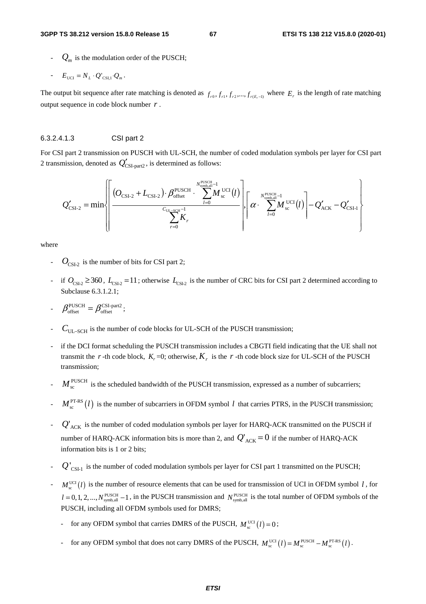$Q_m$  is the modulation order of the PUSCH;

- 
$$
E_{\text{UCI}} = N_L \cdot Q'_{\text{CSI},1} \cdot Q_m
$$
.

The output bit sequence after rate matching is denoted as  $f_{r0}, f_{r1}, f_{r2},..., f_{r(F-1)}$  where  $E_r$  is the length of rate matching output sequence in code block number *r* .

#### 6.3.2.4.1.3 CSI part 2

For CSI part 2 transmission on PUSCH with UL-SCH, the number of coded modulation symbols per layer for CSI part 2 transmission, denoted as  $Q'_{\text{CSI-part2}}$ , is determined as follows:

$$
Q'_{\text{CSI-2}} = \min \left\{ \left| \frac{\left(O_{\text{CSI-2}} + L_{\text{CSI-2}}\right) \cdot \beta_{\text{offset}}^{\text{PUSCH}} \cdot \sum_{l=0}^{N_{\text{synb,all}}^{\text{PUSCH}}-1} M_{\text{sc}}^{\text{UCI}}(l)}{\sum_{r=0}^{C_{\text{UL-SCH}}-1} K_r} \right\} \left| \left\{ \alpha \cdot \sum_{l=0}^{N_{\text{synb,all}}^{\text{PUSCH}}-1} M_{\text{sc}}^{\text{UCI}}(l) \right\} - Q'_{\text{ACK}} - Q'_{\text{CSI-1}} \right\} \right\}
$$

where

- $O_{\text{CSL2}}$  is the number of bits for CSI part 2;
- if  $O_{\text{CSL2}} \geq 360$ ,  $L_{\text{CSL2}} = 11$ ; otherwise  $L_{\text{CSL2}}$  is the number of CRC bits for CSI part 2 determined according to Subclause 6.3.1.2.1;
- $\beta_{\text{offset}}^{\text{PUSCH}} = \beta_{\text{offset}}^{\text{CSI-part2}}$  $\beta_{\text{offset}}^{\text{PUSCH}} = \beta_{\text{offset}}^{\text{CSI-part2}};$
- $C_{\text{UL-SCH}}$  is the number of code blocks for UL-SCH of the PUSCH transmission;
- if the DCI format scheduling the PUSCH transmission includes a CBGTI field indicating that the UE shall not transmit the *r* -th code block,  $K_r = 0$ ; otherwise,  $K_r$  is the *r* -th code block size for UL-SCH of the PUSCH transmission;
- $M_{\rm sc}^{\rm PUSCH}$  is the scheduled bandwidth of the PUSCH transmission, expressed as a number of subcarriers;
- $M_{\rm c}^{\rm PT-RS}(l)$  is the number of subcarriers in OFDM symbol *l* that carries PTRS, in the PUSCH transmission;
- $Q'_{\text{ACK}}$  is the number of coded modulation symbols per layer for HARQ-ACK transmitted on the PUSCH if number of HARQ-ACK information bits is more than 2, and  $Q'_{ACK} = 0$  if the number of HARQ-ACK information bits is 1 or 2 bits;
- $Q'_{\text{CSI-1}}$  is the number of coded modulation symbols per layer for CSI part 1 transmitted on the PUSCH;
- $M_{\text{eq}}^{\text{UCI}}(l)$  is the number of resource elements that can be used for transmission of UCI in OFDM symbol *l*, for  $l = 0, 1, 2, ..., N_{symb, all}^{PUSCH} - 1$ , in the PUSCH transmission and  $N_{symb, all}^{PUSCH}$  is the total number of OFDM symbols of the PUSCH, including all OFDM symbols used for DMRS;
	- for any OFDM symbol that carries DMRS of the PUSCH,  $M_{\text{sc}}^{\text{UCI}}(l) = 0$ ;
	- for any OFDM symbol that does not carry DMRS of the PUSCH,  $M_{\text{sc}}^{\text{UCI}}(l) = M_{\text{sc}}^{\text{PUSCH}} M_{\text{sc}}^{\text{PT-RS}}(l)$ .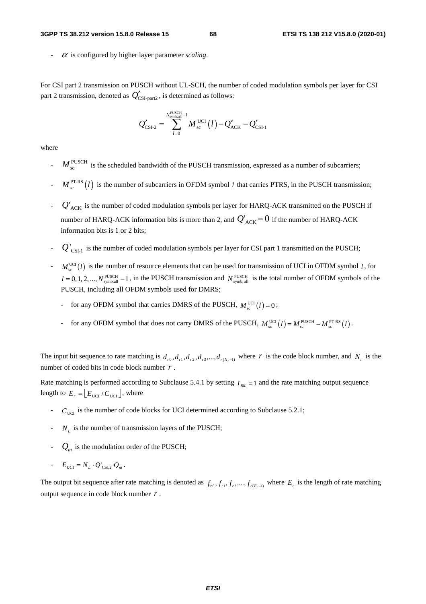#### **3GPP TS 38.212 version 15.8.0 Release 15 68 ETSI TS 138 212 V15.8.0 (2020-01)**

 $\alpha$  is configured by higher layer parameter *scaling*.

For CSI part 2 transmission on PUSCH without UL-SCH, the number of coded modulation symbols per layer for CSI part 2 transmission, denoted as  $Q'_{\text{CSI-part2}}$ , is determined as follows:

$$
Q'_{\text{CSI-2}} = \sum_{l=0}^{N_{\text{synball}}^{\text{PUSCH}}-1} M_{\text{sc}}^{\text{UCI}}(l) - Q'_{\text{ACK}} - Q'_{\text{CSI-1}}
$$

where

- $M_{\rm sc}^{\rm PUSCH}$  is the scheduled bandwidth of the PUSCH transmission, expressed as a number of subcarriers;
- $M_{\perp}^{\text{PT-RS}}(l)$  is the number of subcarriers in OFDM symbol *l* that carries PTRS, in the PUSCH transmission;
- $Q'_{\text{ACK}}$  is the number of coded modulation symbols per layer for HARQ-ACK transmitted on the PUSCH if number of HARQ-ACK information bits is more than 2, and  $Q'_{ACK} = 0$  if the number of HARQ-ACK information bits is 1 or 2 bits;
- $Q'_{\text{CSL-1}}$  is the number of coded modulation symbols per layer for CSI part 1 transmitted on the PUSCH;
- $M_{\rm sc}^{\rm UCI}$  (*l*) is the number of resource elements that can be used for transmission of UCI in OFDM symbol *l*, for  $l = 0, 1, 2, ..., N_{\text{symbol,all}}^{\text{PUSCH}} - 1$ , in the PUSCH transmission and  $N_{\text{symbol,all}}^{\text{PUSCH}}$  is the total number of OFDM symbols of the PUSCH, including all OFDM symbols used for DMRS;
	- for any OFDM symbol that carries DMRS of the PUSCH,  $M_{\text{sc}}^{\text{UCI}}(l) = 0$ ;
	- for any OFDM symbol that does not carry DMRS of the PUSCH,  $M_{\text{sc}}^{\text{UCI}}(l) = M_{\text{sc}}^{\text{PUSCH}} M_{\text{sc}}^{\text{PTSIS}}(l)$ .

The input bit sequence to rate matching is  $d_{r,0}, d_{r,1}, d_{r,2}, d_{r,3},..., d_{r(N-1)}$  where *r* is the code block number, and  $N_r$  is the number of coded bits in code block number *r* .

Rate matching is performed according to Subclause 5.4.1 by setting  $I_{\mu}$  =1 and the rate matching output sequence length to  $E_r = |E_{\text{UCI}} / C_{\text{UCI}}|$ , where

- $C_{\text{UCT}}$  is the number of code blocks for UCI determined according to Subclause 5.2.1;
- $N<sub>L</sub>$  is the number of transmission layers of the PUSCH;
- $Q_m$  is the modulation order of the PUSCH;
- $E_{\text{UCI}} = N_{L} \cdot Q_{\text{CSI},2} \cdot Q_{m}$ .

The output bit sequence after rate matching is denoted as  $f_{r0}, f_{r1}, f_{r2},..., f_{r(E-1)}$  where  $E_r$  is the length of rate matching output sequence in code block number *r* .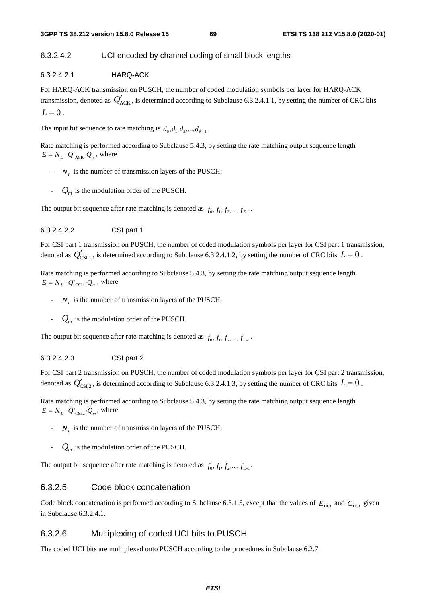## 6.3.2.4.2 UCI encoded by channel coding of small block lengths

6.3.2.4.2.1 HARQ-ACK

For HARQ-ACK transmission on PUSCH, the number of coded modulation symbols per layer for HARQ-ACK transmission, denoted as  $Q'_{ACK}$ , is determined according to Subclause 6.3.2.4.1.1, by setting the number of CRC bits  $L = 0$ .

The input bit sequence to rate matching is  $d_0, d_1, d_2, ..., d_{N-1}$ .

Rate matching is performed according to Subclause 5.4.3, by setting the rate matching output sequence length  $E = N_L \cdot Q_{ACK} \cdot Q_m$ , where

- $N_L$  is the number of transmission layers of the PUSCH;
- $Q_m$  is the modulation order of the PUSCH.

The output bit sequence after rate matching is denoted as  $f_0, f_1, f_2, ..., f_{F-1}$ 

#### 6.3.2.4.2.2 CSI part 1

For CSI part 1 transmission on PUSCH, the number of coded modulation symbols per layer for CSI part 1 transmission, denoted as  $Q'_{\text{CSL1}}$ , is determined according to Subclause 6.3.2.4.1.2, by setting the number of CRC bits  $L = 0$ .

Rate matching is performed according to Subclause 5.4.3, by setting the rate matching output sequence length  $E = N_L \cdot Q_{\text{CSI},1} \cdot Q_m$ , where

- $N_L$  is the number of transmission layers of the PUSCH;
- $Q_m$  is the modulation order of the PUSCH.

The output bit sequence after rate matching is denoted as  $f_0, f_1, f_2, ..., f_{F-1}$ .

#### 6.3.2.4.2.3 CSI part 2

For CSI part 2 transmission on PUSCH, the number of coded modulation symbols per layer for CSI part 2 transmission, denoted as  $Q'_{CSI,2}$ , is determined according to Subclause 6.3.2.4.1.3, by setting the number of CRC bits  $L = 0$ .

Rate matching is performed according to Subclause 5.4.3, by setting the rate matching output sequence length  $E = N_L \cdot Q_{\text{CSI},2} \cdot Q_m$ , where

- $N<sub>r</sub>$  is the number of transmission layers of the PUSCH;
- $Q_m$  is the modulation order of the PUSCH.

The output bit sequence after rate matching is denoted as  $f_0, f_1, f_2, ..., f_{F-1}$ .

## 6.3.2.5 Code block concatenation

Code block concatenation is performed according to Subclause 6.3.1.5, except that the values of  $E_{\text{UCI}}$  and  $C_{\text{UCI}}$  given in Subclause 6.3.2.4.1.

## 6.3.2.6 Multiplexing of coded UCI bits to PUSCH

The coded UCI bits are multiplexed onto PUSCH according to the procedures in Subclause 6.2.7.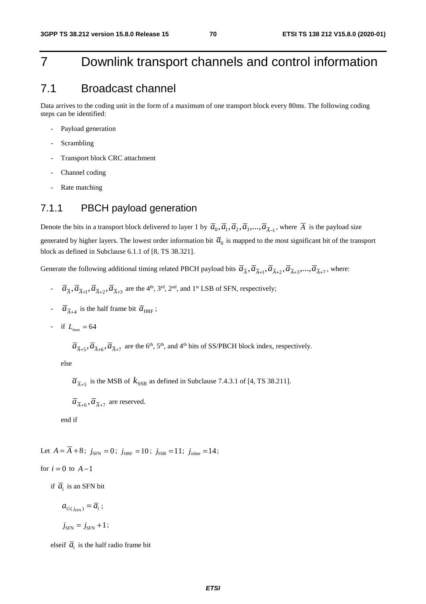# 7 Downlink transport channels and control information

# 7.1 Broadcast channel

Data arrives to the coding unit in the form of a maximum of one transport block every 80ms. The following coding steps can be identified:

- Payload generation
- **Scrambling**
- Transport block CRC attachment
- Channel coding
- Rate matching

# 7.1.1 PBCH payload generation

Denote the bits in a transport block delivered to layer 1 by  $\overline{a}_0$ ,  $\overline{a}_1$ ,  $\overline{a}_2$ ,  $\overline{a}_3$ ,...,  $\overline{a}_{\overline{A}-1}$ , where  $\overline{A}$  is the payload size generated by higher layers. The lowest order information bit  $\overline{a}_0$  is mapped to the most significant bit of the transport block as defined in Subclause 6.1.1 of [8, TS 38.321].

Generate the following additional timing related PBCH payload bits  $\overline{a}_{\overline{A}}, \overline{a}_{\overline{A}+1}, \overline{a}_{\overline{A}+2}, \overline{a}_{\overline{A}+3}, \ldots, \overline{a}_{\overline{A}+7}$ , where:

- $\overline{a}_{\overline{A}}, \overline{a}_{\overline{A}+1}, \overline{a}_{\overline{A}+2}, \overline{a}_{\overline{A}+3}$  are the 4<sup>th</sup>, 3<sup>rd</sup>, 2<sup>nd</sup>, and 1<sup>st</sup> LSB of SFN, respectively;
- $\overline{a}_{\overline{A}+4}$  is the half frame bit  $\overline{a}_{HRF}$ ;
- if  $L_{\text{max}} = 64$

 $\overline{a}_{\overline{A}+\overline{5}}, \overline{a}_{\overline{A}+\overline{6}}, \overline{a}_{\overline{A}+\overline{7}}$  are the 6<sup>th</sup>, 5<sup>th</sup>, and 4<sup>th</sup> bits of SS/PBCH block index, respectively.

else

 $\overline{a}_{\overline{A}+5}$  is the MSB of  $k_{SSB}$  as defined in Subclause 7.4.3.1 of [4, TS 38.211].

 $\overline{a}_{\overline{A}+6}$ ,  $\overline{a}_{\overline{A}+7}$  are reserved.

end if

Let  $A = \overline{A} + 8$ ;  $j_{\text{SFN}} = 0$ ;  $j_{\text{HRF}} = 10$ ;  $j_{\text{SSB}} = 11$ ;  $j_{\text{other}} = 14$ ;

for 
$$
i = 0
$$
 to  $A-1$ 

if  $\overline{a_i}$  is an SFN bit

 $a_{G(j_{\text{SFN}})} = \overline{a}_i$ ;

$$
j_{\rm SFN}=j_{\rm SFN}+1\,;
$$

elseif  $\overline{a_i}$  is the half radio frame bit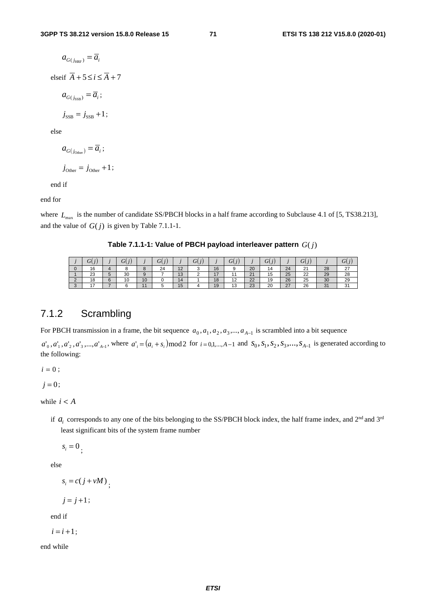$$
a_{G(j_{\text{HRF}})} = \overline{a}_i
$$
  
elseif  $\overline{A} + 5 \le i \le \overline{A} + 7$   

$$
a_{G(j_{\text{SSB}})} = \overline{a}_i;
$$

 $j_{\rm SSB} = j_{\rm SSB} + 1$ ;

else

 $a_{G(j_{\text{other}})} = \overline{a_i}$ ;  $j_{\text{Other}} = j_{\text{Other}} + 1;$ 

end if

end for

where  $L_{\text{max}}$  is the number of candidate SS/PBCH blocks in a half frame according to Subclause 4.1 of [5, TS38.213], and the value of  $G(j)$  is given by Table 7.1.1-1.

**Table 7.1.1-1: Value of PBCH payload interleaver pattern**  $G(j)$ 

|        | U.<br>w        |        | $\tilde{}$ |    | $\cup$ |                                | U<br>v |                      |                          |    | σV<br>w              |    | $\overline{\phantom{0}}$<br>σ<br>$\overline{v}$ |               | U                   |
|--------|----------------|--------|------------|----|--------|--------------------------------|--------|----------------------|--------------------------|----|----------------------|----|-------------------------------------------------|---------------|---------------------|
|        | 16             |        |            |    | 24     | $\Lambda$ $\Omega$<br>$-$      |        | 16                   |                          | 20 | 14                   | 24 | $\sim$<br>∠∣                                    | 28            | $\sim$<br><u> 4</u> |
|        | 23             |        | 30         |    |        | $\overline{\phantom{a}}$<br>IJ | ∼      | $\rightarrow$<br>. . |                          | 21 | $\overline{ }$<br>טו | 25 | $\sim$<br>22                                    | 29            | 28                  |
| $\sim$ | 18             | $\sim$ | 10         | 10 |        |                                |        | 18                   | $\overline{a}$<br>$\sim$ | 22 | 19                   | 26 | 25                                              | 30            | 29                  |
| $\sim$ | $\overline{ }$ |        |            |    |        | שו                             |        | 19                   | $\overline{ }$<br>       | 23 | 20                   | 27 | 26                                              | $\Omega$<br>ັ | $\sim$<br>ີ         |

# 7.1.2 Scrambling

For PBCH transmission in a frame, the bit sequence  $a_0, a_1, a_2, a_3, \dots, a_{A-1}$  is scrambled into a bit sequence

 $a'_0, a'_1, a'_2, a'_3, \dots, a'_{A-1}$ , where  $a'_i = (a_i + s_i) \text{mod } 2$  for  $i = 0, 1, \dots, A-1$  and  $s_0, s_1, s_2, s_3, \dots, s_{A-1}$  is generated according to the following:

 $i = 0;$ 

 $j = 0;$ 

while  $i < A$ 

if  $a_i$  corresponds to any one of the bits belonging to the SS/PBCH block index, the half frame index, and  $2^{nd}$  and  $3^{rd}$ least significant bits of the system frame number

 $s_i = 0$ ;

else

 $s_i = c(j + vM)$ <sub>;</sub>

 $j = j + 1;$ 

end if

 $i = i + 1$ ;

end while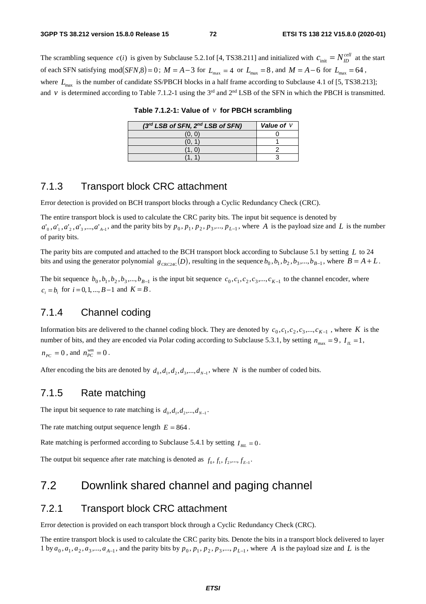The scrambling sequence  $c(i)$  is given by Subclause 5.2.1of [4, TS38.211] and initialized with  $c_{\text{init}} = N_{ID}^{cell}$  at the start of each SFN satisfying  $mod(SFN, 8) = 0$ ;  $M = A - 3$  for  $L_{max} = 4$  or  $L_{max} = 8$ , and  $M = A - 6$  for  $L_{max} = 64$ , where  $L_{\text{max}}$  is the number of candidate SS/PBCH blocks in a half frame according to Subclause 4.1 of [5, TS38.213]; and  $\nu$  is determined according to Table 7.1.2-1 using the 3<sup>rd</sup> and 2<sup>nd</sup> LSB of the SFN in which the PBCH is transmitted.

| (3rd LSB of SFN, 2nd LSB of SFN) | Value of $\nu$ |
|----------------------------------|----------------|
| (0. O                            |                |
|                                  |                |
|                                  |                |
|                                  |                |

**Table 7.1.2-1: Value of** *v* **for PBCH scrambling** 

# 7.1.3 Transport block CRC attachment

Error detection is provided on BCH transport blocks through a Cyclic Redundancy Check (CRC).

The entire transport block is used to calculate the CRC parity bits. The input bit sequence is denoted by  $a'_0, a'_1, a'_2, a'_3, \ldots, a'_{A-1}$ , and the parity bits by  $p_0, p_1, p_2, p_3, \ldots, p_{L-1}$ , where *A* is the payload size and *L* is the number of parity bits.

The parity bits are computed and attached to the BCH transport block according to Subclause 5.1 by setting *L* to 24 bits and using the generator polynomial  $g_{\text{CRC24C}}(D)$ , resulting in the sequence  $b_0, b_1, b_2, b_3, ..., b_{B-1}$ , where  $B = A + L$ .

The bit sequence  $b_0, b_1, b_2, b_3, ..., b_{B-1}$  is the input bit sequence  $c_0, c_1, c_2, c_3, ..., c_{K-1}$  to the channel encoder, where  $c_i = b_i$  for  $i = 0, 1, ..., B-1$  and  $K = B$ .

# 7.1.4 Channel coding

Information bits are delivered to the channel coding block. They are denoted by  $c_0, c_1, c_2, c_3, ..., c_{K-1}$ , where *K* is the number of bits, and they are encoded via Polar coding according to Subclause 5.3.1, by setting  $n_{\text{max}} = 9$ ,  $I_L = 1$ ,  $n_{PC} = 0$ , and  $n_{PC}^{wm} = 0$ .

After encoding the bits are denoted by  $d_0, d_1, d_2, d_3, \dots, d_{N-1}$ , where *N* is the number of coded bits.

# 7.1.5 Rate matching

The input bit sequence to rate matching is  $d_0, d_1, d_2, ..., d_{N-1}$ .

The rate matching output sequence length  $E = 864$ .

Rate matching is performed according to Subclause 5.4.1 by setting  $I_{BH} = 0$ .

The output bit sequence after rate matching is denoted as  $f_0, f_1, f_2, ..., f_{E-1}$ .

# 7.2 Downlink shared channel and paging channel

# 7.2.1 Transport block CRC attachment

Error detection is provided on each transport block through a Cyclic Redundancy Check (CRC).

The entire transport block is used to calculate the CRC parity bits. Denote the bits in a transport block delivered to layer 1 by  $a_0$ ,  $a_1$ ,  $a_2$ ,  $a_3$ ,...,  $a_{A-1}$ , and the parity bits by  $p_0$ ,  $p_1$ ,  $p_2$ ,  $p_3$ ,...,  $p_{L-1}$ , where *A* is the payload size and *L* is the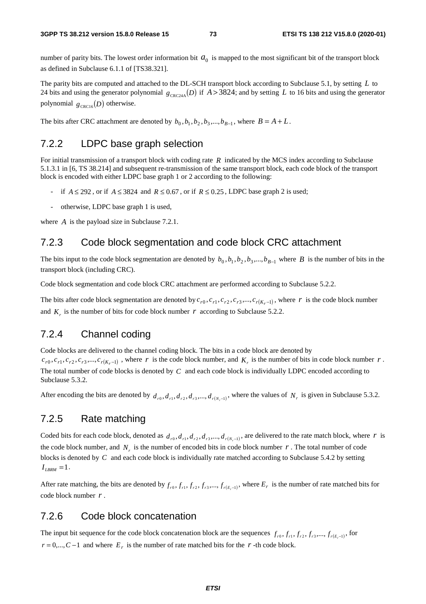number of parity bits. The lowest order information bit  $a_0$  is mapped to the most significant bit of the transport block as defined in Subclause 6.1.1 of [TS38.321].

The parity bits are computed and attached to the DL-SCH transport block according to Subclause 5.1, by setting *L* to 24 bits and using the generator polynomial  $g_{CRC24A}(D)$  if  $A > 3824$ ; and by setting *L* to 16 bits and using the generator polynomial  $g_{CRC16}(D)$  otherwise.

The bits after CRC attachment are denoted by  $b_0$ ,  $b_1$ ,  $b_2$ ,  $b_3$ ,...,  $b_{B-1}$ , where  $B = A + L$ .

# 7.2.2 LDPC base graph selection

For initial transmission of a transport block with coding rate *R* indicated by the MCS index according to Subclause 5.1.3.1 in [6, TS 38.214] and subsequent re-transmission of the same transport block, each code block of the transport block is encoded with either LDPC base graph 1 or 2 according to the following:

- if  $A \le 292$ , or if  $A \le 3824$  and  $R \le 0.67$ , or if  $R \le 0.25$ , LDPC base graph 2 is used;
- otherwise, LDPC base graph 1 is used,

where *A* is the payload size in Subclause 7.2.1.

# 7.2.3 Code block segmentation and code block CRC attachment

The bits input to the code block segmentation are denoted by  $b_0, b_1, b_2, b_3, ..., b_{B-1}$  where *B* is the number of bits in the transport block (including CRC).

Code block segmentation and code block CRC attachment are performed according to Subclause 5.2.2.

The bits after code block segmentation are denoted by  $c_{r0}$ ,  $c_{r1}$ ,  $c_{r2}$ ,  $c_{r3}$ ,...,  $c_{r(K_r-1)}$ , where *r* is the code block number and  $K<sub>r</sub>$  is the number of bits for code block number  $r$  according to Subclause 5.2.2.

# 7.2.4 Channel coding

Code blocks are delivered to the channel coding block. The bits in a code block are denoted by  $c_{r0}, c_{r1}, c_{r2}, c_{r3},..., c_{r(K,-1)}$ , where *r* is the code block number, and  $K_r$  is the number of bits in code block number *r*. The total number of code blocks is denoted by *C* and each code block is individually LDPC encoded according to Subclause 5.3.2.

After encoding the bits are denoted by  $d_{r0}, d_{r1}, d_{r2}, d_{r3}, \ldots, d_{r(N-1)}$ , where the values of  $N_r$  is given in Subclause 5.3.2.

# 7.2.5 Rate matching

Coded bits for each code block, denoted as  $d_{r0}, d_{r1}, d_{r2}, d_{r3},..., d_{r(N-1)}$ , are delivered to the rate match block, where *r* is the code block number, and  $N_r$  is the number of encoded bits in code block number  $r$ . The total number of code blocks is denoted by *C* and each code block is individually rate matched according to Subclause 5.4.2 by setting  $I_{LBRM} = 1$ .

After rate matching, the bits are denoted by  $f_{r0}$ ,  $f_{r1}$ ,  $f_{r2}$ ,  $f_{r3}$ ,...,  $f_{r(F-1)}$ , where  $E_r$  is the number of rate matched bits for code block number *r* .

# 7.2.6 Code block concatenation

The input bit sequence for the code block concatenation block are the sequences  $f_{r0}, f_{r1}, f_{r2}, f_{r3},..., f_{r(E-1)}$ , for  $r = 0,..., C-1$  and where  $E_r$  is the number of rate matched bits for the *r* -th code block.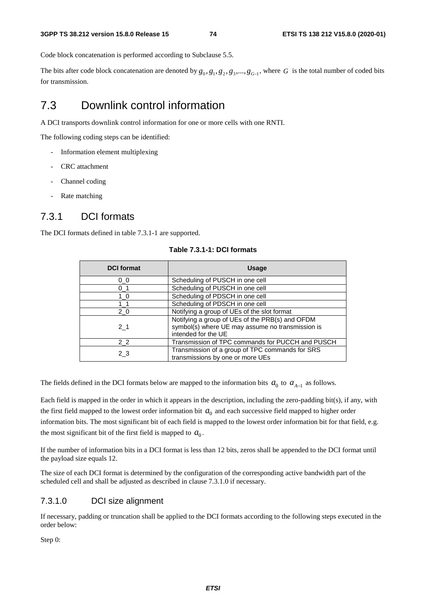Code block concatenation is performed according to Subclause 5.5.

The bits after code block concatenation are denoted by  $g_0, g_1, g_2, g_3, ..., g_{G-1}$ , where *G* is the total number of coded bits for transmission.

# 7.3 Downlink control information

A DCI transports downlink control information for one or more cells with one RNTI.

The following coding steps can be identified:

- Information element multiplexing
- CRC attachment
- Channel coding
- Rate matching

# 7.3.1 DCI formats

The DCI formats defined in table 7.3.1-1 are supported.

| <b>DCI</b> format | <b>Usage</b>                                                                                                               |
|-------------------|----------------------------------------------------------------------------------------------------------------------------|
| 0 <sub>0</sub>    | Scheduling of PUSCH in one cell                                                                                            |
| $0-1$             | Scheduling of PUSCH in one cell                                                                                            |
| 1 <sub>0</sub>    | Scheduling of PDSCH in one cell                                                                                            |
| 11                | Scheduling of PDSCH in one cell                                                                                            |
| 20                | Notifying a group of UEs of the slot format                                                                                |
| 2 <sub>1</sub>    | Notifying a group of UEs of the PRB(s) and OFDM<br>symbol(s) where UE may assume no transmission is<br>intended for the UE |
| 2 2               | Transmission of TPC commands for PUCCH and PUSCH                                                                           |
| 2 3               | Transmission of a group of TPC commands for SRS<br>transmissions by one or more UEs                                        |

#### **Table 7.3.1-1: DCI formats**

The fields defined in the DCI formats below are mapped to the information bits  $a_0$  to  $a_{A-1}$  as follows.

Each field is mapped in the order in which it appears in the description, including the zero-padding bit(s), if any, with the first field mapped to the lowest order information bit  $a_0$  and each successive field mapped to higher order information bits. The most significant bit of each field is mapped to the lowest order information bit for that field, e.g. the most significant bit of the first field is mapped to  $a_0$ .

If the number of information bits in a DCI format is less than 12 bits, zeros shall be appended to the DCI format until the payload size equals 12.

The size of each DCI format is determined by the configuration of the corresponding active bandwidth part of the scheduled cell and shall be adjusted as described in clause 7.3.1.0 if necessary.

## 7.3.1.0 DCI size alignment

If necessary, padding or truncation shall be applied to the DCI formats according to the following steps executed in the order below:

Step 0: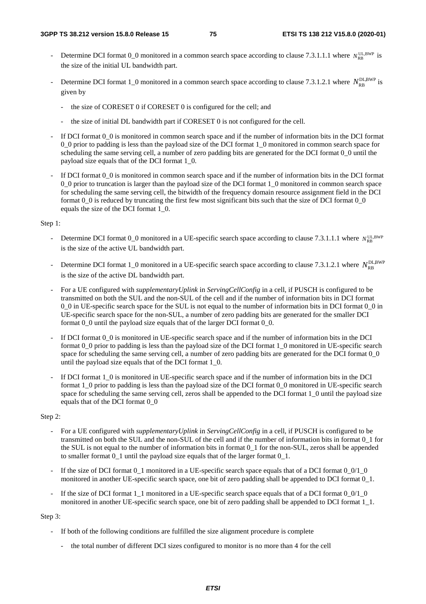- Determine DCI format  $0_0$  monitored in a common search space according to clause 7.3.1.1.1 where  $N_{\text{PR}}^{\text{UL,BWP}}$  is the size of the initial UL bandwidth part.
- Determine DCI format 1<sub>\_0</sub> monitored in a common search space according to clause 7.3.1.2.1 where  $N_{\text{RR}}^{\text{DLBWP}}$  is given by
	- the size of CORESET 0 if CORESET 0 is configured for the cell; and
	- the size of initial DL bandwidth part if CORESET 0 is not configured for the cell.
- If DCI format  $0_0$  is monitored in common search space and if the number of information bits in the DCI format 0\_0 prior to padding is less than the payload size of the DCI format 1\_0 monitored in common search space for scheduling the same serving cell, a number of zero padding bits are generated for the DCI format 0\_0 until the payload size equals that of the DCI format 1\_0.
- If DCI format  $0_0$  is monitored in common search space and if the number of information bits in the DCI format 0\_0 prior to truncation is larger than the payload size of the DCI format 1\_0 monitored in common search space for scheduling the same serving cell, the bitwidth of the frequency domain resource assignment field in the DCI format 0\_0 is reduced by truncating the first few most significant bits such that the size of DCI format 0\_0 equals the size of the DCI format 1\_0.

#### Step 1:

- Determine DCI format 0\_0 monitored in a UE-specific search space according to clause 7.3.1.1.1 where  $N_{RR}^{UL,BWP}$ is the size of the active UL bandwidth part.
- Determine DCI format 1\_0 monitored in a UE-specific search space according to clause 7.3.1.2.1 where  $N_{\text{p}_B}^{\text{DLBWP}}$ is the size of the active DL bandwidth part.
- For a UE configured with *supplementaryUplink* in *ServingCellConfig* in a cell, if PUSCH is configured to be transmitted on both the SUL and the non-SUL of the cell and if the number of information bits in DCI format 0\_0 in UE-specific search space for the SUL is not equal to the number of information bits in DCI format 0\_0 in UE-specific search space for the non-SUL, a number of zero padding bits are generated for the smaller DCI format 0\_0 until the payload size equals that of the larger DCI format 0\_0.
- If DCI format  $0_0$  is monitored in UE-specific search space and if the number of information bits in the DCI format 0\_0 prior to padding is less than the payload size of the DCI format 1\_0 monitored in UE-specific search space for scheduling the same serving cell, a number of zero padding bits are generated for the DCI format 0\_0 until the payload size equals that of the DCI format 1\_0.
- If DCI format 1\_0 is monitored in UE-specific search space and if the number of information bits in the DCI format 1\_0 prior to padding is less than the payload size of the DCI format 0\_0 monitored in UE-specific search space for scheduling the same serving cell, zeros shall be appended to the DCI format 1\_0 until the payload size equals that of the DCI format 0\_0

#### Step 2:

- For a UE configured with *supplementaryUplink* in *ServingCellConfig* in a cell, if PUSCH is configured to be transmitted on both the SUL and the non-SUL of the cell and if the number of information bits in format 0\_1 for the SUL is not equal to the number of information bits in format 0\_1 for the non-SUL, zeros shall be appended to smaller format 0\_1 until the payload size equals that of the larger format 0\_1.
- If the size of DCI format  $0<sub>1</sub>$  monitored in a UE-specific search space equals that of a DCI format  $0<sub>0/1</sub>$   $0<sub>1</sub>$ monitored in another UE-specific search space, one bit of zero padding shall be appended to DCI format 0\_1.
- If the size of DCI format 1\_1 monitored in a UE-specific search space equals that of a DCI format 0\_0/1\_0 monitored in another UE-specific search space, one bit of zero padding shall be appended to DCI format 1\_1.

#### Step 3:

- If both of the following conditions are fulfilled the size alignment procedure is complete
	- the total number of different DCI sizes configured to monitor is no more than 4 for the cell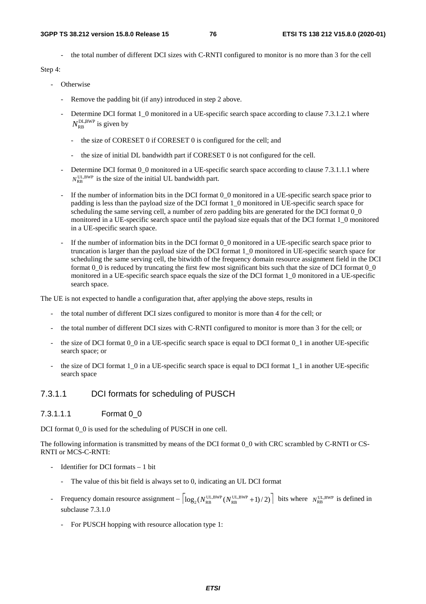the total number of different DCI sizes with C-RNTI configured to monitor is no more than 3 for the cell

Step 4:

#### - Otherwise

- Remove the padding bit (if any) introduced in step 2 above.
- Determine DCI format 1\_0 monitored in a UE-specific search space according to clause 7.3.1.2.1 where  $N_{\text{RB}}^{\text{DL,BWP}}$  is given by
	- the size of CORESET 0 if CORESET 0 is configured for the cell; and
	- the size of initial DL bandwidth part if CORESET 0 is not configured for the cell.
- Determine DCI format 0\_0 monitored in a UE-specific search space according to clause 7.3.1.1.1 where  $N_{\text{pp}}^{\text{UL,BWP}}$  is the size of the initial UL bandwidth part.
- If the number of information bits in the DCI format 0\_0 monitored in a UE-specific search space prior to padding is less than the payload size of the DCI format 1\_0 monitored in UE-specific search space for scheduling the same serving cell, a number of zero padding bits are generated for the DCI format 0\_0 monitored in a UE-specific search space until the payload size equals that of the DCI format 1\_0 monitored in a UE-specific search space.
- If the number of information bits in the DCI format 0\_0 monitored in a UE-specific search space prior to truncation is larger than the payload size of the DCI format 1\_0 monitored in UE-specific search space for scheduling the same serving cell, the bitwidth of the frequency domain resource assignment field in the DCI format  $0$  0 is reduced by truncating the first few most significant bits such that the size of DCI format  $0$  0 monitored in a UE-specific search space equals the size of the DCI format 1\_0 monitored in a UE-specific search space.

The UE is not expected to handle a configuration that, after applying the above steps, results in

- the total number of different DCI sizes configured to monitor is more than 4 for the cell; or
- the total number of different DCI sizes with C-RNTI configured to monitor is more than 3 for the cell; or
- the size of DCI format  $0_0$  in a UE-specific search space is equal to DCI format  $0_1$  in another UE-specific search space; or
- the size of DCI format 1\_0 in a UE-specific search space is equal to DCI format 1\_1 in another UE-specific search space

## 7.3.1.1 DCI formats for scheduling of PUSCH

## 7.3.1.1.1 Format 0\_0

DCI format 0 0 is used for the scheduling of PUSCH in one cell.

The following information is transmitted by means of the DCI format 0\_0 with CRC scrambled by C-RNTI or CS-RNTI or MCS-C-RNTI:

- Identifier for DCI formats  $-1$  bit
	- The value of this bit field is always set to 0, indicating an UL DCI format
- Frequency domain resource assignment  $\left| \log_2(N_{\text{RB}}^{\text{UL,BWP}}(N_{\text{RB}}^{\text{UL,BWP}} + 1)/2) \right|$  bits where  $N_{\text{RB}}^{\text{UL,BWP}}$  is defined in subclause 7.3.1.0
	- For PUSCH hopping with resource allocation type 1: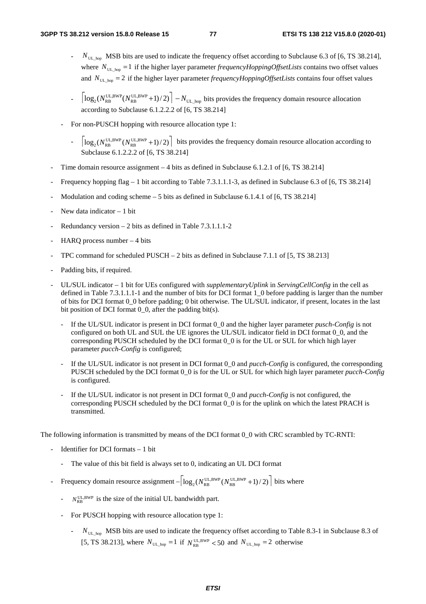- *N*<sub>UL\_hop</sub> MSB bits are used to indicate the frequency offset according to Subclause 6.3 of [6, TS 38.214], where  $N_{\text{UL-hop}} = 1$  if the higher layer parameter *frequencyHoppingOffsetLists* contains two offset values and  $N_{UL_{\text{loop}}}$  = 2 if the higher layer parameter *frequencyHoppingOffsetLists* contains four offset values
- $\log_2(N_{\text{RB}}^{\text{UL,BWP}}(N_{\text{RB}}^{\text{UL,BWP}}+1)/2)\Big| N_{\text{UL\_hop}}$  bits provides the frequency domain resource allocation according to Subclause 6.1.2.2.2 of [6, TS 38.214]
- For non-PUSCH hopping with resource allocation type 1:
	- $\log_2(N_{\text{RB}}^{\text{UL,BWP}}(N_{\text{RB}}^{\text{UL,BWP}}+1)/2)$  bits provides the frequency domain resource allocation according to oclause 6.1.2.2.2 of [6, TS 38.214]
- Time domain resource assignment 4 bits as defined in Subclause 6.1.2.1 of [6, TS 38.214]
- Frequency hopping flag 1 bit according to Table 7.3.1.1.1-3, as defined in Subclause 6.3 of [6, TS 38.214]
- Modulation and coding scheme  $-5$  bits as defined in Subclause 6.1.4.1 of [6, TS 38.214]
- New data indicator  $-1$  bit
- Redundancy version  $2$  bits as defined in Table 7.3.1.1.1-2
- HARO process number  $-4$  bits
- TPC command for scheduled PUSCH  $-2$  bits as defined in Subclause 7.1.1 of [5, TS 38.213]
- Padding bits, if required.
- UL/SUL indicator 1 bit for UEs configured with *supplementaryUplink* in *ServingCellConfig* in the cell as defined in Table 7.3.1.1.1-1 and the number of bits for DCI format 1\_0 before padding is larger than the number of bits for DCI format 0\_0 before padding; 0 bit otherwise. The UL/SUL indicator, if present, locates in the last bit position of DCI format  $0_0$ , after the padding bit(s).
	- If the UL/SUL indicator is present in DCI format 0\_0 and the higher layer parameter *pusch-Config* is not configured on both UL and SUL the UE ignores the UL/SUL indicator field in DCI format 0\_0, and the corresponding PUSCH scheduled by the DCI format 0\_0 is for the UL or SUL for which high layer parameter *pucch-Config* is configured;
	- If the UL/SUL indicator is not present in DCI format 0\_0 and *pucch-Config* is configured, the corresponding PUSCH scheduled by the DCI format 0\_0 is for the UL or SUL for which high layer parameter *pucch-Config* is configured.
	- If the UL/SUL indicator is not present in DCI format 0\_0 and *pucch-Config* is not configured, the corresponding PUSCH scheduled by the DCI format 0\_0 is for the uplink on which the latest PRACH is transmitted.

The following information is transmitted by means of the DCI format 0\_0 with CRC scrambled by TC-RNTI:

- Identifier for DCI formats  $-1$  bit
	- The value of this bit field is always set to 0, indicating an UL DCI format
- Frequency domain resource assignment  $-|\log_2(N_{RB}^{UL,BWP}(N_{RB}^{UL,BWP}+1)/2)|$  bits where
	- $N_{\text{RB}}^{\text{UL,BWP}}$  is the size of the initial UL bandwidth part.
	- For PUSCH hopping with resource allocation type 1:
		- *N*<sub>UL\_hop</sub> MSB bits are used to indicate the frequency offset according to Table 8.3-1 in Subclause 8.3 of [5, TS 38.213], where  $N_{\text{UL\_hop}} = 1$  if  $N_{\text{RB}}^{\text{UL,BWP}} < 50$  and  $N_{\text{UL\_hop}} = 2$  otherwise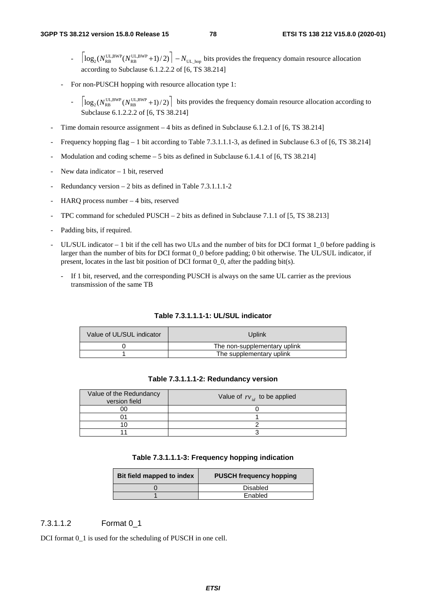- $\log_2(N_{\text{RB}}^{\text{UL,BWP}}(N_{\text{RB}}^{\text{UL,BWP}}+1)/2)\Big|-N_{\text{UL\_hop}}$  bits provides the frequency domain resource allocation according to Subclause 6.1.2.2.2 of [6, TS 38.214]
- For non-PUSCH hopping with resource allocation type 1:
	- $\log_2(N_{\text{RB}}^{\text{UL,BWP}}(N_{\text{RB}}^{\text{UL,BWP}}+1)/2)$  bits provides the frequency domain resource allocation according to Subclause 6.1.2.2.2 of [6, TS 38.214]
- Time domain resource assignment 4 bits as defined in Subclause 6.1.2.1 of [6, TS 38.214]
- Frequency hopping flag 1 bit according to Table 7.3.1.1.1-3, as defined in Subclause 6.3 of [6, TS 38.214]
- Modulation and coding scheme  $-5$  bits as defined in Subclause 6.1.4.1 of [6, TS 38.214]
- New data indicator  $-1$  bit, reserved
- Redundancy version  $-2$  bits as defined in Table 7.3.1.1.1-2
- HARQ process number 4 bits, reserved
- TPC command for scheduled PUSCH  $-$  2 bits as defined in Subclause 7.1.1 of [5, TS 38.213]
- Padding bits, if required.
- UL/SUL indicator 1 bit if the cell has two ULs and the number of bits for DCI format 1\_0 before padding is larger than the number of bits for DCI format 0\_0 before padding; 0 bit otherwise. The UL/SUL indicator, if present, locates in the last bit position of DCI format  $0$ , after the padding bit(s).
	- If 1 bit, reserved, and the corresponding PUSCH is always on the same UL carrier as the previous transmission of the same TB

#### **Table 7.3.1.1.1-1: UL/SUL indicator**

| Value of UL/SUL indicator | <b>Uplink</b>                |
|---------------------------|------------------------------|
|                           | The non-supplementary uplink |
|                           | The supplementary uplink     |

#### **Table 7.3.1.1.1-2: Redundancy version**

| Value of the Redundancy<br>version field | Value of $rv_{id}$ to be applied |  |
|------------------------------------------|----------------------------------|--|
| nr                                       |                                  |  |
|                                          |                                  |  |
|                                          |                                  |  |
|                                          |                                  |  |

|  |  | Table 7.3.1.1.1-3: Frequency hopping indication |
|--|--|-------------------------------------------------|
|--|--|-------------------------------------------------|

| Bit field mapped to index | <b>PUSCH frequency hopping</b> |
|---------------------------|--------------------------------|
|                           | <b>Disabled</b>                |
|                           | Enabled                        |

## 7.3.1.1.2 Format 0\_1

DCI format  $0\;1$  is used for the scheduling of PUSCH in one cell.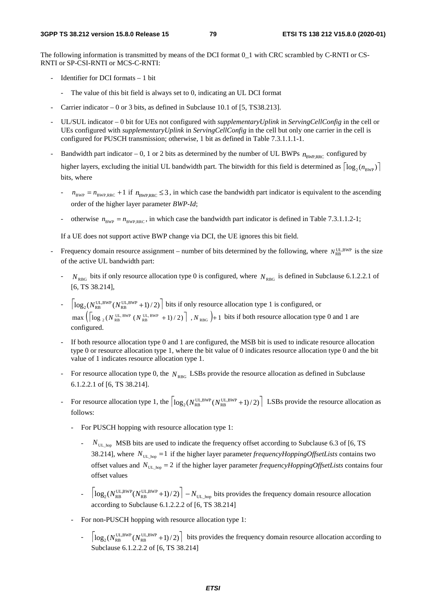The following information is transmitted by means of the DCI format 0\_1 with CRC scrambled by C-RNTI or CS-RNTI or SP-CSI-RNTI or MCS-C-RNTI:

- Identifier for DCI formats  $-1$  bit
	- The value of this bit field is always set to 0, indicating an UL DCI format
- Carrier indicator 0 or 3 bits, as defined in Subclause 10.1 of  $[5, TS38.213]$ .
- UL/SUL indicator 0 bit for UEs not configured with *supplementaryUplink* in *ServingCellConfig* in the cell or UEs configured with *supplementaryUplink* in *ServingCellConfig* in the cell but only one carrier in the cell is configured for PUSCH transmission; otherwise, 1 bit as defined in Table 7.3.1.1.1-1.
- Bandwidth part indicator 0, 1 or 2 bits as determined by the number of UL BWPs  $n_{\text{subpo}}$  configured by higher layers, excluding the initial UL bandwidth part. The bitwidth for this field is determined as  $\lceil \log_2(n_{\text{pwp}}) \rceil$ bits, where
	- $n_{\text{BWP}} = n_{\text{BWP-RRC}} + 1$  if  $n_{\text{BWP-RRC}} \leq 3$ , in which case the bandwidth part indicator is equivalent to the ascending order of the higher layer parameter *BWP-Id*;
	- otherwise  $n_{\text{BWP}} = n_{\text{BWP,RRC}}$ , in which case the bandwidth part indicator is defined in Table 7.3.1.1.2-1;

If a UE does not support active BWP change via DCI, the UE ignores this bit field.

- Frequency domain resource assignment number of bits determined by the following, where  $N_{\text{obs}}^{\text{UL-BWP}}$  is the size of the active UL bandwidth part:
	- $N_{RBG}$  bits if only resource allocation type 0 is configured, where  $N_{RBG}$  is defined in Subclause 6.1.2.2.1 of [6, TS 38.214],
	- $\log_2(N_{\text{RB}}^{\text{UL,BWP}}(N_{\text{RB}}^{\text{UL,BWP}}+1)/2)$  bits if only resource allocation type 1 is configured, or  $\max\left( \log_2(N_{\text{RB}}^{\text{UL,BWP}} (N_{\text{RB}}^{\text{UL,BWP}} + 1)/2) \right)$ ,  $N_{\text{RBG}}$  + 1 bits if both resource allocation type 0 and 1 are configured.
	- If both resource allocation type 0 and 1 are configured, the MSB bit is used to indicate resource allocation type 0 or resource allocation type 1, where the bit value of 0 indicates resource allocation type 0 and the bit value of 1 indicates resource allocation type 1.
	- For resource allocation type 0, the  $N<sub>RBG</sub>$  LSBs provide the resource allocation as defined in Subclause 6.1.2.2.1 of [6, TS 38.214].
	- For resource allocation type 1, the  $\log_2(N_{\text{RB}}^{\text{UL,BWP}}(N_{\text{RB}}^{\text{UL,BWP}}+1)/2)\mid$  LSBs provide the resource allocation as follows:
		- For PUSCH hopping with resource allocation type 1:
			- *N*<sub>UL\_hop</sub> MSB bits are used to indicate the frequency offset according to Subclause 6.3 of [6, TS 38.214], where  $N_{UL_{\text{loop}}} = 1$  if the higher layer parameter *frequencyHoppingOffsetLists* contains two offset values and  $N_{UL\_hop} = 2$  if the higher layer parameter *frequencyHoppingOffsetLists* contains four offset values
			- $\left| \log_2(N_{\text{RB}}^{\text{UL,BWP}}(N_{\text{RB}}^{\text{UL,BWP}}+1)/2) \right| N_{\text{UL\_hop}}$  bits provides the frequency domain resource allocation according to Subclause 6.1.2.2.2 of [6, TS 38.214]
		- For non-PUSCH hopping with resource allocation type 1:
			- $\log_2(N_{\text{RB}}^{\text{UL,BWP}}(N_{\text{RB}}^{\text{UL,BWP}}+1)/2)$  bits provides the frequency domain resource allocation according to Subclause 6.1.2.2.2 of [6, TS 38.214]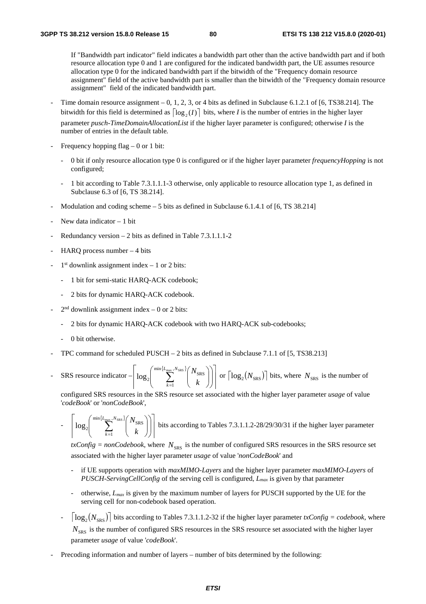If "Bandwidth part indicator" field indicates a bandwidth part other than the active bandwidth part and if both resource allocation type 0 and 1 are configured for the indicated bandwidth part, the UE assumes resource allocation type 0 for the indicated bandwidth part if the bitwidth of the "Frequency domain resource assignment" field of the active bandwidth part is smaller than the bitwidth of the "Frequency domain resource assignment" field of the indicated bandwidth part.

- Time domain resource assignment  $-0$ , 1, 2, 3, or 4 bits as defined in Subclause 6.1.2.1 of [6, TS38.214]. The bitwidth for this field is determined as  $\lceil \log_2(I) \rceil$  bits, where *I* is the number of entries in the higher layer parameter *pusch-TimeDomainAllocationList* if the higher layer parameter is configured; otherwise *I* is the number of entries in the default table*.*
- Frequency hopping flag  $-0$  or 1 bit:
	- 0 bit if only resource allocation type 0 is configured or if the higher layer parameter *frequencyHopping* is not configured;
	- 1 bit according to Table 7.3.1.1.1-3 otherwise, only applicable to resource allocation type 1, as defined in Subclause 6.3 of [6, TS 38.214].
- Modulation and coding scheme  $-5$  bits as defined in Subclause 6.1.4.1 of [6, TS 38.214]
- New data indicator  $-1$  bit
- Redundancy version  $2$  bits as defined in Table 7.3.1.1.1-2
- HARQ process number  $-4$  bits
- $1<sup>st</sup>$  downlink assignment index 1 or 2 bits:
	- 1 bit for semi-static HARQ-ACK codebook;
	- 2 bits for dynamic HARQ-ACK codebook.
- $2<sup>nd</sup>$  downlink assignment index 0 or 2 bits:
	- 2 bits for dynamic HARQ-ACK codebook with two HARQ-ACK sub-codebooks;
	- 0 bit otherwise.
- TPC command for scheduled PUSCH 2 bits as defined in Subclause 7.1.1 of [5, TS38.213]
- SRS resource indicator  ${L_{\max}}$ ,  $N_{\text{SRS}}$  $\overline{\phantom{a}}$  $\overline{\phantom{a}}$  $\overline{\phantom{a}}$  $\overline{\phantom{a}}$  $\int$  $\overline{\phantom{a}}$  $\int$  $\sum_{k=1}^{\max}$  $\min\{L_{\rm max}\,,\!_{\rm SRS}$ 1  $\log_2$   $\sum_{l_x}$  $L_{\rm max}$  ,  $N$  $\sum_{k=1}$   $k$  $\left\lfloor \left\lfloor \frac{N_{\text{SRS}}}{N_{\text{SRS}}} \right\rfloor \right\rfloor$  or  $\left\lceil \log_2(N_{\text{SRS}}) \right\rceil$  bits, where  $N_{\text{SRS}}$  is the number of

 configured SRS resources in the SRS resource set associated with the higher layer parameter *usage* of value '*codeBook*' or '*nonCodeBook*',

$$
- \left[ \log_2 \left( \sum_{k=1}^{\min\{L_{\text{max}}, N_{\text{SRS}}\}} \binom{N_{\text{SRS}}}{k} \right) \right]
$$
 bits according to Tables 7.3.1.1.2-28/29/30/31 if the higher layer parameter

 $\frac{dx}{dt}$  *txConfig = nonCodebook*, where  $N_{SRS}$  is the number of configured SRS resources in the SRS resource set associated with the higher layer parameter *usage* of value '*nonCodeBook*' and

- if UE supports operation with *maxMIMO-Layers* and the higher layer parameter *maxMIMO-Layers* of *PUSCH-ServingCellConfig* of the serving cell is configured, *Lmax* is given by that parameter
- otherwise, *Lmax* is given by the maximum number of layers for PUSCH supported by the UE for the serving cell for non-codebook based operation.
- $\lceil log_2(N_{\text{SRS}}) \rceil$  bits according to Tables 7.3.1.1.2-32 if the higher layer parameter *txConfig = codebook*, where  $N<sub>SRS</sub>$  is the number of configured SRS resources in the SRS resource set associated with the higher layer parameter *usage* of value '*codeBook*'.
- Precoding information and number of layers number of bits determined by the following: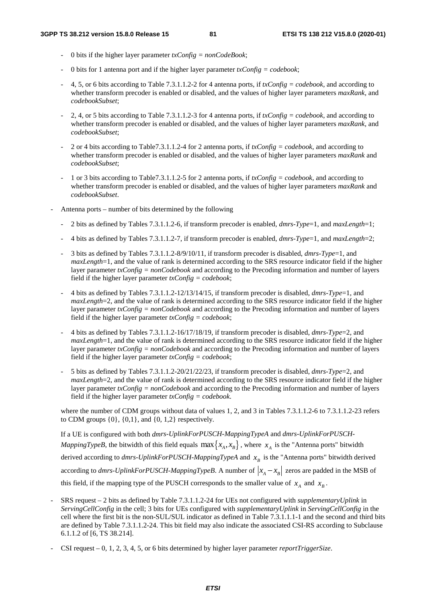- 0 bits if the higher layer parameter *txConfig = nonCodeBook*;
- 0 bits for 1 antenna port and if the higher layer parameter  $txConfig = codebook;$
- 4, 5, or 6 bits according to Table 7.3.1.1.2-2 for 4 antenna ports, if  $txConfig = codebook$ , and according to whether transform precoder is enabled or disabled, and the values of higher layer parameters *maxRank*, and *codebookSubset*;
- 2, 4, or 5 bits according to Table 7.3.1.1.2-3 for 4 antenna ports, if *txConfig = codebook,* and according to whether transform precoder is enabled or disabled, and the values of higher layer parameters *maxRank*, and *codebookSubset*;
- 2 or 4 bits according to Table7.3.1.1.2-4 for 2 antenna ports, if *txConfig = codebook,* and according to whether transform precoder is enabled or disabled, and the values of higher layer parameters *maxRank* and *codebookSubset*;
- 1 or 3 bits according to Table7.3.1.1.2-5 for 2 antenna ports, if *txConfig = codebook,* and according to whether transform precoder is enabled or disabled, and the values of higher layer parameters *maxRank* and *codebookSubset*.
- Antenna ports number of bits determined by the following
	- 2 bits as defined by Tables 7.3.1.1.2-6, if transform precoder is enabled, *dmrs-Type*=1, and *maxLength*=1;
	- 4 bits as defined by Tables 7.3.1.1.2-7, if transform precoder is enabled, *dmrs-Type*=1, and *maxLength*=2;
	- 3 bits as defined by Tables 7.3.1.1.2-8/9/10/11, if transform precoder is disabled, *dmrs-Type*=1, and *maxLength*=1, and the value of rank is determined according to the SRS resource indicator field if the higher layer parameter *txConfig = nonCodebook* and according to the Precoding information and number of layers field if the higher layer parameter *txConfig = codebook*;
	- 4 bits as defined by Tables 7.3.1.1.2-12/13/14/15, if transform precoder is disabled, *dmrs-Type*=1, and *maxLength*=2, and the value of rank is determined according to the SRS resource indicator field if the higher layer parameter *txConfig = nonCodebook* and according to the Precoding information and number of layers field if the higher layer parameter *txConfig = codebook*;
	- 4 bits as defined by Tables 7.3.1.1.2-16/17/18/19, if transform precoder is disabled, *dmrs-Type*=2, and *maxLength*=1, and the value of rank is determined according to the SRS resource indicator field if the higher layer parameter *txConfig = nonCodebook* and according to the Precoding information and number of layers field if the higher layer parameter *txConfig = codebook*;
	- 5 bits as defined by Tables 7.3.1.1.2-20/21/22/23, if transform precoder is disabled, *dmrs-Type*=2, and *maxLength*=2, and the value of rank is determined according to the SRS resource indicator field if the higher layer parameter *txConfig = nonCodebook* and according to the Precoding information and number of layers field if the higher layer parameter *txConfig = codebook*.

where the number of CDM groups without data of values 1, 2, and 3 in Tables 7.3.1.1.2-6 to 7.3.1.1.2-23 refers to CDM groups  $\{0\}$ ,  $\{0,1\}$ , and  $\{0, 1, 2\}$  respectively.

If a UE is configured with both *dmrs-UplinkForPUSCH-MappingTypeA* and *dmrs-UplinkForPUSCH-MappingTypeB*, the bitwidth of this field equals  $\max\{x_A, x_B\}$ , where  $x_A$  is the "Antenna ports" bitwidth derived according to  $dmrs$ -UplinkForPUSCH-MappingTypeA and  $x_B$  is the "Antenna ports" bitwidth derived according to *dmrs-UplinkForPUSCH-MappingTypeB*. A number of  $|x_A - x_B|$  zeros are padded in the MSB of this field, if the mapping type of the PUSCH corresponds to the smaller value of  $x_a$  and  $x_b$ .

- SRS request – 2 bits as defined by Table 7.3.1.1.2-24 for UEs not configured with *supplementaryUplink* in *ServingCellConfig* in the cell; 3 bits for UEs configured with *supplementaryUplink* in *ServingCellConfig* in the cell where the first bit is the non-SUL/SUL indicator as defined in Table 7.3.1.1.1-1 and the second and third bits are defined by Table 7.3.1.1.2-24. This bit field may also indicate the associated CSI-RS according to Subclause 6.1.1.2 of [6, TS 38.214].

- CSI request – 0, 1, 2, 3, 4, 5, or 6 bits determined by higher layer parameter *reportTriggerSize*.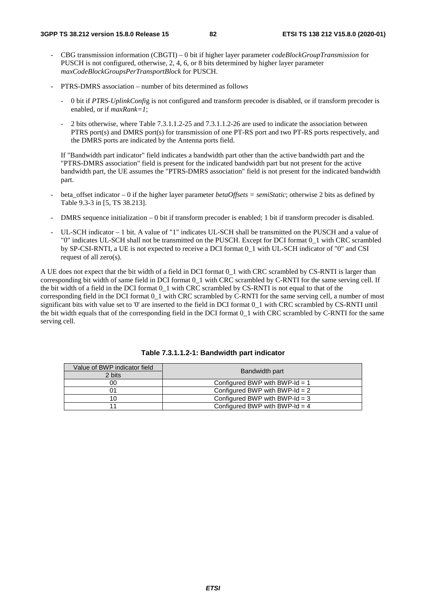- CBG transmission information (CBGTI) 0 bit if higher layer parameter *codeBlockGroupTransmission* for PUSCH is not configured, otherwise, 2, 4, 6, or 8 bits determined by higher layer parameter *maxCodeBlockGroupsPerTransportBlock* for PUSCH.
- PTRS-DMRS association number of bits determined as follows
	- 0 bit if *PTRS-UplinkConfi*g is not configured and transform precoder is disabled, or if transform precoder is enabled, or if *maxRank=1*;
	- 2 bits otherwise, where Table 7.3.1.1.2-25 and 7.3.1.1.2-26 are used to indicate the association between PTRS port(s) and DMRS port(s) for transmission of one PT-RS port and two PT-RS ports respectively, and the DMRS ports are indicated by the Antenna ports field.

If "Bandwidth part indicator" field indicates a bandwidth part other than the active bandwidth part and the "PTRS-DMRS association" field is present for the indicated bandwidth part but not present for the active bandwidth part, the UE assumes the "PTRS-DMRS association" field is not present for the indicated bandwidth part.

- beta offset indicator 0 if the higher layer parameter *betaOffsets = semiStatic*; otherwise 2 bits as defined by Table 9.3-3 in [5, TS 38.213].
- DMRS sequence initialization 0 bit if transform precoder is enabled; 1 bit if transform precoder is disabled.
- UL-SCH indicator 1 bit. A value of "1" indicates UL-SCH shall be transmitted on the PUSCH and a value of "0" indicates UL-SCH shall not be transmitted on the PUSCH. Except for DCI format 0\_1 with CRC scrambled by SP-CSI-RNTI, a UE is not expected to receive a DCI format 0\_1 with UL-SCH indicator of "0" and CSI request of all zero(s).

A UE does not expect that the bit width of a field in DCI format 0\_1 with CRC scrambled by CS-RNTI is larger than corresponding bit width of same field in DCI format 0\_1 with CRC scrambled by C-RNTI for the same serving cell. If the bit width of a field in the DCI format  $0\,1$  with CRC scrambled by CS-RNTI is not equal to that of the corresponding field in the DCI format 0\_1 with CRC scrambled by C-RNTI for the same serving cell, a number of most significant bits with value set to '0' are inserted to the field in DCI format 0\_1 with CRC scrambled by CS-RNTI until the bit width equals that of the corresponding field in the DCI format 0\_1 with CRC scrambled by C-RNTI for the same serving cell.

| Value of BWP indicator field | Bandwidth part                   |  |
|------------------------------|----------------------------------|--|
| 2 bits                       |                                  |  |
| 00                           | Configured BWP with BWP-Id = $1$ |  |
| 01                           | Configured BWP with BWP-Id $= 2$ |  |
| 10                           | Configured BWP with BWP-Id $=$ 3 |  |
|                              | Configured BWP with BWP-Id $=$ 4 |  |

# **Table 7.3.1.1.2-1: Bandwidth part indicator**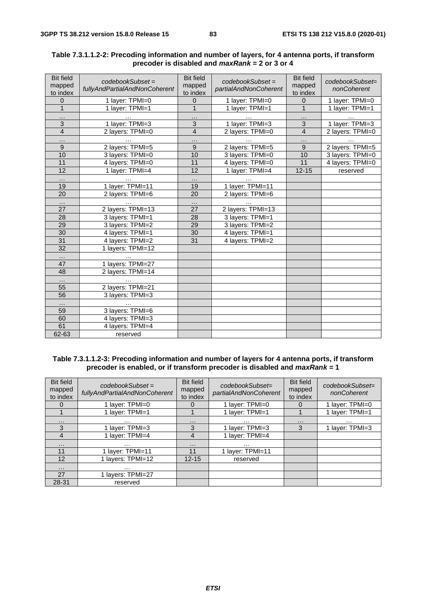| <b>Bit field</b><br>mapped<br>to index | $codebookSubset =$<br>fullyAndPartialAndNonCoherent | <b>Bit field</b><br>mapped<br>to index | $codebookSubset =$<br>partialAndNonCoherent | <b>Bit field</b><br>mapped<br>to index | codebookSubset=<br>nonCoherent |
|----------------------------------------|-----------------------------------------------------|----------------------------------------|---------------------------------------------|----------------------------------------|--------------------------------|
| $\Omega$                               | 1 layer: TPMI=0                                     | $\Omega$                               | 1 layer: TPMI=0                             | $\Omega$                               | 1 layer: TPMI=0                |
| $\mathbf{1}$                           | 1 layer: TPMI=1                                     | $\mathbf{1}$                           | 1 layer: TPMI=1                             | $\mathbf{1}$                           | 1 layer: TPMI=1                |
| $\cdots$                               |                                                     | $\cdots$                               | $\cdots$                                    | $\cdots$                               |                                |
| 3                                      | 1 layer: TPMI=3                                     | $\overline{3}$                         | 1 layer: TPMI=3                             | 3                                      | 1 layer: TPMI=3                |
| $\overline{4}$                         | 2 layers: TPMI=0                                    | 4                                      | 2 layers: TPMI=0                            | $\overline{4}$                         | 2 layers: TPMI=0               |
| $\cdots$                               | $\cdots$                                            | .                                      | $\cdots$                                    | $\cdots$                               | $\cdots$                       |
| $\overline{9}$                         | 2 layers: TPMI=5                                    | $\overline{9}$                         | 2 layers: TPMI=5                            | 9                                      | 2 layers: TPMI=5               |
| 10                                     | 3 layers: TPMI=0                                    | 10                                     | 3 layers: TPMI=0                            | 10                                     | 3 layers: TPMI=0               |
| 11                                     | 4 layers: TPMI=0                                    | 11                                     | 4 layers: TPMI=0                            | 11                                     | 4 layers: TPMI=0               |
| $\overline{12}$                        | 1 layer: TPMI=4                                     | 12                                     | 1 layer: TPMI=4                             | $12 - 15$                              | reserved                       |
| $\cdots$                               |                                                     | .                                      |                                             |                                        |                                |
| 19                                     | 1 layer: TPMI=11                                    | 19                                     | 1 layer: TPMI=11                            |                                        |                                |
| 20                                     | 2 layers: TPMI=6                                    | 20                                     | 2 layers: TPMI=6                            |                                        |                                |
| $\cdots$                               |                                                     | $\cdots$                               |                                             |                                        |                                |
| 27                                     | 2 layers: TPMI=13                                   | 27                                     | 2 layers: TPMI=13                           |                                        |                                |
| 28                                     | 3 layers: TPMI=1                                    | 28                                     | 3 layers: TPMI=1                            |                                        |                                |
| 29                                     | 3 layers: TPMI=2                                    | 29                                     | 3 layers: TPMI=2                            |                                        |                                |
| 30                                     | 4 layers: TPMI=1                                    | 30                                     | 4 layers: TPMI=1                            |                                        |                                |
| $\overline{31}$                        | 4 layers: TPMI=2                                    | 31                                     | 4 layers: TPMI=2                            |                                        |                                |
| $\overline{32}$                        | 1 layers: TPMI=12                                   |                                        |                                             |                                        |                                |
| $\cdots$                               |                                                     |                                        |                                             |                                        |                                |
| 47                                     | 1 layers: TPMI=27                                   |                                        |                                             |                                        |                                |
| 48                                     | 2 layers: TPMI=14                                   |                                        |                                             |                                        |                                |
| $\cdots$                               |                                                     |                                        |                                             |                                        |                                |
| 55                                     | 2 layers: TPMI=21                                   |                                        |                                             |                                        |                                |
| 56                                     | 3 layers: TPMI=3                                    |                                        |                                             |                                        |                                |
|                                        | $\cdots$                                            |                                        |                                             |                                        |                                |
| 59                                     | 3 layers: TPMI=6                                    |                                        |                                             |                                        |                                |
| 60                                     | 4 layers: TPMI=3                                    |                                        |                                             |                                        |                                |
| 61                                     | 4 layers: TPMI=4                                    |                                        |                                             |                                        |                                |
| 62-63                                  | reserved                                            |                                        |                                             |                                        |                                |

## **Table 7.3.1.1.2-2: Precoding information and number of layers, for 4 antenna ports, if transform precoder is disabled and** *maxRank* **= 2 or 3 or 4**

#### **Table 7.3.1.1.2-3: Precoding information and number of layers for 4 antenna ports, if transform precoder is enabled, or if transform precoder is disabled and** *maxRank* **= 1**

| <b>Bit field</b><br>mapped<br>to index | $codebookSubset =$<br>fullyAndPartialAndNonCoherent | <b>Bit field</b><br>mapped<br>to index | $codebookSubset =$<br>partialAndNonCoherent | <b>Bit field</b><br>mapped<br>to index | codebookSubset=<br>nonCoherent |
|----------------------------------------|-----------------------------------------------------|----------------------------------------|---------------------------------------------|----------------------------------------|--------------------------------|
| 0                                      | 1 layer: TPMI=0                                     | $\Omega$                               | 1 layer: TPMI=0                             | $\Omega$                               | 1 layer: TPMI=0                |
|                                        | 1 layer: TPMI=1                                     |                                        | 1 layer: TPMI=1                             |                                        | 1 layer: TPMI=1                |
| $\cdots$                               | $\cdots$                                            | $\cdots$                               | .                                           | $\cdots$                               | .                              |
| 3                                      | 1 layer: TPMI=3                                     | 3                                      | 1 layer: TPMI=3                             | 3                                      | 1 layer: TPMI=3                |
| 4                                      | 1 layer: TPMI=4                                     | 4                                      | 1 layer: TPMI=4                             |                                        |                                |
| $\cdots$                               | $\cdots$                                            | $\cdots$                               | $\cdots$                                    |                                        |                                |
| 11                                     | 1 layer: TPMI=11                                    | 11                                     | 1 layer: TPMI=11                            |                                        |                                |
| 12                                     | 1 layers: TPMI=12                                   | $12 - 15$                              | reserved                                    |                                        |                                |
| $\cdots$                               | .                                                   |                                        |                                             |                                        |                                |
| 27                                     | 1 layers: TPMI=27                                   |                                        |                                             |                                        |                                |
| 28-31                                  | reserved                                            |                                        |                                             |                                        |                                |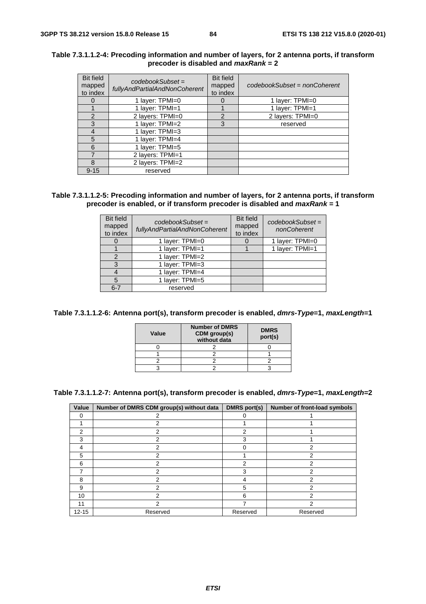| <b>Bit field</b><br>mapped<br>to index | $codebookSubset =$<br>fullyAndPartialAndNonCoherent | <b>Bit field</b><br>mapped<br>to index | codebookSubset = nonCoherent |
|----------------------------------------|-----------------------------------------------------|----------------------------------------|------------------------------|
| $\Omega$                               | 1 layer: TPMI=0                                     | $\mathbf{O}$                           | 1 layer: TPMI=0              |
|                                        | 1 layer: TPMI=1                                     |                                        | 1 layer: TPMI=1              |
| 2                                      | 2 layers: TPMI=0                                    | 2                                      | 2 layers: TPMI=0             |
| 3                                      | 1 layer: TPMI=2                                     | 3                                      | reserved                     |
| 4                                      | 1 layer: TPMI=3                                     |                                        |                              |
| 5                                      | 1 layer: TPMI=4                                     |                                        |                              |
| 6                                      | 1 layer: TPMI=5                                     |                                        |                              |
| 7                                      | 2 layers: TPMI=1                                    |                                        |                              |
| 8                                      | 2 layers: TPMI=2                                    |                                        |                              |
| $9 - 15$                               | reserved                                            |                                        |                              |

#### **Table 7.3.1.1.2-4: Precoding information and number of layers, for 2 antenna ports, if transform precoder is disabled and** *maxRank* **= 2**

## **Table 7.3.1.1.2-5: Precoding information and number of layers, for 2 antenna ports, if transform precoder is enabled, or if transform precoder is disabled and** *maxRank* **= 1**

| <b>Bit field</b><br>mapped<br>to index | $codebookSubset =$<br>fullyAndPartialAndNonCoherent | <b>Bit field</b><br>mapped<br>to index | $codebookSubset =$<br>nonCoherent |
|----------------------------------------|-----------------------------------------------------|----------------------------------------|-----------------------------------|
|                                        | 1 layer: TPMI=0                                     |                                        | 1 layer: TPMI=0                   |
|                                        | 1 layer: TPMI=1                                     |                                        | 1 layer: TPMI=1                   |
|                                        | 1 layer: TPMI=2                                     |                                        |                                   |
|                                        | 1 layer: TPMI=3                                     |                                        |                                   |
|                                        | 1 layer: TPMI=4                                     |                                        |                                   |
| 5                                      | 1 layer: TPMI=5                                     |                                        |                                   |
| $6 - 7$                                | reserved                                            |                                        |                                   |

**Table 7.3.1.1.2-6: Antenna port(s), transform precoder is enabled,** *dmrs-Type***=1,** *maxLength***=1** 

| Value | <b>Number of DMRS</b><br>CDM group(s)<br>without data | <b>DMRS</b><br>port(s) |
|-------|-------------------------------------------------------|------------------------|
|       |                                                       |                        |
|       |                                                       |                        |
|       |                                                       |                        |
|       |                                                       |                        |

**Table 7.3.1.1.2-7: Antenna port(s), transform precoder is enabled,** *dmrs-Type***=1,** *maxLength***=2** 

| Value     | Number of DMRS CDM group(s) without data | <b>DMRS</b> port(s) | Number of front-load symbols |
|-----------|------------------------------------------|---------------------|------------------------------|
| 0         | 2                                        | 0                   |                              |
|           | 2                                        |                     |                              |
| 2         | 2                                        | 2                   |                              |
| 3         | 2                                        | 3                   |                              |
| 4         | 2                                        | U                   | 2                            |
| 5         | 2                                        |                     | 2                            |
| 6         | 2                                        | 2                   | 2                            |
|           | 2                                        | 3                   | 2                            |
| 8         | 2                                        |                     | 2                            |
| 9         | 2                                        | 5                   | 2                            |
| 10        | 2                                        | 6                   | $\mathcal{P}$                |
| 11        | 2                                        | 7                   | 2                            |
| $12 - 15$ | Reserved                                 | Reserved            | Reserved                     |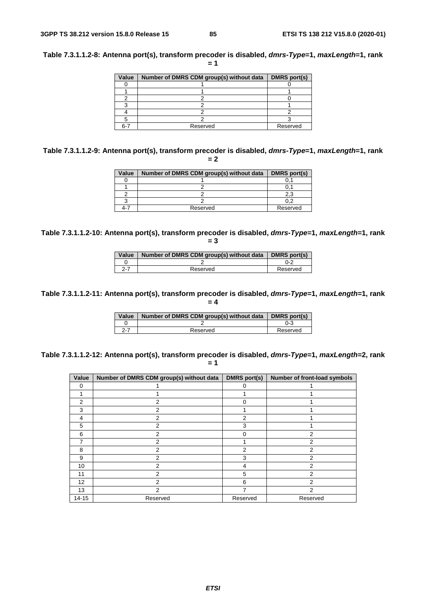| Value | Number of DMRS CDM group(s) without data | <b>DMRS</b> port(s) |
|-------|------------------------------------------|---------------------|
|       |                                          |                     |
|       |                                          |                     |
|       |                                          |                     |
|       |                                          |                     |
|       |                                          |                     |
|       |                                          |                     |
| հ-7   | Reserved                                 | Reserved            |

**Table 7.3.1.1.2-9: Antenna port(s), transform precoder is disabled,** *dmrs-Type***=1,** *maxLength***=1, rank = 2** 

| Value | Number of DMRS CDM group(s) without data | DMRS port(s) |
|-------|------------------------------------------|--------------|
|       |                                          |              |
|       |                                          |              |
|       |                                          | 2.3          |
|       |                                          |              |
| ⊿-'   | Reserved                                 | Reserved     |

**Table 7.3.1.1.2-10: Antenna port(s), transform precoder is disabled,** *dmrs-Type***=1,** *maxLength***=1, rank = 3** 

| Value   | Number of DMRS CDM group(s) without data | DMRS port(s) |
|---------|------------------------------------------|--------------|
|         |                                          | በ-2          |
| $2 - 7$ | Reserved                                 | Reserved     |

**Table 7.3.1.1.2-11: Antenna port(s), transform precoder is disabled,** *dmrs-Type***=1,** *maxLength***=1, rank = 4** 

| Value | Number of DMRS CDM group(s) without data | <b>DMRS</b> port(s) |
|-------|------------------------------------------|---------------------|
|       |                                          | ი-ვ                 |
| 2-7   | Reserved                                 | Reserved            |

**Table 7.3.1.1.2-12: Antenna port(s), transform precoder is disabled,** *dmrs-Type***=1,** *maxLength***=2, rank**   $= 1$ 

| Value          | Number of DMRS CDM group(s) without data | <b>DMRS</b> port(s) | Number of front-load symbols |
|----------------|------------------------------------------|---------------------|------------------------------|
| $\Omega$       |                                          | $\Omega$            |                              |
|                |                                          |                     |                              |
| $\overline{2}$ | $\overline{2}$                           | O                   |                              |
| 3              | 2                                        |                     |                              |
| 4              | 2                                        | 2                   |                              |
| 5              | $\overline{2}$                           | 3                   |                              |
| 6              | 2                                        | 0                   | 2                            |
| 7              | 2                                        |                     | 2                            |
| 8              | 2                                        | 2                   | $\overline{2}$               |
| 9              | 2                                        | 3                   | $\overline{2}$               |
| 10             | 2                                        | 4                   | $\overline{2}$               |
| 11             | 2                                        | 5                   | $\overline{2}$               |
| 12             | 2                                        | 6                   | $\overline{2}$               |
| 13             | $\overline{2}$                           |                     | $\overline{2}$               |
| $14 - 15$      | Reserved                                 | Reserved            | Reserved                     |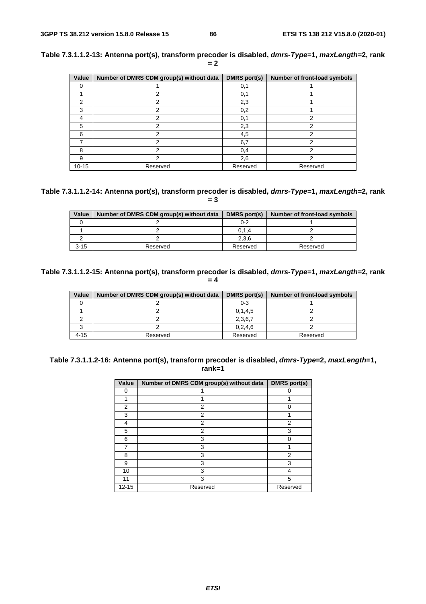| Value     | Number of DMRS CDM group(s) without data | <b>DMRS</b> port(s) | Number of front-load symbols |
|-----------|------------------------------------------|---------------------|------------------------------|
| 0         |                                          | 0,1                 |                              |
|           |                                          | 0,1                 |                              |
| 2         | າ                                        | 2,3                 |                              |
| 3         |                                          | 0,2                 |                              |
| 4         |                                          | 0,1                 |                              |
| 5         |                                          | 2,3                 |                              |
| 6         | っ                                        | 4,5                 | າ                            |
|           | っ                                        | 6,7                 | າ                            |
| 8         | っ                                        | 0,4                 | າ                            |
| 9         |                                          | 2,6                 | 2                            |
| $10 - 15$ | Reserved                                 | Reserved            | Reserved                     |

**Table 7.3.1.1.2-13: Antenna port(s), transform precoder is disabled,** *dmrs-Type***=1,** *maxLength***=2, rank = 2** 

#### **Table 7.3.1.1.2-14: Antenna port(s), transform precoder is disabled,** *dmrs-Type***=1,** *maxLength***=2, rank = 3**

| Value    | Number of DMRS CDM group(s) without data | DMRS port(s) | Number of front-load symbols |
|----------|------------------------------------------|--------------|------------------------------|
|          |                                          | 0-2          |                              |
|          |                                          | 0, 1, 4      |                              |
|          |                                          | 2,3,6        |                              |
| $3 - 15$ | Reserved                                 | Reserved     | Reserved                     |

## **Table 7.3.1.1.2-15: Antenna port(s), transform precoder is disabled,** *dmrs-Type***=1,** *maxLength***=2, rank = 4**

| Value    | Number of DMRS CDM group(s) without data | DMRS port(s) | Number of front-load symbols |
|----------|------------------------------------------|--------------|------------------------------|
|          |                                          | 0-3          |                              |
|          |                                          | 0, 1, 4, 5   |                              |
|          |                                          | 2,3,6,7      |                              |
|          |                                          | 0, 2, 4, 6   |                              |
| $4 - 15$ | Reserved                                 | Reserved     | Reserved                     |

## **Table 7.3.1.1.2-16: Antenna port(s), transform precoder is disabled,** *dmrs-Type***=2,** *maxLength***=1, rank=1**

| Value     | Number of DMRS CDM group(s) without data | <b>DMRS</b> port(s) |
|-----------|------------------------------------------|---------------------|
| 0         |                                          | O                   |
| 1         |                                          |                     |
| 2         | 2                                        | ∩                   |
| 3         | 2                                        |                     |
| 4         | 2                                        | 2                   |
| 5         | 2                                        | 3                   |
| 6         | 3                                        | ∩                   |
|           | 3                                        |                     |
| 8         | 3                                        | $\overline{2}$      |
| 9         | 3                                        | 3                   |
| 10        | 3                                        | 4                   |
| 11        | 3                                        | 5                   |
| $12 - 15$ | Reserved                                 | Reserved            |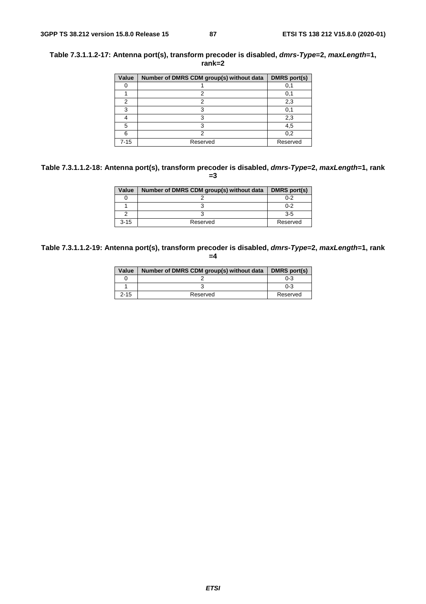## **Table 7.3.1.1.2-17: Antenna port(s), transform precoder is disabled,** *dmrs-Type***=2,** *maxLength***=1, rank=2**

| Value    | Number of DMRS CDM group(s) without data | <b>DMRS</b> port(s) |
|----------|------------------------------------------|---------------------|
|          |                                          | 0,1                 |
|          | 2                                        | 0,1                 |
| 2        | າ                                        | 2,3                 |
| 3        | з                                        | 0,1                 |
|          | ٩                                        | 2,3                 |
| 5        |                                          | 4,5                 |
| ิค       |                                          | 0,2                 |
| $7 - 15$ | Reserved                                 | Reserved            |

## **Table 7.3.1.1.2-18: Antenna port(s), transform precoder is disabled,** *dmrs-Type***=2,** *maxLength***=1, rank =3**

| Value    | Number of DMRS CDM group(s) without data | DMRS port(s) |
|----------|------------------------------------------|--------------|
|          |                                          | $0 - 2$      |
|          |                                          | $0 - 2$      |
|          |                                          | 35           |
| $3 - 15$ | Reserved                                 | Reserved     |

#### **Table 7.3.1.1.2-19: Antenna port(s), transform precoder is disabled,** *dmrs-Type***=2,** *maxLength***=1, rank =4**

| Value    | Number of DMRS CDM group(s) without data | DMRS port(s) |
|----------|------------------------------------------|--------------|
|          |                                          | $0 - 3$      |
|          |                                          | $0 - 3$      |
| $2 - 15$ | Reserved                                 | Reserved     |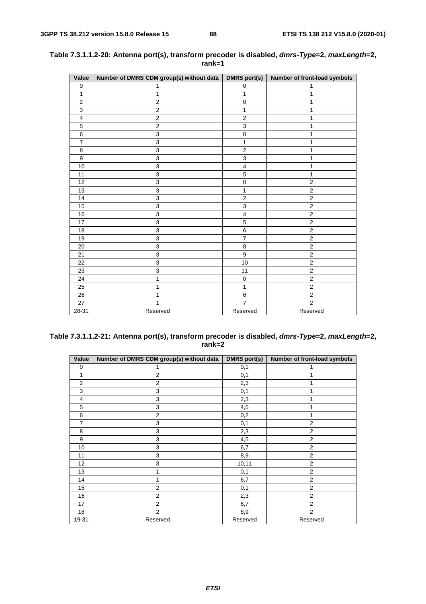| Value            | Number of DMRS CDM group(s) without data | DMRS port(s)              | Number of front-load symbols |
|------------------|------------------------------------------|---------------------------|------------------------------|
| $\mathbf 0$      | 1                                        | 0                         | 1                            |
| 1                | 1                                        | 1                         | 1                            |
| $\overline{2}$   | $\overline{c}$                           | $\mathbf 0$               | 1                            |
| 3                | $\overline{2}$                           | 1                         | 1                            |
| 4                | $\overline{c}$                           | $\overline{2}$            | 1                            |
| 5                | $\overline{c}$                           | 3                         | 1                            |
| 6                | 3                                        | $\mathbf 0$               | 1                            |
| $\overline{7}$   | 3                                        | 1                         | 1                            |
| 8                | 3                                        | $\mathbf 2$               |                              |
| $\boldsymbol{9}$ | 3                                        | $\ensuremath{\mathsf{3}}$ | 1                            |
| 10               | 3                                        | $\overline{\mathbf{4}}$   | 1                            |
| 11               | $\mathsf 3$                              | $\mathbf 5$               | 1                            |
| 12               | 3                                        | $\mathbf 0$               | $\overline{\mathbf{c}}$      |
| 13               | 3                                        | 1                         | $\overline{\mathbf{c}}$      |
| 14               | 3                                        | $\overline{c}$            | $\overline{\mathbf{c}}$      |
| 15               | $\overline{3}$                           | 3                         | $\overline{2}$               |
| 16               | 3                                        | $\overline{4}$            | $\overline{c}$               |
| 17               | $\overline{3}$                           | 5                         | $\overline{2}$               |
| 18               | 3                                        | 6                         | $\overline{c}$               |
| 19               | 3                                        | $\overline{7}$            | $\overline{2}$               |
| 20               | 3                                        | 8                         | $\overline{c}$               |
| 21               | $\overline{3}$                           | $\boldsymbol{9}$          | $\overline{2}$               |
| 22               | 3                                        | 10                        | $\overline{2}$               |
| 23               | $\overline{3}$                           | 11                        | $\overline{2}$               |
| 24               | 1                                        | $\mathbf 0$               | $\overline{2}$               |
| 25               | 1                                        | 1                         | $\overline{2}$               |
| 26               | 1                                        | 6                         | $\overline{2}$               |
| 27               | 1                                        | $\overline{7}$            | $\overline{2}$               |
| 28-31            | Reserved                                 | Reserved                  | Reserved                     |

| Table 7.3.1.1.2-20: Antenna port(s), transform precoder is disabled, <i>dmrs-Type</i> =2, <i>maxLength</i> =2, |
|----------------------------------------------------------------------------------------------------------------|
| rank=1                                                                                                         |

## **Table 7.3.1.1.2-21: Antenna port(s), transform precoder is disabled,** *dmrs-Type***=2,** *maxLength***=2, rank=2**

| Value          | Number of DMRS CDM group(s) without data | DMRS port(s) | Number of front-load symbols |
|----------------|------------------------------------------|--------------|------------------------------|
| 0              |                                          | 0,1          |                              |
| 1              | $\overline{2}$                           | 0,1          |                              |
| $\overline{2}$ | $\overline{2}$                           | 2,3          |                              |
| 3              | 3                                        | 0,1          |                              |
| $\overline{4}$ | 3                                        | 2,3          |                              |
| 5              | 3                                        | 4,5          |                              |
| 6              | $\overline{2}$                           | 0,2          | 1                            |
| 7              | 3                                        | 0,1          | $\overline{2}$               |
| 8              | 3                                        | 2,3          | $\overline{2}$               |
| 9              | 3                                        | 4,5          | $\overline{2}$               |
| 10             | 3                                        | 6,7          | $\overline{2}$               |
| 11             | 3                                        | 8,9          | $\overline{2}$               |
| 12             | 3                                        | 10,11        | $\overline{2}$               |
| 13             |                                          | 0,1          | $\overline{2}$               |
| 14             |                                          | 6,7          | $\overline{2}$               |
| 15             | $\overline{2}$                           | 0,1          | $\overline{2}$               |
| 16             | $\overline{2}$                           | 2,3          | $\overline{2}$               |
| 17             | $\overline{2}$                           | 6,7          | $\overline{2}$               |
| 18             | $\overline{2}$                           | 8,9          | $\overline{2}$               |
| 19-31          | Reserved                                 | Reserved     | Reserved                     |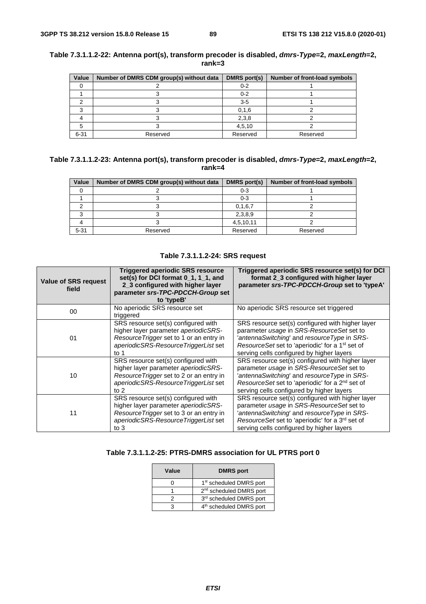| Value    | Number of DMRS CDM group(s) without data | DMRS port(s) | Number of front-load symbols |  |
|----------|------------------------------------------|--------------|------------------------------|--|
|          |                                          | $0 - 2$      |                              |  |
|          |                                          | $0 - 2$      |                              |  |
|          |                                          | $3-5$        |                              |  |
|          |                                          | 0, 1, 6      |                              |  |
|          |                                          | 2,3,8        |                              |  |
|          |                                          | 4,5,10       |                              |  |
| $6 - 31$ | Reserved                                 | Reserved     | Reserved                     |  |

## **Table 7.3.1.1.2-22: Antenna port(s), transform precoder is disabled,** *dmrs-Type***=2,** *maxLength***=2, rank=3**

| Table 7.3.1.1.2-23: Antenna port(s), transform precoder is disabled, <i>dmrs-Type</i> =2, <i>maxLength</i> =2, |
|----------------------------------------------------------------------------------------------------------------|
| rank=4                                                                                                         |

| Value    | Number of DMRS CDM group(s) without data | DMRS port(s) | Number of front-load symbols |
|----------|------------------------------------------|--------------|------------------------------|
|          |                                          | 0-3          |                              |
|          |                                          | $0-3$        |                              |
|          |                                          | 0, 1, 6, 7   |                              |
|          |                                          | 2,3,8,9      |                              |
|          |                                          | 4,5,10,11    |                              |
| $5 - 31$ | Reserved                                 | Reserved     | Reserved                     |

## **Table 7.3.1.1.2-24: SRS request**

| <b>Value of SRS request</b><br>field | Triggered aperiodic SRS resource<br>set(s) for DCI format 0_1, 1_1, and<br>2_3 configured with higher layer<br>parameter srs-TPC-PDCCH-Group set<br>to 'typeB'             | Triggered aperiodic SRS resource set(s) for DCI<br>format 2 3 configured with higher layer<br>parameter srs-TPC-PDCCH-Group set to 'typeA'                                                                                                              |
|--------------------------------------|----------------------------------------------------------------------------------------------------------------------------------------------------------------------------|---------------------------------------------------------------------------------------------------------------------------------------------------------------------------------------------------------------------------------------------------------|
| 00                                   | No aperiodic SRS resource set<br>triggered                                                                                                                                 | No aperiodic SRS resource set triggered                                                                                                                                                                                                                 |
| 01                                   | SRS resource set(s) configured with<br>higher layer parameter aperiodicSRS-<br>Resource Trigger set to 1 or an entry in<br>aperiodicSRS-ResourceTriggerList set<br>to 1    | SRS resource set(s) configured with higher layer<br>parameter usage in SRS-ResourceSet set to<br>antennaSwitching' and resourceType in SRS-<br>ResourceSet set to 'aperiodic' for a 1 <sup>st</sup> set of<br>serving cells configured by higher layers |
| 10                                   | SRS resource set(s) configured with<br>higher layer parameter aperiodicSRS-<br>Resource Trigger set to 2 or an entry in<br>aperiodicSRS-ResourceTriggerList set<br>to $21$ | SRS resource set(s) configured with higher layer<br>parameter usage in SRS-ResourceSet set to<br>antennaSwitching and resourceType in SRS-<br>ResourceSet set to 'aperiodic' for a 2 <sup>nd</sup> set of<br>serving cells configured by higher layers  |
| 11                                   | SRS resource set(s) configured with<br>higher layer parameter aperiodicSRS-<br>Resource Trigger set to 3 or an entry in<br>aperiodicSRS-ResourceTriggerList set<br>to $3$  | SRS resource set(s) configured with higher layer<br>parameter usage in SRS-ResourceSet set to<br>antennaSwitching and resourceType in SRS-<br>ResourceSet set to 'aperiodic' for a 3rd set of<br>serving cells configured by higher layers              |

# **Table 7.3.1.1.2-25: PTRS-DMRS association for UL PTRS port 0**

| Value | <b>DMRS</b> port                    |
|-------|-------------------------------------|
|       | 1 <sup>st</sup> scheduled DMRS port |
|       | 2 <sup>nd</sup> scheduled DMRS port |
|       | 3rd scheduled DMRS port             |
| з     | 4 <sup>th</sup> scheduled DMRS port |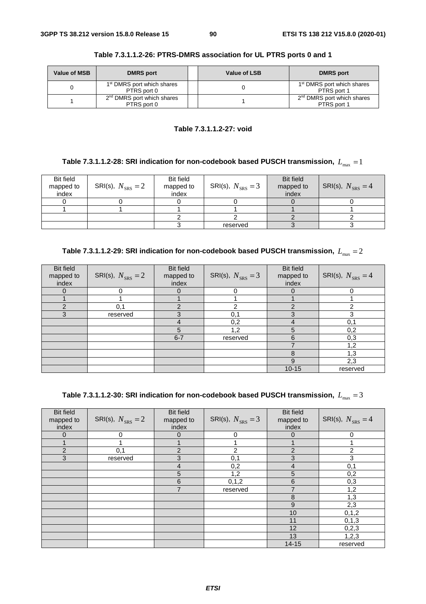| <b>Value of MSB</b> | <b>DMRS</b> port                                      | Value of LSB | <b>DMRS</b> port                                      |
|---------------------|-------------------------------------------------------|--------------|-------------------------------------------------------|
|                     | 1 <sup>st</sup> DMRS port which shares<br>PTRS port 0 |              | 1 <sup>st</sup> DMRS port which shares<br>PTRS port 1 |
|                     | 2 <sup>nd</sup> DMRS port which shares<br>PTRS port 0 |              | 2 <sup>nd</sup> DMRS port which shares<br>PTRS port 1 |

**Table 7.3.1.1.2-26: PTRS-DMRS association for UL PTRS ports 0 and 1** 

## **Table 7.3.1.1.2-27: void**

# Table 7.3.1.1.2-28: SRI indication for non-codebook based PUSCH transmission,  $L_{\text{max}} = 1$

| <b>Bit field</b><br>mapped to<br>index | SRI(s), $N_{SRS} = 2$ | Bit field<br>mapped to<br>index | SRI(s), $N_{SRS} = 3$ | <b>Bit field</b><br>mapped to<br>index | SRI(s), $N_{SRS} = 4$ |
|----------------------------------------|-----------------------|---------------------------------|-----------------------|----------------------------------------|-----------------------|
|                                        |                       |                                 |                       |                                        |                       |
|                                        |                       |                                 |                       |                                        |                       |
|                                        |                       |                                 |                       |                                        |                       |
|                                        |                       |                                 | reserved              |                                        |                       |

| Table 7.3.1.1.2-29: SRI indication for non-codebook based PUSCH transmission, $L_{\text{max}} = 2$ |  |  |
|----------------------------------------------------------------------------------------------------|--|--|
|----------------------------------------------------------------------------------------------------|--|--|

| <b>Bit field</b><br>mapped to<br>index | SRI(s), $N_{SRS} = 2$ | <b>Bit field</b><br>mapped to<br>index | SRI(s), $N_{SRS} = 3$ | <b>Bit field</b><br>mapped to<br>index | SRI(s), $N_{SRS} = 4$ |
|----------------------------------------|-----------------------|----------------------------------------|-----------------------|----------------------------------------|-----------------------|
|                                        |                       | $\Omega$                               | 0                     | $\Omega$                               |                       |
|                                        |                       |                                        |                       |                                        |                       |
| ⌒                                      | 0,1                   | ◠                                      | າ                     | ົ                                      | ⌒                     |
| 3                                      | reserved              | 3                                      | 0,1                   | 3                                      | 3                     |
|                                        |                       | 4                                      | 0,2                   | 4                                      | 0,1                   |
|                                        |                       | 5                                      | 1,2                   | 5                                      | 0,2                   |
|                                        |                       | $6 - 7$                                | reserved              | 6                                      | 0,3                   |
|                                        |                       |                                        |                       |                                        | 1,2                   |
|                                        |                       |                                        |                       | 8                                      | 1,3                   |
|                                        |                       |                                        |                       | 9                                      | 2,3                   |
|                                        |                       |                                        |                       | $10 - 15$                              | reserved              |

| Table 7.3.1.1.2-30: SRI indication for non-codebook based PUSCH transmission, $\,L_{\rm max}=3\,$ |  |  |
|---------------------------------------------------------------------------------------------------|--|--|
|---------------------------------------------------------------------------------------------------|--|--|

| <b>Bit field</b><br>mapped to<br>index | SRI(s), $N_{SRS} = 2$ | <b>Bit field</b><br>mapped to<br>index | SRI(s), $N_{SRS} = 3$ | <b>Bit field</b><br>mapped to<br>index | SRI(s), $N_{SRS} = 4$ |
|----------------------------------------|-----------------------|----------------------------------------|-----------------------|----------------------------------------|-----------------------|
| $\overline{0}$                         | $\mathbf 0$           | 0                                      | 0                     | $\overline{0}$                         | 0                     |
|                                        |                       |                                        |                       |                                        |                       |
| $\overline{2}$                         | 0,1                   | $\overline{2}$                         | $\overline{2}$        | $\overline{2}$                         | 2                     |
| 3                                      | reserved              | 3                                      | 0,1                   | 3                                      | 3                     |
|                                        |                       | $\overline{4}$                         | 0,2                   | 4                                      | 0,1                   |
|                                        |                       | 5                                      | 1,2                   | 5                                      | 0,2                   |
|                                        |                       | 6                                      | 0, 1, 2               | $6\phantom{1}6$                        | 0,3                   |
|                                        |                       | $\overline{7}$                         | reserved              | $\overline{7}$                         | 1,2                   |
|                                        |                       |                                        |                       | 8                                      | 1,3                   |
|                                        |                       |                                        |                       | 9                                      | 2,3                   |
|                                        |                       |                                        |                       | 10                                     | 0, 1, 2               |
|                                        |                       |                                        |                       | 11                                     | 0, 1, 3               |
|                                        |                       |                                        |                       | 12                                     | 0, 2, 3               |
|                                        |                       |                                        |                       | 13                                     | 1, 2, 3               |
|                                        |                       |                                        |                       | $14 - 15$                              | reserved              |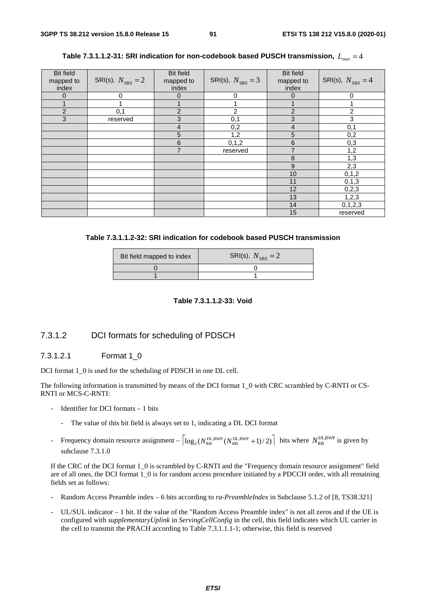| <b>Bit field</b><br>mapped to<br>index | SRI(s), $N_{SRS} = 2$ | <b>Bit field</b><br>mapped to<br>index | SRI(s), $N_{SRS} = 3$ | <b>Bit field</b><br>mapped to<br>index | SRI(s), $N_{SRS} = 4$ |
|----------------------------------------|-----------------------|----------------------------------------|-----------------------|----------------------------------------|-----------------------|
| 0                                      | 0                     | 0                                      | 0                     | $\Omega$                               | 0                     |
|                                        |                       |                                        |                       |                                        |                       |
| $\overline{2}$                         | 0,1                   | $\overline{2}$                         | $\overline{2}$        | $\overline{2}$                         | 2                     |
| 3                                      | reserved              | 3                                      | 0,1                   | 3                                      | 3                     |
|                                        |                       | 4                                      | 0,2                   | 4                                      | 0,1                   |
|                                        |                       | 5                                      | 1,2                   | 5                                      | 0,2                   |
|                                        |                       | 6                                      | 0, 1, 2               | $6\phantom{1}6$                        | 0,3                   |
|                                        |                       | $\overline{7}$                         | reserved              | 7                                      | 1,2                   |
|                                        |                       |                                        |                       | 8                                      | 1,3                   |
|                                        |                       |                                        |                       | $9$                                    | 2,3                   |
|                                        |                       |                                        |                       | 10                                     | 0, 1, 2               |
|                                        |                       |                                        |                       | 11                                     | 0, 1, 3               |
|                                        |                       |                                        |                       | 12                                     | 0,2,3                 |
|                                        |                       |                                        |                       | 13                                     | 1,2,3                 |
|                                        |                       |                                        |                       | 14                                     | 0, 1, 2, 3            |
|                                        |                       |                                        |                       | 15                                     | reserved              |

Table 7.3.1.1.2-31: SRI indication for non-codebook based PUSCH transmission,  $L_{\text{max}} = 4$ 

| Table 7.3.1.1.2-32: SRI indication for codebook based PUSCH transmission |
|--------------------------------------------------------------------------|
|--------------------------------------------------------------------------|

| Bit field mapped to index | SRI(s), $N_{SRS} = 2$ |
|---------------------------|-----------------------|
|                           |                       |
|                           |                       |

**Table 7.3.1.1.2-33: Void** 

# 7.3.1.2 DCI formats for scheduling of PDSCH

### 7.3.1.2.1 Format 1\_0

DCI format 1\_0 is used for the scheduling of PDSCH in one DL cell.

The following information is transmitted by means of the DCI format 1\_0 with CRC scrambled by C-RNTI or CS-RNTI or MCS-C-RNTI:

- Identifier for DCI formats  $-1$  bits
	- The value of this bit field is always set to 1, indicating a DL DCI format
- Frequency domain resource assignment  $\left| \log_2(N_{\text{RB}}^{\text{DL,BWP}}(N_{\text{RB}}^{\text{DL,BWP}} + 1)/2) \right|$  bits where  $N_{\text{RB}}^{\text{DL,BWP}}$  is given by subclause 7.3.1.0

If the CRC of the DCI format 1\_0 is scrambled by C-RNTI and the "Frequency domain resource assignment" field are of all ones, the DCI format 1\_0 is for random access procedure initiated by a PDCCH order, with all remaining fields set as follows:

- Random Access Preamble index 6 bits according to *ra-PreambleIndex* in Subclause 5.1.2 of [8, TS38.321]
- UL/SUL indicator 1 bit. If the value of the "Random Access Preamble index" is not all zeros and if the UE is configured with *supplementaryUplink* in *ServingCellConfig* in the cell, this field indicates which UL carrier in the cell to transmit the PRACH according to Table 7.3.1.1.1-1; otherwise, this field is reserved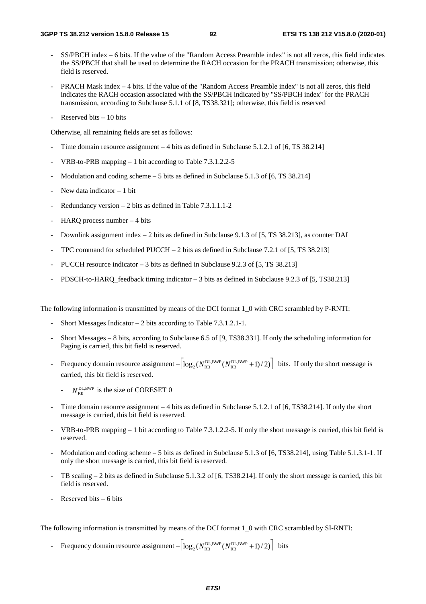- SS/PBCH index 6 bits. If the value of the "Random Access Preamble index" is not all zeros, this field indicates the SS/PBCH that shall be used to determine the RACH occasion for the PRACH transmission; otherwise, this field is reserved.
- PRACH Mask index 4 bits. If the value of the "Random Access Preamble index" is not all zeros, this field indicates the RACH occasion associated with the SS/PBCH indicated by "SS/PBCH index" for the PRACH transmission, according to Subclause 5.1.1 of [8, TS38.321]; otherwise, this field is reserved
- Reserved bits  $-10$  bits

Otherwise, all remaining fields are set as follows:

- Time domain resource assignment  $-4$  bits as defined in Subclause 5.1.2.1 of [6, TS 38.214]
- VRB-to-PRB mapping  $1$  bit according to Table 7.3.1.2.2-5
- Modulation and coding scheme  $5$  bits as defined in Subclause 5.1.3 of [6, TS 38.214]
- New data indicator  $-1$  bit
- Redundancy version  $-2$  bits as defined in Table 7.3.1.1.1-2
- HARQ process number  $-4$  bits
- Downlink assignment index  $-2$  bits as defined in Subclause 9.1.3 of [5, TS 38.213], as counter DAI
- TPC command for scheduled PUCCH  $-2$  bits as defined in Subclause 7.2.1 of [5, TS 38.213]
- PUCCH resource indicator 3 bits as defined in Subclause 9.2.3 of [5, TS 38.213]
- PDSCH-to-HARQ feedback timing indicator 3 bits as defined in Subclause 9.2.3 of [5, TS38.213]

The following information is transmitted by means of the DCI format 1\_0 with CRC scrambled by P-RNTI:

- Short Messages Indicator  $-2$  bits according to Table 7.3.1.2.1-1.
- Short Messages 8 bits, according to Subclause 6.5 of [9, TS38.331]. If only the scheduling information for Paging is carried, this bit field is reserved.
- Frequency domain resource assignment  $-|\log_2(N_{RB}^{DL,BWP}(N_{RB}^{DL,BWP}+1)/2)|$  bits. If only the short message is carried, this bit field is reserved.
	- $N_{\text{PR}}^{\text{DL,BWP}}$  is the size of CORESET 0
- Time domain resource assignment 4 bits as defined in Subclause 5.1.2.1 of [6, TS38.214]. If only the short message is carried, this bit field is reserved.
- VRB-to-PRB mapping 1 bit according to Table 7.3.1.2.2-5. If only the short message is carried, this bit field is reserved.
- Modulation and coding scheme 5 bits as defined in Subclause 5.1.3 of [6, TS38.214], using Table 5.1.3.1-1. If only the short message is carried, this bit field is reserved.
- TB scaling  $-2$  bits as defined in Subclause 5.1.3.2 of [6, TS38.214]. If only the short message is carried, this bit field is reserved.
- Reserved bits  $-6$  bits

The following information is transmitted by means of the DCI format 1\_0 with CRC scrambled by SI-RNTI:

- Frequency domain resource assignment  $-|\log_2(N_{RB}^{DL,BWP}(N_{RB}^{DL,BWP}+1)/2)|$  bits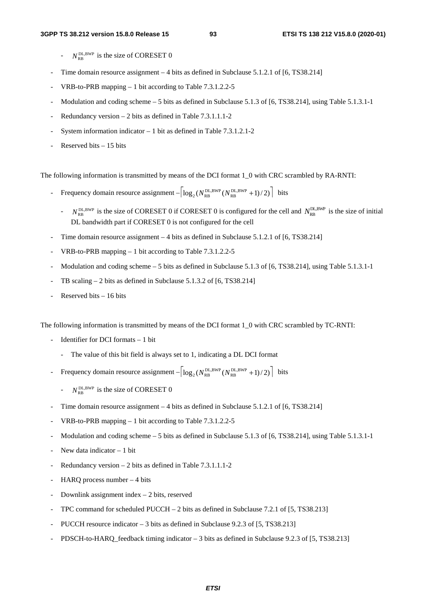- $N_{\text{RR}}^{\text{DL,BWP}}$  is the size of CORESET 0
- Time domain resource assignment  $-4$  bits as defined in Subclause 5.1.2.1 of [6, TS38.214]
- VRB-to-PRB mapping  $1$  bit according to Table 7.3.1.2.2-5
- Modulation and coding scheme 5 bits as defined in Subclause 5.1.3 of [6, TS38.214], using Table 5.1.3.1-1
- Redundancy version  $-2$  bits as defined in Table 7.3.1.1.1-2
- System information indicator  $-1$  bit as defined in Table 7.3.1.2.1-2
- Reserved bits  $15$  bits

The following information is transmitted by means of the DCI format 1\_0 with CRC scrambled by RA-RNTI:

- Frequency domain resource assignment  $-|\log_2(N_{\text{RB}}^{\text{DL,BWP}}(N_{\text{RB}}^{\text{DL,BWP}}+1)/2)|$  bits
	- $N_{\text{RB}}^{\text{DL,BWP}}$  is the size of CORESET 0 if CORESET 0 is configured for the cell and  $N_{\text{RB}}^{\text{DL,BWP}}$  is the size of initial DL bandwidth part if CORESET 0 is not configured for the cell
- Time domain resource assignment  $-4$  bits as defined in Subclause 5.1.2.1 of [6, TS38.214]
- VRB-to-PRB mapping  $1$  bit according to Table 7.3.1.2.2-5
- Modulation and coding scheme 5 bits as defined in Subclause 5.1.3 of [6, TS38.214], using Table 5.1.3.1-1
- TB scaling  $2$  bits as defined in Subclause 5.1.3.2 of [6, TS38.214]
- Reserved bits  $-16$  bits

The following information is transmitted by means of the DCI format 1\_0 with CRC scrambled by TC-RNTI:

- Identifier for DCI formats  $-1$  bit
	- The value of this bit field is always set to 1, indicating a DL DCI format
- Frequency domain resource assignment  $-|\log_2(N_{\text{RB}}^{\text{DL,BWP}}(N_{\text{RB}}^{\text{DL,BWP}}+1)/2)|$  bits
	- $N_{\text{PR}}^{\text{DL,BWP}}$  is the size of CORESET 0
- Time domain resource assignment  $-4$  bits as defined in Subclause 5.1.2.1 of [6, TS38.214]
- VRB-to-PRB mapping  $1$  bit according to Table 7.3.1.2.2-5
- Modulation and coding scheme 5 bits as defined in Subclause 5.1.3 of [6, TS38.214], using Table 5.1.3.1-1
- New data indicator  $-1$  bit
- Redundancy version  $2$  bits as defined in Table 7.3.1.1.1-2
- HARQ process number  $-4$  bits
- Downlink assignment index  $-2$  bits, reserved
- TPC command for scheduled PUCCH 2 bits as defined in Subclause 7.2.1 of  $[5, TS38.213]$
- PUCCH resource indicator 3 bits as defined in Subclause 9.2.3 of [5, TS38.213]
- PDSCH-to-HARQ\_feedback timing indicator 3 bits as defined in Subclause 9.2.3 of [5, TS38.213]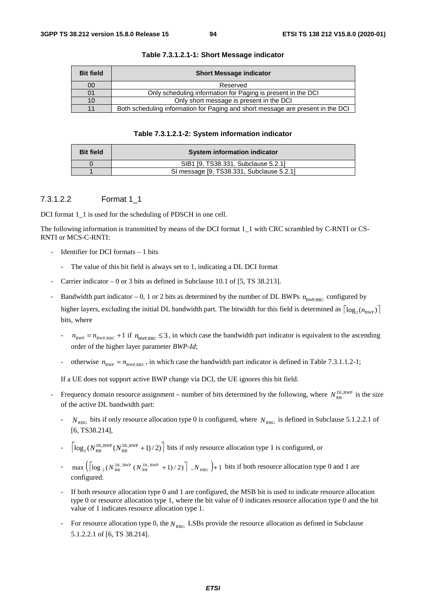| <b>Bit field</b> | <b>Short Message indicator</b>                                                  |
|------------------|---------------------------------------------------------------------------------|
| 00               | Reserved                                                                        |
|                  | Only scheduling information for Paging is present in the DCI                    |
|                  | Only short message is present in the DCI                                        |
|                  | Both scheduling information for Paging and short message are present in the DCI |

#### **Table 7.3.1.2.1-1: Short Message indicator**

#### **Table 7.3.1.2.1-2: System information indicator**

| <b>Bit field</b> | System information indicator              |
|------------------|-------------------------------------------|
|                  | SIB1 [9, TS38.331, Subclause 5.2.1]       |
|                  | SI message [9, TS38.331, Subclause 5.2.1] |

#### 7.3.1.2.2 Format 1\_1

DCI format 1\_1 is used for the scheduling of PDSCH in one cell.

The following information is transmitted by means of the DCI format 1\_1 with CRC scrambled by C-RNTI or CS-RNTI or MCS-C-RNTI:

- Identifier for DCI formats  $-1$  bits
	- The value of this bit field is always set to 1, indicating a DL DCI format
- Carrier indicator  $-0$  or 3 bits as defined in Subclause 10.1 of [5, TS 38.213].
- Bandwidth part indicator 0, 1 or 2 bits as determined by the number of DL BWPs  $n_{\text{BWPRRC}}$  configured by higher layers, excluding the initial DL bandwidth part. The bitwidth for this field is determined as  $\lceil \log_2(n_{\text{RWP}}) \rceil$ bits, where
	- $n_{\text{BWP}} = n_{\text{BWP,RRC}} + 1$  if  $n_{\text{BWP,RRC}} \leq 3$ , in which case the bandwidth part indicator is equivalent to the ascending order of the higher layer parameter *BWP-Id*;
	- otherwise  $n_{BWP} = n_{BWP,RRC}$ , in which case the bandwidth part indicator is defined in Table 7.3.1.1.2-1;

If a UE does not support active BWP change via DCI, the UE ignores this bit field.

- Frequency domain resource assignment number of bits determined by the following, where  $N_{RR}^{\text{DL,BWP}}$  is the size of the active DL bandwidth part:
	- $N_{RBG}$  bits if only resource allocation type 0 is configured, where  $N_{RBG}$  is defined in Subclause 5.1.2.2.1 of [6, TS38.214].
	- $\log_2(N_{\text{RB}}^{\text{DL,BWP}}(N_{\text{RB}}^{\text{DL,BWP}}+1)/2)$  bits if only resource allocation type 1 is configured, or
	- $-\max\left(\left(\log_{2}(N_{\text{RB}}^{\text{DL,BWP}}(N_{\text{RB}}^{\text{DL,BWP}}+1)/2)\right), N_{\text{RBG}}\right)+1$  bits if both resource allocation type 0 and 1 are configured.
	- If both resource allocation type 0 and 1 are configured, the MSB bit is used to indicate resource allocation type 0 or resource allocation type 1, where the bit value of 0 indicates resource allocation type 0 and the bit value of 1 indicates resource allocation type 1.
	- For resource allocation type 0, the  $N_{RBG}$  LSBs provide the resource allocation as defined in Subclause 5.1.2.2.1 of [6, TS 38.214].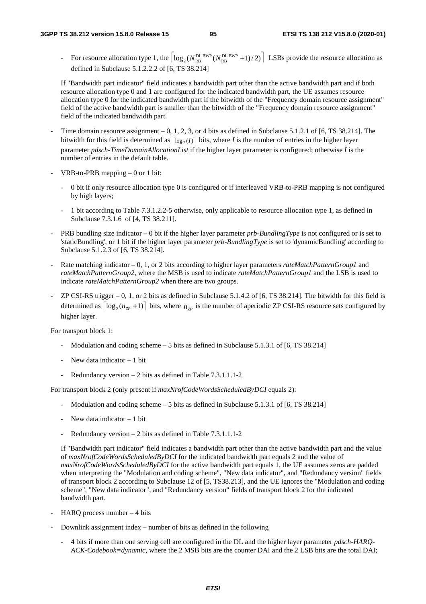For resource allocation type 1, the  $\log_2(N_{RB}^{DL,BWP}(N_{RB}^{DL,BWP}+1)/2)$  LSBs provide the resource allocation as defined in Subclause 5.1.2.2.2 of [6, TS 38.214]

If "Bandwidth part indicator" field indicates a bandwidth part other than the active bandwidth part and if both resource allocation type 0 and 1 are configured for the indicated bandwidth part, the UE assumes resource allocation type 0 for the indicated bandwidth part if the bitwidth of the "Frequency domain resource assignment" field of the active bandwidth part is smaller than the bitwidth of the "Frequency domain resource assignment" field of the indicated bandwidth part.

- Time domain resource assignment  $-0$ , 1, 2, 3, or 4 bits as defined in Subclause 5.1.2.1 of [6, TS 38.214]. The bitwidth for this field is determined as  $\lceil \log_2(I) \rceil$  bits, where *I* is the number of entries in the higher layer parameter *pdsch-TimeDomainAllocationList* if the higher layer parameter is configured; otherwise *I* is the number of entries in the default table.
- VRB-to-PRB mapping  $0$  or 1 bit:
	- 0 bit if only resource allocation type 0 is configured or if interleaved VRB-to-PRB mapping is not configured by high layers;
	- 1 bit according to Table 7.3.1.2.2-5 otherwise, only applicable to resource allocation type 1, as defined in Subclause 7.3.1.6 of [4, TS 38.211].
- PRB bundling size indicator 0 bit if the higher layer parameter *prb-BundlingType* is not configured or is set to 'staticBundling', or 1 bit if the higher layer parameter *prb-BundlingType* is set to 'dynamicBundling' according to Subclause 5.1.2.3 of [6, TS 38.214].
- Rate matching indicator 0, 1, or 2 bits according to higher layer parameters *rateMatchPatternGroup1* and *rateMatchPatternGroup2*, where the MSB is used to indicate *rateMatchPatternGroup1* and the LSB is used to indicate *rateMatchPatternGroup2* when there are two groups.
- ZP CSI-RS trigger 0, 1, or 2 bits as defined in Subclause 5.1.4.2 of [6, TS 38.214]. The bitwidth for this field is determined as  $\lceil \log_2(n_{7p} + 1) \rceil$  bits, where  $n_{7p}$  is the number of aperiodic ZP CSI-RS resource sets configured by higher layer.

For transport block 1:

- Modulation and coding scheme 5 bits as defined in Subclause 5.1.3.1 of [6, TS 38.214]
- New data indicator  $-1$  bit
- Redundancy version  $2$  bits as defined in Table 7.3.1.1.1-2

For transport block 2 (only present if *maxNrofCodeWordsScheduledByDCI* equals 2):

- Modulation and coding scheme 5 bits as defined in Subclause 5.1.3.1 of [6, TS 38.214]
- New data indicator  $-1$  bit
- Redundancy version  $2$  bits as defined in Table 7.3.1.1.1-2

If "Bandwidth part indicator" field indicates a bandwidth part other than the active bandwidth part and the value of *maxNrofCodeWordsScheduledByDCI* for the indicated bandwidth part equals 2 and the value of *maxNrofCodeWordsScheduledByDCI* for the active bandwidth part equals 1, the UE assumes zeros are padded when interpreting the "Modulation and coding scheme", "New data indicator", and "Redundancy version" fields of transport block 2 according to Subclause 12 of [5, TS38.213], and the UE ignores the "Modulation and coding scheme", "New data indicator", and "Redundancy version" fields of transport block 2 for the indicated bandwidth part.

- HARQ process number  $-4$  bits
- Downlink assignment index number of bits as defined in the following
	- 4 bits if more than one serving cell are configured in the DL and the higher layer parameter *pdsch-HARQ-ACK-Codebook=dynamic*, where the 2 MSB bits are the counter DAI and the 2 LSB bits are the total DAI;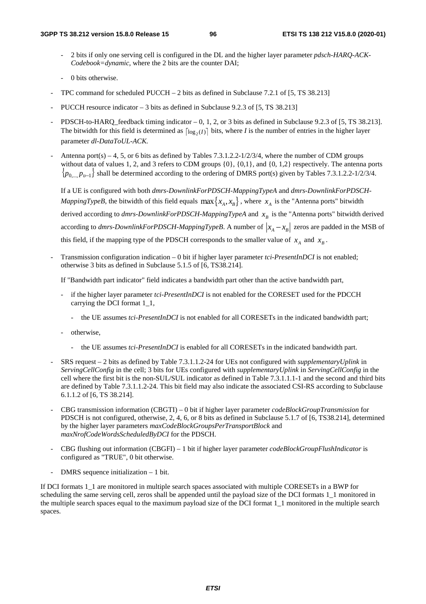- 2 bits if only one serving cell is configured in the DL and the higher layer parameter *pdsch-HARQ-ACK-Codebook=dynamic*, where the 2 bits are the counter DAI;
- 0 bits otherwise.
- TPC command for scheduled PUCCH 2 bits as defined in Subclause 7.2.1 of  $[5, TS 38.213]$
- PUCCH resource indicator  $-3$  bits as defined in Subclause 9.2.3 of [5, TS 38.213]
- PDSCH-to-HARQ\_feedback timing indicator  $-0$ , 1, 2, or 3 bits as defined in Subclause 9.2.3 of [5, TS 38.213]. The bitwidth for this field is determined as  $\lceil \log_2(I) \rceil$  bits, where *I* is the number of entries in the higher layer parameter *dl-DataToUL-ACK.*
- Antenna port(s) 4, 5, or 6 bits as defined by Tables 7.3.1.2.2-1/2/3/4, where the number of CDM groups without data of values 1, 2, and 3 refers to CDM groups  $\{0\}$ ,  $\{0,1\}$ , and  $\{0, 1, 2\}$  respectively. The antenna ports { $p_{0,...,p_{v-1}}$ } shall be determined according to the ordering of DMRS port(s) given by Tables 7.3.1.2.2-1/2/3/4.

If a UE is configured with both *dmrs-DownlinkForPDSCH-MappingTypeA* and *dmrs-DownlinkForPDSCH-MappingTypeB*, the bitwidth of this field equals  $\max\{x_A, x_B\}$ , where  $x_A$  is the "Antenna ports" bitwidth derived according to *dmrs-DownlinkForPDSCH-MappingTypeA* and  $x<sub>B</sub>$  is the "Antenna ports" bitwidth derived according to *dmrs-DownlinkForPDSCH-MappingTypeB*. A number of  $|x_A - x_B|$  zeros are padded in the MSB of this field, if the mapping type of the PDSCH corresponds to the smaller value of  $x_A$  and  $x_B$ .

- Transmission configuration indication – 0 bit if higher layer parameter *tci-PresentInDCI* is not enabled; otherwise 3 bits as defined in Subclause 5.1.5 of [6, TS38.214].

If "Bandwidth part indicator" field indicates a bandwidth part other than the active bandwidth part,

- if the higher layer parameter *tci-PresentInDCI* is not enabled for the CORESET used for the PDCCH carrying the DCI format 1\_1,
	- the UE assumes *tci-PresentInDCI* is not enabled for all CORESETs in the indicated bandwidth part;
- otherwise.
	- the UE assumes *tci-PresentInDCI* is enabled for all CORESETs in the indicated bandwidth part.
- SRS request 2 bits as defined by Table 7.3.1.1.2-24 for UEs not configured with *supplementaryUplink* in *ServingCellConfig* in the cell; 3 bits for UEs configured with *supplementaryUplink* in *ServingCellConfig* in the cell where the first bit is the non-SUL/SUL indicator as defined in Table 7.3.1.1.1-1 and the second and third bits are defined by Table 7.3.1.1.2-24. This bit field may also indicate the associated CSI-RS according to Subclause 6.1.1.2 of [6, TS 38.214].
- CBG transmission information (CBGTI) 0 bit if higher layer parameter *codeBlockGroupTransmission* for PDSCH is not configured, otherwise, 2, 4, 6, or 8 bits as defined in Subclause 5.1.7 of [6, TS38.214], determined by the higher layer parameters *maxCodeBlockGroupsPerTransportBlock* and *maxNrofCodeWordsScheduledByDCI* for the PDSCH.
- CBG flushing out information (CBGFI) 1 bit if higher layer parameter *codeBlockGroupFlushIndicator* is configured as "TRUE", 0 bit otherwise.
- DMRS sequence initialization  $-1$  bit.

If DCI formats 1\_1 are monitored in multiple search spaces associated with multiple CORESETs in a BWP for scheduling the same serving cell, zeros shall be appended until the payload size of the DCI formats 1\_1 monitored in the multiple search spaces equal to the maximum payload size of the DCI format 1\_1 monitored in the multiple search spaces.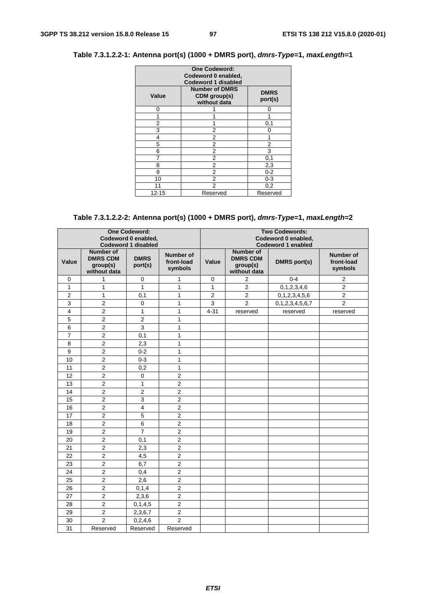## **Table 7.3.1.2.2-1: Antenna port(s) (1000 + DMRS port),** *dmrs-Type***=1,** *maxLength***=1**

| <b>One Codeword:</b><br>Codeword 0 enabled,<br><b>Codeword 1 disabled</b>                |          |          |  |  |  |  |
|------------------------------------------------------------------------------------------|----------|----------|--|--|--|--|
| <b>Number of DMRS</b><br><b>DMRS</b><br>Value<br>CDM group(s)<br>port(s)<br>without data |          |          |  |  |  |  |
| ი                                                                                        |          | 0        |  |  |  |  |
|                                                                                          |          |          |  |  |  |  |
| 2                                                                                        |          | 0,1      |  |  |  |  |
| 3                                                                                        | 2        | 0        |  |  |  |  |
| 4                                                                                        | 2        | 1        |  |  |  |  |
| 5                                                                                        | 2        | 2        |  |  |  |  |
| 6                                                                                        | 2        | 3        |  |  |  |  |
|                                                                                          | 2        | 0,1      |  |  |  |  |
| 8                                                                                        | 2        | 2,3      |  |  |  |  |
| 9                                                                                        | 2        | $0 - 2$  |  |  |  |  |
| 10                                                                                       | 2        | $0 - 3$  |  |  |  |  |
| 11                                                                                       | 2        | 0,2      |  |  |  |  |
| $12 - 15$                                                                                | Reserved | Reserved |  |  |  |  |

# **Table 7.3.1.2.2-2: Antenna port(s) (1000 + DMRS port),** *dmrs-Type***=1,** *maxLength***=2**

| <b>One Codeword:</b><br>Codeword 0 enabled,<br><b>Codeword 1 disabled</b> |                                                                 |                         |                                           |                |                                                                 | <b>Two Codewords:</b><br>Codeword 0 enabled,<br><b>Codeword 1 enabled</b> |                                           |
|---------------------------------------------------------------------------|-----------------------------------------------------------------|-------------------------|-------------------------------------------|----------------|-----------------------------------------------------------------|---------------------------------------------------------------------------|-------------------------------------------|
| Value                                                                     | <b>Number of</b><br><b>DMRS CDM</b><br>group(s)<br>without data | <b>DMRS</b><br>port(s)  | <b>Number of</b><br>front-load<br>symbols | Value          | <b>Number of</b><br><b>DMRS CDM</b><br>group(s)<br>without data | <b>DMRS</b> port(s)                                                       | <b>Number of</b><br>front-load<br>symbols |
| 0                                                                         | 1                                                               | 0                       | $\mathbf{1}$                              | 0              | $\overline{2}$                                                  | $0 - 4$                                                                   | $\overline{c}$                            |
| 1                                                                         | $\mathbf{1}$                                                    | $\mathbf{1}$            | $\mathbf{1}$                              | $\mathbf{1}$   | $\overline{2}$                                                  | 0, 1, 2, 3, 4, 6                                                          | $\overline{c}$                            |
| $\overline{2}$                                                            | $\mathbf{1}$                                                    | 0,1                     | $\mathbf{1}$                              | $\overline{2}$ | $\overline{2}$                                                  | 0, 1, 2, 3, 4, 5, 6                                                       | $\overline{2}$                            |
| 3                                                                         | 2                                                               | 0                       | 1                                         | 3              | 2                                                               | 0, 1, 2, 3, 4, 5, 6, 7                                                    | $\overline{2}$                            |
| 4                                                                         | $\overline{2}$                                                  | $\mathbf{1}$            | $\mathbf{1}$                              | $4 - 31$       | reserved                                                        | reserved                                                                  | reserved                                  |
| 5                                                                         | $\overline{2}$                                                  | 2                       | 1                                         |                |                                                                 |                                                                           |                                           |
| 6                                                                         | $\overline{2}$                                                  | $\mathsf 3$             | 1                                         |                |                                                                 |                                                                           |                                           |
| 7                                                                         | 2                                                               | 0,1                     | $\mathbf{1}$                              |                |                                                                 |                                                                           |                                           |
| 8                                                                         | $\overline{2}$                                                  | 2,3                     | $\mathbf{1}$                              |                |                                                                 |                                                                           |                                           |
| 9                                                                         | 2                                                               | $0 - 2$                 | 1                                         |                |                                                                 |                                                                           |                                           |
| 10                                                                        | $\overline{2}$                                                  | $0 - 3$                 | $\mathbf{1}$                              |                |                                                                 |                                                                           |                                           |
| 11                                                                        | $\overline{2}$                                                  | 0,2                     | 1                                         |                |                                                                 |                                                                           |                                           |
| 12                                                                        | $\overline{c}$                                                  | 0                       | $\overline{2}$                            |                |                                                                 |                                                                           |                                           |
| 13                                                                        | $\overline{c}$                                                  | 1                       | $\overline{2}$                            |                |                                                                 |                                                                           |                                           |
| 14                                                                        | $\overline{2}$                                                  | $\overline{c}$          | $\overline{2}$                            |                |                                                                 |                                                                           |                                           |
| 15                                                                        | $\overline{c}$                                                  | $\mathbf{3}$            | $\overline{2}$                            |                |                                                                 |                                                                           |                                           |
| 16                                                                        | $\overline{2}$                                                  | $\overline{\mathbf{4}}$ | $\overline{2}$                            |                |                                                                 |                                                                           |                                           |
| 17                                                                        | $\overline{2}$                                                  | 5                       | $\overline{2}$                            |                |                                                                 |                                                                           |                                           |
| 18                                                                        | $\overline{2}$                                                  | 6                       | $\overline{2}$                            |                |                                                                 |                                                                           |                                           |
| 19                                                                        | $\overline{2}$                                                  | $\overline{7}$          | $\overline{2}$                            |                |                                                                 |                                                                           |                                           |
| 20                                                                        | $\overline{c}$                                                  | 0,1                     | $\overline{c}$                            |                |                                                                 |                                                                           |                                           |
| 21                                                                        | $\overline{2}$                                                  | 2,3                     | $\overline{2}$                            |                |                                                                 |                                                                           |                                           |
| 22                                                                        | $\overline{2}$                                                  | 4,5                     | $\overline{2}$                            |                |                                                                 |                                                                           |                                           |
| 23                                                                        | $\overline{2}$                                                  | 6,7                     | $\overline{2}$                            |                |                                                                 |                                                                           |                                           |
| 24                                                                        | $\overline{2}$                                                  | 0,4                     | $\overline{2}$                            |                |                                                                 |                                                                           |                                           |
| 25                                                                        | $\overline{2}$                                                  | 2,6                     | $\overline{2}$                            |                |                                                                 |                                                                           |                                           |
| 26                                                                        | $\overline{2}$                                                  | 0, 1, 4                 | $\overline{2}$                            |                |                                                                 |                                                                           |                                           |
| 27                                                                        | 2                                                               | 2,3,6                   | $\overline{2}$                            |                |                                                                 |                                                                           |                                           |
| 28                                                                        | 2                                                               | 0, 1, 4, 5              | $\overline{2}$                            |                |                                                                 |                                                                           |                                           |
| 29                                                                        | 2                                                               | 2,3,6,7                 | $\overline{2}$                            |                |                                                                 |                                                                           |                                           |
| 30                                                                        | $\overline{2}$                                                  | 0,2,4,6                 | $\overline{2}$                            |                |                                                                 |                                                                           |                                           |
| 31                                                                        | Reserved                                                        | Reserved                | Reserved                                  |                |                                                                 |                                                                           |                                           |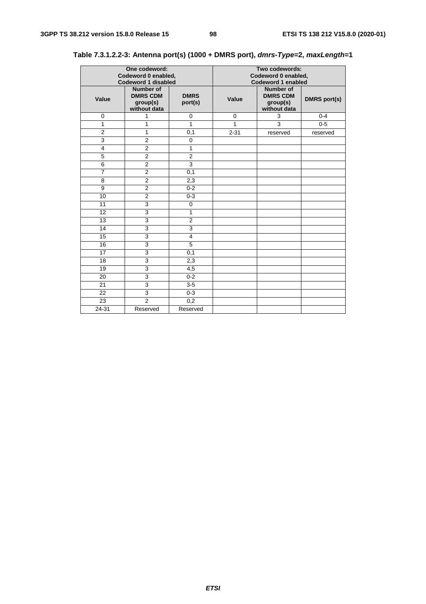|                | One codeword:<br>Codeword 0 enabled,<br><b>Codeword 1 disabled</b> |                        | Two codewords:<br>Codeword 0 enabled,<br><b>Codeword 1 enabled</b> |                                                          |                     |  |
|----------------|--------------------------------------------------------------------|------------------------|--------------------------------------------------------------------|----------------------------------------------------------|---------------------|--|
| Value          | Number of<br><b>DMRS CDM</b><br>group(s)<br>without data           | <b>DMRS</b><br>port(s) | Value                                                              | Number of<br><b>DMRS CDM</b><br>group(s)<br>without data | <b>DMRS</b> port(s) |  |
| $\mathbf 0$    | 1                                                                  | $\mathbf 0$            | $\mathbf 0$                                                        | 3                                                        | $0 - 4$             |  |
| 1              | $\mathbf{1}$                                                       | 1                      | 1                                                                  | $\overline{3}$                                           | $0 - 5$             |  |
| $\overline{2}$ | $\mathbf{1}$                                                       | 0,1                    | $2 - 31$                                                           | reserved                                                 | reserved            |  |
| 3              | $\overline{2}$                                                     | $\mathbf 0$            |                                                                    |                                                          |                     |  |
| 4              | $\overline{2}$                                                     | 1                      |                                                                    |                                                          |                     |  |
| 5              | $\overline{2}$                                                     | 2                      |                                                                    |                                                          |                     |  |
| 6              | $\overline{2}$                                                     | $\mathbf{3}$           |                                                                    |                                                          |                     |  |
| $\overline{7}$ | $\overline{2}$                                                     | 0,1                    |                                                                    |                                                          |                     |  |
| 8              | $\overline{2}$                                                     | 2,3                    |                                                                    |                                                          |                     |  |
| 9              | $\overline{2}$                                                     | $0 - 2$                |                                                                    |                                                          |                     |  |
| 10             | $\overline{2}$                                                     | $0 - 3$                |                                                                    |                                                          |                     |  |
| 11             | $\overline{3}$                                                     | $\mathbf 0$            |                                                                    |                                                          |                     |  |
| 12             | 3                                                                  | 1                      |                                                                    |                                                          |                     |  |
| 13             | 3                                                                  | $\overline{2}$         |                                                                    |                                                          |                     |  |
| 14             | 3                                                                  | $\mathsf 3$            |                                                                    |                                                          |                     |  |
| 15             | $\overline{3}$                                                     | $\overline{4}$         |                                                                    |                                                          |                     |  |
| 16             | $\overline{3}$                                                     | $\overline{5}$         |                                                                    |                                                          |                     |  |
| 17             | $\overline{3}$                                                     | 0,1                    |                                                                    |                                                          |                     |  |
| 18             | 3                                                                  | 2,3                    |                                                                    |                                                          |                     |  |
| 19             | 3                                                                  | 4,5                    |                                                                    |                                                          |                     |  |
| 20             | 3                                                                  | $0 - 2$                |                                                                    |                                                          |                     |  |
| 21             | 3                                                                  | $3-5$                  |                                                                    |                                                          |                     |  |
| 22             | $\overline{3}$                                                     | $0 - 3$                |                                                                    |                                                          |                     |  |
| 23             | $\overline{2}$                                                     | 0,2                    |                                                                    |                                                          |                     |  |
| 24-31          | Reserved                                                           | Reserved               |                                                                    |                                                          |                     |  |

# **Table 7.3.1.2.2-3: Antenna port(s) (1000 + DMRS port),** *dmrs-Type***=2,** *maxLength***=1**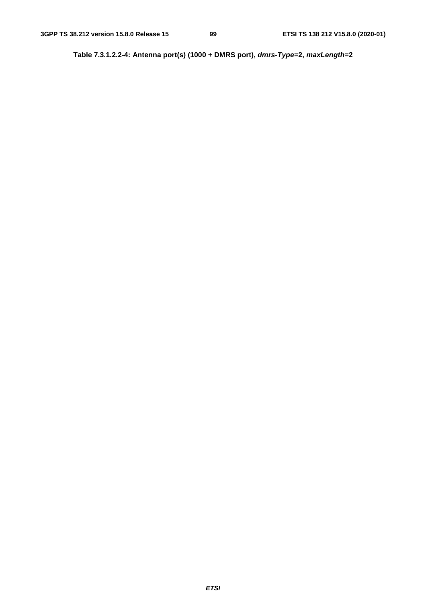**Table 7.3.1.2.2-4: Antenna port(s) (1000 + DMRS port),** *dmrs-Type***=2,** *maxLength***=2**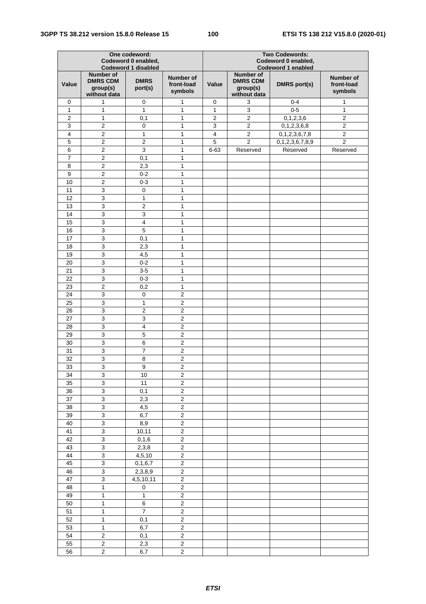| One codeword:<br>Codeword 0 enabled,<br><b>Codeword 1 disabled</b> |                                                                 |                         |                                           | <b>Two Codewords:</b><br>Codeword 0 enabled,<br><b>Codeword 1 enabled</b> |                                                                 |                     |                                           |
|--------------------------------------------------------------------|-----------------------------------------------------------------|-------------------------|-------------------------------------------|---------------------------------------------------------------------------|-----------------------------------------------------------------|---------------------|-------------------------------------------|
| Value                                                              | <b>Number of</b><br><b>DMRS CDM</b><br>group(s)<br>without data | <b>DMRS</b><br>port(s)  | <b>Number of</b><br>front-load<br>symbols | Value                                                                     | <b>Number of</b><br><b>DMRS CDM</b><br>group(s)<br>without data | <b>DMRS</b> port(s) | <b>Number of</b><br>front-load<br>symbols |
| 0                                                                  | 1                                                               | 0                       | 1                                         | 0                                                                         | 3                                                               | $0 - 4$             | 1                                         |
| 1                                                                  | 1                                                               | 1                       | 1                                         | $\mathbf{1}$                                                              | 3                                                               | $0 - 5$             | 1                                         |
| $\boldsymbol{2}$                                                   | 1                                                               | 0,1                     | 1                                         | $\overline{2}$                                                            | $\overline{2}$                                                  | 0, 1, 2, 3, 6       | $\boldsymbol{2}$                          |
| 3                                                                  | $\overline{2}$                                                  | $\pmb{0}$               | $\mathbf{1}$                              | 3                                                                         | $\overline{2}$                                                  | 0, 1, 2, 3, 6, 8    | $\overline{2}$                            |
| $\overline{4}$                                                     | $\overline{c}$                                                  | $\mathbf{1}$            | $\mathbf{1}$                              | $\overline{4}$                                                            | $\overline{c}$                                                  | 0, 1, 2, 3, 6, 7, 8 | $\overline{2}$                            |
| 5                                                                  | $\overline{2}$                                                  | $\overline{2}$          | $\mathbf{1}$                              | 5                                                                         | $\overline{c}$                                                  | 0,1,2,3,6,7,8,9     | $\overline{2}$                            |
| 6                                                                  | $\mathbf 2$                                                     | $\mathbf{3}$            | 1                                         | $6 - 63$                                                                  | Reserved                                                        | Reserved            | Reserved                                  |
| $\overline{7}$                                                     | $\overline{c}$                                                  | 0,1                     | $\mathbf{1}$                              |                                                                           |                                                                 |                     |                                           |
| 8                                                                  | $\mathbf 2$                                                     | 2,3                     | 1                                         |                                                                           |                                                                 |                     |                                           |
| 9                                                                  | $\overline{2}$                                                  | $0 - 2$                 | $\mathbf{1}$                              |                                                                           |                                                                 |                     |                                           |
| 10                                                                 | $\overline{2}$                                                  | $0 - 3$                 | 1                                         |                                                                           |                                                                 |                     |                                           |
| 11                                                                 | $\overline{3}$                                                  | 0                       | $\mathbf{1}$                              |                                                                           |                                                                 |                     |                                           |
| 12                                                                 | $\overline{3}$                                                  | $\mathbf{1}$            | 1                                         |                                                                           |                                                                 |                     |                                           |
| 13                                                                 | $\overline{3}$                                                  | $\overline{2}$          | $\mathbf{1}$                              |                                                                           |                                                                 |                     |                                           |
| 14                                                                 | $\mathsf 3$                                                     | 3                       | 1                                         |                                                                           |                                                                 |                     |                                           |
| 15                                                                 | 3                                                               | $\overline{\mathbf{4}}$ | 1                                         |                                                                           |                                                                 |                     |                                           |
| 16                                                                 | 3                                                               | 5                       | 1                                         |                                                                           |                                                                 |                     |                                           |
| 17                                                                 | $\mathsf 3$                                                     | 0,1                     | 1                                         |                                                                           |                                                                 |                     |                                           |
| 18                                                                 | 3                                                               | 2,3                     | $\mathbf{1}$                              |                                                                           |                                                                 |                     |                                           |
| 19                                                                 | $\overline{3}$                                                  | 4,5                     | 1                                         |                                                                           |                                                                 |                     |                                           |
| 20                                                                 | 3                                                               | $0 - 2$                 | $\mathbf{1}$                              |                                                                           |                                                                 |                     |                                           |
| 21                                                                 | 3                                                               | $3-5$                   | 1                                         |                                                                           |                                                                 |                     |                                           |
| 22                                                                 | 3                                                               | $0 - 3$                 | $\mathbf{1}$                              |                                                                           |                                                                 |                     |                                           |
| 23                                                                 | $\mathbf 2$                                                     | 0,2                     | 1                                         |                                                                           |                                                                 |                     |                                           |
| 24                                                                 | $\mathsf 3$                                                     | 0                       | $\overline{c}$                            |                                                                           |                                                                 |                     |                                           |
| 25                                                                 | $\mathsf 3$                                                     | $\mathbf{1}$            | $\sqrt{2}$                                |                                                                           |                                                                 |                     |                                           |
| 26                                                                 | $\overline{3}$                                                  | $\overline{2}$          | $\overline{2}$                            |                                                                           |                                                                 |                     |                                           |
| 27                                                                 | $\overline{3}$                                                  | 3                       | $\overline{c}$                            |                                                                           |                                                                 |                     |                                           |
| 28                                                                 | $\overline{3}$                                                  | $\overline{\mathbf{4}}$ | $\overline{c}$                            |                                                                           |                                                                 |                     |                                           |
| 29                                                                 | $\overline{3}$                                                  | 5                       | $\overline{c}$                            |                                                                           |                                                                 |                     |                                           |
| 30                                                                 | 3                                                               | 6                       | $\overline{2}$                            |                                                                           |                                                                 |                     |                                           |
| 31                                                                 | 3                                                               | $\overline{7}$          | $\overline{2}$                            |                                                                           |                                                                 |                     |                                           |
| 32                                                                 | $\mathsf 3$                                                     | 8                       | $\overline{c}$                            |                                                                           |                                                                 |                     |                                           |
| 33                                                                 | 3                                                               | 9                       | $\overline{2}$                            |                                                                           |                                                                 |                     |                                           |
| 34                                                                 | 3                                                               | 10                      | $\overline{c}$                            |                                                                           |                                                                 |                     |                                           |
| 35                                                                 | 3                                                               | 11                      | $\overline{c}$                            |                                                                           |                                                                 |                     |                                           |
| 36                                                                 | $\mathbf{3}$                                                    | 0,1                     | $\boldsymbol{2}$                          |                                                                           |                                                                 |                     |                                           |
| 37                                                                 | $\ensuremath{\mathsf{3}}$                                       | 2,3                     | $\overline{c}$                            |                                                                           |                                                                 |                     |                                           |
| 38                                                                 | 3                                                               | 4,5                     | $\overline{2}$                            |                                                                           |                                                                 |                     |                                           |
| 39                                                                 | 3                                                               | 6,7                     | $\mathbf 2$                               |                                                                           |                                                                 |                     |                                           |
| 40                                                                 | $\mathbf{3}$                                                    | 8,9                     | $\mathbf 2$                               |                                                                           |                                                                 |                     |                                           |
| 41                                                                 | $\overline{3}$                                                  | 10, 11                  | $\overline{2}$                            |                                                                           |                                                                 |                     |                                           |
| 42                                                                 | $\overline{3}$                                                  | 0, 1, 6                 | $\overline{2}$                            |                                                                           |                                                                 |                     |                                           |
| 43                                                                 | $\overline{3}$                                                  | 2,3,8                   | $\overline{2}$                            |                                                                           |                                                                 |                     |                                           |
| 44                                                                 | $\overline{3}$                                                  | 4, 5, 10                | $\overline{2}$                            |                                                                           |                                                                 |                     |                                           |
| 45                                                                 | 3                                                               | 0, 1, 6, 7              | $\overline{2}$                            |                                                                           |                                                                 |                     |                                           |
| 46                                                                 | 3                                                               | 2,3,8,9                 | $\boldsymbol{2}$                          |                                                                           |                                                                 |                     |                                           |
| 47                                                                 | $\mathbf 3$                                                     | 4,5,10,11               | $\boldsymbol{2}$                          |                                                                           |                                                                 |                     |                                           |
| 48                                                                 | $\mathbf{1}$                                                    | $\pmb{0}$               | $\mathbf 2$                               |                                                                           |                                                                 |                     |                                           |
| 49                                                                 | $\mathbf{1}$                                                    | $\mathbf{1}$            | $\overline{2}$                            |                                                                           |                                                                 |                     |                                           |
| 50                                                                 | $\mathbf{1}$                                                    | 6                       | $\overline{c}$                            |                                                                           |                                                                 |                     |                                           |
| 51                                                                 | $\mathbf{1}$                                                    | $\overline{7}$          | $\boldsymbol{2}$                          |                                                                           |                                                                 |                     |                                           |
| 52                                                                 |                                                                 |                         |                                           |                                                                           |                                                                 |                     |                                           |
|                                                                    | $\mathbf{1}$                                                    | 0,1                     | $\overline{\mathbf{c}}$                   |                                                                           |                                                                 |                     |                                           |
| 53<br>54                                                           | $\mathbf{1}$                                                    | 6,7                     | $\overline{\mathbf{c}}$                   |                                                                           |                                                                 |                     |                                           |
|                                                                    | $\sqrt{2}$                                                      | 0,1                     | $\boldsymbol{2}$                          |                                                                           |                                                                 |                     |                                           |
| 55                                                                 | $\boldsymbol{2}$<br>$\overline{2}$                              | 2,3                     | $\overline{c}$<br>$\overline{2}$          |                                                                           |                                                                 |                     |                                           |
| 56                                                                 |                                                                 | 6,7                     |                                           |                                                                           |                                                                 |                     |                                           |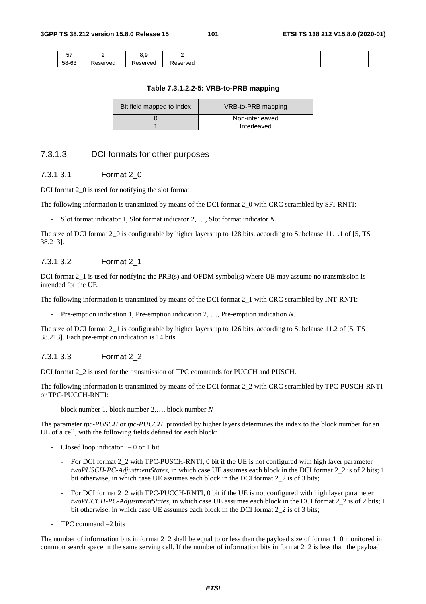| $- -$<br>. ب |               | . .<br>$\cdots$ |         |  |  |
|--------------|---------------|-----------------|---------|--|--|
| 58-63        | eserved<br>ΔC | Reserved        | `serveo |  |  |

#### **Table 7.3.1.2.2-5: VRB-to-PRB mapping**

| Bit field mapped to index | VRB-to-PRB mapping |  |  |
|---------------------------|--------------------|--|--|
|                           | Non-interleaved    |  |  |
|                           | Interleaved        |  |  |

## 7.3.1.3 DCI formats for other purposes

### 7.3.1.3.1 Format 2\_0

DCI format 2<sup>o</sup> is used for notifying the slot format.

The following information is transmitted by means of the DCI format 2\_0 with CRC scrambled by SFI-RNTI:

- Slot format indicator 1, Slot format indicator 2, …, Slot format indicator *N*.

The size of DCI format 2\_0 is configurable by higher layers up to 128 bits, according to Subclause 11.1.1 of [5, TS 38.213].

### 7.3.1.3.2 Format 2\_1

DCI format 2<sub>-1</sub> is used for notifying the PRB(s) and OFDM symbol(s) where UE may assume no transmission is intended for the UE.

The following information is transmitted by means of the DCI format 2\_1 with CRC scrambled by INT-RNTI:

- Pre-emption indication 1, Pre-emption indication 2, …, Pre-emption indication *N*.

The size of DCI format 2\_1 is configurable by higher layers up to 126 bits, according to Subclause 11.2 of [5, TS 38.213]. Each pre-emption indication is 14 bits.

## 7.3.1.3.3 Format 2\_2

DCI format 2\_2 is used for the transmission of TPC commands for PUCCH and PUSCH.

The following information is transmitted by means of the DCI format 2\_2 with CRC scrambled by TPC-PUSCH-RNTI or TPC-PUCCH-RNTI:

- block number 1, block number 2,…, block number *N* 

The parameter *tpc-PUSCH* or *tpc-PUCCH* provided by higher layers determines the index to the block number for an UL of a cell, with the following fields defined for each block:

- Closed loop indicator  $-0$  or 1 bit.
	- For DCI format 2\_2 with TPC-PUSCH-RNTI, 0 bit if the UE is not configured with high layer parameter *twoPUSCH-PC-AdjustmentStates*, in which case UE assumes each block in the DCI format 2\_2 is of 2 bits; 1 bit otherwise, in which case UE assumes each block in the DCI format 2\_2 is of 3 bits;
	- For DCI format 2\_2 with TPC-PUCCH-RNTI, 0 bit if the UE is not configured with high layer parameter *twoPUCCH-PC-AdjustmentStates*, in which case UE assumes each block in the DCI format 2\_2 is of 2 bits; 1 bit otherwise, in which case UE assumes each block in the DCI format 2\_2 is of 3 bits;
- TPC command –2 bits

The number of information bits in format 2\_2 shall be equal to or less than the payload size of format 1\_0 monitored in common search space in the same serving cell. If the number of information bits in format 2\_2 is less than the payload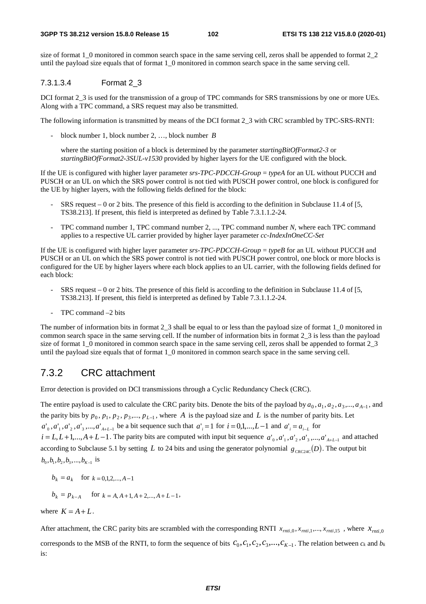size of format 1\_0 monitored in common search space in the same serving cell, zeros shall be appended to format 2\_2 until the payload size equals that of format 1\_0 monitored in common search space in the same serving cell.

## 7.3.1.3.4 Format 2\_3

DCI format 2\_3 is used for the transmission of a group of TPC commands for SRS transmissions by one or more UEs. Along with a TPC command, a SRS request may also be transmitted.

The following information is transmitted by means of the DCI format 2\_3 with CRC scrambled by TPC-SRS-RNTI:

- block number 1, block number 2, …, block number *B*

 where the starting position of a block is determined by the parameter *startingBitOfFormat2-3* or *startingBitOfFormat2-3SUL-v1530* provided by higher layers for the UE configured with the block.

If the UE is configured with higher layer parameter *srs-TPC-PDCCH-Group* = *typeA* for an UL without PUCCH and PUSCH or an UL on which the SRS power control is not tied with PUSCH power control, one block is configured for the UE by higher layers, with the following fields defined for the block:

- SRS request 0 or 2 bits. The presence of this field is according to the definition in Subclause 11.4 of [5, TS38.213]. If present, this field is interpreted as defined by Table 7.3.1.1.2-24.
- TPC command number 1, TPC command number 2, ..., TPC command number *N*, where each TPC command applies to a respective UL carrier provided by higher layer parameter *cc-IndexInOneCC-Set*

If the UE is configured with higher layer parameter *srs-TPC-PDCCH-Group* = *typeB* for an UL without PUCCH and PUSCH or an UL on which the SRS power control is not tied with PUSCH power control, one block or more blocks is configured for the UE by higher layers where each block applies to an UL carrier, with the following fields defined for each block:

- SRS request  $-0$  or 2 bits. The presence of this field is according to the definition in Subclause 11.4 of [5, TS38.213]. If present, this field is interpreted as defined by Table 7.3.1.1.2-24.
- TPC command  $-2$  bits

The number of information bits in format 2\_3 shall be equal to or less than the payload size of format 1\_0 monitored in common search space in the same serving cell. If the number of information bits in format 2\_3 is less than the payload size of format 1\_0 monitored in common search space in the same serving cell, zeros shall be appended to format 2\_3 until the payload size equals that of format 1\_0 monitored in common search space in the same serving cell.

# 7.3.2 CRC attachment

Error detection is provided on DCI transmissions through a Cyclic Redundancy Check (CRC).

The entire payload is used to calculate the CRC parity bits. Denote the bits of the payload by  $a_0, a_1, a_2, a_3, \ldots, a_{A-1}$ , and the parity bits by  $p_0, p_1, p_2, p_3, ..., p_{L-1}$ , where *A* is the payload size and *L* is the number of parity bits. Let  $a'_{0}$ ,  $a'_{1}$ ,  $a'_{2}$ ,  $a'_{3}$ ,...,  $a'_{A+L-1}$  be a bit sequence such that  $a'_{i} = 1$  for  $i = 0,1,...,L-1$  and  $a'_{i} = a_{i-L}$  for

 $i = L, L+1,..., A+L-1$ . The parity bits are computed with input bit sequence  $a'_0, a'_1, a'_2, a'_3, ..., a'_{A+L-1}$  and attached according to Subclause 5.1 by setting *L* to 24 bits and using the generator polynomial  $g_{CRC24C}(D)$ . The output bit  $b_0, b_1, b_2, b_3, \ldots, b_{k-1}$  is

$$
b_k = a_k
$$
 for  $k = 0,1,2,..., A-1$ 

$$
b_k = p_{k-A}
$$
 for  $k = A, A+1, A+2,..., A+L-1$ ,

where  $K = A + L$ .

After attachment, the CRC parity bits are scrambled with the corresponding RNTI  $x_{mit,0}, x_{mit,1}, \ldots, x_{mit,15}$ , where  $x_{mit,0}$ corresponds to the MSB of the RNTI, to form the sequence of bits  $C_0, C_1, C_2, C_3, \ldots, C_{K-1}$ . The relation between  $c_k$  and  $b_k$ is: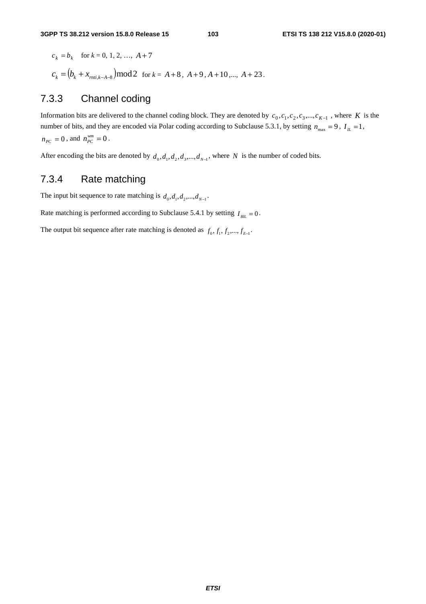$c_k = b_k$  for  $k = 0, 1, 2, ..., A + 7$  $c_k = (b_k + x_{m\text{trik-}A-8}) \text{mod} 2$  for  $k = A+8$ ,  $A+9$ ,  $A+10$ ,...,  $A+23$ .

# 7.3.3 Channel coding

Information bits are delivered to the channel coding block. They are denoted by  $c_0, c_1, c_2, c_3, ..., c_{K-1}$ , where *K* is the number of bits, and they are encoded via Polar coding according to Subclause 5.3.1, by setting  $n_{\text{max}} = 9$ ,  $I_L = 1$ ,  $n_{PC} = 0$ , and  $n_{PC}^{wm} = 0$ .

After encoding the bits are denoted by  $d_0, d_1, d_2, d_3, \ldots, d_{N-1}$ , where *N* is the number of coded bits.

# 7.3.4 Rate matching

The input bit sequence to rate matching is  $d_0, d_1, d_2, ..., d_{N-1}$ .

Rate matching is performed according to Subclause 5.4.1 by setting  $I_{BL} = 0$ .

The output bit sequence after rate matching is denoted as  $f_0, f_1, f_2, ..., f_{E-1}$ .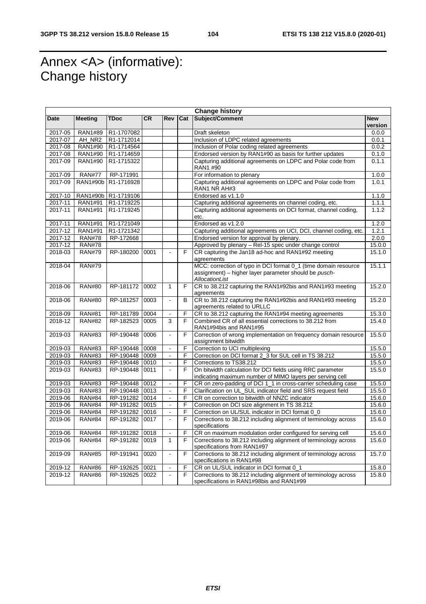# Annex <A> (informative): Change history

| <b>Change history</b> |                    |                     |           |                          |     |                                                                                                                             |                       |
|-----------------------|--------------------|---------------------|-----------|--------------------------|-----|-----------------------------------------------------------------------------------------------------------------------------|-----------------------|
| Date                  | <b>Meeting</b>     | <b>TDoc</b>         | <b>CR</b> | <b>Rev</b>               | Cat | Subject/Comment                                                                                                             | <b>New</b><br>version |
| 2017-05               | RAN1#89            | R1-1707082          |           |                          |     | Draft skeleton                                                                                                              | 0.0.0                 |
| 2017-07               | AH NR <sub>2</sub> | R1-1712014          |           |                          |     | Inclusion of LDPC related agreements                                                                                        |                       |
| 2017-08               | RAN1#90            | R1-1714564          |           |                          |     |                                                                                                                             |                       |
| 2017-08               | RAN1#90            | R1-1714659          |           |                          |     | Inclusion of Polar coding related agreements                                                                                |                       |
| 2017-09               | RAN1#90            | R1-1715322          |           |                          |     | Endorsed version by RAN1#90 as basis for further updates<br>Capturing additional agreements on LDPC and Polar code from     | 0.1.0<br>0.1.1        |
|                       |                    |                     |           |                          |     | RAN1 #90                                                                                                                    |                       |
| 2017-09               | <b>RAN#77</b>      | RP-171991           |           |                          |     | For information to plenary                                                                                                  | 1.0.0                 |
| 2017-09               | RAN1#90b           | R1-1716928          |           |                          |     | Capturing additional agreements on LDPC and Polar code from<br>RAN1 NR AH#3                                                 | 1.0.1                 |
| 2017-10               |                    | RAN1#90b R1-1719106 |           |                          |     | Endorsed as v1.1.0                                                                                                          |                       |
| 2017-11               | RAN1#91            | R1-1719225          |           |                          |     | Capturing additional agreements on channel coding, etc.                                                                     | 1.1.1                 |
| 2017-11               | <b>RAN1#91</b>     | R1-1719245          |           |                          |     | Capturing additional agreements on DCI format, channel coding,<br>etc.                                                      | 1.1.2                 |
| 2017-11               | <b>RAN1#91</b>     | R1-1721049          |           |                          |     | Endorsed as v1.2.0                                                                                                          | 1.2.0                 |
| 2017-12               | <b>RAN1#91</b>     | R1-1721342          |           |                          |     | Capturing additional agreements on UCI, DCI, channel coding, etc.<br>1.2.1                                                  |                       |
| 2017-12               | <b>RAN#78</b>      | RP-172668           |           |                          |     | Endorsed version for approval by plenary.                                                                                   | 2.0.0                 |
| 2017-12               | <b>RAN#78</b>      |                     |           |                          |     | Approved by plenary - Rel-15 spec under change control                                                                      | 15.0.0                |
| 2018-03               | <b>RAN#79</b>      | RP-180200           | 0001      | ä,                       | F   | CR capturing the Jan18 ad-hoc and RAN1#92 meeting<br>agreements                                                             | 15.1.0                |
| 2018-04               | <b>RAN#79</b>      |                     |           |                          |     | MCC: correction of typo in DCI format 0_1 (time domain resource<br>assignment) – higher layer parameter should be pusch-    | 15.1.1                |
|                       |                    |                     |           |                          |     | AllocationList                                                                                                              |                       |
| 2018-06               | <b>RAN#80</b>      | RP-181172 0002      |           | $\mathbf{1}$             | F   | CR to 38.212 capturing the RAN1#92bis and RAN1#93 meeting<br>agreements                                                     | 15.2.0                |
| 2018-06               | <b>RAN#80</b>      | RP-181257           | 0003      | $\frac{1}{2}$            | B   | CR to 38.212 capturing the RAN1#92bis and RAN1#93 meeting<br>agreements related to URLLC                                    | 15.2.0                |
| 2018-09               | <b>RAN#81</b>      | RP-181789           | 0004      |                          | F   | CR to 38.212 capturing the RAN1#94 meeting agreements                                                                       | 15.3.0                |
| 2018-12               | <b>RAN#82</b>      | RP-182523           | 0005      | 3                        | F   | Combined CR of all essential corrections to 38.212 from<br>RAN1#94bis and RAN1#95                                           | 15.4.0                |
| 2019-03               | <b>RAN#83</b>      | RP-190448           | 0006      | ä,                       | F   | Correction of wrong implementation on frequency domain resource<br>assignment bitwidth                                      | 15.5.0                |
| 2019-03               | <b>RAN#83</b>      | RP-190448           | 0008      | $\overline{\phantom{a}}$ | F   | Correction to UCI multiplexing                                                                                              | 15.5.0                |
| 2019-03               | <b>RAN#83</b>      | RP-190448           | 0009      | ä,                       | F   | Correction on DCI format 2_3 for SUL cell in TS 38.212                                                                      | 15.5.0                |
| 2019-03               | <b>RAN#83</b>      | RP-190448           | 0010      | $\overline{a}$           | F   | Corrections to TS38.212                                                                                                     | 15.5.0                |
| 2019-03               | <b>RAN#83</b>      | RP-190448           | 0011      | $\overline{a}$           | F   | On bitwidth calculation for DCI fields using RRC parameter<br>indicating maximum number of MIMO layers per serving cell     | 15.5.0                |
| 2019-03               | <b>RAN#83</b>      | RP-190448 0012      |           | $\overline{\phantom{a}}$ | F   | CR on zero-padding of DCI 1_1 in cross-carrier scheduling case                                                              | 15.5.0                |
| 2019-03               | <b>RAN#83</b>      | RP-190448 0013      |           | ä,                       | F   | Clarification on UL_SUL indicator field and SRS request field                                                               | 15.5.0                |
| 2019-06               | <b>RAN#84</b>      | RP-191282 0014      |           | ä,                       | F   | CR on correction to bitwidth of NNZC indicator                                                                              | 15.6.0                |
| 2019-06               | <b>RAN#84</b>      | RP-191282 0015      |           | ä,                       | F   | Correction on DCI size alignment in TS 38.212                                                                               | 15.6.0                |
| 2019-06               | <b>RAN#84</b>      | RP-191282           | 0016      | $\overline{a}$           | F   | Correction on UL/SUL indicator in DCI format 0_0                                                                            | 15.6.0                |
| 2019-06               | <b>RAN#84</b>      | RP-191282 0017      |           | $\overline{a}$           | F   | Corrections to 38.212 including alignment of terminology across<br>specifications                                           | 15.6.0                |
| 2019-06               | <b>RAN#84</b>      | RP-191282           | 0018      | $\frac{1}{2}$            | F   | CR on maximum modulation order configured for serving cell                                                                  | 15.6.0                |
| 2019-06               | <b>RAN#84</b>      | RP-191282 0019      |           | $\mathbf{1}$             | F   | Corrections to 38.212 including alignment of terminology across                                                             | 15.6.0                |
| 2019-09               | <b>RAN#85</b>      | RP-191941           | 0020      | ä,                       | F   | specifications from RAN1#97<br>Corrections to 38.212 including alignment of terminology across<br>specifications in RAN1#98 | 15.7.0                |
| 2019-12               | <b>RAN#86</b>      | RP-192625           | 0021      | $\blacksquare$           | F   | CR on UL/SUL indicator in DCI format 0_1                                                                                    | 15.8.0                |
| 2019-12               | <b>RAN#86</b>      | RP-192625           | 0022      | $\overline{a}$           | F   | Corrections to 38.212 including alignment of terminology across<br>specifications in RAN1#98bis and RAN1#99                 | 15.8.0                |